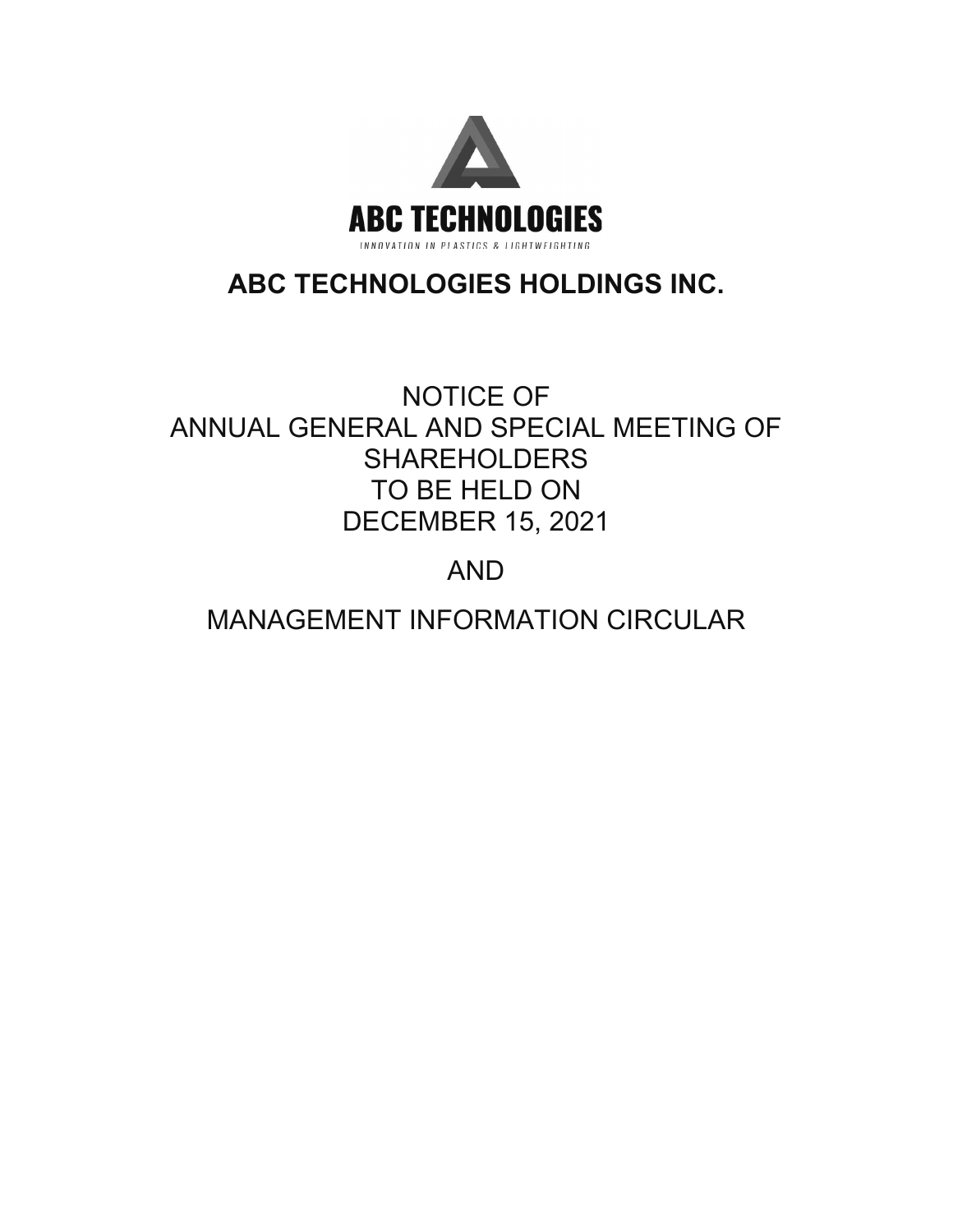

# **ABC TECHNOLOGIES HOLDINGS INC.**

# NOTICE OF ANNUAL GENERAL AND SPECIAL MEETING OF SHAREHOLDERS TO BE HELD ON DECEMBER 15, 2021

# AND

# MANAGEMENT INFORMATION CIRCULAR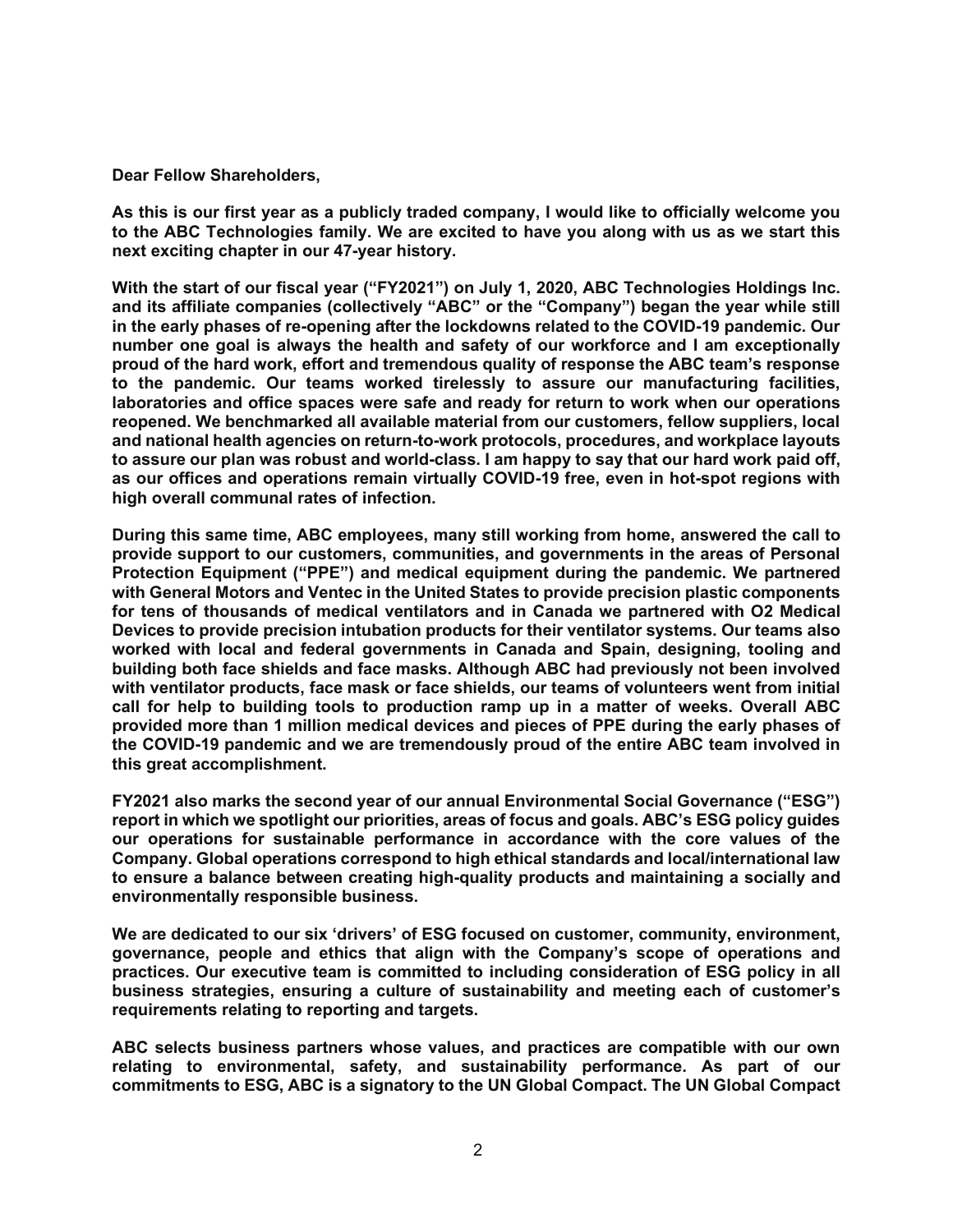**Dear Fellow Shareholders,** 

**As this is our first year as a publicly traded company, I would like to officially welcome you to the ABC Technologies family. We are excited to have you along with us as we start this next exciting chapter in our 47-year history.** 

**With the start of our fiscal year ("FY2021") on July 1, 2020, ABC Technologies Holdings Inc. and its affiliate companies (collectively "ABC" or the "Company") began the year while still in the early phases of re-opening after the lockdowns related to the COVID-19 pandemic. Our number one goal is always the health and safety of our workforce and I am exceptionally proud of the hard work, effort and tremendous quality of response the ABC team's response to the pandemic. Our teams worked tirelessly to assure our manufacturing facilities, laboratories and office spaces were safe and ready for return to work when our operations reopened. We benchmarked all available material from our customers, fellow suppliers, local and national health agencies on return-to-work protocols, procedures, and workplace layouts to assure our plan was robust and world-class. I am happy to say that our hard work paid off, as our offices and operations remain virtually COVID-19 free, even in hot-spot regions with high overall communal rates of infection.** 

**During this same time, ABC employees, many still working from home, answered the call to provide support to our customers, communities, and governments in the areas of Personal Protection Equipment ("PPE") and medical equipment during the pandemic. We partnered with General Motors and Ventec in the United States to provide precision plastic components for tens of thousands of medical ventilators and in Canada we partnered with O2 Medical Devices to provide precision intubation products for their ventilator systems. Our teams also worked with local and federal governments in Canada and Spain, designing, tooling and building both face shields and face masks. Although ABC had previously not been involved with ventilator products, face mask or face shields, our teams of volunteers went from initial call for help to building tools to production ramp up in a matter of weeks. Overall ABC provided more than 1 million medical devices and pieces of PPE during the early phases of the COVID-19 pandemic and we are tremendously proud of the entire ABC team involved in this great accomplishment.** 

**FY2021 also marks the second year of our annual Environmental Social Governance ("ESG") report in which we spotlight our priorities, areas of focus and goals. ABC's ESG policy guides our operations for sustainable performance in accordance with the core values of the Company. Global operations correspond to high ethical standards and local/international law to ensure a balance between creating high-quality products and maintaining a socially and environmentally responsible business.** 

**We are dedicated to our six 'drivers' of ESG focused on customer, community, environment, governance, people and ethics that align with the Company's scope of operations and practices. Our executive team is committed to including consideration of ESG policy in all business strategies, ensuring a culture of sustainability and meeting each of customer's requirements relating to reporting and targets.** 

**ABC selects business partners whose values, and practices are compatible with our own relating to environmental, safety, and sustainability performance. As part of our commitments to ESG, ABC is a signatory to the UN Global Compact. The UN Global Compact**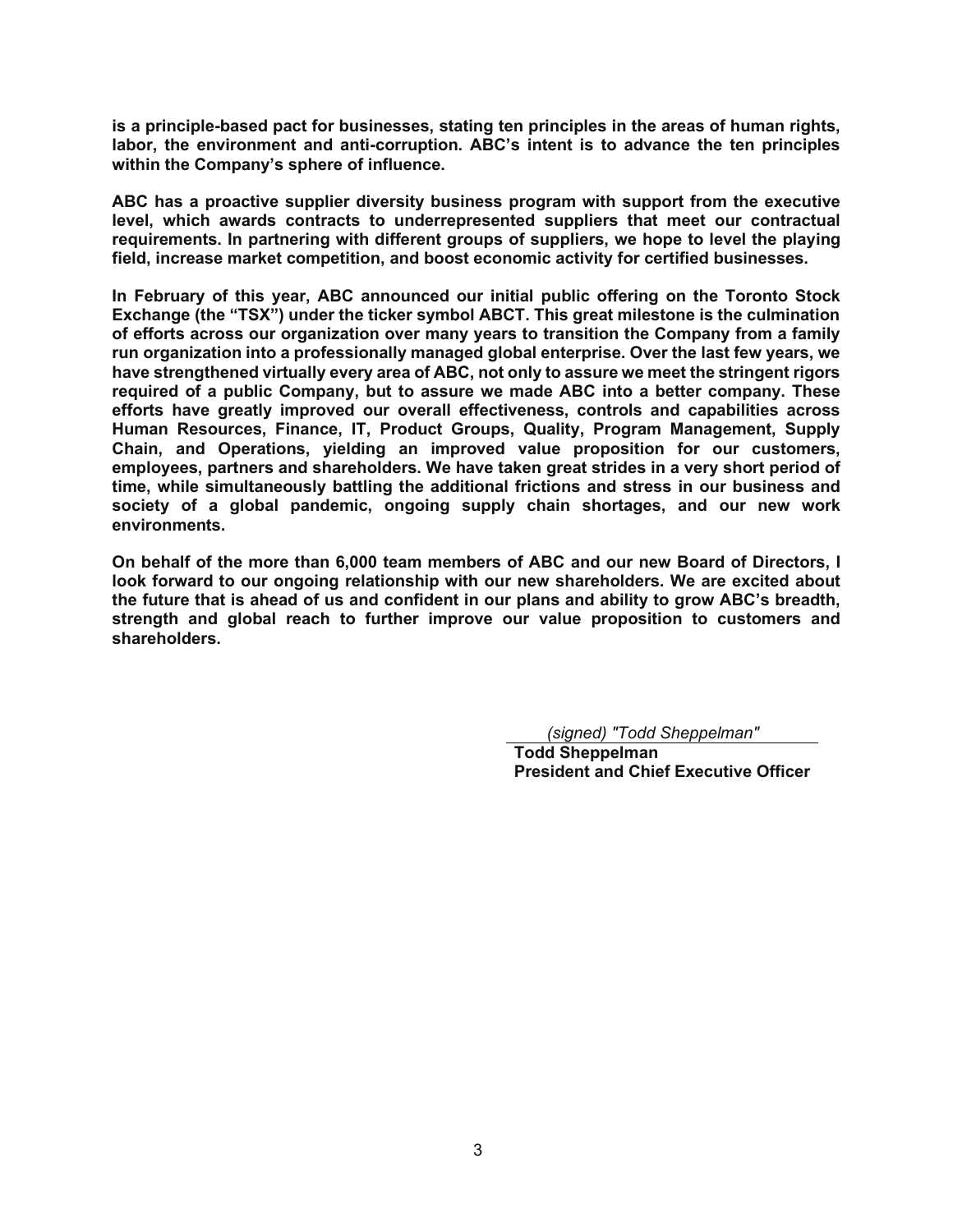**is a principle-based pact for businesses, stating ten principles in the areas of human rights, labor, the environment and anti-corruption. ABC's intent is to advance the ten principles within the Company's sphere of influence.** 

**ABC has a proactive supplier diversity business program with support from the executive level, which awards contracts to underrepresented suppliers that meet our contractual requirements. In partnering with different groups of suppliers, we hope to level the playing field, increase market competition, and boost economic activity for certified businesses.** 

**In February of this year, ABC announced our initial public offering on the Toronto Stock Exchange (the "TSX") under the ticker symbol ABCT. This great milestone is the culmination of efforts across our organization over many years to transition the Company from a family run organization into a professionally managed global enterprise. Over the last few years, we have strengthened virtually every area of ABC, not only to assure we meet the stringent rigors required of a public Company, but to assure we made ABC into a better company. These efforts have greatly improved our overall effectiveness, controls and capabilities across Human Resources, Finance, IT, Product Groups, Quality, Program Management, Supply Chain, and Operations, yielding an improved value proposition for our customers, employees, partners and shareholders. We have taken great strides in a very short period of time, while simultaneously battling the additional frictions and stress in our business and society of a global pandemic, ongoing supply chain shortages, and our new work environments.** 

**On behalf of the more than 6,000 team members of ABC and our new Board of Directors, I look forward to our ongoing relationship with our new shareholders. We are excited about the future that is ahead of us and confident in our plans and ability to grow ABC's breadth, strength and global reach to further improve our value proposition to customers and shareholders.** 

*(signed) "Todd Sheppelman"*

 **Todd Sheppelman President and Chief Executive Officer**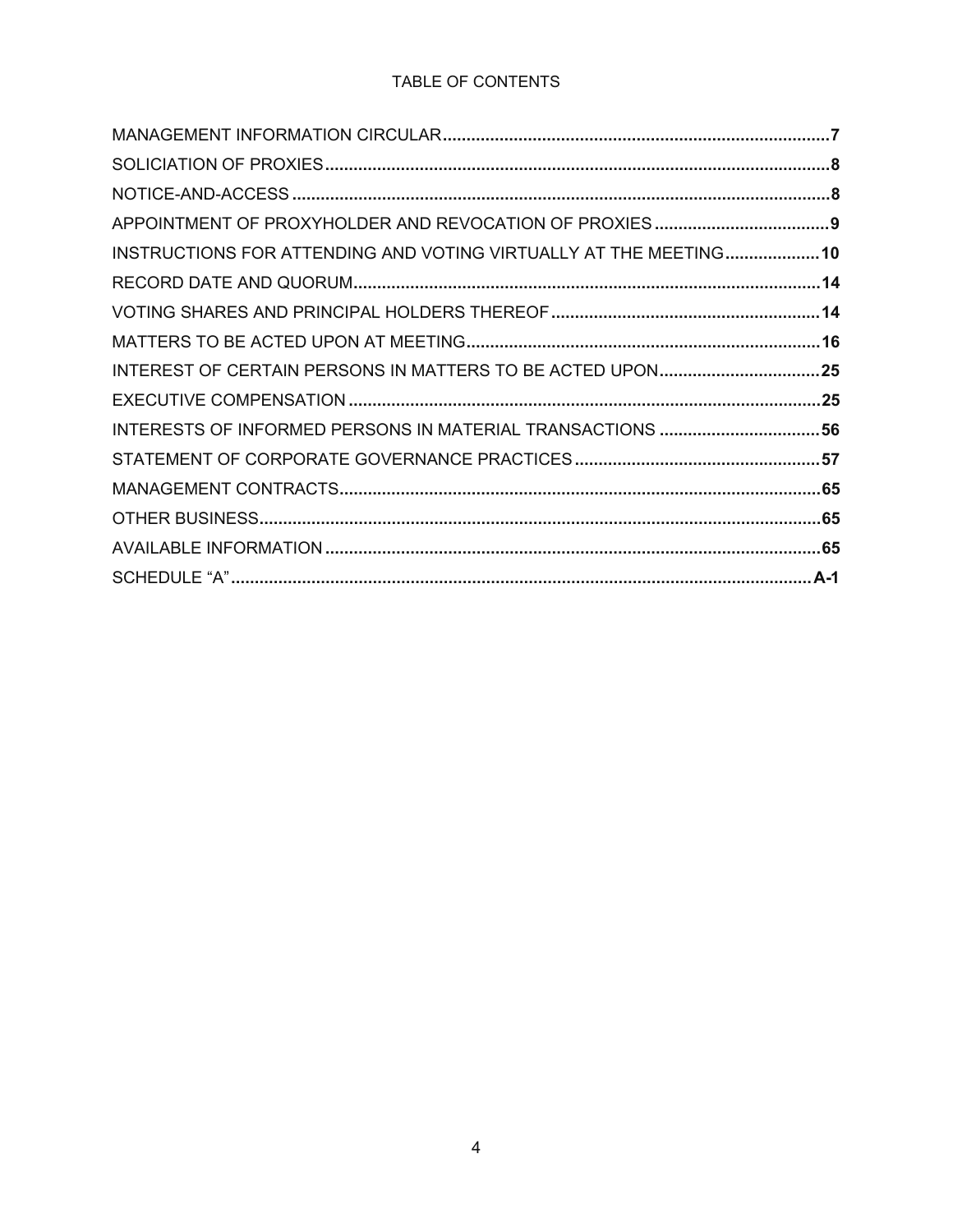# TABLE OF CONTENTS

| INSTRUCTIONS FOR ATTENDING AND VOTING VIRTUALLY AT THE MEETING 10 |  |
|-------------------------------------------------------------------|--|
|                                                                   |  |
|                                                                   |  |
|                                                                   |  |
| INTEREST OF CERTAIN PERSONS IN MATTERS TO BE ACTED UPON25         |  |
|                                                                   |  |
|                                                                   |  |
|                                                                   |  |
|                                                                   |  |
|                                                                   |  |
|                                                                   |  |
|                                                                   |  |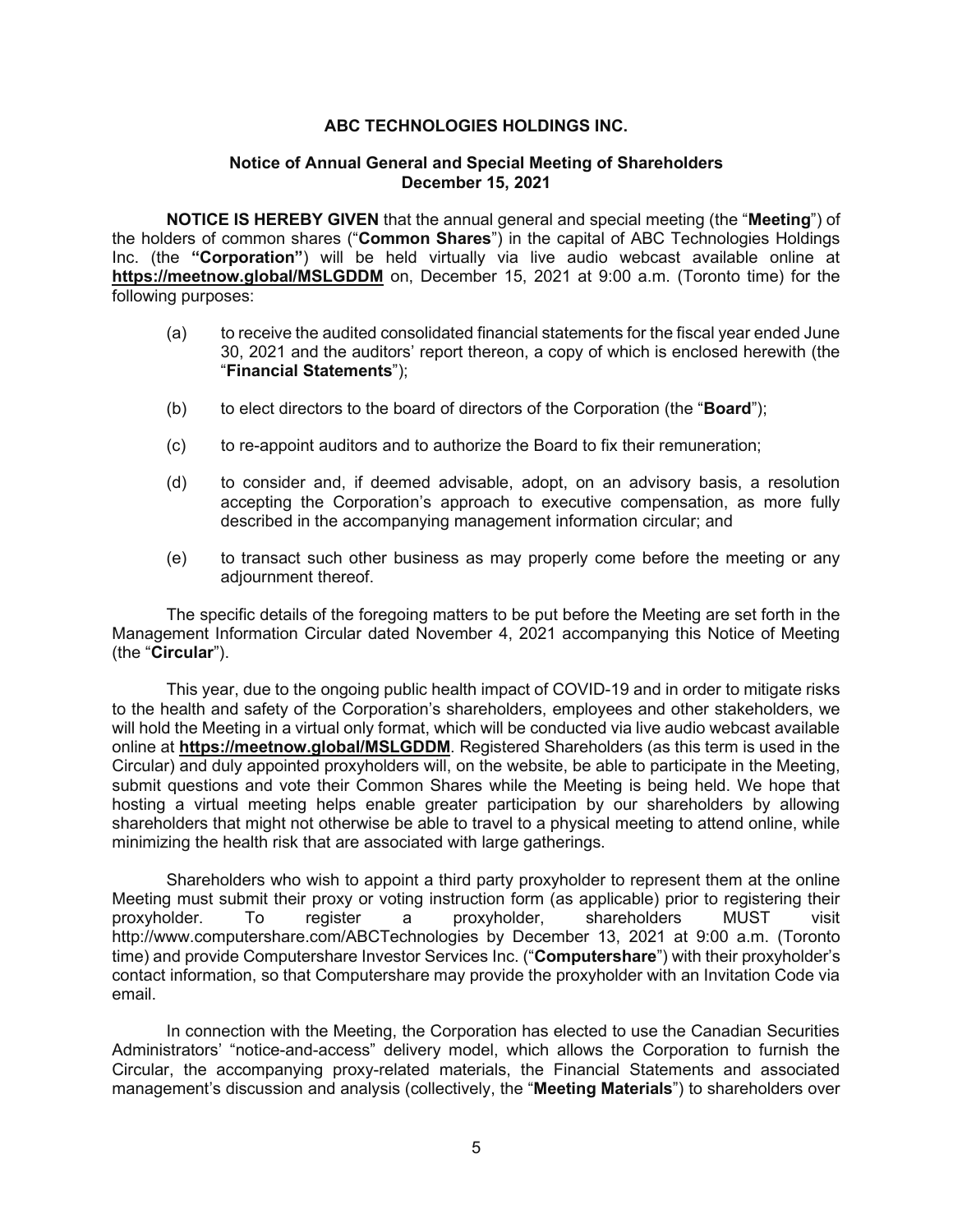# **ABC TECHNOLOGIES HOLDINGS INC.**

# **Notice of Annual General and Special Meeting of Shareholders December 15, 2021**

**NOTICE IS HEREBY GIVEN** that the annual general and special meeting (the "**Meeting**") of the holders of common shares ("**Common Shares**") in the capital of ABC Technologies Holdings Inc. (the **"Corporation"**) will be held virtually via live audio webcast available online at **https://meetnow.global/MSLGDDM** on, December 15, 2021 at 9:00 a.m. (Toronto time) for the following purposes:

- (a) to receive the audited consolidated financial statements for the fiscal year ended June 30, 2021 and the auditors' report thereon, a copy of which is enclosed herewith (the "**Financial Statements**");
- (b) to elect directors to the board of directors of the Corporation (the "**Board**");
- (c) to re-appoint auditors and to authorize the Board to fix their remuneration;
- (d) to consider and, if deemed advisable, adopt, on an advisory basis, a resolution accepting the Corporation's approach to executive compensation, as more fully described in the accompanying management information circular; and
- (e) to transact such other business as may properly come before the meeting or any adjournment thereof.

The specific details of the foregoing matters to be put before the Meeting are set forth in the Management Information Circular dated November 4, 2021 accompanying this Notice of Meeting (the "**Circular**").

This year, due to the ongoing public health impact of COVID-19 and in order to mitigate risks to the health and safety of the Corporation's shareholders, employees and other stakeholders, we will hold the Meeting in a virtual only format, which will be conducted via live audio webcast available online at **https://meetnow.global/MSLGDDM**. Registered Shareholders (as this term is used in the Circular) and duly appointed proxyholders will, on the website, be able to participate in the Meeting, submit questions and vote their Common Shares while the Meeting is being held. We hope that hosting a virtual meeting helps enable greater participation by our shareholders by allowing shareholders that might not otherwise be able to travel to a physical meeting to attend online, while minimizing the health risk that are associated with large gatherings.

Shareholders who wish to appoint a third party proxyholder to represent them at the online Meeting must submit their proxy or voting instruction form (as applicable) prior to registering their proxyholder. To register a proxyholder, shareholders MUST visit http://www.computershare.com/ABCTechnologies by December 13, 2021 at 9:00 a.m. (Toronto time) and provide Computershare Investor Services Inc. ("**Computershare**") with their proxyholder's contact information, so that Computershare may provide the proxyholder with an Invitation Code via email.

In connection with the Meeting, the Corporation has elected to use the Canadian Securities Administrators' "notice-and-access" delivery model, which allows the Corporation to furnish the Circular, the accompanying proxy-related materials, the Financial Statements and associated management's discussion and analysis (collectively, the "**Meeting Materials**") to shareholders over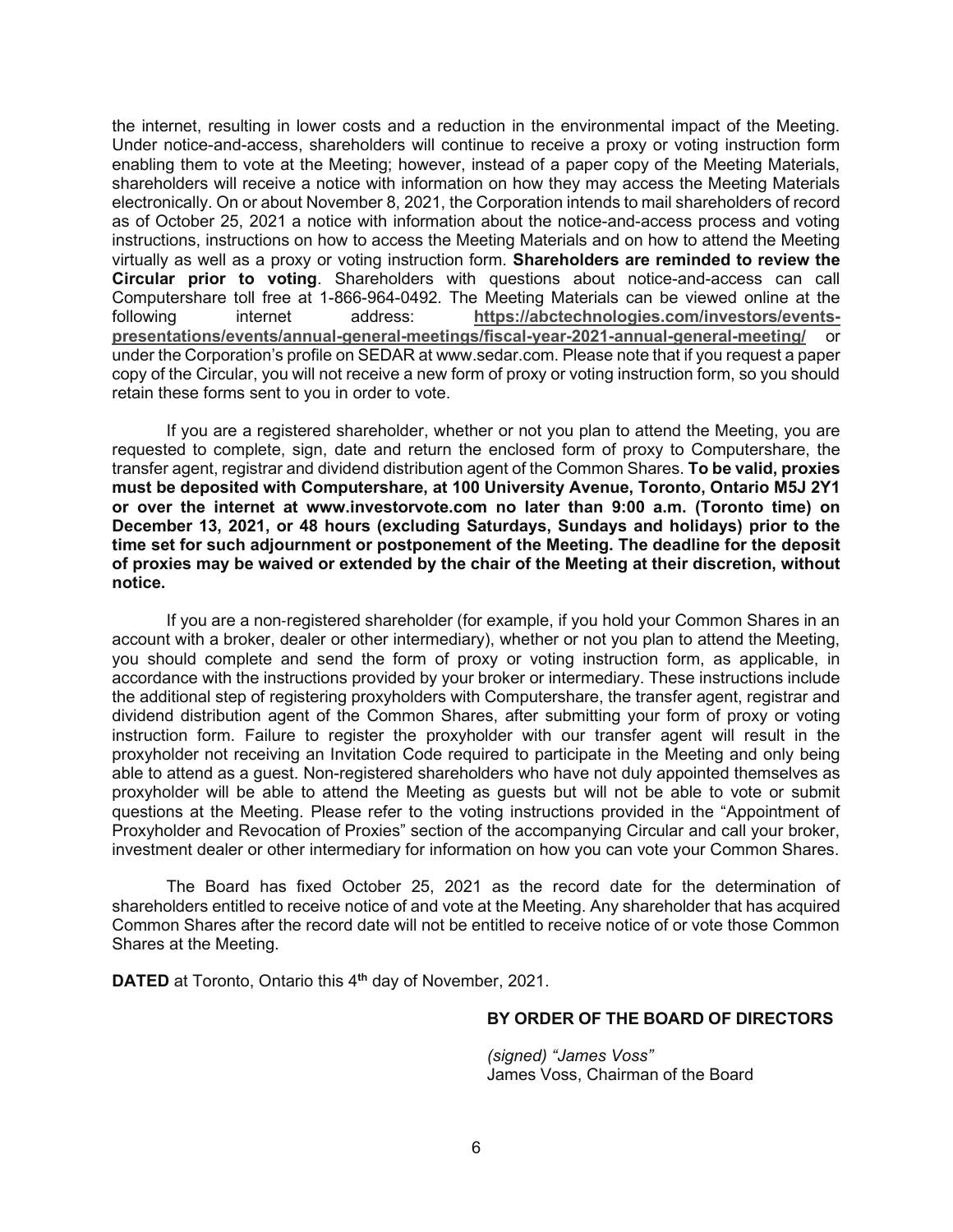the internet, resulting in lower costs and a reduction in the environmental impact of the Meeting. Under notice-and-access, shareholders will continue to receive a proxy or voting instruction form enabling them to vote at the Meeting; however, instead of a paper copy of the Meeting Materials, shareholders will receive a notice with information on how they may access the Meeting Materials electronically. On or about November 8, 2021, the Corporation intends to mail shareholders of record as of October 25, 2021 a notice with information about the notice-and-access process and voting instructions, instructions on how to access the Meeting Materials and on how to attend the Meeting virtually as well as a proxy or voting instruction form. **Shareholders are reminded to review the Circular prior to voting**. Shareholders with questions about notice-and-access can call Computershare toll free at 1-866-964-0492. The Meeting Materials can be viewed online at the following internet address: **https://abctechnologies.com/investors/eventspresentations/events/annual-general-meetings/fiscal-year-2021-annual-general-meeting/** or under the Corporation's profile on SEDAR at www.sedar.com. Please note that if you request a paper copy of the Circular, you will not receive a new form of proxy or voting instruction form, so you should retain these forms sent to you in order to vote.

If you are a registered shareholder, whether or not you plan to attend the Meeting, you are requested to complete, sign, date and return the enclosed form of proxy to Computershare, the transfer agent, registrar and dividend distribution agent of the Common Shares. **To be valid, proxies must be deposited with Computershare, at 100 University Avenue, Toronto, Ontario M5J 2Y1 or over the internet at www.investorvote.com no later than 9:00 a.m. (Toronto time) on December 13, 2021, or 48 hours (excluding Saturdays, Sundays and holidays) prior to the time set for such adjournment or postponement of the Meeting. The deadline for the deposit of proxies may be waived or extended by the chair of the Meeting at their discretion, without notice.** 

If you are a non-registered shareholder (for example, if you hold your Common Shares in an account with a broker, dealer or other intermediary), whether or not you plan to attend the Meeting, you should complete and send the form of proxy or voting instruction form, as applicable, in accordance with the instructions provided by your broker or intermediary. These instructions include the additional step of registering proxyholders with Computershare, the transfer agent, registrar and dividend distribution agent of the Common Shares, after submitting your form of proxy or voting instruction form. Failure to register the proxyholder with our transfer agent will result in the proxyholder not receiving an Invitation Code required to participate in the Meeting and only being able to attend as a guest. Non-registered shareholders who have not duly appointed themselves as proxyholder will be able to attend the Meeting as guests but will not be able to vote or submit questions at the Meeting. Please refer to the voting instructions provided in the "Appointment of Proxyholder and Revocation of Proxies" section of the accompanying Circular and call your broker, investment dealer or other intermediary for information on how you can vote your Common Shares.

The Board has fixed October 25, 2021 as the record date for the determination of shareholders entitled to receive notice of and vote at the Meeting. Any shareholder that has acquired Common Shares after the record date will not be entitled to receive notice of or vote those Common Shares at the Meeting.

**DATED** at Toronto, Ontario this 4**th** day of November, 2021.

# **BY ORDER OF THE BOARD OF DIRECTORS**

*(signed) "James Voss"* James Voss, Chairman of the Board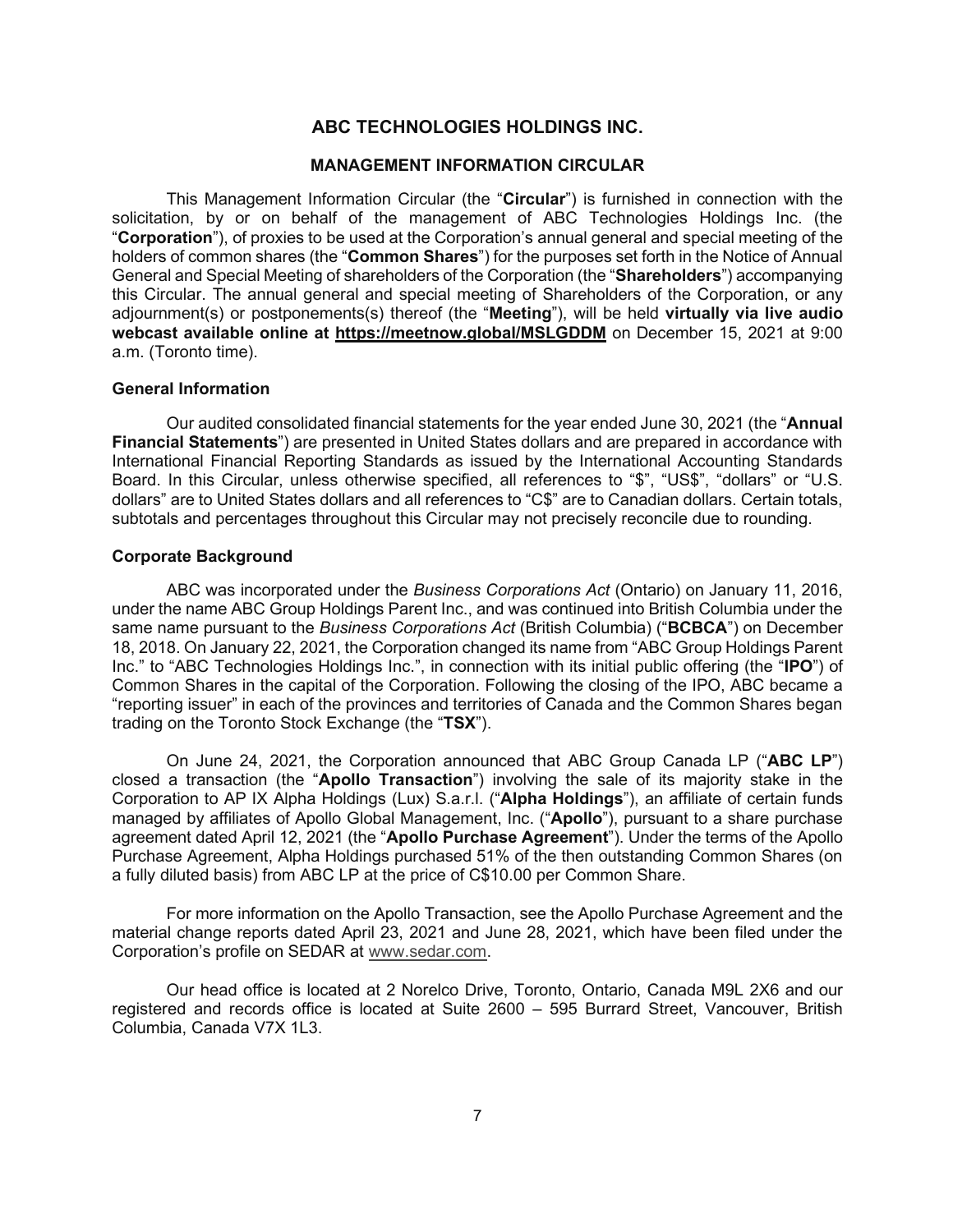# **ABC TECHNOLOGIES HOLDINGS INC.**

# **MANAGEMENT INFORMATION CIRCULAR**

This Management Information Circular (the "**Circular**") is furnished in connection with the solicitation, by or on behalf of the management of ABC Technologies Holdings Inc. (the "**Corporation**"), of proxies to be used at the Corporation's annual general and special meeting of the holders of common shares (the "**Common Shares**") for the purposes set forth in the Notice of Annual General and Special Meeting of shareholders of the Corporation (the "**Shareholders**") accompanying this Circular. The annual general and special meeting of Shareholders of the Corporation, or any adjournment(s) or postponements(s) thereof (the "**Meeting**"), will be held **virtually via live audio webcast available online at https://meetnow.global/MSLGDDM** on December 15, 2021 at 9:00 a.m. (Toronto time).

#### **General Information**

Our audited consolidated financial statements for the year ended June 30, 2021 (the "**Annual Financial Statements**") are presented in United States dollars and are prepared in accordance with International Financial Reporting Standards as issued by the International Accounting Standards Board. In this Circular, unless otherwise specified, all references to "\$", "US\$", "dollars" or "U.S. dollars" are to United States dollars and all references to "C\$" are to Canadian dollars. Certain totals, subtotals and percentages throughout this Circular may not precisely reconcile due to rounding.

### **Corporate Background**

ABC was incorporated under the *Business Corporations Act* (Ontario) on January 11, 2016, under the name ABC Group Holdings Parent Inc., and was continued into British Columbia under the same name pursuant to the *Business Corporations Act* (British Columbia) ("**BCBCA**") on December 18, 2018. On January 22, 2021, the Corporation changed its name from "ABC Group Holdings Parent Inc." to "ABC Technologies Holdings Inc.", in connection with its initial public offering (the "**IPO**") of Common Shares in the capital of the Corporation. Following the closing of the IPO, ABC became a "reporting issuer" in each of the provinces and territories of Canada and the Common Shares began trading on the Toronto Stock Exchange (the "**TSX**").

On June 24, 2021, the Corporation announced that ABC Group Canada LP ("**ABC LP**") closed a transaction (the "**Apollo Transaction**") involving the sale of its majority stake in the Corporation to AP IX Alpha Holdings (Lux) S.a.r.l. ("**Alpha Holdings**"), an affiliate of certain funds managed by affiliates of Apollo Global Management, Inc. ("**Apollo**"), pursuant to a share purchase agreement dated April 12, 2021 (the "**Apollo Purchase Agreement**"). Under the terms of the Apollo Purchase Agreement, Alpha Holdings purchased 51% of the then outstanding Common Shares (on a fully diluted basis) from ABC LP at the price of C\$10.00 per Common Share.

For more information on the Apollo Transaction, see the Apollo Purchase Agreement and the material change reports dated April 23, 2021 and June 28, 2021, which have been filed under the Corporation's profile on SEDAR at www.sedar.com.

Our head office is located at 2 Norelco Drive, Toronto, Ontario, Canada M9L 2X6 and our registered and records office is located at Suite 2600 – 595 Burrard Street, Vancouver, British Columbia, Canada V7X 1L3.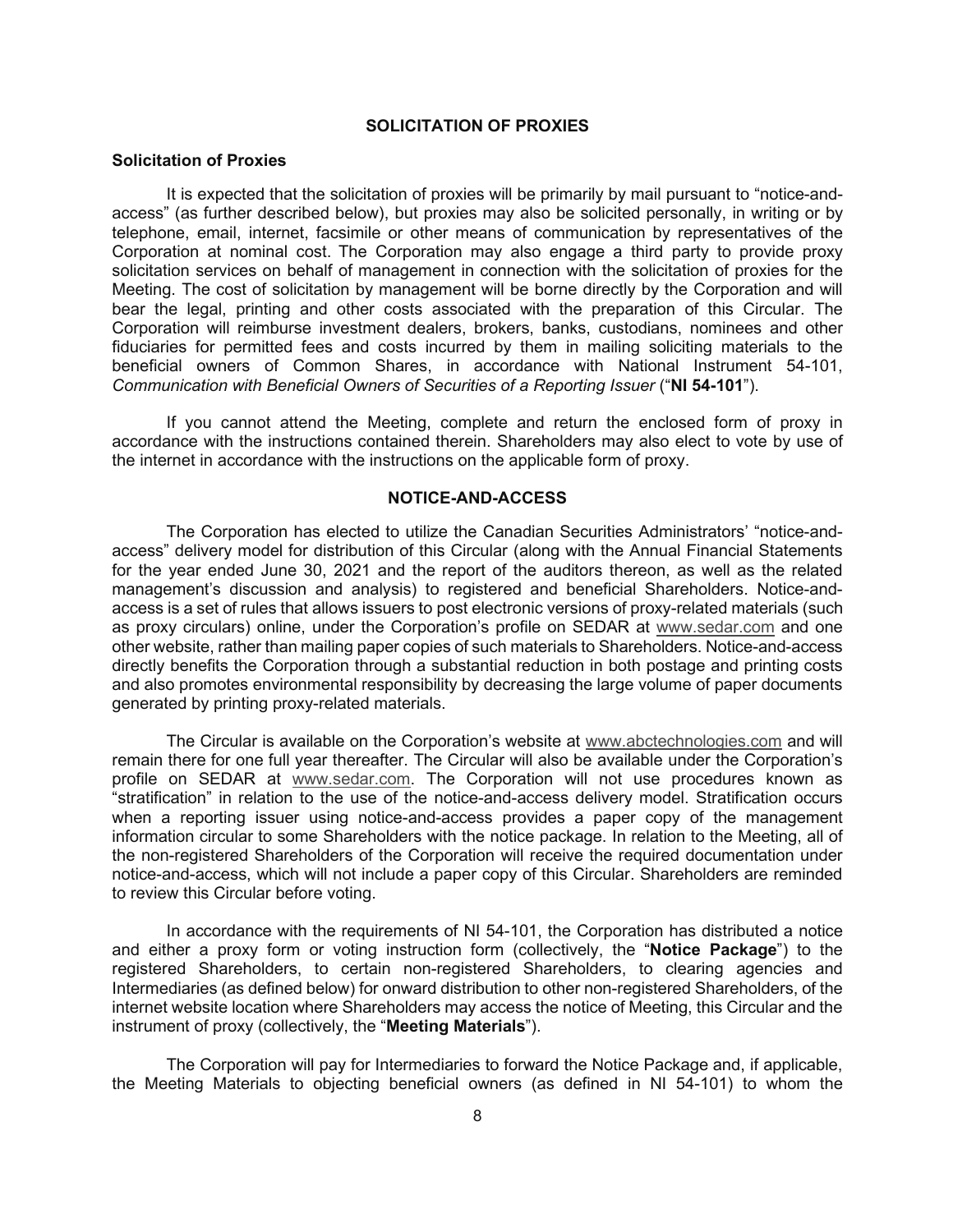#### **SOLICITATION OF PROXIES**

#### **Solicitation of Proxies**

It is expected that the solicitation of proxies will be primarily by mail pursuant to "notice-andaccess" (as further described below), but proxies may also be solicited personally, in writing or by telephone, email, internet, facsimile or other means of communication by representatives of the Corporation at nominal cost. The Corporation may also engage a third party to provide proxy solicitation services on behalf of management in connection with the solicitation of proxies for the Meeting. The cost of solicitation by management will be borne directly by the Corporation and will bear the legal, printing and other costs associated with the preparation of this Circular. The Corporation will reimburse investment dealers, brokers, banks, custodians, nominees and other fiduciaries for permitted fees and costs incurred by them in mailing soliciting materials to the beneficial owners of Common Shares, in accordance with National Instrument 54-101, *Communication with Beneficial Owners of Securities of a Reporting Issuer* ("NI 54-101").

If you cannot attend the Meeting, complete and return the enclosed form of proxy in accordance with the instructions contained therein. Shareholders may also elect to vote by use of the internet in accordance with the instructions on the applicable form of proxy.

# **NOTICE-AND-ACCESS**

The Corporation has elected to utilize the Canadian Securities Administrators' "notice-andaccess" delivery model for distribution of this Circular (along with the Annual Financial Statements for the year ended June 30, 2021 and the report of the auditors thereon, as well as the related management's discussion and analysis) to registered and beneficial Shareholders. Notice-andaccess is a set of rules that allows issuers to post electronic versions of proxy-related materials (such as proxy circulars) online, under the Corporation's profile on SEDAR at www.sedar.com and one other website, rather than mailing paper copies of such materials to Shareholders. Notice-and-access directly benefits the Corporation through a substantial reduction in both postage and printing costs and also promotes environmental responsibility by decreasing the large volume of paper documents generated by printing proxy-related materials.

The Circular is available on the Corporation's website at www.abctechnologies.com and will remain there for one full year thereafter. The Circular will also be available under the Corporation's profile on SEDAR at www.sedar.com. The Corporation will not use procedures known as "stratification" in relation to the use of the notice-and-access delivery model. Stratification occurs when a reporting issuer using notice-and-access provides a paper copy of the management information circular to some Shareholders with the notice package. In relation to the Meeting, all of the non-registered Shareholders of the Corporation will receive the required documentation under notice-and-access, which will not include a paper copy of this Circular. Shareholders are reminded to review this Circular before voting.

In accordance with the requirements of NI 54-101, the Corporation has distributed a notice and either a proxy form or voting instruction form (collectively, the "**Notice Package**") to the registered Shareholders, to certain non-registered Shareholders, to clearing agencies and Intermediaries (as defined below) for onward distribution to other non-registered Shareholders, of the internet website location where Shareholders may access the notice of Meeting, this Circular and the instrument of proxy (collectively, the "**Meeting Materials**").

The Corporation will pay for Intermediaries to forward the Notice Package and, if applicable, the Meeting Materials to objecting beneficial owners (as defined in NI 54-101) to whom the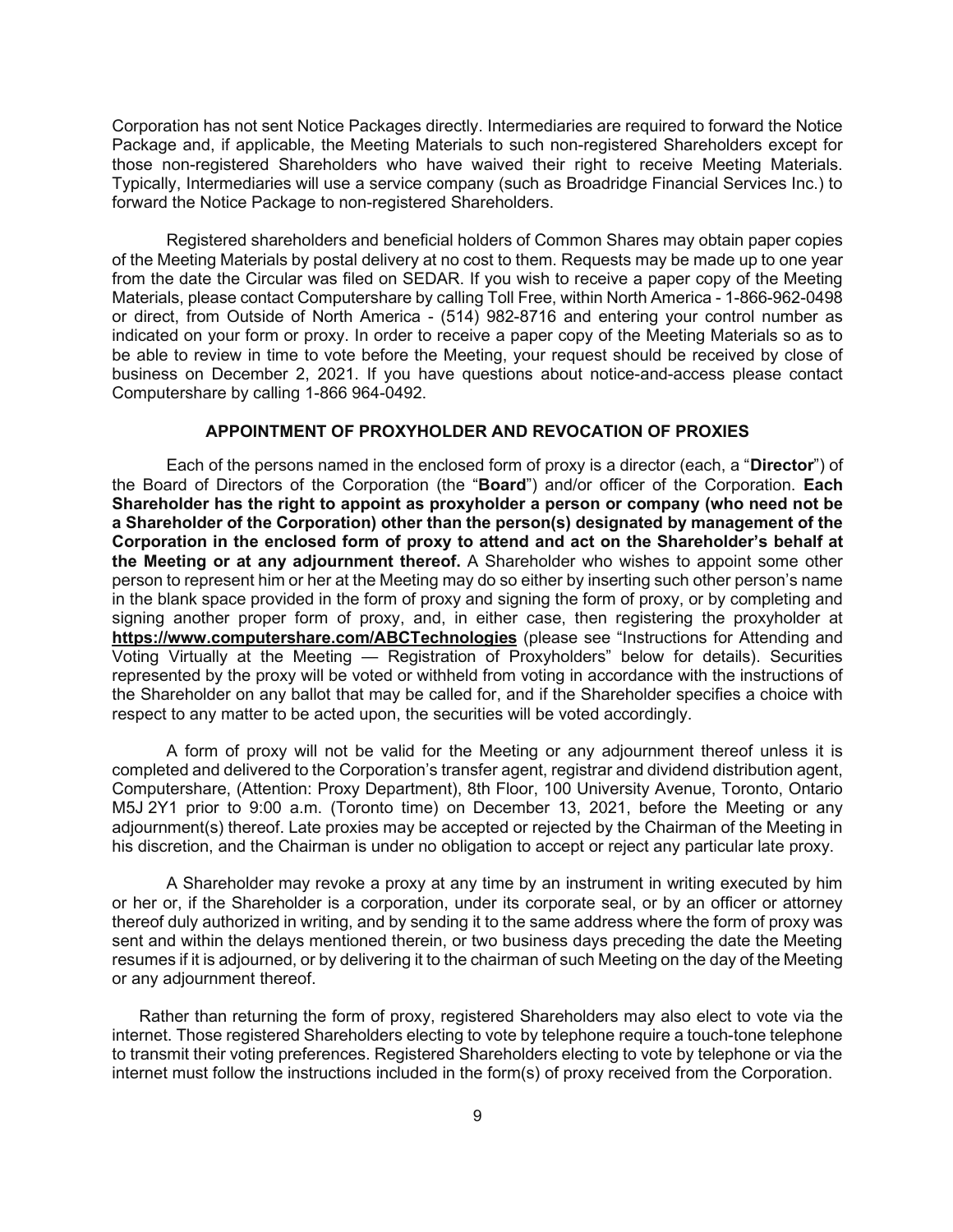Corporation has not sent Notice Packages directly. Intermediaries are required to forward the Notice Package and, if applicable, the Meeting Materials to such non-registered Shareholders except for those non-registered Shareholders who have waived their right to receive Meeting Materials. Typically, Intermediaries will use a service company (such as Broadridge Financial Services Inc.) to forward the Notice Package to non-registered Shareholders.

Registered shareholders and beneficial holders of Common Shares may obtain paper copies of the Meeting Materials by postal delivery at no cost to them. Requests may be made up to one year from the date the Circular was filed on SEDAR. If you wish to receive a paper copy of the Meeting Materials, please contact Computershare by calling Toll Free, within North America - 1-866-962-0498 or direct, from Outside of North America - (514) 982-8716 and entering your control number as indicated on your form or proxy. In order to receive a paper copy of the Meeting Materials so as to be able to review in time to vote before the Meeting, your request should be received by close of business on December 2, 2021. If you have questions about notice-and-access please contact Computershare by calling 1-866 964-0492.

# **APPOINTMENT OF PROXYHOLDER AND REVOCATION OF PROXIES**

Each of the persons named in the enclosed form of proxy is a director (each, a "**Director**") of the Board of Directors of the Corporation (the "**Board**") and/or officer of the Corporation. **Each Shareholder has the right to appoint as proxyholder a person or company (who need not be a Shareholder of the Corporation) other than the person(s) designated by management of the Corporation in the enclosed form of proxy to attend and act on the Shareholder's behalf at the Meeting or at any adjournment thereof.** A Shareholder who wishes to appoint some other person to represent him or her at the Meeting may do so either by inserting such other person's name in the blank space provided in the form of proxy and signing the form of proxy, or by completing and signing another proper form of proxy, and, in either case, then registering the proxyholder at **https://www.computershare.com/ABCTechnologies** (please see "Instructions for Attending and Voting Virtually at the Meeting — Registration of Proxyholders" below for details). Securities represented by the proxy will be voted or withheld from voting in accordance with the instructions of the Shareholder on any ballot that may be called for, and if the Shareholder specifies a choice with respect to any matter to be acted upon, the securities will be voted accordingly.

A form of proxy will not be valid for the Meeting or any adjournment thereof unless it is completed and delivered to the Corporation's transfer agent, registrar and dividend distribution agent, Computershare, (Attention: Proxy Department), 8th Floor, 100 University Avenue, Toronto, Ontario M5J 2Y1 prior to 9:00 a.m. (Toronto time) on December 13, 2021, before the Meeting or any adjournment(s) thereof. Late proxies may be accepted or rejected by the Chairman of the Meeting in his discretion, and the Chairman is under no obligation to accept or reject any particular late proxy.

A Shareholder may revoke a proxy at any time by an instrument in writing executed by him or her or, if the Shareholder is a corporation, under its corporate seal, or by an officer or attorney thereof duly authorized in writing, and by sending it to the same address where the form of proxy was sent and within the delays mentioned therein, or two business days preceding the date the Meeting resumes if it is adjourned, or by delivering it to the chairman of such Meeting on the day of the Meeting or any adjournment thereof.

Rather than returning the form of proxy, registered Shareholders may also elect to vote via the internet. Those registered Shareholders electing to vote by telephone require a touch-tone telephone to transmit their voting preferences. Registered Shareholders electing to vote by telephone or via the internet must follow the instructions included in the form(s) of proxy received from the Corporation.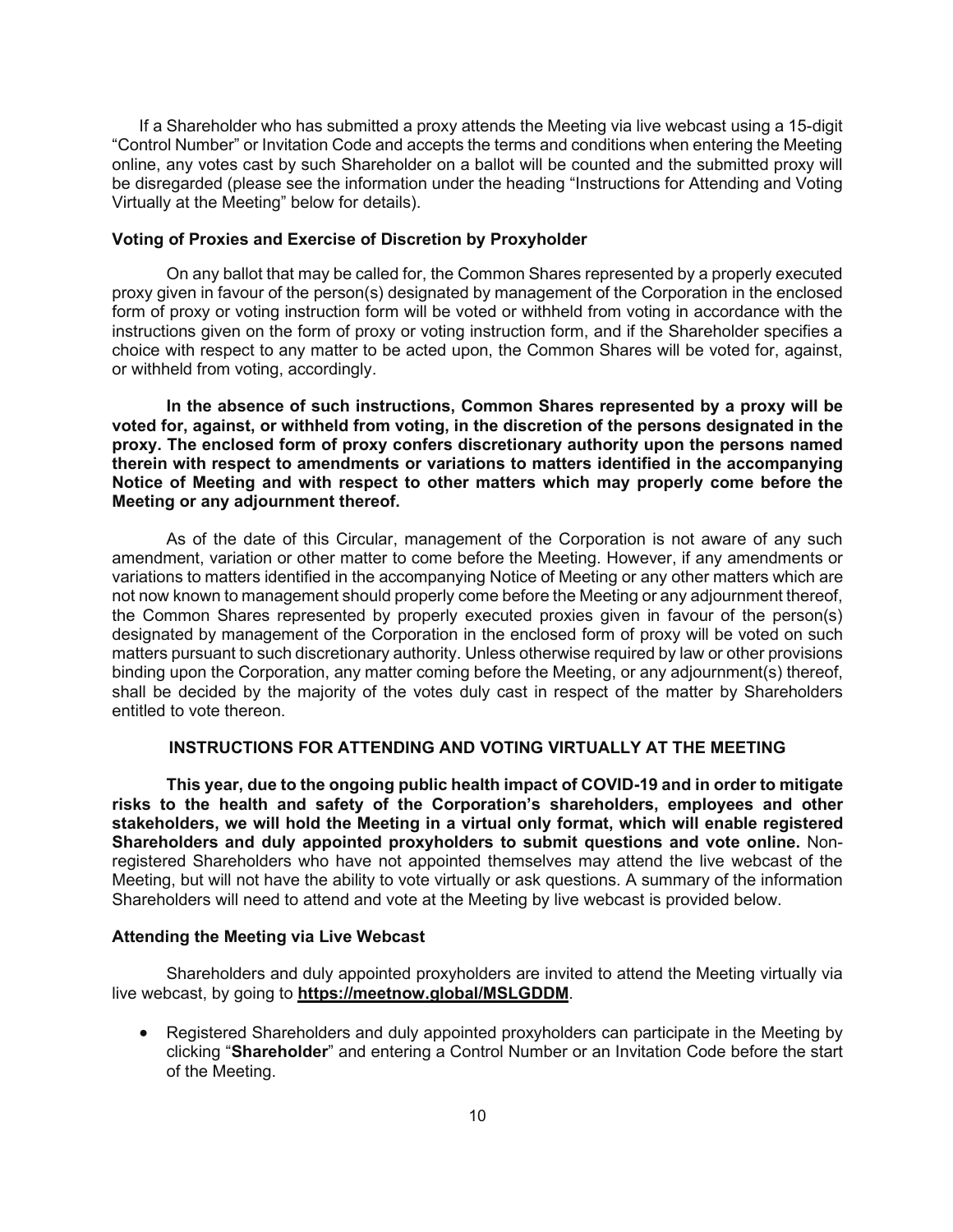If a Shareholder who has submitted a proxy attends the Meeting via live webcast using a 15-digit "Control Number" or Invitation Code and accepts the terms and conditions when entering the Meeting online, any votes cast by such Shareholder on a ballot will be counted and the submitted proxy will be disregarded (please see the information under the heading "Instructions for Attending and Voting Virtually at the Meeting" below for details).

# **Voting of Proxies and Exercise of Discretion by Proxyholder**

On any ballot that may be called for, the Common Shares represented by a properly executed proxy given in favour of the person(s) designated by management of the Corporation in the enclosed form of proxy or voting instruction form will be voted or withheld from voting in accordance with the instructions given on the form of proxy or voting instruction form, and if the Shareholder specifies a choice with respect to any matter to be acted upon, the Common Shares will be voted for, against, or withheld from voting, accordingly.

**In the absence of such instructions, Common Shares represented by a proxy will be voted for, against, or withheld from voting, in the discretion of the persons designated in the proxy. The enclosed form of proxy confers discretionary authority upon the persons named therein with respect to amendments or variations to matters identified in the accompanying Notice of Meeting and with respect to other matters which may properly come before the Meeting or any adjournment thereof.**

As of the date of this Circular, management of the Corporation is not aware of any such amendment, variation or other matter to come before the Meeting. However, if any amendments or variations to matters identified in the accompanying Notice of Meeting or any other matters which are not now known to management should properly come before the Meeting or any adjournment thereof, the Common Shares represented by properly executed proxies given in favour of the person(s) designated by management of the Corporation in the enclosed form of proxy will be voted on such matters pursuant to such discretionary authority. Unless otherwise required by law or other provisions binding upon the Corporation, any matter coming before the Meeting, or any adjournment(s) thereof, shall be decided by the majority of the votes duly cast in respect of the matter by Shareholders entitled to vote thereon.

# **INSTRUCTIONS FOR ATTENDING AND VOTING VIRTUALLY AT THE MEETING**

 **This year, due to the ongoing public health impact of COVID-19 and in order to mitigate risks to the health and safety of the Corporation's shareholders, employees and other stakeholders, we will hold the Meeting in a virtual only format, which will enable registered Shareholders and duly appointed proxyholders to submit questions and vote online.** Nonregistered Shareholders who have not appointed themselves may attend the live webcast of the Meeting, but will not have the ability to vote virtually or ask questions. A summary of the information Shareholders will need to attend and vote at the Meeting by live webcast is provided below.

## **Attending the Meeting via Live Webcast**

Shareholders and duly appointed proxyholders are invited to attend the Meeting virtually via live webcast, by going to **https://meetnow.global/MSLGDDM**.

• Registered Shareholders and duly appointed proxyholders can participate in the Meeting by clicking "**Shareholder**" and entering a Control Number or an Invitation Code before the start of the Meeting.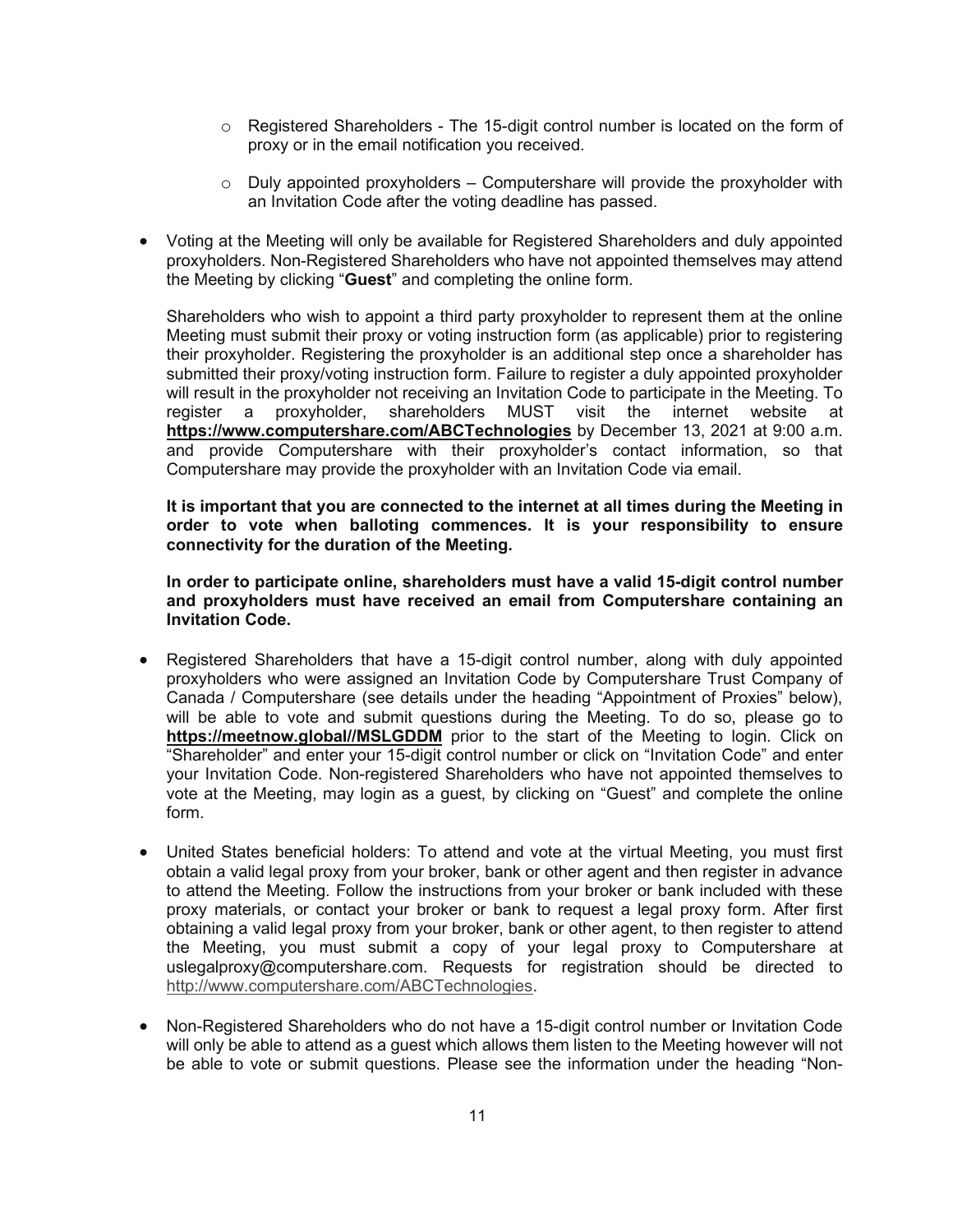- $\circ$  Registered Shareholders The 15-digit control number is located on the form of proxy or in the email notification you received.
- $\circ$  Duly appointed proxyholders Computershare will provide the proxyholder with an Invitation Code after the voting deadline has passed.
- x Voting at the Meeting will only be available for Registered Shareholders and duly appointed proxyholders. Non-Registered Shareholders who have not appointed themselves may attend the Meeting by clicking "**Guest**" and completing the online form.

Shareholders who wish to appoint a third party proxyholder to represent them at the online Meeting must submit their proxy or voting instruction form (as applicable) prior to registering their proxyholder. Registering the proxyholder is an additional step once a shareholder has submitted their proxy/voting instruction form. Failure to register a duly appointed proxyholder will result in the proxyholder not receiving an Invitation Code to participate in the Meeting. To register a proxyholder, shareholders MUST visit the internet website at **https://www.computershare.com/ABCTechnologies** by December 13, 2021 at 9:00 a.m. and provide Computershare with their proxyholder's contact information, so that Computershare may provide the proxyholder with an Invitation Code via email.

**It is important that you are connected to the internet at all times during the Meeting in order to vote when balloting commences. It is your responsibility to ensure connectivity for the duration of the Meeting.** 

**In order to participate online, shareholders must have a valid 15-digit control number and proxyholders must have received an email from Computershare containing an Invitation Code.** 

- x Registered Shareholders that have a 15-digit control number, along with duly appointed proxyholders who were assigned an Invitation Code by Computershare Trust Company of Canada / Computershare (see details under the heading "Appointment of Proxies" below), will be able to vote and submit questions during the Meeting. To do so, please go to **https://meetnow.global//MSLGDDM** prior to the start of the Meeting to login. Click on "Shareholder" and enter your 15-digit control number or click on "Invitation Code" and enter your Invitation Code. Non-registered Shareholders who have not appointed themselves to vote at the Meeting, may login as a guest, by clicking on "Guest" and complete the online form.
- United States beneficial holders: To attend and vote at the virtual Meeting, you must first obtain a valid legal proxy from your broker, bank or other agent and then register in advance to attend the Meeting. Follow the instructions from your broker or bank included with these proxy materials, or contact your broker or bank to request a legal proxy form. After first obtaining a valid legal proxy from your broker, bank or other agent, to then register to attend the Meeting, you must submit a copy of your legal proxy to Computershare at uslegalproxy@computershare.com. Requests for registration should be directed to http://www.computershare.com/ABCTechnologies.
- x Non-Registered Shareholders who do not have a 15-digit control number or Invitation Code will only be able to attend as a guest which allows them listen to the Meeting however will not be able to vote or submit questions. Please see the information under the heading "Non-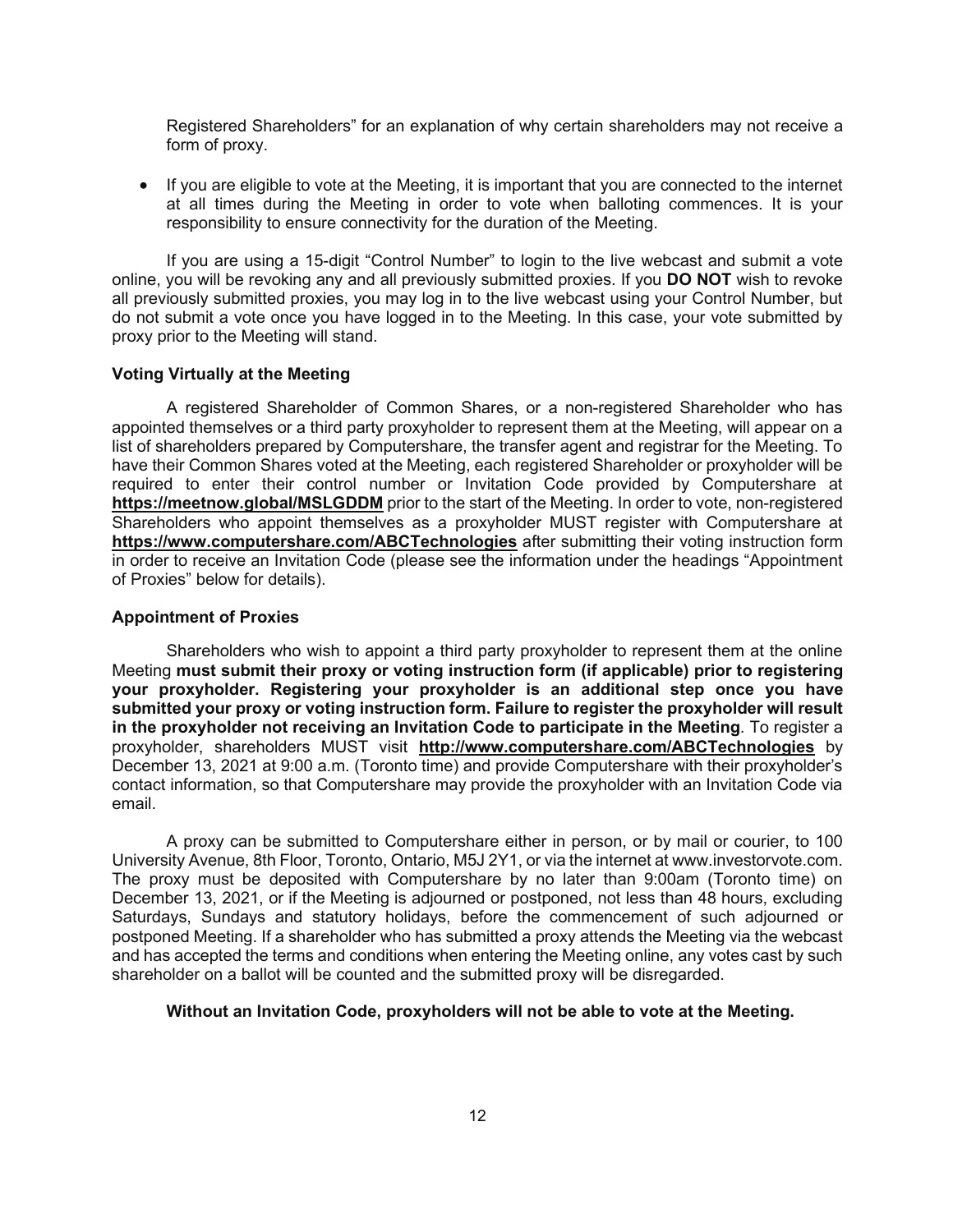Registered Shareholders" for an explanation of why certain shareholders may not receive a form of proxy.

• If you are eligible to vote at the Meeting, it is important that you are connected to the internet at all times during the Meeting in order to vote when balloting commences. It is your responsibility to ensure connectivity for the duration of the Meeting.

If you are using a 15-digit "Control Number" to login to the live webcast and submit a vote online, you will be revoking any and all previously submitted proxies. If you **DO NOT** wish to revoke all previously submitted proxies, you may log in to the live webcast using your Control Number, but do not submit a vote once you have logged in to the Meeting. In this case, your vote submitted by proxy prior to the Meeting will stand.

#### **Voting Virtually at the Meeting**

A registered Shareholder of Common Shares, or a non-registered Shareholder who has appointed themselves or a third party proxyholder to represent them at the Meeting, will appear on a list of shareholders prepared by Computershare, the transfer agent and registrar for the Meeting. To have their Common Shares voted at the Meeting, each registered Shareholder or proxyholder will be required to enter their control number or Invitation Code provided by Computershare at **https://meetnow.global/MSLGDDM** prior to the start of the Meeting. In order to vote, non-registered Shareholders who appoint themselves as a proxyholder MUST register with Computershare at **https://www.computershare.com/ABCTechnologies** after submitting their voting instruction form in order to receive an Invitation Code (please see the information under the headings "Appointment of Proxies" below for details).

#### **Appointment of Proxies**

Shareholders who wish to appoint a third party proxyholder to represent them at the online Meeting **must submit their proxy or voting instruction form (if applicable) prior to registering your proxyholder. Registering your proxyholder is an additional step once you have submitted your proxy or voting instruction form. Failure to register the proxyholder will result in the proxyholder not receiving an Invitation Code to participate in the Meeting**. To register a proxyholder, shareholders MUST visit **http://www.computershare.com/ABCTechnologies** by December 13, 2021 at 9:00 a.m. (Toronto time) and provide Computershare with their proxyholder's contact information, so that Computershare may provide the proxyholder with an Invitation Code via email.

A proxy can be submitted to Computershare either in person, or by mail or courier, to 100 University Avenue, 8th Floor, Toronto, Ontario, M5J 2Y1, or via the internet at www.investorvote.com. The proxy must be deposited with Computershare by no later than 9:00am (Toronto time) on December 13, 2021, or if the Meeting is adjourned or postponed, not less than 48 hours, excluding Saturdays, Sundays and statutory holidays, before the commencement of such adjourned or postponed Meeting. If a shareholder who has submitted a proxy attends the Meeting via the webcast and has accepted the terms and conditions when entering the Meeting online, any votes cast by such shareholder on a ballot will be counted and the submitted proxy will be disregarded.

## **Without an Invitation Code, proxyholders will not be able to vote at the Meeting.**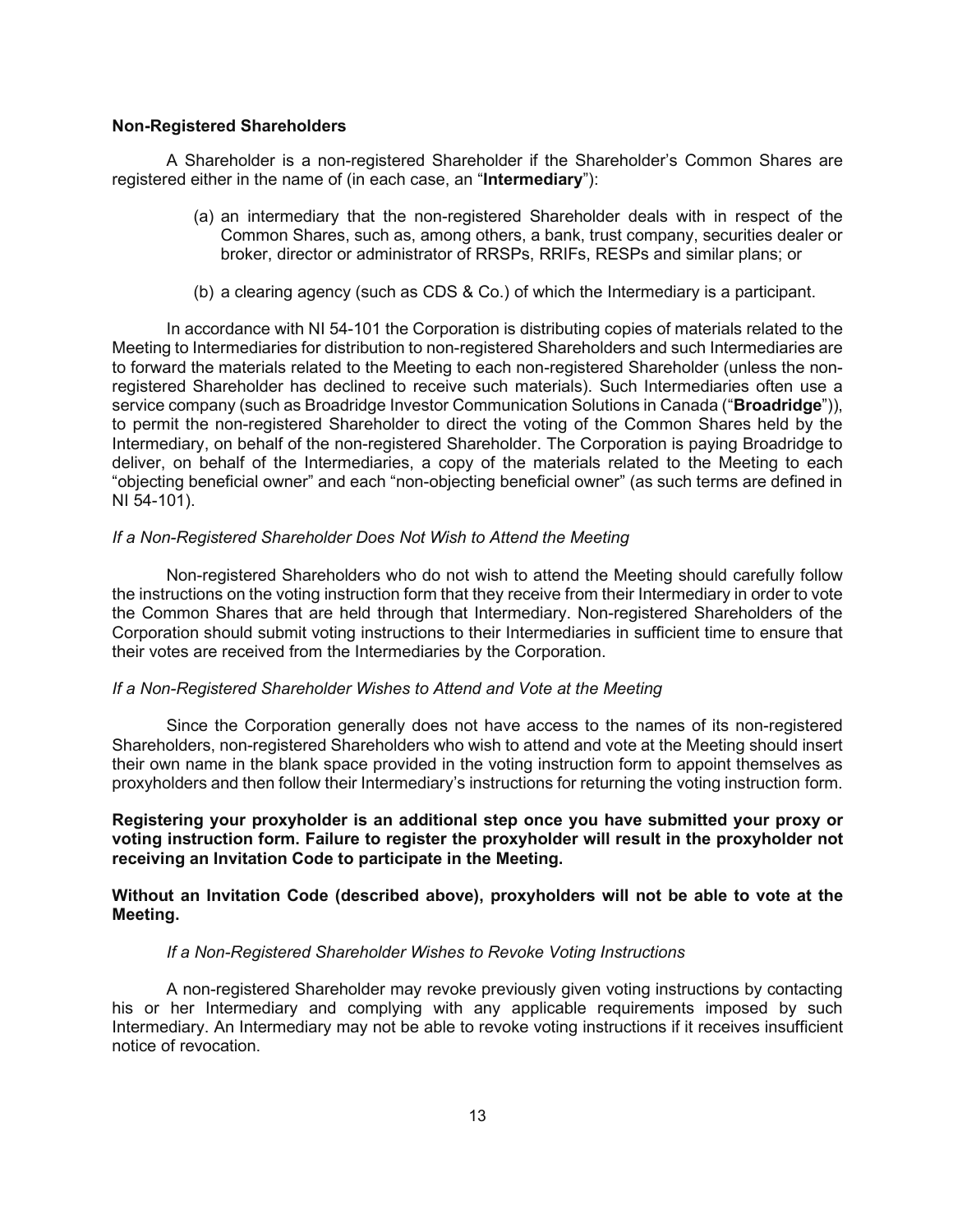#### **Non-Registered Shareholders**

 A Shareholder is a non-registered Shareholder if the Shareholder's Common Shares are registered either in the name of (in each case, an "**Intermediary**"):

- (a) an intermediary that the non-registered Shareholder deals with in respect of the Common Shares, such as, among others, a bank, trust company, securities dealer or broker, director or administrator of RRSPs, RRIFs, RESPs and similar plans; or
- (b) a clearing agency (such as CDS & Co.) of which the Intermediary is a participant.

 In accordance with NI 54-101 the Corporation is distributing copies of materials related to the Meeting to Intermediaries for distribution to non-registered Shareholders and such Intermediaries are to forward the materials related to the Meeting to each non-registered Shareholder (unless the nonregistered Shareholder has declined to receive such materials). Such Intermediaries often use a service company (such as Broadridge Investor Communication Solutions in Canada ("**Broadridge**")), to permit the non-registered Shareholder to direct the voting of the Common Shares held by the Intermediary, on behalf of the non-registered Shareholder. The Corporation is paying Broadridge to deliver, on behalf of the Intermediaries, a copy of the materials related to the Meeting to each "objecting beneficial owner" and each "non-objecting beneficial owner" (as such terms are defined in NI 54-101).

# *If a Non-Registered Shareholder Does Not Wish to Attend the Meeting*

 Non-registered Shareholders who do not wish to attend the Meeting should carefully follow the instructions on the voting instruction form that they receive from their Intermediary in order to vote the Common Shares that are held through that Intermediary. Non-registered Shareholders of the Corporation should submit voting instructions to their Intermediaries in sufficient time to ensure that their votes are received from the Intermediaries by the Corporation.

#### *If a Non-Registered Shareholder Wishes to Attend and Vote at the Meeting*

 Since the Corporation generally does not have access to the names of its non-registered Shareholders, non-registered Shareholders who wish to attend and vote at the Meeting should insert their own name in the blank space provided in the voting instruction form to appoint themselves as proxyholders and then follow their Intermediary's instructions for returning the voting instruction form.

# **Registering your proxyholder is an additional step once you have submitted your proxy or voting instruction form. Failure to register the proxyholder will result in the proxyholder not receiving an Invitation Code to participate in the Meeting.**

## **Without an Invitation Code (described above), proxyholders will not be able to vote at the Meeting.**

#### *If a Non-Registered Shareholder Wishes to Revoke Voting Instructions*

A non-registered Shareholder may revoke previously given voting instructions by contacting his or her Intermediary and complying with any applicable requirements imposed by such Intermediary. An Intermediary may not be able to revoke voting instructions if it receives insufficient notice of revocation.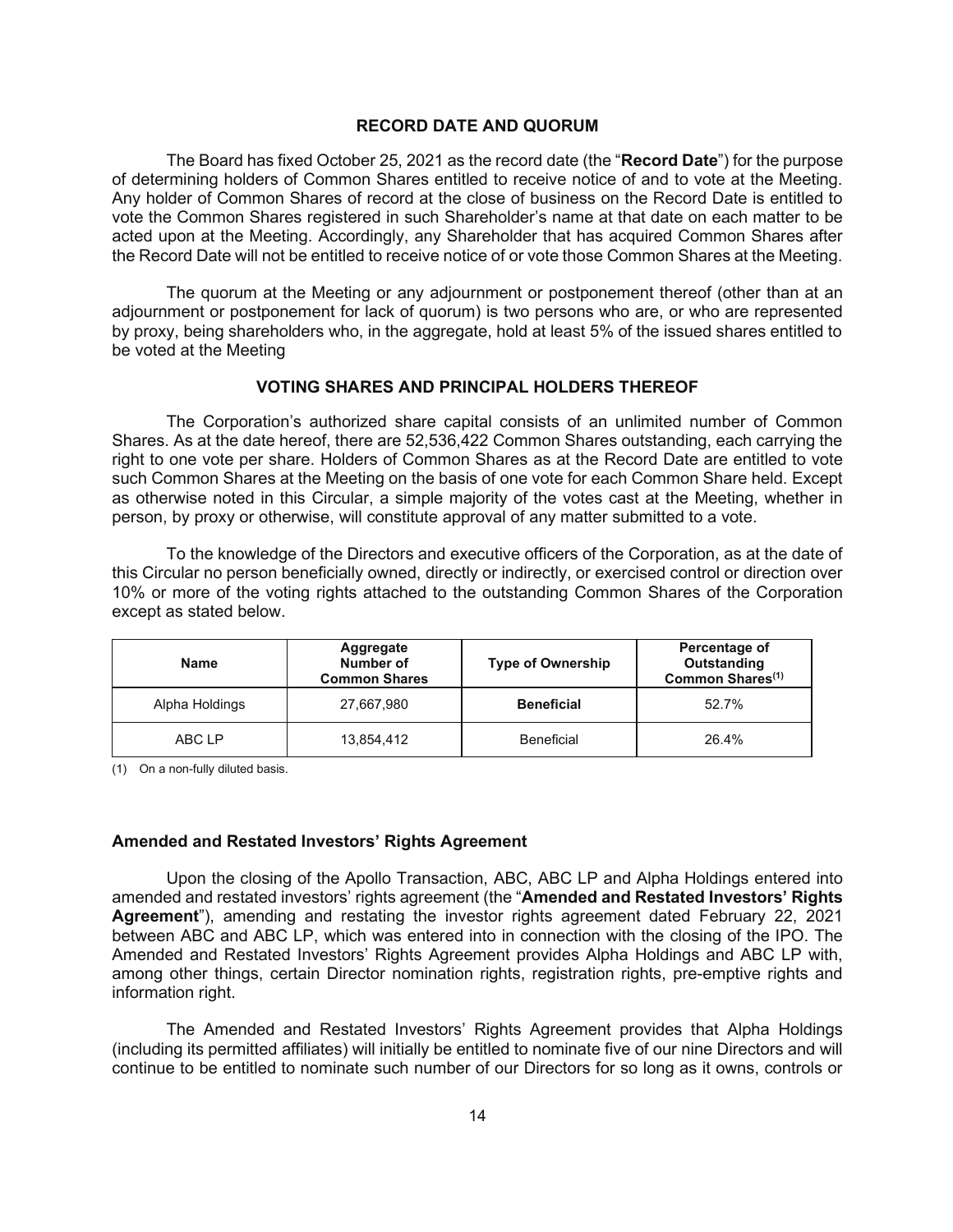#### **RECORD DATE AND QUORUM**

The Board has fixed October 25, 2021 as the record date (the "**Record Date**") for the purpose of determining holders of Common Shares entitled to receive notice of and to vote at the Meeting. Any holder of Common Shares of record at the close of business on the Record Date is entitled to vote the Common Shares registered in such Shareholder's name at that date on each matter to be acted upon at the Meeting. Accordingly, any Shareholder that has acquired Common Shares after the Record Date will not be entitled to receive notice of or vote those Common Shares at the Meeting.

The quorum at the Meeting or any adjournment or postponement thereof (other than at an adjournment or postponement for lack of quorum) is two persons who are, or who are represented by proxy, being shareholders who, in the aggregate, hold at least 5% of the issued shares entitled to be voted at the Meeting

#### **VOTING SHARES AND PRINCIPAL HOLDERS THEREOF**

The Corporation's authorized share capital consists of an unlimited number of Common Shares. As at the date hereof, there are 52,536,422 Common Shares outstanding, each carrying the right to one vote per share. Holders of Common Shares as at the Record Date are entitled to vote such Common Shares at the Meeting on the basis of one vote for each Common Share held. Except as otherwise noted in this Circular, a simple majority of the votes cast at the Meeting, whether in person, by proxy or otherwise, will constitute approval of any matter submitted to a vote.

To the knowledge of the Directors and executive officers of the Corporation, as at the date of this Circular no person beneficially owned, directly or indirectly, or exercised control or direction over 10% or more of the voting rights attached to the outstanding Common Shares of the Corporation except as stated below.

| <b>Name</b>    | Aggregate<br>Number of<br><b>Common Shares</b> | <b>Type of Ownership</b> | Percentage of<br>Outstanding<br>Common Shares <sup>(1)</sup> |
|----------------|------------------------------------------------|--------------------------|--------------------------------------------------------------|
| Alpha Holdings | 27,667,980                                     | <b>Beneficial</b>        | 52.7%                                                        |
| ABC LP         | 13,854,412                                     | <b>Beneficial</b>        | 26.4%                                                        |

(1) On a non-fully diluted basis.

#### **Amended and Restated Investors' Rights Agreement**

Upon the closing of the Apollo Transaction, ABC, ABC LP and Alpha Holdings entered into amended and restated investors' rights agreement (the "**Amended and Restated Investors' Rights Agreement**"), amending and restating the investor rights agreement dated February 22, 2021 between ABC and ABC LP, which was entered into in connection with the closing of the IPO. The Amended and Restated Investors' Rights Agreement provides Alpha Holdings and ABC LP with, among other things, certain Director nomination rights, registration rights, pre-emptive rights and information right.

The Amended and Restated Investors' Rights Agreement provides that Alpha Holdings (including its permitted affiliates) will initially be entitled to nominate five of our nine Directors and will continue to be entitled to nominate such number of our Directors for so long as it owns, controls or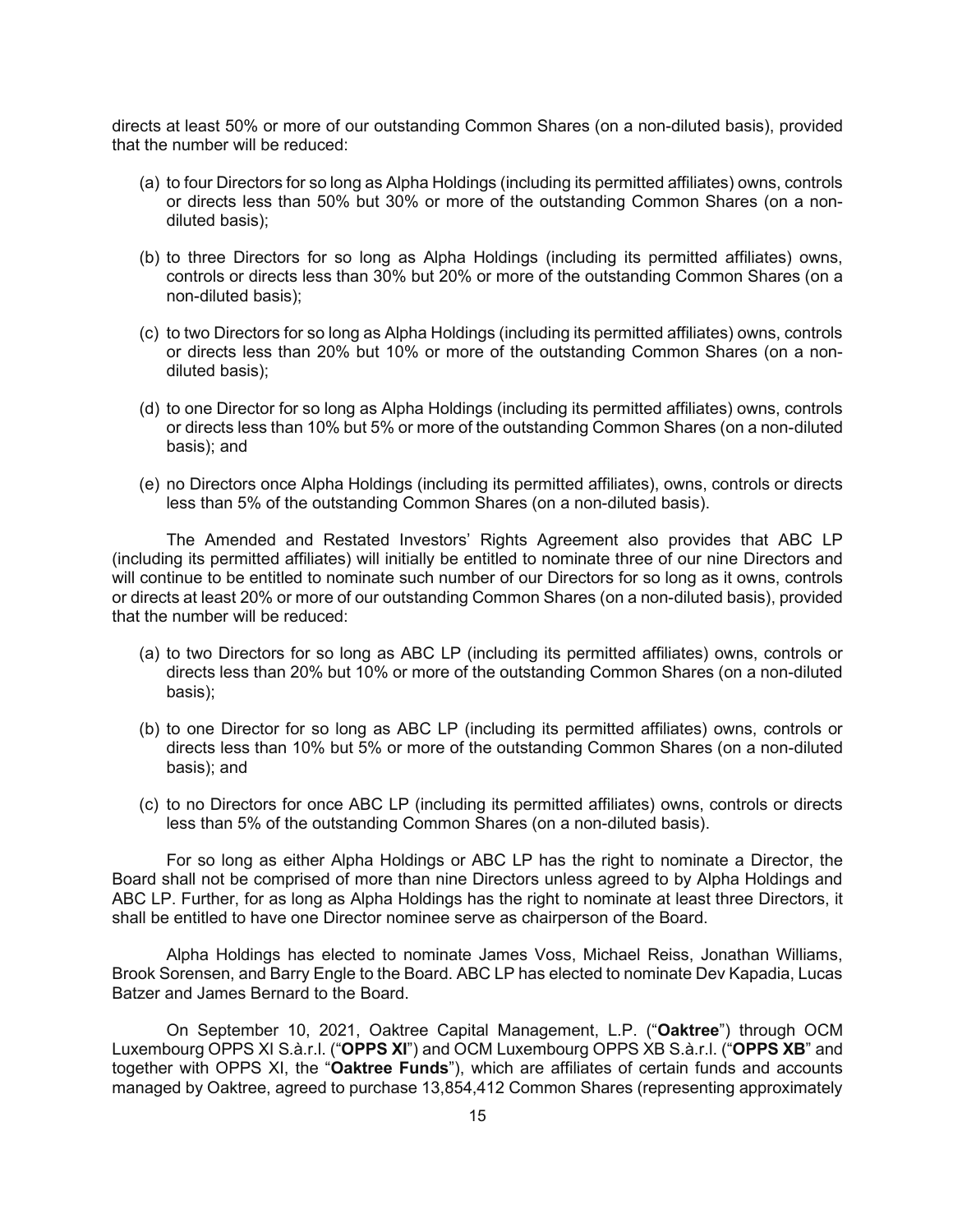directs at least 50% or more of our outstanding Common Shares (on a non-diluted basis), provided that the number will be reduced:

- (a) to four Directors for so long as Alpha Holdings (including its permitted affiliates) owns, controls or directs less than 50% but 30% or more of the outstanding Common Shares (on a nondiluted basis);
- (b) to three Directors for so long as Alpha Holdings (including its permitted affiliates) owns, controls or directs less than 30% but 20% or more of the outstanding Common Shares (on a non-diluted basis);
- (c) to two Directors for so long as Alpha Holdings (including its permitted affiliates) owns, controls or directs less than 20% but 10% or more of the outstanding Common Shares (on a nondiluted basis);
- (d) to one Director for so long as Alpha Holdings (including its permitted affiliates) owns, controls or directs less than 10% but 5% or more of the outstanding Common Shares (on a non-diluted basis); and
- (e) no Directors once Alpha Holdings (including its permitted affiliates), owns, controls or directs less than 5% of the outstanding Common Shares (on a non-diluted basis).

The Amended and Restated Investors' Rights Agreement also provides that ABC LP (including its permitted affiliates) will initially be entitled to nominate three of our nine Directors and will continue to be entitled to nominate such number of our Directors for so long as it owns, controls or directs at least 20% or more of our outstanding Common Shares (on a non-diluted basis), provided that the number will be reduced:

- (a) to two Directors for so long as ABC LP (including its permitted affiliates) owns, controls or directs less than 20% but 10% or more of the outstanding Common Shares (on a non-diluted basis);
- (b) to one Director for so long as ABC LP (including its permitted affiliates) owns, controls or directs less than 10% but 5% or more of the outstanding Common Shares (on a non-diluted basis); and
- (c) to no Directors for once ABC LP (including its permitted affiliates) owns, controls or directs less than 5% of the outstanding Common Shares (on a non-diluted basis).

For so long as either Alpha Holdings or ABC LP has the right to nominate a Director, the Board shall not be comprised of more than nine Directors unless agreed to by Alpha Holdings and ABC LP. Further, for as long as Alpha Holdings has the right to nominate at least three Directors, it shall be entitled to have one Director nominee serve as chairperson of the Board.

Alpha Holdings has elected to nominate James Voss, Michael Reiss, Jonathan Williams, Brook Sorensen, and Barry Engle to the Board. ABC LP has elected to nominate Dev Kapadia, Lucas Batzer and James Bernard to the Board.

On September 10, 2021, Oaktree Capital Management, L.P. ("**Oaktree**") through OCM Luxembourg OPPS XI S.à.r.l. ("**OPPS XI**") and OCM Luxembourg OPPS XB S.à.r.l. ("**OPPS XB**" and together with OPPS XI, the "**Oaktree Funds**"), which are affiliates of certain funds and accounts managed by Oaktree, agreed to purchase 13,854,412 Common Shares (representing approximately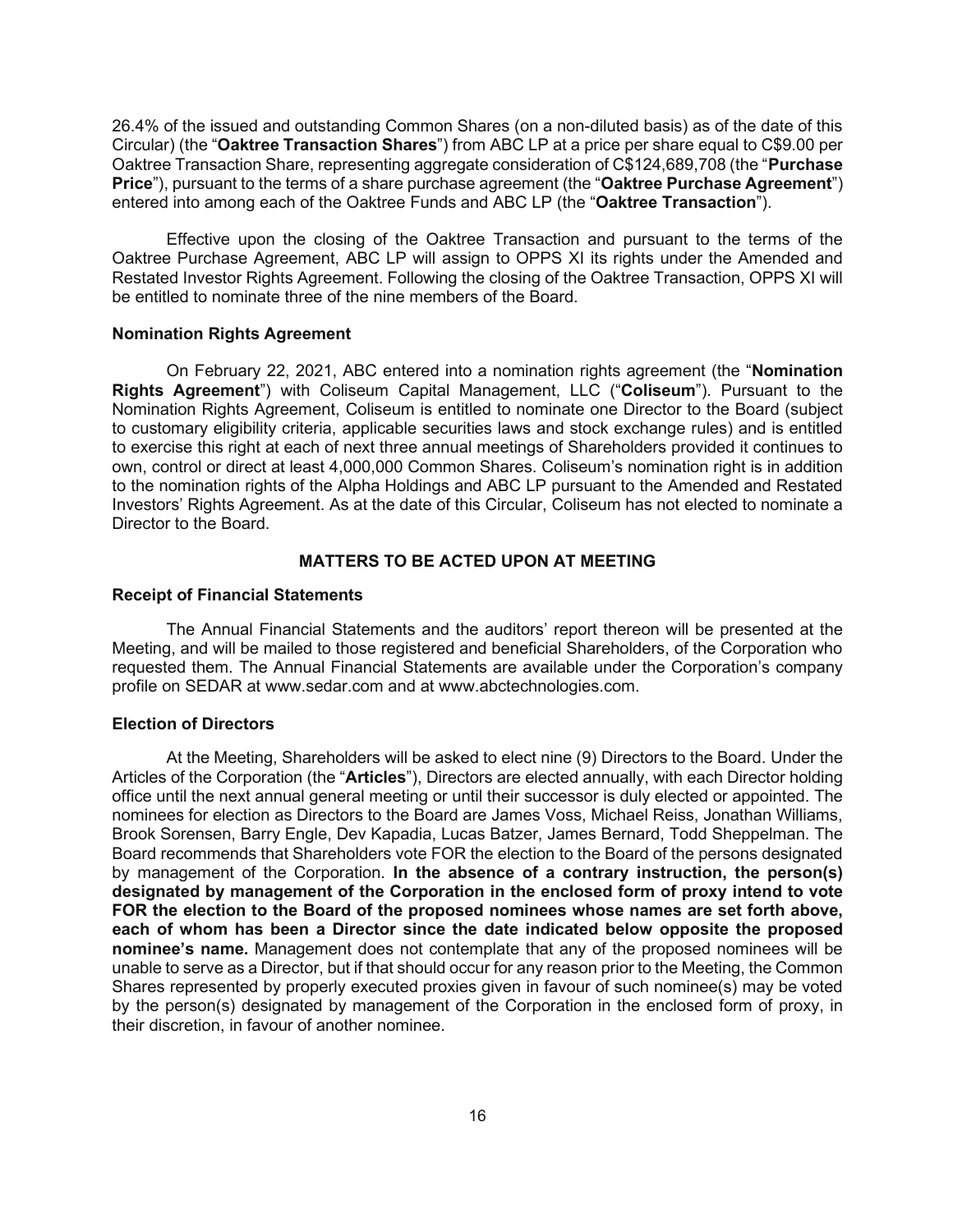26.4% of the issued and outstanding Common Shares (on a non-diluted basis) as of the date of this Circular) (the "**Oaktree Transaction Shares**") from ABC LP at a price per share equal to C\$9.00 per Oaktree Transaction Share, representing aggregate consideration of C\$124,689,708 (the "**Purchase Price**"), pursuant to the terms of a share purchase agreement (the "**Oaktree Purchase Agreement**") entered into among each of the Oaktree Funds and ABC LP (the "**Oaktree Transaction**").

Effective upon the closing of the Oaktree Transaction and pursuant to the terms of the Oaktree Purchase Agreement, ABC LP will assign to OPPS XI its rights under the Amended and Restated Investor Rights Agreement. Following the closing of the Oaktree Transaction, OPPS XI will be entitled to nominate three of the nine members of the Board.

# **Nomination Rights Agreement**

On February 22, 2021, ABC entered into a nomination rights agreement (the "**Nomination Rights Agreement**") with Coliseum Capital Management, LLC ("**Coliseum**"). Pursuant to the Nomination Rights Agreement, Coliseum is entitled to nominate one Director to the Board (subject to customary eligibility criteria, applicable securities laws and stock exchange rules) and is entitled to exercise this right at each of next three annual meetings of Shareholders provided it continues to own, control or direct at least 4,000,000 Common Shares. Coliseum's nomination right is in addition to the nomination rights of the Alpha Holdings and ABC LP pursuant to the Amended and Restated Investors' Rights Agreement. As at the date of this Circular, Coliseum has not elected to nominate a Director to the Board.

# **MATTERS TO BE ACTED UPON AT MEETING**

# **Receipt of Financial Statements**

The Annual Financial Statements and the auditors' report thereon will be presented at the Meeting, and will be mailed to those registered and beneficial Shareholders, of the Corporation who requested them. The Annual Financial Statements are available under the Corporation's company profile on SEDAR at www.sedar.com and at www.abctechnologies.com.

# **Election of Directors**

At the Meeting, Shareholders will be asked to elect nine (9) Directors to the Board. Under the Articles of the Corporation (the "**Articles**"), Directors are elected annually, with each Director holding office until the next annual general meeting or until their successor is duly elected or appointed. The nominees for election as Directors to the Board are James Voss, Michael Reiss, Jonathan Williams, Brook Sorensen, Barry Engle, Dev Kapadia, Lucas Batzer, James Bernard, Todd Sheppelman. The Board recommends that Shareholders vote FOR the election to the Board of the persons designated by management of the Corporation. **In the absence of a contrary instruction, the person(s) designated by management of the Corporation in the enclosed form of proxy intend to vote FOR the election to the Board of the proposed nominees whose names are set forth above, each of whom has been a Director since the date indicated below opposite the proposed nominee's name.** Management does not contemplate that any of the proposed nominees will be unable to serve as a Director, but if that should occur for any reason prior to the Meeting, the Common Shares represented by properly executed proxies given in favour of such nominee(s) may be voted by the person(s) designated by management of the Corporation in the enclosed form of proxy, in their discretion, in favour of another nominee.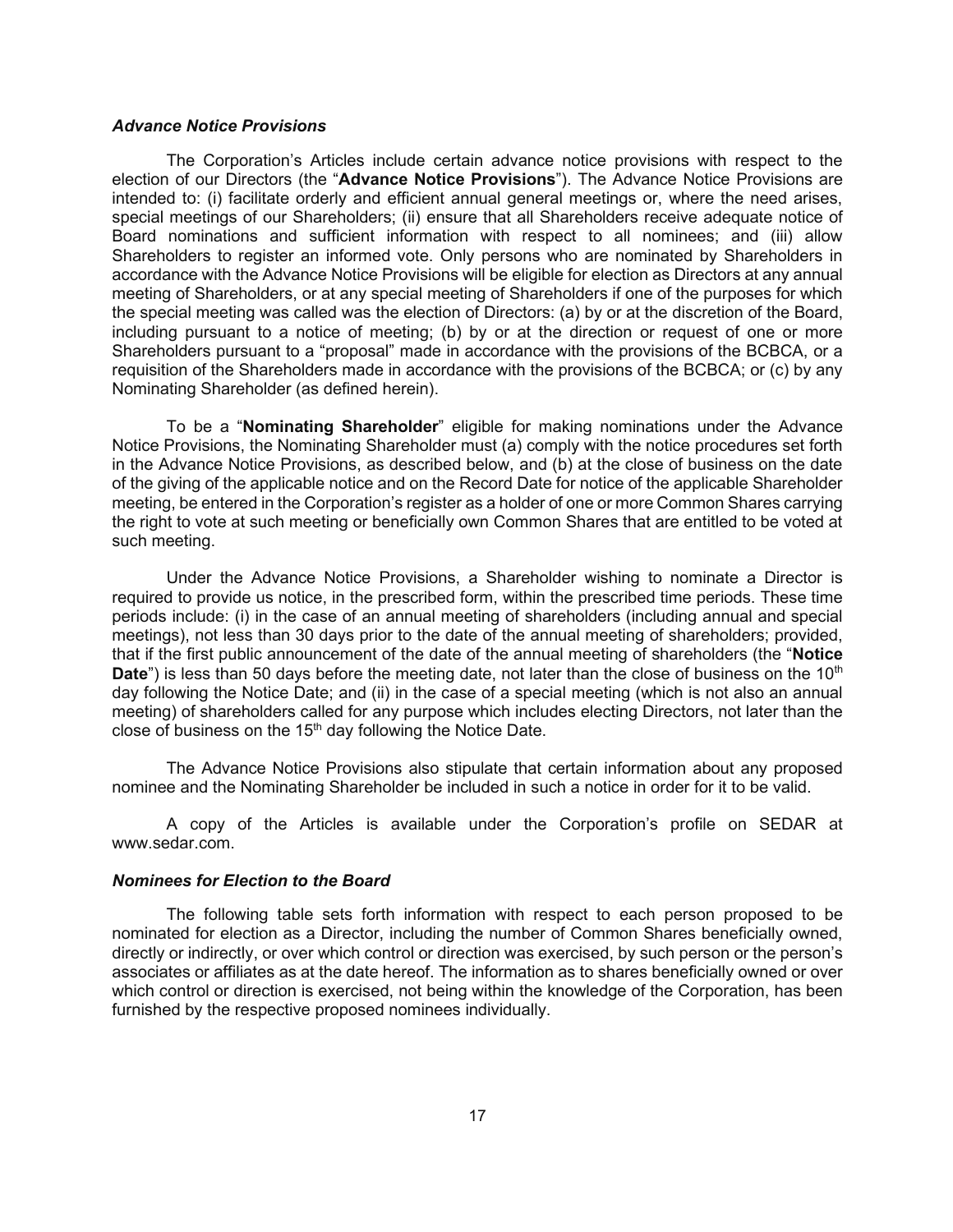#### *Advance Notice Provisions*

The Corporation's Articles include certain advance notice provisions with respect to the election of our Directors (the "**Advance Notice Provisions**"). The Advance Notice Provisions are intended to: (i) facilitate orderly and efficient annual general meetings or, where the need arises, special meetings of our Shareholders; (ii) ensure that all Shareholders receive adequate notice of Board nominations and sufficient information with respect to all nominees; and (iii) allow Shareholders to register an informed vote. Only persons who are nominated by Shareholders in accordance with the Advance Notice Provisions will be eligible for election as Directors at any annual meeting of Shareholders, or at any special meeting of Shareholders if one of the purposes for which the special meeting was called was the election of Directors: (a) by or at the discretion of the Board, including pursuant to a notice of meeting; (b) by or at the direction or request of one or more Shareholders pursuant to a "proposal" made in accordance with the provisions of the BCBCA, or a requisition of the Shareholders made in accordance with the provisions of the BCBCA; or (c) by any Nominating Shareholder (as defined herein).

To be a "**Nominating Shareholder**" eligible for making nominations under the Advance Notice Provisions, the Nominating Shareholder must (a) comply with the notice procedures set forth in the Advance Notice Provisions, as described below, and (b) at the close of business on the date of the giving of the applicable notice and on the Record Date for notice of the applicable Shareholder meeting, be entered in the Corporation's register as a holder of one or more Common Shares carrying the right to vote at such meeting or beneficially own Common Shares that are entitled to be voted at such meeting.

Under the Advance Notice Provisions, a Shareholder wishing to nominate a Director is required to provide us notice, in the prescribed form, within the prescribed time periods. These time periods include: (i) in the case of an annual meeting of shareholders (including annual and special meetings), not less than 30 days prior to the date of the annual meeting of shareholders; provided, that if the first public announcement of the date of the annual meeting of shareholders (the "**Notice Date**") is less than 50 days before the meeting date, not later than the close of business on the 10<sup>th</sup> day following the Notice Date; and (ii) in the case of a special meeting (which is not also an annual meeting) of shareholders called for any purpose which includes electing Directors, not later than the close of business on the  $15<sup>th</sup>$  day following the Notice Date.

The Advance Notice Provisions also stipulate that certain information about any proposed nominee and the Nominating Shareholder be included in such a notice in order for it to be valid.

A copy of the Articles is available under the Corporation's profile on SEDAR at www.sedar.com.

# *Nominees for Election to the Board*

The following table sets forth information with respect to each person proposed to be nominated for election as a Director, including the number of Common Shares beneficially owned, directly or indirectly, or over which control or direction was exercised, by such person or the person's associates or affiliates as at the date hereof. The information as to shares beneficially owned or over which control or direction is exercised, not being within the knowledge of the Corporation, has been furnished by the respective proposed nominees individually.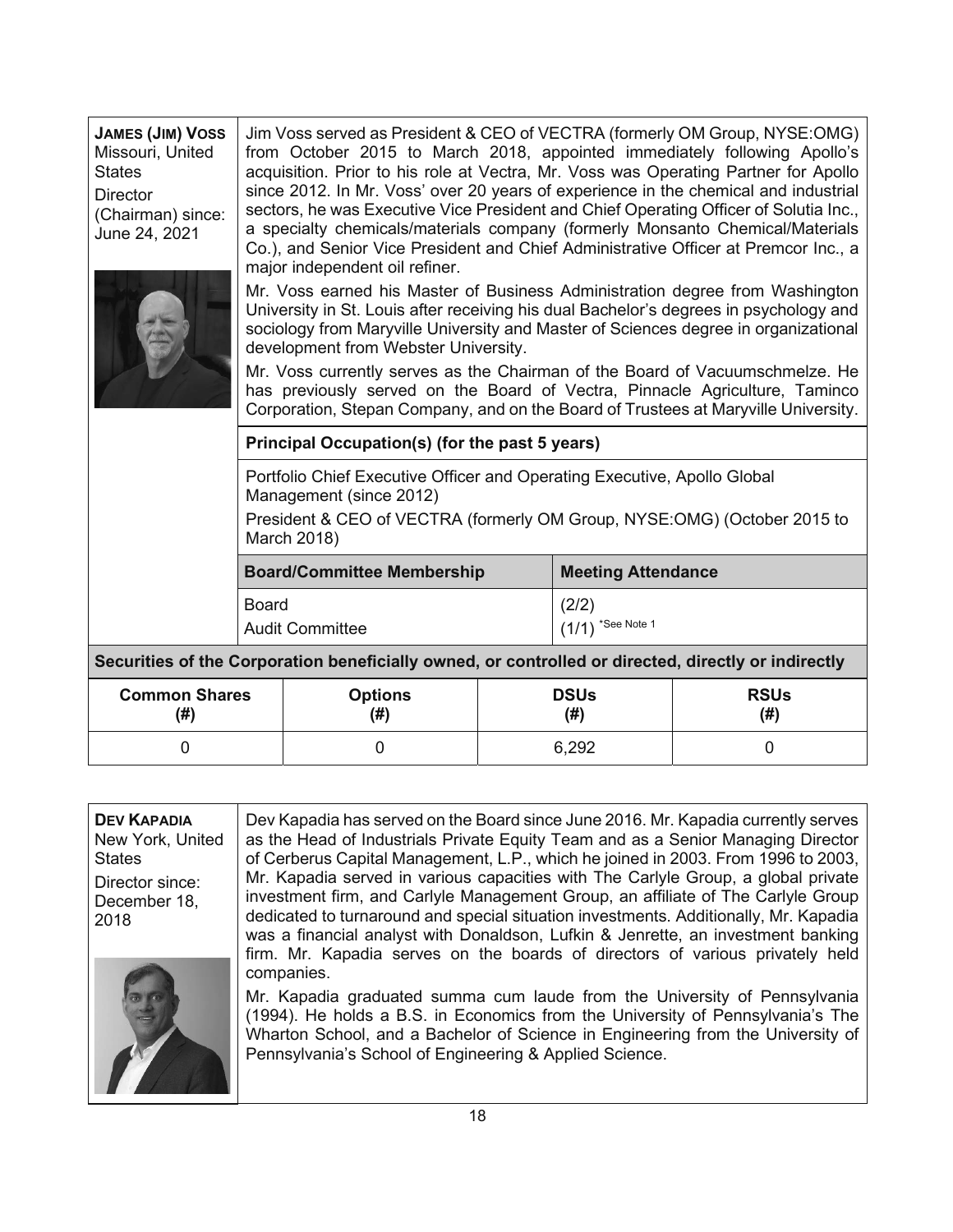| <b>JAMES (JIM) VOSS</b><br>Missouri, United<br><b>States</b><br>Director<br>(Chairman) since:<br>June 24, 2021 | Jim Voss served as President & CEO of VECTRA (formerly OM Group, NYSE:OMG)<br>from October 2015 to March 2018, appointed immediately following Apollo's<br>acquisition. Prior to his role at Vectra, Mr. Voss was Operating Partner for Apollo<br>since 2012. In Mr. Voss' over 20 years of experience in the chemical and industrial<br>sectors, he was Executive Vice President and Chief Operating Officer of Solutia Inc.,<br>a specialty chemicals/materials company (formerly Monsanto Chemical/Materials<br>Co.), and Senior Vice President and Chief Administrative Officer at Premcor Inc., a<br>major independent oil refiner.<br>Mr. Voss earned his Master of Business Administration degree from Washington<br>University in St. Louis after receiving his dual Bachelor's degrees in psychology and<br>sociology from Maryville University and Master of Sciences degree in organizational<br>development from Webster University.<br>Mr. Voss currently serves as the Chairman of the Board of Vacuumschmelze. He<br>has previously served on the Board of Vectra, Pinnacle Agriculture, Taminco<br>Corporation, Stepan Company, and on the Board of Trustees at Maryville University. |                                                |                     |       |   |
|----------------------------------------------------------------------------------------------------------------|-------------------------------------------------------------------------------------------------------------------------------------------------------------------------------------------------------------------------------------------------------------------------------------------------------------------------------------------------------------------------------------------------------------------------------------------------------------------------------------------------------------------------------------------------------------------------------------------------------------------------------------------------------------------------------------------------------------------------------------------------------------------------------------------------------------------------------------------------------------------------------------------------------------------------------------------------------------------------------------------------------------------------------------------------------------------------------------------------------------------------------------------------------------------------------------------------------|------------------------------------------------|---------------------|-------|---|
|                                                                                                                |                                                                                                                                                                                                                                                                                                                                                                                                                                                                                                                                                                                                                                                                                                                                                                                                                                                                                                                                                                                                                                                                                                                                                                                                       | Principal Occupation(s) (for the past 5 years) |                     |       |   |
|                                                                                                                | Portfolio Chief Executive Officer and Operating Executive, Apollo Global<br>Management (since 2012)<br>President & CEO of VECTRA (formerly OM Group, NYSE:OMG) (October 2015 to<br>March 2018)                                                                                                                                                                                                                                                                                                                                                                                                                                                                                                                                                                                                                                                                                                                                                                                                                                                                                                                                                                                                        |                                                |                     |       |   |
|                                                                                                                | <b>Board/Committee Membership</b><br><b>Meeting Attendance</b>                                                                                                                                                                                                                                                                                                                                                                                                                                                                                                                                                                                                                                                                                                                                                                                                                                                                                                                                                                                                                                                                                                                                        |                                                |                     |       |   |
|                                                                                                                | <b>Board</b><br>(2/2)<br>$(1/1)$ *See Note 1<br><b>Audit Committee</b>                                                                                                                                                                                                                                                                                                                                                                                                                                                                                                                                                                                                                                                                                                                                                                                                                                                                                                                                                                                                                                                                                                                                |                                                |                     |       |   |
|                                                                                                                | Securities of the Corporation beneficially owned, or controlled or directed, directly or indirectly                                                                                                                                                                                                                                                                                                                                                                                                                                                                                                                                                                                                                                                                                                                                                                                                                                                                                                                                                                                                                                                                                                   |                                                |                     |       |   |
| <b>Common Shares</b><br>(# )                                                                                   | <b>Options</b><br><b>DSUs</b><br>(#)<br>(# )                                                                                                                                                                                                                                                                                                                                                                                                                                                                                                                                                                                                                                                                                                                                                                                                                                                                                                                                                                                                                                                                                                                                                          |                                                | <b>RSUs</b><br>(# ) |       |   |
| 0                                                                                                              |                                                                                                                                                                                                                                                                                                                                                                                                                                                                                                                                                                                                                                                                                                                                                                                                                                                                                                                                                                                                                                                                                                                                                                                                       | 0                                              |                     | 6,292 | 0 |

| <b>DEV KAPADIA</b> |
|--------------------|
| New York, United   |
| States             |
| Director since:    |
| December 18.       |
| 2018               |
|                    |



Dev Kapadia has served on the Board since June 2016. Mr. Kapadia currently serves as the Head of Industrials Private Equity Team and as a Senior Managing Director of Cerberus Capital Management, L.P., which he joined in 2003. From 1996 to 2003, Mr. Kapadia served in various capacities with The Carlyle Group, a global private investment firm, and Carlyle Management Group, an affiliate of The Carlyle Group dedicated to turnaround and special situation investments. Additionally, Mr. Kapadia was a financial analyst with Donaldson, Lufkin & Jenrette, an investment banking firm. Mr. Kapadia serves on the boards of directors of various privately held companies.

Mr. Kapadia graduated summa cum laude from the University of Pennsylvania (1994). He holds a B.S. in Economics from the University of Pennsylvania's The Wharton School, and a Bachelor of Science in Engineering from the University of Pennsylvania's School of Engineering & Applied Science.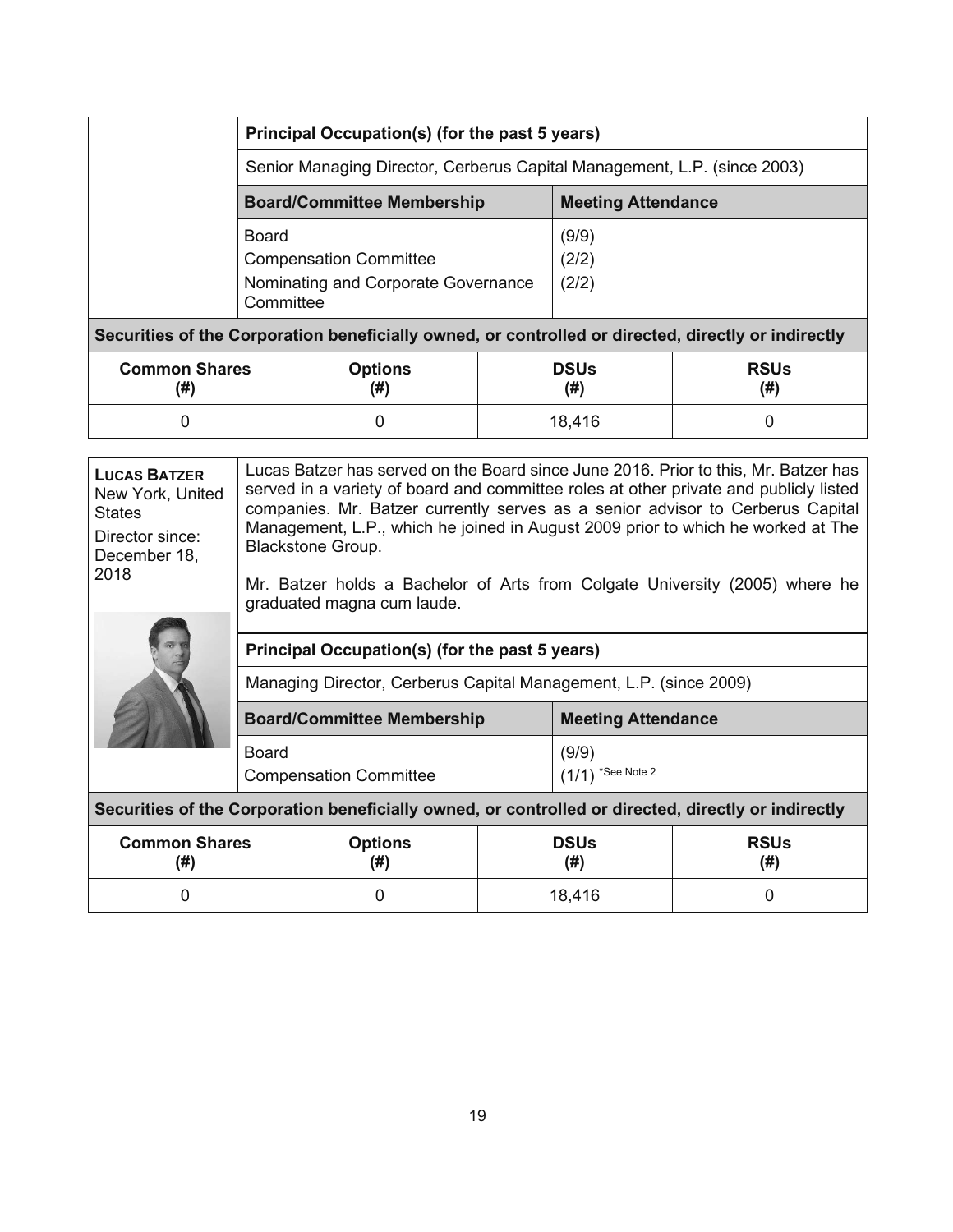|                                                                                                     | Principal Occupation(s) (for the past 5 years)                           |  |       |  |  |
|-----------------------------------------------------------------------------------------------------|--------------------------------------------------------------------------|--|-------|--|--|
|                                                                                                     | Senior Managing Director, Cerberus Capital Management, L.P. (since 2003) |  |       |  |  |
|                                                                                                     | <b>Meeting Attendance</b><br><b>Board/Committee Membership</b>           |  |       |  |  |
|                                                                                                     | Board                                                                    |  | (9/9) |  |  |
|                                                                                                     | <b>Compensation Committee</b>                                            |  | (2/2) |  |  |
|                                                                                                     | Nominating and Corporate Governance<br>(2/2)<br>Committee                |  |       |  |  |
| Securities of the Corporation beneficially owned, or controlled or directed, directly or indirectly |                                                                          |  |       |  |  |
| Common Charoc                                                                                       | <b>Delle</b><br><b>Delle</b><br>Optione                                  |  |       |  |  |

| <b>Common Shares</b><br>(#) | <b>Options</b><br>١Ħ١<br>ιπ | <b>DSUs</b><br>(#) | <b>RSUs</b><br>(#) |
|-----------------------------|-----------------------------|--------------------|--------------------|
|                             |                             | 18,416             |                    |

| <b>LUCAS BATZER</b><br>New York, United<br><b>States</b><br>Director since:<br>December 18,<br>2018 | Lucas Batzer has served on the Board since June 2016. Prior to this, Mr. Batzer has<br>served in a variety of board and committee roles at other private and publicly listed<br>companies. Mr. Batzer currently serves as a senior advisor to Cerberus Capital<br>Management, L.P., which he joined in August 2009 prior to which he worked at The<br><b>Blackstone Group.</b><br>Mr. Batzer holds a Bachelor of Arts from Colgate University (2005) where he<br>graduated magna cum laude. |                       |  |                     |                    |
|-----------------------------------------------------------------------------------------------------|---------------------------------------------------------------------------------------------------------------------------------------------------------------------------------------------------------------------------------------------------------------------------------------------------------------------------------------------------------------------------------------------------------------------------------------------------------------------------------------------|-----------------------|--|---------------------|--------------------|
|                                                                                                     | Principal Occupation(s) (for the past 5 years)                                                                                                                                                                                                                                                                                                                                                                                                                                              |                       |  |                     |                    |
|                                                                                                     | Managing Director, Cerberus Capital Management, L.P. (since 2009)                                                                                                                                                                                                                                                                                                                                                                                                                           |                       |  |                     |                    |
|                                                                                                     | <b>Board/Committee Membership</b><br><b>Meeting Attendance</b>                                                                                                                                                                                                                                                                                                                                                                                                                              |                       |  |                     |                    |
|                                                                                                     | <b>Board</b><br>(9/9)<br>$(1/1)$ *See Note 2<br><b>Compensation Committee</b>                                                                                                                                                                                                                                                                                                                                                                                                               |                       |  |                     |                    |
| Securities of the Corporation beneficially owned, or controlled or directed, directly or indirectly |                                                                                                                                                                                                                                                                                                                                                                                                                                                                                             |                       |  |                     |                    |
| <b>Common Shares</b><br>(#)                                                                         |                                                                                                                                                                                                                                                                                                                                                                                                                                                                                             | <b>Options</b><br>(#) |  | <b>DSUs</b><br>(# ) | <b>RSUs</b><br>(#) |
| 0                                                                                                   |                                                                                                                                                                                                                                                                                                                                                                                                                                                                                             | 0                     |  | 18,416              | ი                  |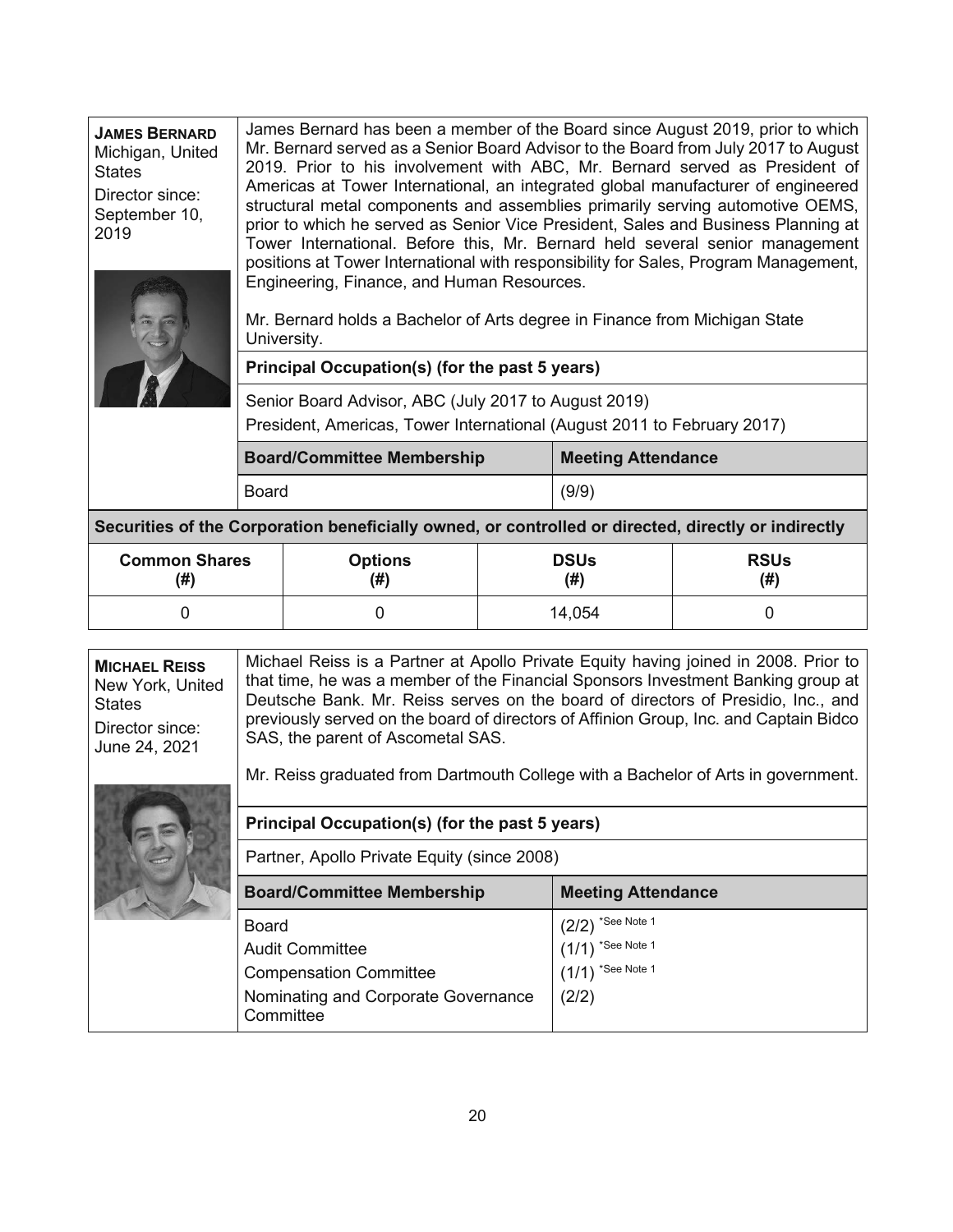| <b>JAMES BERNARD</b><br>Michigan, United<br><b>States</b> | James Bernard has been a member of the Board since August 2019, prior to which<br>Mr. Bernard served as a Senior Board Advisor to the Board from July 2017 to August<br>2019. Prior to his involvement with ABC, Mr. Bernard served as President of<br>Americas at Tower International, an integrated global manufacturer of engineered   |
|-----------------------------------------------------------|-------------------------------------------------------------------------------------------------------------------------------------------------------------------------------------------------------------------------------------------------------------------------------------------------------------------------------------------|
| Director since:<br>September 10,<br>2019                  | structural metal components and assemblies primarily serving automotive OEMS,<br>prior to which he served as Senior Vice President, Sales and Business Planning at<br>Tower International. Before this, Mr. Bernard held several senior management<br>positions at Tower International with responsibility for Sales, Program Management, |
|                                                           | Engineering, Finance, and Human Resources.                                                                                                                                                                                                                                                                                                |



Mr. Bernard holds a Bachelor of Arts degree in Finance from Michigan State University.

# **Principal Occupation(s) (for the past 5 years)**

Senior Board Advisor, ABC (July 2017 to August 2019) President, Americas, Tower International (August 2011 to February 2017)

| <b>Board/Committee Membership</b> | <b>Meeting Attendance</b> |
|-----------------------------------|---------------------------|
| Board                             | (9/9)                     |

**Securities of the Corporation beneficially owned, or controlled or directed, directly or indirectly** 

| <b>Common Shares</b> | <b>Options</b> | <b>DSUs</b> | <b>RSUs</b> |
|----------------------|----------------|-------------|-------------|
| (#)                  | (#)            | (# )        | (#)         |
|                      |                | 14,054      |             |

**MICHAEL REISS** New York, United **States** Director since: June 24, 2021 Michael Reiss is a Partner at Apollo Private Equity having joined in 2008. Prior to that time, he was a member of the Financial Sponsors Investment Banking group at Deutsche Bank. Mr. Reiss serves on the board of directors of Presidio, Inc., and previously served on the board of directors of Affinion Group, Inc. and Captain Bidco SAS, the parent of Ascometal SAS.

Mr. Reiss graduated from Dartmouth College with a Bachelor of Arts in government.

| Principal Occupation(s) (for the past 5 years)<br>Partner, Apollo Private Equity (since 2008)                        |                                                                             |  |  |  |
|----------------------------------------------------------------------------------------------------------------------|-----------------------------------------------------------------------------|--|--|--|
| <b>Board/Committee Membership</b><br><b>Meeting Attendance</b>                                                       |                                                                             |  |  |  |
| Board<br><b>Audit Committee</b><br><b>Compensation Committee</b><br>Nominating and Corporate Governance<br>Committee | *See Note 1<br>(2/2)<br>$(1/1)$ *See Note 1<br>$(1/1)$ *See Note 1<br>(2/2) |  |  |  |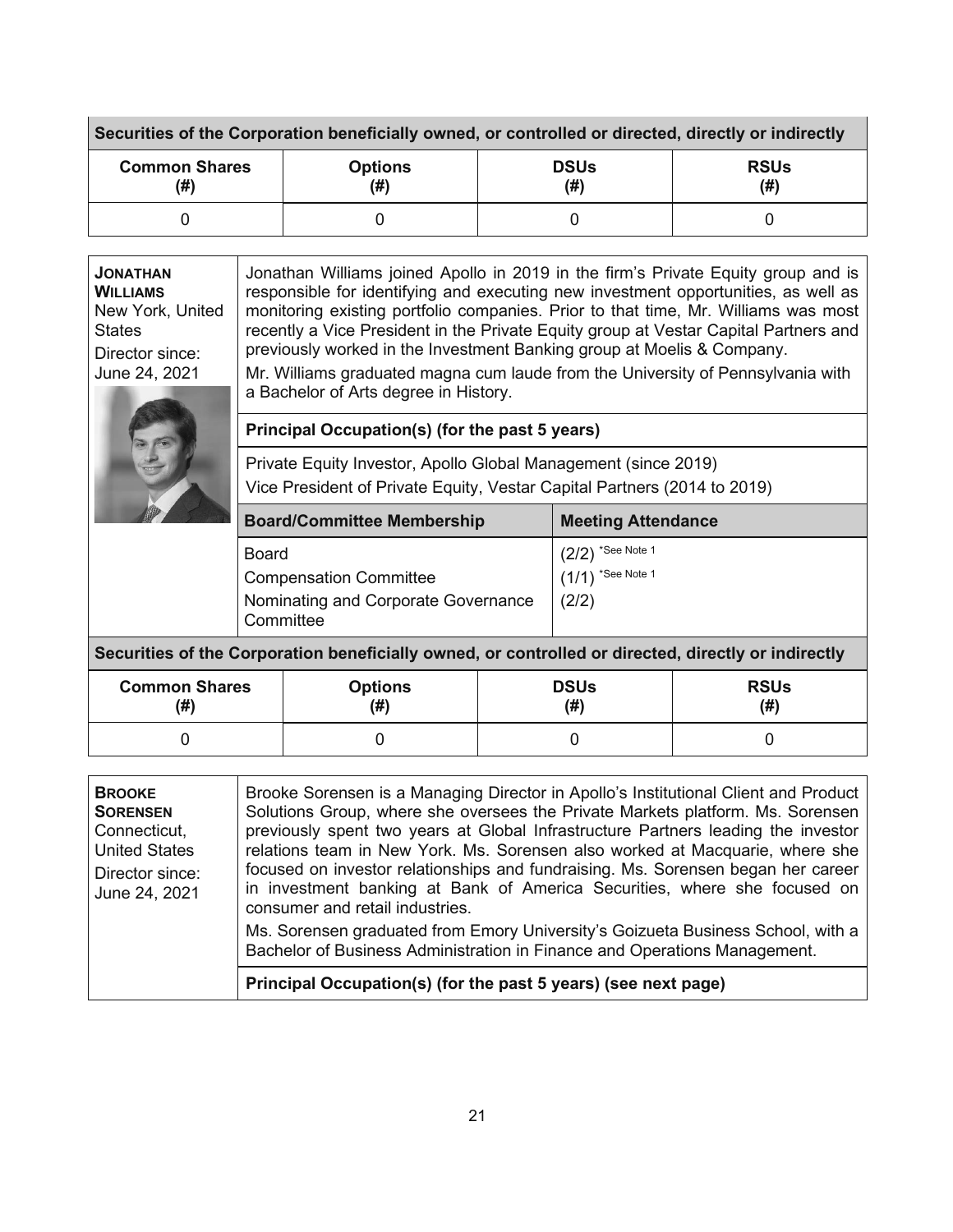| Securities of the Corporation beneficially owned, or controlled or directed, directly or indirectly |                       |                    |                    |  |
|-----------------------------------------------------------------------------------------------------|-----------------------|--------------------|--------------------|--|
| <b>Common Shares</b><br>(#)                                                                         | <b>Options</b><br>(#) | <b>DSUs</b><br>(#) | <b>RSUs</b><br>(#) |  |
|                                                                                                     |                       |                    |                    |  |

| <b>JONATHAN</b><br><b>WILLIAMS</b><br>New York, United<br><b>States</b><br>Director since:<br>June 24, 2021 | Jonathan Williams joined Apollo in 2019 in the firm's Private Equity group and is<br>responsible for identifying and executing new investment opportunities, as well as<br>monitoring existing portfolio companies. Prior to that time, Mr. Williams was most<br>recently a Vice President in the Private Equity group at Vestar Capital Partners and<br>previously worked in the Investment Banking group at Moelis & Company.<br>Mr. Williams graduated magna cum laude from the University of Pennsylvania with<br>a Bachelor of Arts degree in History. |                                                                                                                                                                                                                                                             |                     |                           |                     |  |
|-------------------------------------------------------------------------------------------------------------|-------------------------------------------------------------------------------------------------------------------------------------------------------------------------------------------------------------------------------------------------------------------------------------------------------------------------------------------------------------------------------------------------------------------------------------------------------------------------------------------------------------------------------------------------------------|-------------------------------------------------------------------------------------------------------------------------------------------------------------------------------------------------------------------------------------------------------------|---------------------|---------------------------|---------------------|--|
|                                                                                                             |                                                                                                                                                                                                                                                                                                                                                                                                                                                                                                                                                             | Principal Occupation(s) (for the past 5 years)                                                                                                                                                                                                              |                     |                           |                     |  |
|                                                                                                             | Private Equity Investor, Apollo Global Management (since 2019)<br>Vice President of Private Equity, Vestar Capital Partners (2014 to 2019)                                                                                                                                                                                                                                                                                                                                                                                                                  |                                                                                                                                                                                                                                                             |                     |                           |                     |  |
|                                                                                                             |                                                                                                                                                                                                                                                                                                                                                                                                                                                                                                                                                             | <b>Board/Committee Membership</b>                                                                                                                                                                                                                           |                     | <b>Meeting Attendance</b> |                     |  |
|                                                                                                             | <b>Board</b>                                                                                                                                                                                                                                                                                                                                                                                                                                                                                                                                                |                                                                                                                                                                                                                                                             |                     | $(2/2)$ *See Note 1       |                     |  |
|                                                                                                             | <b>Compensation Committee</b>                                                                                                                                                                                                                                                                                                                                                                                                                                                                                                                               |                                                                                                                                                                                                                                                             |                     | $(1/1)$ *See Note 1       |                     |  |
|                                                                                                             | Nominating and Corporate Governance<br>Committee                                                                                                                                                                                                                                                                                                                                                                                                                                                                                                            |                                                                                                                                                                                                                                                             |                     | (2/2)                     |                     |  |
|                                                                                                             |                                                                                                                                                                                                                                                                                                                                                                                                                                                                                                                                                             | Securities of the Corporation beneficially owned, or controlled or directed, directly or indirectly                                                                                                                                                         |                     |                           |                     |  |
| <b>Common Shares</b><br>(#)                                                                                 |                                                                                                                                                                                                                                                                                                                                                                                                                                                                                                                                                             | <b>Options</b><br>(# )                                                                                                                                                                                                                                      | <b>DSUs</b><br>(# ) |                           | <b>RSUs</b><br>(# ) |  |
| $\Omega$                                                                                                    |                                                                                                                                                                                                                                                                                                                                                                                                                                                                                                                                                             | 0                                                                                                                                                                                                                                                           | 0                   |                           | $\Omega$            |  |
|                                                                                                             |                                                                                                                                                                                                                                                                                                                                                                                                                                                                                                                                                             |                                                                                                                                                                                                                                                             |                     |                           |                     |  |
| <b>BROOKE</b><br><b>SORENSEN</b><br>$C$ onnootiout                                                          |                                                                                                                                                                                                                                                                                                                                                                                                                                                                                                                                                             | Brooke Sorensen is a Managing Director in Apollo's Institutional Client and Product<br>Solutions Group, where she oversees the Private Markets platform. Ms. Sorensen<br>provisually apapt two vegre at Clabel Infrastructure Dectasrs loading the investor |                     |                           |                     |  |

| <b>SORENSEN</b><br>Connecticut,<br><b>United States</b><br>Director since:<br>June 24, 2021 | Solutions Group, where she oversees the Private Markets platform. Ms. Sorensen<br>previously spent two years at Global Infrastructure Partners leading the investor<br>relations team in New York. Ms. Sorensen also worked at Macquarie, where she<br>focused on investor relationships and fundraising. Ms. Sorensen began her career<br>in investment banking at Bank of America Securities, where she focused on<br>consumer and retail industries.<br>Ms. Sorensen graduated from Emory University's Goizueta Business School, with a<br>Bachelor of Business Administration in Finance and Operations Management. |
|---------------------------------------------------------------------------------------------|-------------------------------------------------------------------------------------------------------------------------------------------------------------------------------------------------------------------------------------------------------------------------------------------------------------------------------------------------------------------------------------------------------------------------------------------------------------------------------------------------------------------------------------------------------------------------------------------------------------------------|
|                                                                                             | Principal Occupation(s) (for the past 5 years) (see next page)                                                                                                                                                                                                                                                                                                                                                                                                                                                                                                                                                          |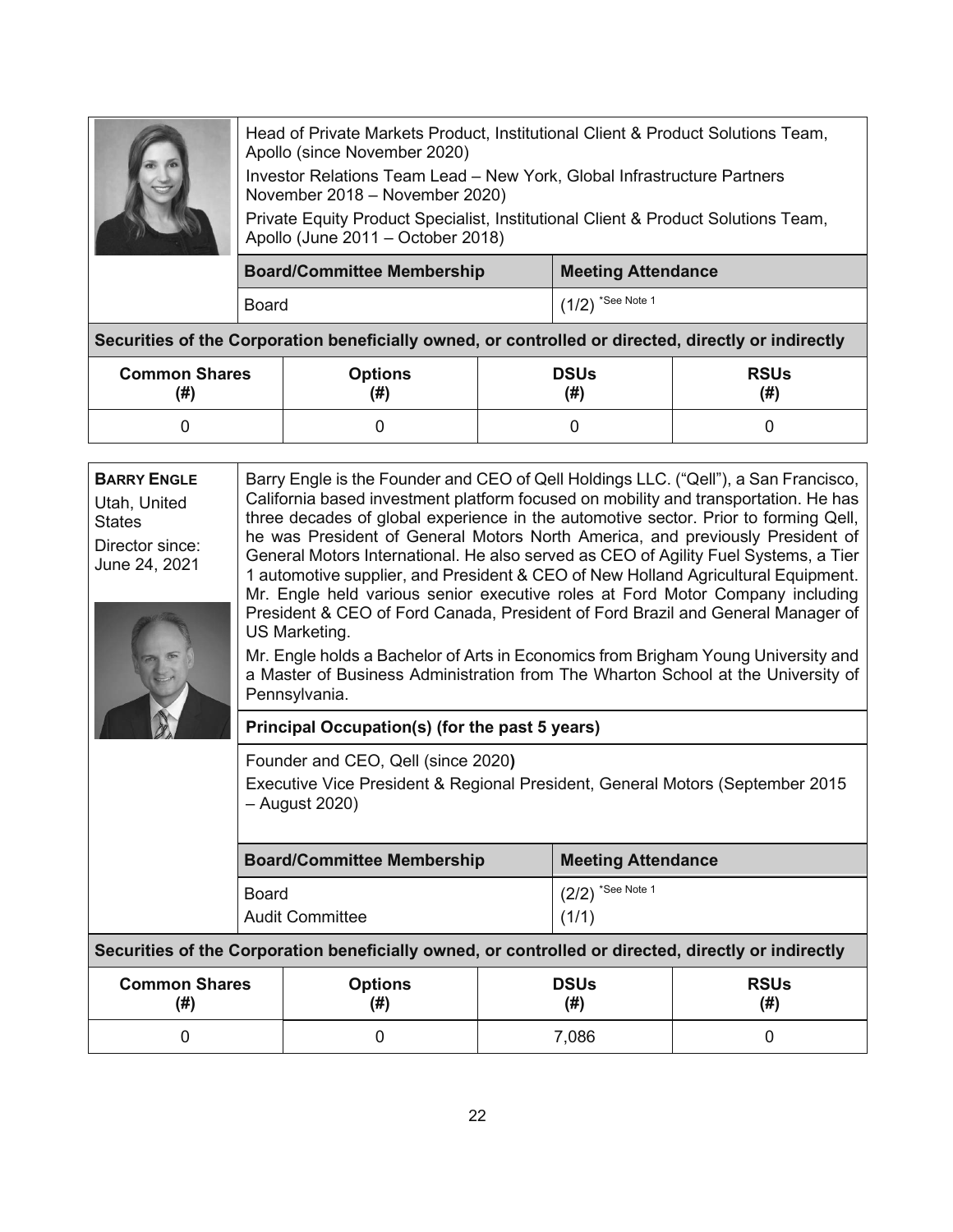Head of Private Markets Product, Institutional Client & Product Solutions Team, Apollo (since November 2020)

Investor Relations Team Lead – New York, Global Infrastructure Partners November 2018 – November 2020)

Private Equity Product Specialist, Institutional Client & Product Solutions Team, Apollo (June 2011 – October 2018)

| <b>Board/Committee Membership</b> | <b>Meeting Attendance</b> |
|-----------------------------------|---------------------------|
| Board                             | $(1/2)$ *See Note 1       |

**Securities of the Corporation beneficially owned, or controlled or directed, directly or indirectly** 

| <b>Common Shares</b> | <b>Options</b> | <b>DSUs</b> | <b>RSUs</b> |
|----------------------|----------------|-------------|-------------|
| (#)                  | (# )           | (#)         | (#)         |
|                      |                |             |             |

| <b>BARRY ENGLE</b><br>Utah, United<br><b>States</b><br>Director since:<br>June 24, 2021 | US Marketing.<br>Pennsylvania.                                                                                                        | Barry Engle is the Founder and CEO of Qell Holdings LLC. ("Qell"), a San Francisco,<br>California based investment platform focused on mobility and transportation. He has<br>three decades of global experience in the automotive sector. Prior to forming Qell,<br>he was President of General Motors North America, and previously President of<br>General Motors International. He also served as CEO of Agility Fuel Systems, a Tier<br>1 automotive supplier, and President & CEO of New Holland Agricultural Equipment.<br>Mr. Engle held various senior executive roles at Ford Motor Company including<br>President & CEO of Ford Canada, President of Ford Brazil and General Manager of<br>Mr. Engle holds a Bachelor of Arts in Economics from Brigham Young University and<br>a Master of Business Administration from The Wharton School at the University of |                              |                     |  |  |
|-----------------------------------------------------------------------------------------|---------------------------------------------------------------------------------------------------------------------------------------|-----------------------------------------------------------------------------------------------------------------------------------------------------------------------------------------------------------------------------------------------------------------------------------------------------------------------------------------------------------------------------------------------------------------------------------------------------------------------------------------------------------------------------------------------------------------------------------------------------------------------------------------------------------------------------------------------------------------------------------------------------------------------------------------------------------------------------------------------------------------------------|------------------------------|---------------------|--|--|
|                                                                                         | Principal Occupation(s) (for the past 5 years)                                                                                        |                                                                                                                                                                                                                                                                                                                                                                                                                                                                                                                                                                                                                                                                                                                                                                                                                                                                             |                              |                     |  |  |
|                                                                                         | Founder and CEO, Qell (since 2020)<br>Executive Vice President & Regional President, General Motors (September 2015<br>- August 2020) |                                                                                                                                                                                                                                                                                                                                                                                                                                                                                                                                                                                                                                                                                                                                                                                                                                                                             |                              |                     |  |  |
|                                                                                         | <b>Board/Committee Membership</b>                                                                                                     |                                                                                                                                                                                                                                                                                                                                                                                                                                                                                                                                                                                                                                                                                                                                                                                                                                                                             | <b>Meeting Attendance</b>    |                     |  |  |
|                                                                                         | <b>Board</b><br><b>Audit Committee</b>                                                                                                |                                                                                                                                                                                                                                                                                                                                                                                                                                                                                                                                                                                                                                                                                                                                                                                                                                                                             | $(2/2)$ *See Note 1<br>(1/1) |                     |  |  |
|                                                                                         | Securities of the Corporation beneficially owned, or controlled or directed, directly or indirectly                                   |                                                                                                                                                                                                                                                                                                                                                                                                                                                                                                                                                                                                                                                                                                                                                                                                                                                                             |                              |                     |  |  |
| <b>Common Shares</b><br>(# )                                                            | <b>Options</b><br>(# )                                                                                                                | <b>DSUs</b><br>(# )                                                                                                                                                                                                                                                                                                                                                                                                                                                                                                                                                                                                                                                                                                                                                                                                                                                         |                              | <b>RSUs</b><br>(# ) |  |  |
| 0                                                                                       | 0                                                                                                                                     |                                                                                                                                                                                                                                                                                                                                                                                                                                                                                                                                                                                                                                                                                                                                                                                                                                                                             | 7,086                        | 0                   |  |  |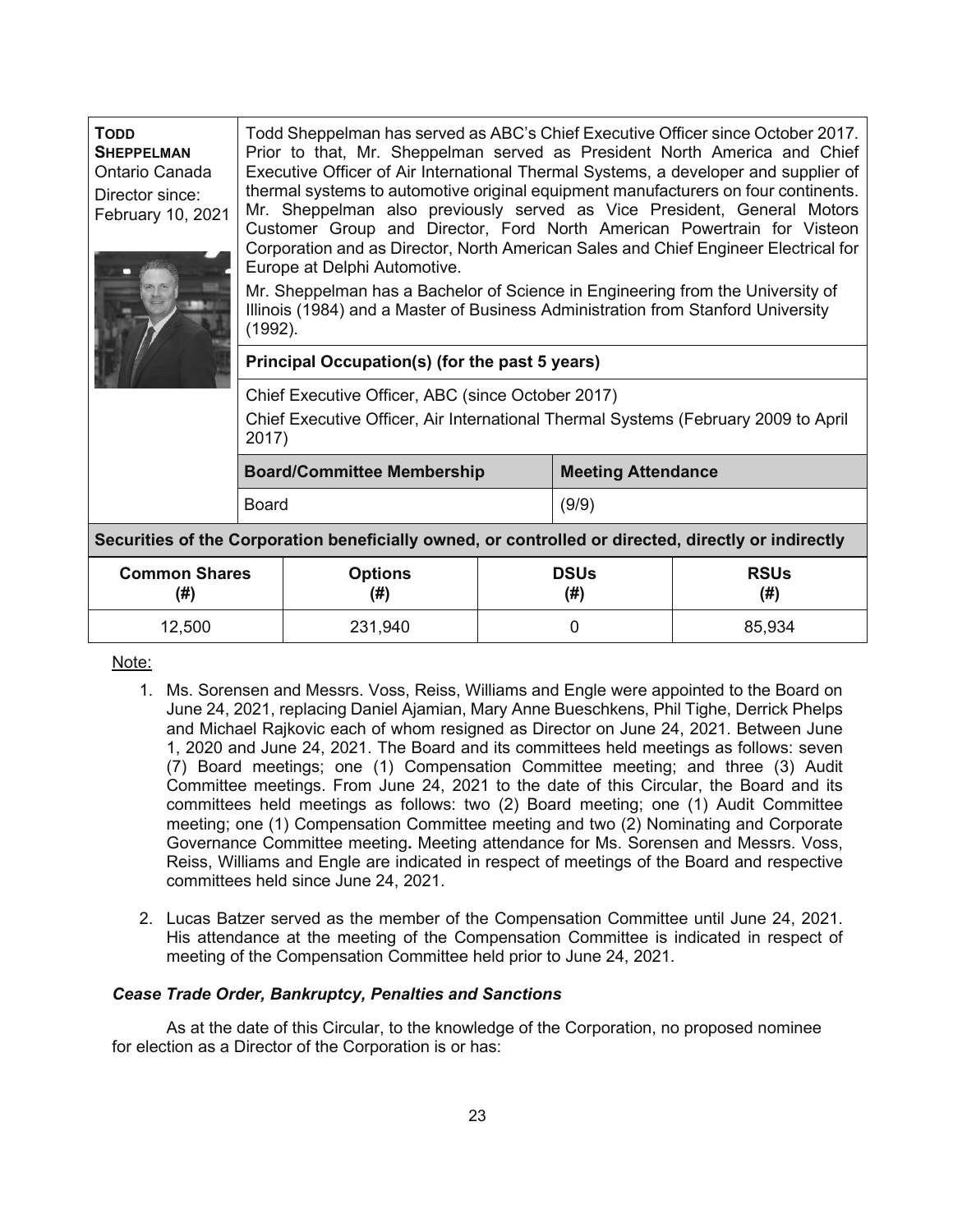| <b>TODD</b><br><b>SHEPPELMAN</b><br>Ontario Canada<br>Director since:<br>February 10, 2021          | Todd Sheppelman has served as ABC's Chief Executive Officer since October 2017.<br>Prior to that, Mr. Sheppelman served as President North America and Chief<br>Executive Officer of Air International Thermal Systems, a developer and supplier of<br>thermal systems to automotive original equipment manufacturers on four continents.<br>Mr. Sheppelman also previously served as Vice President, General Motors<br>Customer Group and Director, Ford North American Powertrain for Visteon<br>Corporation and as Director, North American Sales and Chief Engineer Electrical for<br>Europe at Delphi Automotive.<br>Mr. Sheppelman has a Bachelor of Science in Engineering from the University of<br>Illinois (1984) and a Master of Business Administration from Stanford University<br>(1992). |                                   |  |                           |                    |  |  |
|-----------------------------------------------------------------------------------------------------|---------------------------------------------------------------------------------------------------------------------------------------------------------------------------------------------------------------------------------------------------------------------------------------------------------------------------------------------------------------------------------------------------------------------------------------------------------------------------------------------------------------------------------------------------------------------------------------------------------------------------------------------------------------------------------------------------------------------------------------------------------------------------------------------------------|-----------------------------------|--|---------------------------|--------------------|--|--|
|                                                                                                     | Principal Occupation(s) (for the past 5 years)                                                                                                                                                                                                                                                                                                                                                                                                                                                                                                                                                                                                                                                                                                                                                          |                                   |  |                           |                    |  |  |
|                                                                                                     | Chief Executive Officer, ABC (since October 2017)<br>Chief Executive Officer, Air International Thermal Systems (February 2009 to April<br>2017)                                                                                                                                                                                                                                                                                                                                                                                                                                                                                                                                                                                                                                                        |                                   |  |                           |                    |  |  |
|                                                                                                     |                                                                                                                                                                                                                                                                                                                                                                                                                                                                                                                                                                                                                                                                                                                                                                                                         | <b>Board/Committee Membership</b> |  | <b>Meeting Attendance</b> |                    |  |  |
|                                                                                                     | <b>Board</b>                                                                                                                                                                                                                                                                                                                                                                                                                                                                                                                                                                                                                                                                                                                                                                                            |                                   |  | (9/9)                     |                    |  |  |
| Securities of the Corporation beneficially owned, or controlled or directed, directly or indirectly |                                                                                                                                                                                                                                                                                                                                                                                                                                                                                                                                                                                                                                                                                                                                                                                                         |                                   |  |                           |                    |  |  |
| (#)                                                                                                 | <b>Common Shares</b><br><b>Options</b><br>(# )                                                                                                                                                                                                                                                                                                                                                                                                                                                                                                                                                                                                                                                                                                                                                          |                                   |  | <b>DSUs</b><br>(# )       | <b>RSUs</b><br>(#) |  |  |
| 12,500                                                                                              | 231,940<br>85,934<br>0                                                                                                                                                                                                                                                                                                                                                                                                                                                                                                                                                                                                                                                                                                                                                                                  |                                   |  |                           |                    |  |  |

## Note:

- 1. Ms. Sorensen and Messrs. Voss, Reiss, Williams and Engle were appointed to the Board on June 24, 2021, replacing Daniel Ajamian, Mary Anne Bueschkens, Phil Tighe, Derrick Phelps and Michael Rajkovic each of whom resigned as Director on June 24, 2021. Between June 1, 2020 and June 24, 2021. The Board and its committees held meetings as follows: seven (7) Board meetings; one (1) Compensation Committee meeting; and three (3) Audit Committee meetings. From June 24, 2021 to the date of this Circular, the Board and its committees held meetings as follows: two (2) Board meeting; one (1) Audit Committee meeting; one (1) Compensation Committee meeting and two (2) Nominating and Corporate Governance Committee meeting**.** Meeting attendance for Ms. Sorensen and Messrs. Voss, Reiss, Williams and Engle are indicated in respect of meetings of the Board and respective committees held since June 24, 2021.
- 2. Lucas Batzer served as the member of the Compensation Committee until June 24, 2021. His attendance at the meeting of the Compensation Committee is indicated in respect of meeting of the Compensation Committee held prior to June 24, 2021.

## *Cease Trade Order, Bankruptcy, Penalties and Sanctions*

As at the date of this Circular, to the knowledge of the Corporation, no proposed nominee for election as a Director of the Corporation is or has: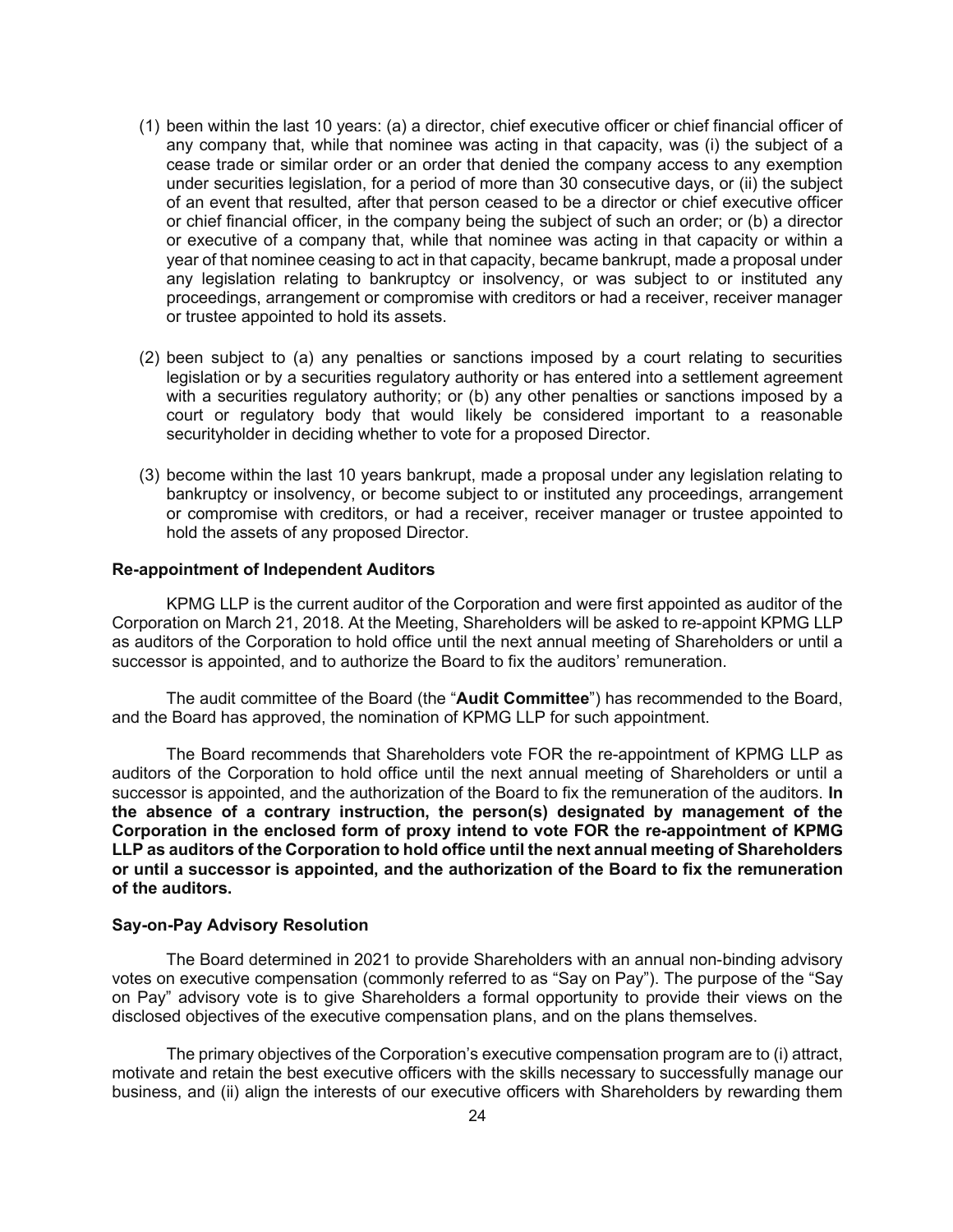- (1) been within the last 10 years: (a) a director, chief executive officer or chief financial officer of any company that, while that nominee was acting in that capacity, was (i) the subject of a cease trade or similar order or an order that denied the company access to any exemption under securities legislation, for a period of more than 30 consecutive days, or (ii) the subject of an event that resulted, after that person ceased to be a director or chief executive officer or chief financial officer, in the company being the subject of such an order; or (b) a director or executive of a company that, while that nominee was acting in that capacity or within a year of that nominee ceasing to act in that capacity, became bankrupt, made a proposal under any legislation relating to bankruptcy or insolvency, or was subject to or instituted any proceedings, arrangement or compromise with creditors or had a receiver, receiver manager or trustee appointed to hold its assets.
- (2) been subject to (a) any penalties or sanctions imposed by a court relating to securities legislation or by a securities regulatory authority or has entered into a settlement agreement with a securities regulatory authority; or (b) any other penalties or sanctions imposed by a court or regulatory body that would likely be considered important to a reasonable securityholder in deciding whether to vote for a proposed Director.
- (3) become within the last 10 years bankrupt, made a proposal under any legislation relating to bankruptcy or insolvency, or become subject to or instituted any proceedings, arrangement or compromise with creditors, or had a receiver, receiver manager or trustee appointed to hold the assets of any proposed Director.

#### **Re-appointment of Independent Auditors**

KPMG LLP is the current auditor of the Corporation and were first appointed as auditor of the Corporation on March 21, 2018. At the Meeting, Shareholders will be asked to re-appoint KPMG LLP as auditors of the Corporation to hold office until the next annual meeting of Shareholders or until a successor is appointed, and to authorize the Board to fix the auditors' remuneration.

The audit committee of the Board (the "**Audit Committee**") has recommended to the Board, and the Board has approved, the nomination of KPMG LLP for such appointment.

The Board recommends that Shareholders vote FOR the re-appointment of KPMG LLP as auditors of the Corporation to hold office until the next annual meeting of Shareholders or until a successor is appointed, and the authorization of the Board to fix the remuneration of the auditors. **In the absence of a contrary instruction, the person(s) designated by management of the Corporation in the enclosed form of proxy intend to vote FOR the re-appointment of KPMG LLP as auditors of the Corporation to hold office until the next annual meeting of Shareholders or until a successor is appointed, and the authorization of the Board to fix the remuneration of the auditors.** 

# **Say-on-Pay Advisory Resolution**

The Board determined in 2021 to provide Shareholders with an annual non-binding advisory votes on executive compensation (commonly referred to as "Say on Pay"). The purpose of the "Say on Pay" advisory vote is to give Shareholders a formal opportunity to provide their views on the disclosed objectives of the executive compensation plans, and on the plans themselves.

The primary objectives of the Corporation's executive compensation program are to (i) attract, motivate and retain the best executive officers with the skills necessary to successfully manage our business, and (ii) align the interests of our executive officers with Shareholders by rewarding them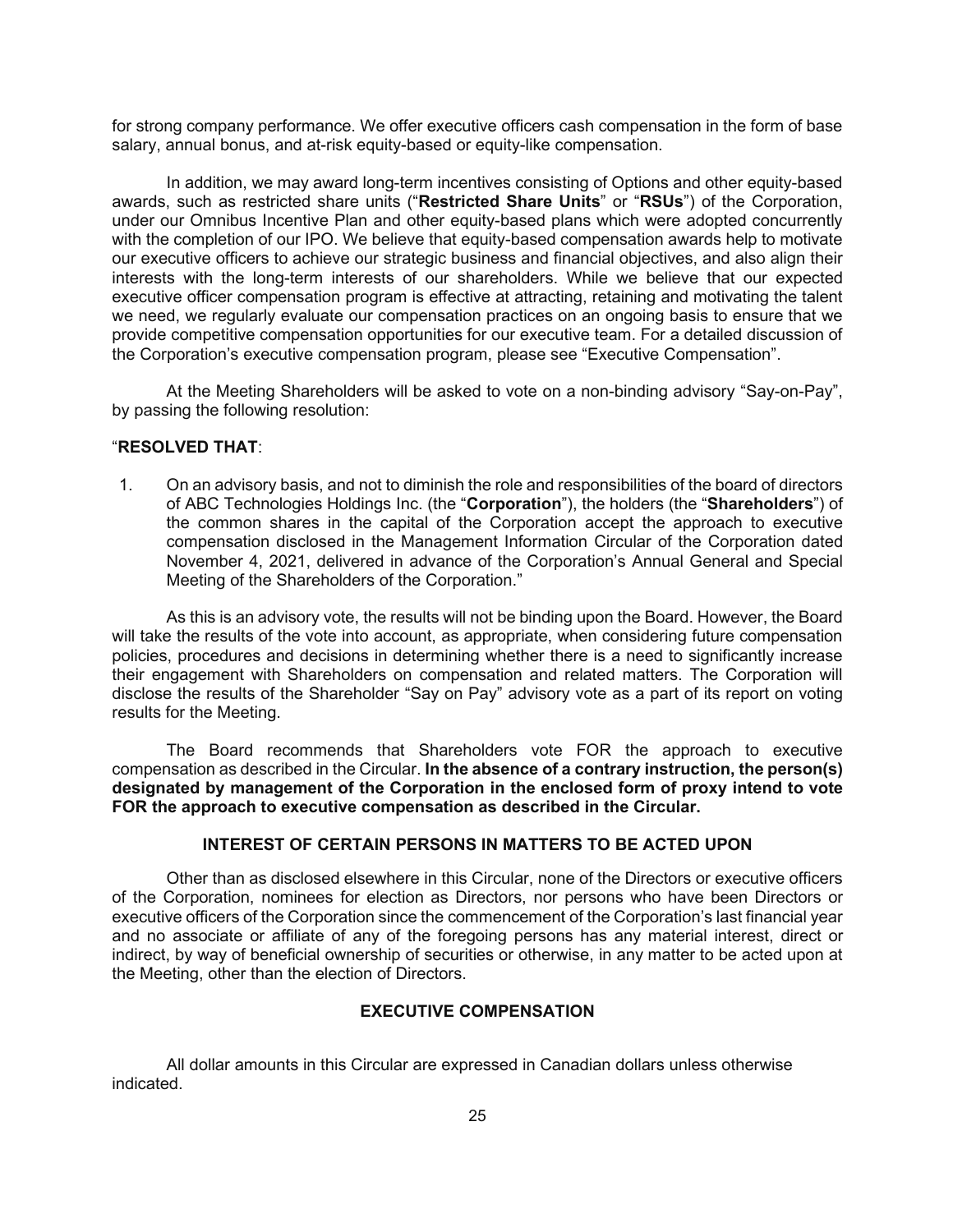for strong company performance. We offer executive officers cash compensation in the form of base salary, annual bonus, and at-risk equity-based or equity-like compensation.

In addition, we may award long-term incentives consisting of Options and other equity-based awards, such as restricted share units ("**Restricted Share Units**" or "**RSUs**") of the Corporation, under our Omnibus Incentive Plan and other equity-based plans which were adopted concurrently with the completion of our IPO. We believe that equity-based compensation awards help to motivate our executive officers to achieve our strategic business and financial objectives, and also align their interests with the long-term interests of our shareholders. While we believe that our expected executive officer compensation program is effective at attracting, retaining and motivating the talent we need, we regularly evaluate our compensation practices on an ongoing basis to ensure that we provide competitive compensation opportunities for our executive team. For a detailed discussion of the Corporation's executive compensation program, please see "Executive Compensation".

At the Meeting Shareholders will be asked to vote on a non-binding advisory "Say-on-Pay", by passing the following resolution:

# "**RESOLVED THAT**:

1. On an advisory basis, and not to diminish the role and responsibilities of the board of directors of ABC Technologies Holdings Inc. (the "**Corporation**"), the holders (the "**Shareholders**") of the common shares in the capital of the Corporation accept the approach to executive compensation disclosed in the Management Information Circular of the Corporation dated November 4, 2021, delivered in advance of the Corporation's Annual General and Special Meeting of the Shareholders of the Corporation."

As this is an advisory vote, the results will not be binding upon the Board. However, the Board will take the results of the vote into account, as appropriate, when considering future compensation policies, procedures and decisions in determining whether there is a need to significantly increase their engagement with Shareholders on compensation and related matters. The Corporation will disclose the results of the Shareholder "Say on Pay" advisory vote as a part of its report on voting results for the Meeting.

The Board recommends that Shareholders vote FOR the approach to executive compensation as described in the Circular. **In the absence of a contrary instruction, the person(s) designated by management of the Corporation in the enclosed form of proxy intend to vote FOR the approach to executive compensation as described in the Circular.** 

# **INTEREST OF CERTAIN PERSONS IN MATTERS TO BE ACTED UPON**

Other than as disclosed elsewhere in this Circular, none of the Directors or executive officers of the Corporation, nominees for election as Directors, nor persons who have been Directors or executive officers of the Corporation since the commencement of the Corporation's last financial year and no associate or affiliate of any of the foregoing persons has any material interest, direct or indirect, by way of beneficial ownership of securities or otherwise, in any matter to be acted upon at the Meeting, other than the election of Directors.

# **EXECUTIVE COMPENSATION**

All dollar amounts in this Circular are expressed in Canadian dollars unless otherwise indicated.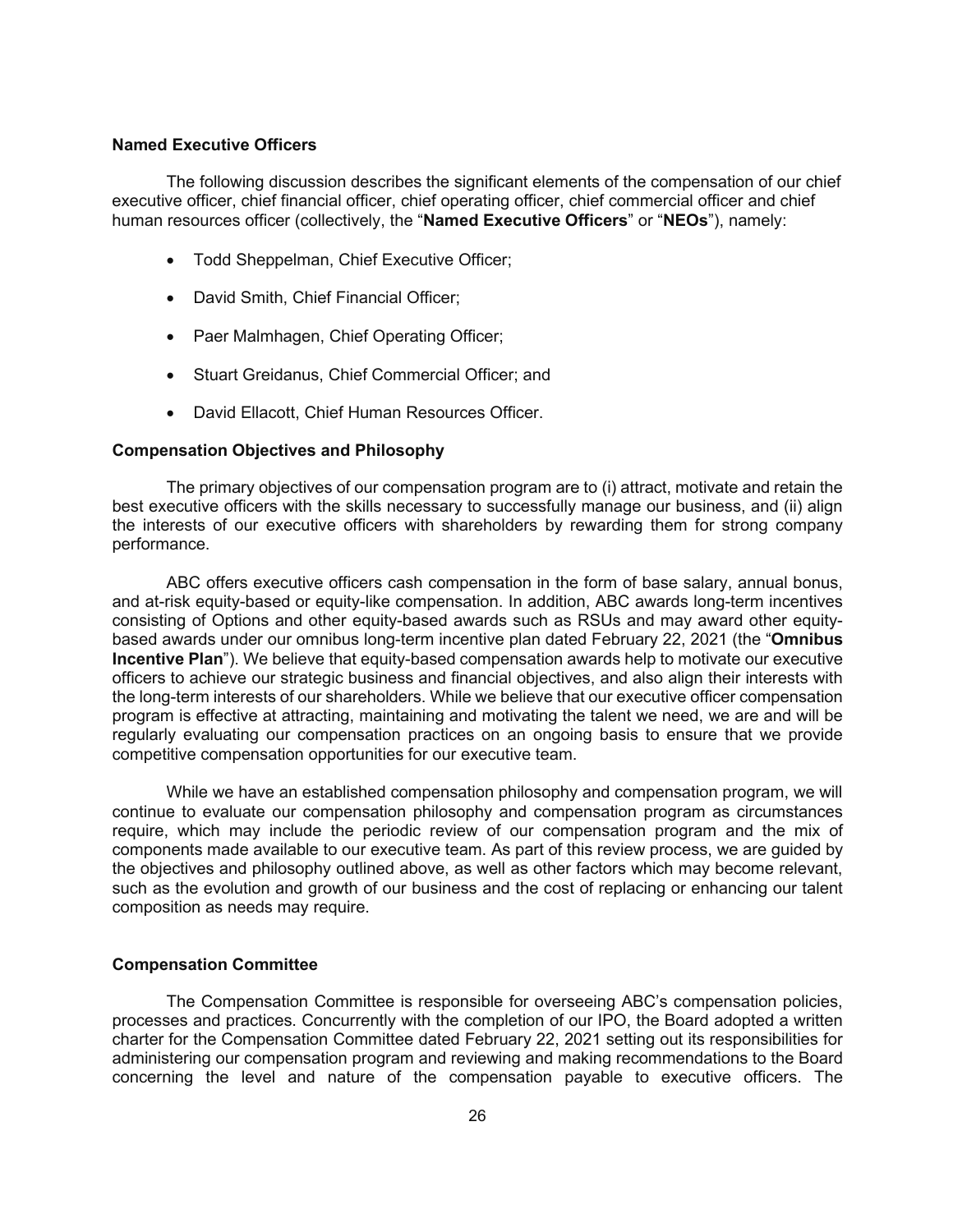# **Named Executive Officers**

The following discussion describes the significant elements of the compensation of our chief executive officer, chief financial officer, chief operating officer, chief commercial officer and chief human resources officer (collectively, the "**Named Executive Officers**" or "**NEOs**"), namely:

- Todd Sheppelman, Chief Executive Officer;
- David Smith, Chief Financial Officer;
- Paer Malmhagen, Chief Operating Officer;
- Stuart Greidanus, Chief Commercial Officer; and
- David Ellacott, Chief Human Resources Officer.

#### **Compensation Objectives and Philosophy**

The primary objectives of our compensation program are to (i) attract, motivate and retain the best executive officers with the skills necessary to successfully manage our business, and (ii) align the interests of our executive officers with shareholders by rewarding them for strong company performance.

ABC offers executive officers cash compensation in the form of base salary, annual bonus, and at-risk equity-based or equity-like compensation. In addition, ABC awards long-term incentives consisting of Options and other equity-based awards such as RSUs and may award other equitybased awards under our omnibus long-term incentive plan dated February 22, 2021 (the "**Omnibus Incentive Plan**"). We believe that equity-based compensation awards help to motivate our executive officers to achieve our strategic business and financial objectives, and also align their interests with the long-term interests of our shareholders. While we believe that our executive officer compensation program is effective at attracting, maintaining and motivating the talent we need, we are and will be regularly evaluating our compensation practices on an ongoing basis to ensure that we provide competitive compensation opportunities for our executive team.

While we have an established compensation philosophy and compensation program, we will continue to evaluate our compensation philosophy and compensation program as circumstances require, which may include the periodic review of our compensation program and the mix of components made available to our executive team. As part of this review process, we are guided by the objectives and philosophy outlined above, as well as other factors which may become relevant, such as the evolution and growth of our business and the cost of replacing or enhancing our talent composition as needs may require.

#### **Compensation Committee**

The Compensation Committee is responsible for overseeing ABC's compensation policies, processes and practices. Concurrently with the completion of our IPO, the Board adopted a written charter for the Compensation Committee dated February 22, 2021 setting out its responsibilities for administering our compensation program and reviewing and making recommendations to the Board concerning the level and nature of the compensation payable to executive officers. The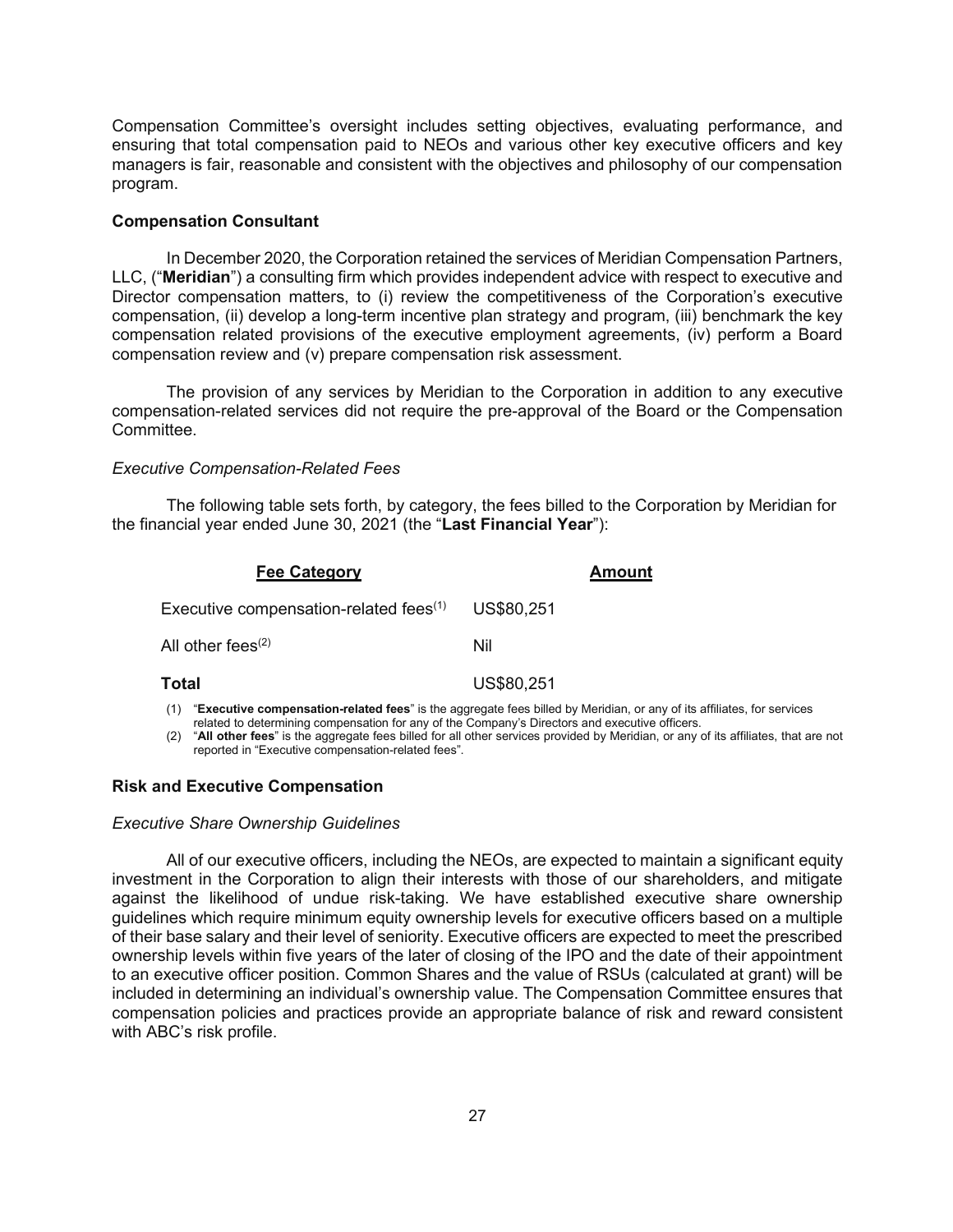Compensation Committee's oversight includes setting objectives, evaluating performance, and ensuring that total compensation paid to NEOs and various other key executive officers and key managers is fair, reasonable and consistent with the objectives and philosophy of our compensation program.

## **Compensation Consultant**

In December 2020, the Corporation retained the services of Meridian Compensation Partners, LLC, ("**Meridian**") a consulting firm which provides independent advice with respect to executive and Director compensation matters, to (i) review the competitiveness of the Corporation's executive compensation, (ii) develop a long-term incentive plan strategy and program, (iii) benchmark the key compensation related provisions of the executive employment agreements, (iv) perform a Board compensation review and (v) prepare compensation risk assessment.

The provision of any services by Meridian to the Corporation in addition to any executive compensation-related services did not require the pre-approval of the Board or the Compensation Committee.

#### *Executive Compensation-Related Fees*

The following table sets forth, by category, the fees billed to the Corporation by Meridian for the financial year ended June 30, 2021 (the "**Last Financial Year**"):

| <b>Fee Category</b>                                                                                                    | <b>Amount</b> |  |  |  |  |
|------------------------------------------------------------------------------------------------------------------------|---------------|--|--|--|--|
| Executive compensation-related fees <sup>(1)</sup>                                                                     | US\$80,251    |  |  |  |  |
| All other fees $(2)$                                                                                                   | Nil           |  |  |  |  |
| <b>Total</b>                                                                                                           | US\$80,251    |  |  |  |  |
| "Executive compensation-related fees" is the aggregate fees billed by Meridian, or any of its affiliates, for services |               |  |  |  |  |

related to determining compensation for any of the Company's Directors and executive officers.

(2) "**All other fees**" is the aggregate fees billed for all other services provided by Meridian, or any of its affiliates, that are not reported in "Executive compensation-related fees".

## **Risk and Executive Compensation**

#### *Executive Share Ownership Guidelines*

All of our executive officers, including the NEOs, are expected to maintain a significant equity investment in the Corporation to align their interests with those of our shareholders, and mitigate against the likelihood of undue risk-taking. We have established executive share ownership guidelines which require minimum equity ownership levels for executive officers based on a multiple of their base salary and their level of seniority. Executive officers are expected to meet the prescribed ownership levels within five years of the later of closing of the IPO and the date of their appointment to an executive officer position. Common Shares and the value of RSUs (calculated at grant) will be included in determining an individual's ownership value. The Compensation Committee ensures that compensation policies and practices provide an appropriate balance of risk and reward consistent with ABC's risk profile.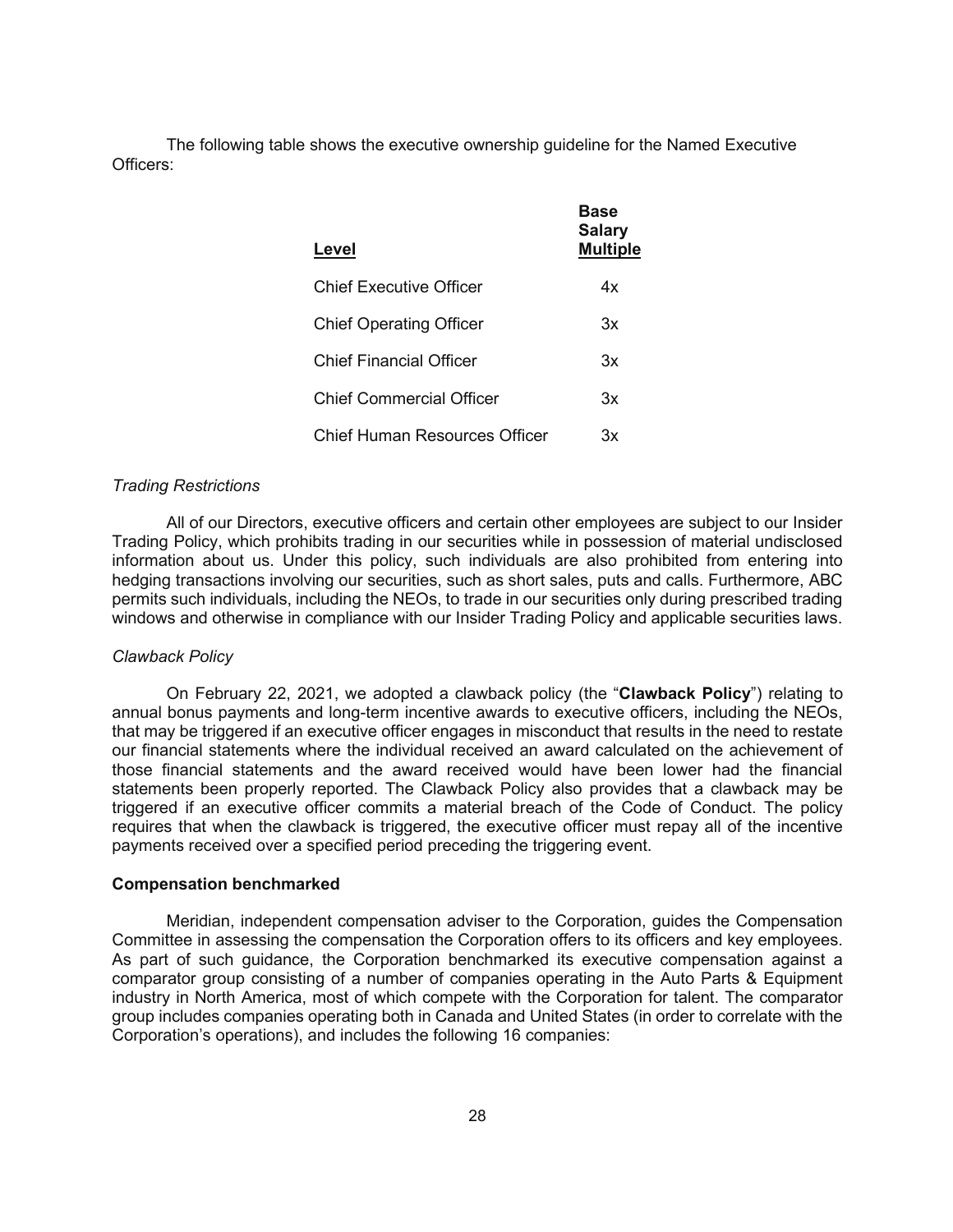The following table shows the executive ownership guideline for the Named Executive Officers:

| Level                          | Base<br><b>Salary</b><br><b>Multiple</b> |
|--------------------------------|------------------------------------------|
| Chief Executive Officer        | 4х                                       |
| <b>Chief Operating Officer</b> | 3x                                       |
| Chief Financial Officer        | Зx                                       |
| Chief Commercial Officer       | Зx                                       |
| Chief Human Resources Officer  | Зx                                       |

#### *Trading Restrictions*

All of our Directors, executive officers and certain other employees are subject to our Insider Trading Policy, which prohibits trading in our securities while in possession of material undisclosed information about us. Under this policy, such individuals are also prohibited from entering into hedging transactions involving our securities, such as short sales, puts and calls. Furthermore, ABC permits such individuals, including the NEOs, to trade in our securities only during prescribed trading windows and otherwise in compliance with our Insider Trading Policy and applicable securities laws.

#### *Clawback Policy*

On February 22, 2021, we adopted a clawback policy (the "**Clawback Policy**") relating to annual bonus payments and long-term incentive awards to executive officers, including the NEOs, that may be triggered if an executive officer engages in misconduct that results in the need to restate our financial statements where the individual received an award calculated on the achievement of those financial statements and the award received would have been lower had the financial statements been properly reported. The Clawback Policy also provides that a clawback may be triggered if an executive officer commits a material breach of the Code of Conduct. The policy requires that when the clawback is triggered, the executive officer must repay all of the incentive payments received over a specified period preceding the triggering event.

#### **Compensation benchmarked**

Meridian, independent compensation adviser to the Corporation, guides the Compensation Committee in assessing the compensation the Corporation offers to its officers and key employees. As part of such guidance, the Corporation benchmarked its executive compensation against a comparator group consisting of a number of companies operating in the Auto Parts & Equipment industry in North America, most of which compete with the Corporation for talent. The comparator group includes companies operating both in Canada and United States (in order to correlate with the Corporation's operations), and includes the following 16 companies: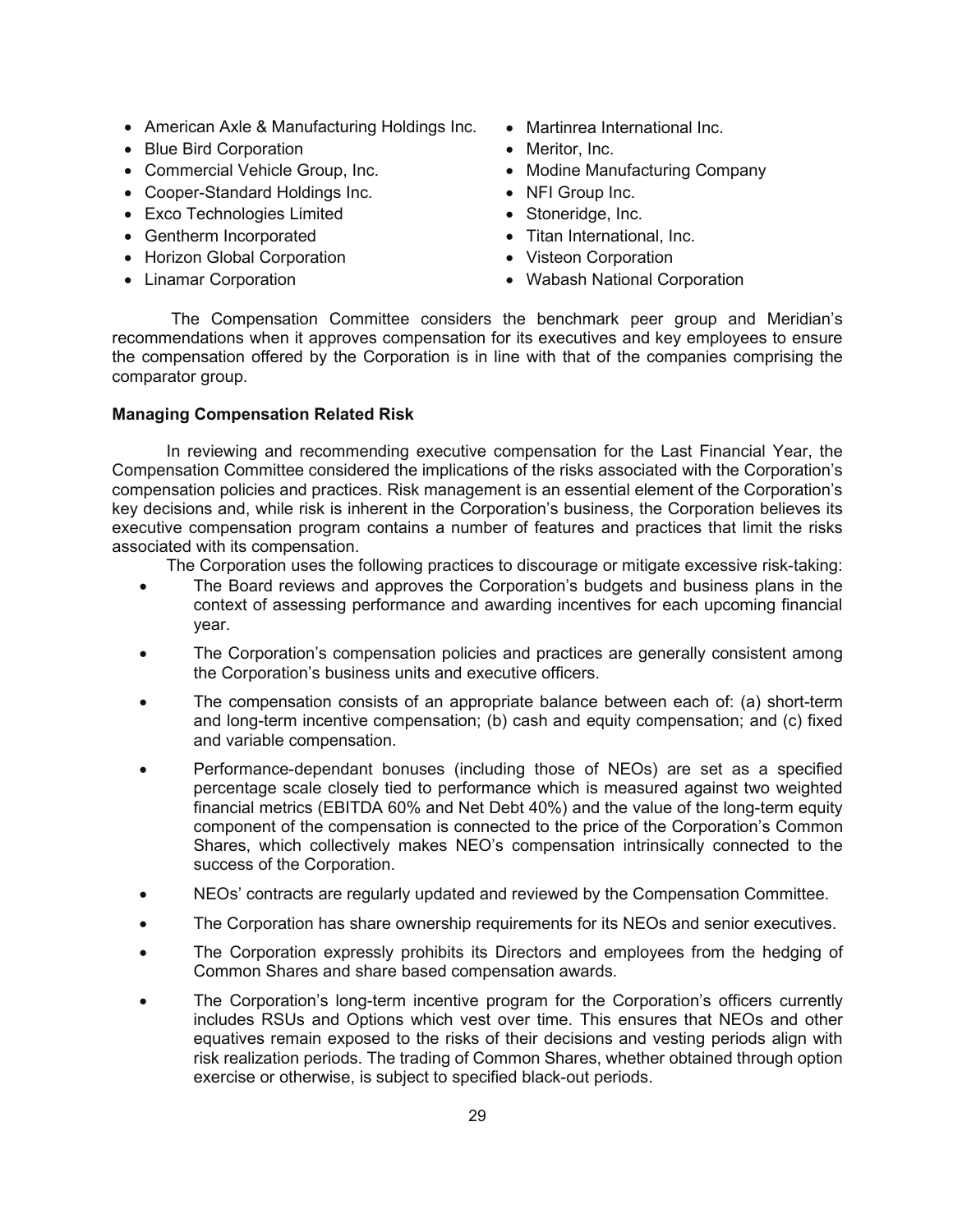- American Axle & Manufacturing Holdings Inc. Martinrea International Inc.
- Blue Bird Corporation **X** Meritor, Inc.
- 
- x Cooper-Standard Holdings Inc. x NFI Group Inc.
- Exco Technologies Limited Stoneridge, Inc.
- Gentherm Incorporated **X Contracts** Titan International, Inc.
- Horizon Global Corporation <br>
Visteon Corporation
- 
- 
- 
- Commercial Vehicle Group, Inc. • Modine Manufacturing Company
	-
	-
	-
	-
- Linamar Corporation X Wabash National Corporation

 The Compensation Committee considers the benchmark peer group and Meridian's recommendations when it approves compensation for its executives and key employees to ensure the compensation offered by the Corporation is in line with that of the companies comprising the comparator group.

# **Managing Compensation Related Risk**

In reviewing and recommending executive compensation for the Last Financial Year, the Compensation Committee considered the implications of the risks associated with the Corporation's compensation policies and practices. Risk management is an essential element of the Corporation's key decisions and, while risk is inherent in the Corporation's business, the Corporation believes its executive compensation program contains a number of features and practices that limit the risks associated with its compensation.

The Corporation uses the following practices to discourage or mitigate excessive risk-taking:

- The Board reviews and approves the Corporation's budgets and business plans in the context of assessing performance and awarding incentives for each upcoming financial year.
- The Corporation's compensation policies and practices are generally consistent among the Corporation's business units and executive officers.
- The compensation consists of an appropriate balance between each of: (a) short-term and long-term incentive compensation; (b) cash and equity compensation; and (c) fixed and variable compensation.
- Performance-dependant bonuses (including those of NEOs) are set as a specified percentage scale closely tied to performance which is measured against two weighted financial metrics (EBITDA 60% and Net Debt 40%) and the value of the long-term equity component of the compensation is connected to the price of the Corporation's Common Shares, which collectively makes NEO's compensation intrinsically connected to the success of the Corporation.
- NEOs' contracts are regularly updated and reviewed by the Compensation Committee.
- The Corporation has share ownership requirements for its NEOs and senior executives.
- The Corporation expressly prohibits its Directors and employees from the hedging of Common Shares and share based compensation awards.
- The Corporation's long-term incentive program for the Corporation's officers currently includes RSUs and Options which vest over time. This ensures that NEOs and other equatives remain exposed to the risks of their decisions and vesting periods align with risk realization periods. The trading of Common Shares, whether obtained through option exercise or otherwise, is subject to specified black-out periods.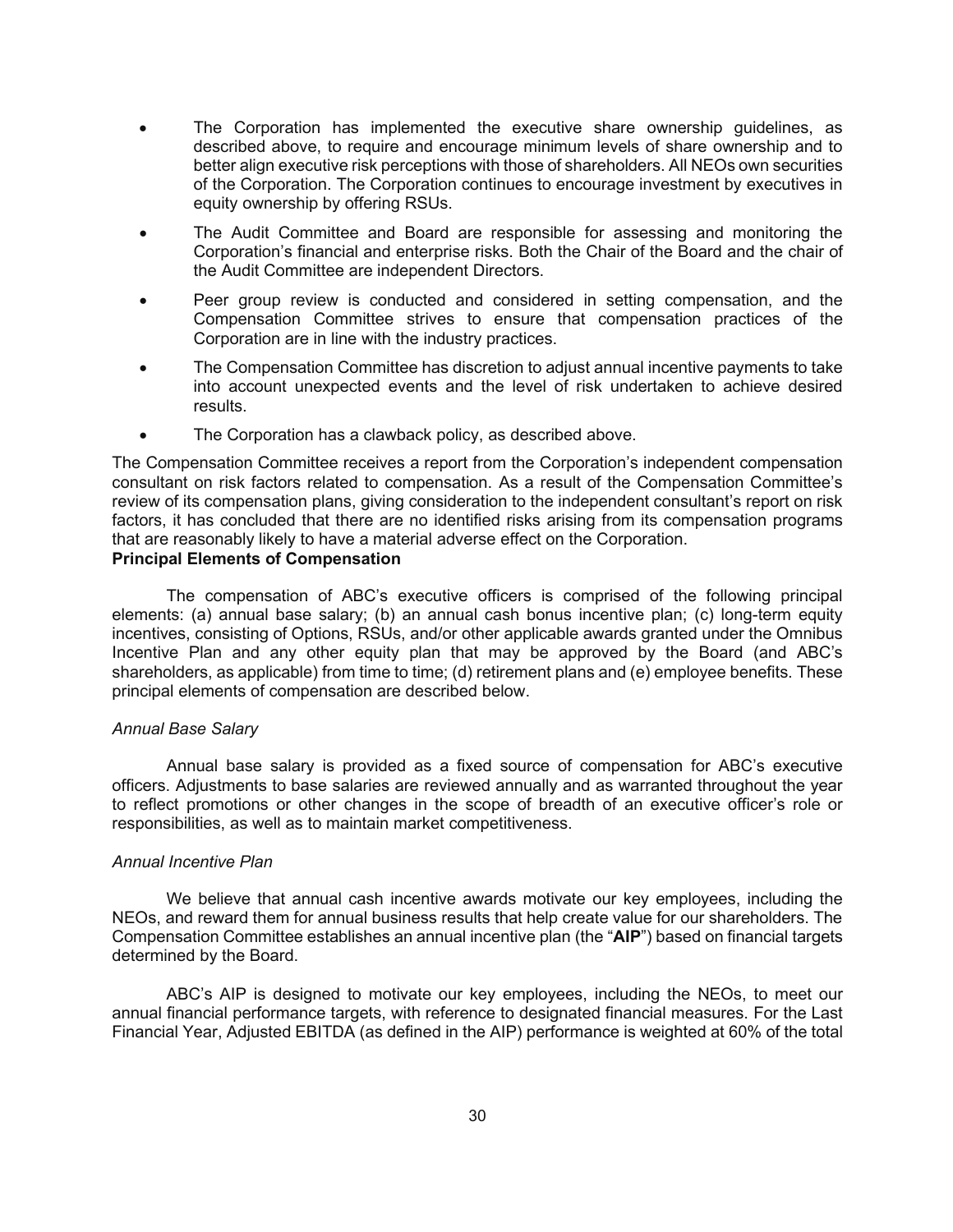- The Corporation has implemented the executive share ownership guidelines, as described above, to require and encourage minimum levels of share ownership and to better align executive risk perceptions with those of shareholders. All NEOs own securities of the Corporation. The Corporation continues to encourage investment by executives in equity ownership by offering RSUs.
- The Audit Committee and Board are responsible for assessing and monitoring the Corporation's financial and enterprise risks. Both the Chair of the Board and the chair of the Audit Committee are independent Directors.
- Peer group review is conducted and considered in setting compensation, and the Compensation Committee strives to ensure that compensation practices of the Corporation are in line with the industry practices.
- The Compensation Committee has discretion to adjust annual incentive payments to take into account unexpected events and the level of risk undertaken to achieve desired results.
- The Corporation has a clawback policy, as described above.

The Compensation Committee receives a report from the Corporation's independent compensation consultant on risk factors related to compensation. As a result of the Compensation Committee's review of its compensation plans, giving consideration to the independent consultant's report on risk factors, it has concluded that there are no identified risks arising from its compensation programs that are reasonably likely to have a material adverse effect on the Corporation.

# **Principal Elements of Compensation**

The compensation of ABC's executive officers is comprised of the following principal elements: (a) annual base salary; (b) an annual cash bonus incentive plan; (c) long-term equity incentives, consisting of Options, RSUs, and/or other applicable awards granted under the Omnibus Incentive Plan and any other equity plan that may be approved by the Board (and ABC's shareholders, as applicable) from time to time; (d) retirement plans and (e) employee benefits. These principal elements of compensation are described below.

## *Annual Base Salary*

Annual base salary is provided as a fixed source of compensation for ABC's executive officers. Adjustments to base salaries are reviewed annually and as warranted throughout the year to reflect promotions or other changes in the scope of breadth of an executive officer's role or responsibilities, as well as to maintain market competitiveness.

## *Annual Incentive Plan*

We believe that annual cash incentive awards motivate our key employees, including the NEOs, and reward them for annual business results that help create value for our shareholders. The Compensation Committee establishes an annual incentive plan (the "**AIP**") based on financial targets determined by the Board.

ABC's AIP is designed to motivate our key employees, including the NEOs, to meet our annual financial performance targets, with reference to designated financial measures. For the Last Financial Year, Adjusted EBITDA (as defined in the AIP) performance is weighted at 60% of the total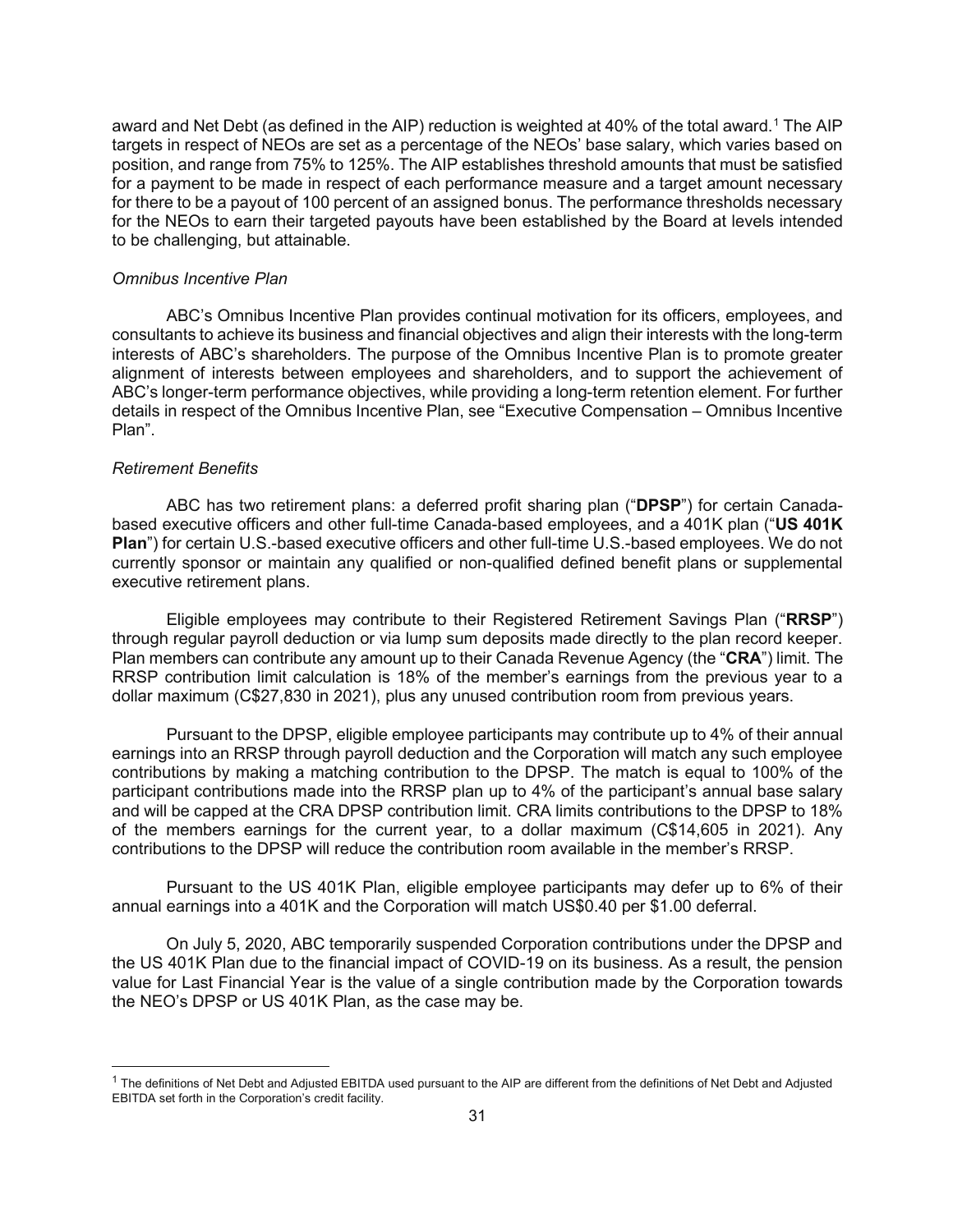award and Net Debt (as defined in the AIP) reduction is weighted at 40% of the total award.<sup>1</sup> The AIP targets in respect of NEOs are set as a percentage of the NEOs' base salary, which varies based on position, and range from 75% to 125%. The AIP establishes threshold amounts that must be satisfied for a payment to be made in respect of each performance measure and a target amount necessary for there to be a payout of 100 percent of an assigned bonus. The performance thresholds necessary for the NEOs to earn their targeted payouts have been established by the Board at levels intended to be challenging, but attainable.

#### *Omnibus Incentive Plan*

ABC's Omnibus Incentive Plan provides continual motivation for its officers, employees, and consultants to achieve its business and financial objectives and align their interests with the long-term interests of ABC's shareholders. The purpose of the Omnibus Incentive Plan is to promote greater alignment of interests between employees and shareholders, and to support the achievement of ABC's longer-term performance objectives, while providing a long-term retention element. For further details in respect of the Omnibus Incentive Plan, see "Executive Compensation – Omnibus Incentive Plan".

#### *Retirement Benefits*

ABC has two retirement plans: a deferred profit sharing plan ("**DPSP**") for certain Canadabased executive officers and other full-time Canada-based employees, and a 401K plan ("**US 401K Plan**") for certain U.S.-based executive officers and other full-time U.S.-based employees. We do not currently sponsor or maintain any qualified or non-qualified defined benefit plans or supplemental executive retirement plans.

Eligible employees may contribute to their Registered Retirement Savings Plan ("**RRSP**") through regular payroll deduction or via lump sum deposits made directly to the plan record keeper. Plan members can contribute any amount up to their Canada Revenue Agency (the "**CRA**") limit. The RRSP contribution limit calculation is 18% of the member's earnings from the previous year to a dollar maximum (C\$27,830 in 2021), plus any unused contribution room from previous years.

Pursuant to the DPSP, eligible employee participants may contribute up to 4% of their annual earnings into an RRSP through payroll deduction and the Corporation will match any such employee contributions by making a matching contribution to the DPSP. The match is equal to 100% of the participant contributions made into the RRSP plan up to 4% of the participant's annual base salary and will be capped at the CRA DPSP contribution limit. CRA limits contributions to the DPSP to 18% of the members earnings for the current year, to a dollar maximum (C\$14,605 in 2021). Any contributions to the DPSP will reduce the contribution room available in the member's RRSP.

Pursuant to the US 401K Plan, eligible employee participants may defer up to 6% of their annual earnings into a 401K and the Corporation will match US\$0.40 per \$1.00 deferral.

On July 5, 2020, ABC temporarily suspended Corporation contributions under the DPSP and the US 401K Plan due to the financial impact of COVID-19 on its business. As a result, the pension value for Last Financial Year is the value of a single contribution made by the Corporation towards the NEO's DPSP or US 401K Plan, as the case may be.

 $1$  The definitions of Net Debt and Adjusted EBITDA used pursuant to the AIP are different from the definitions of Net Debt and Adjusted EBITDA set forth in the Corporation's credit facility.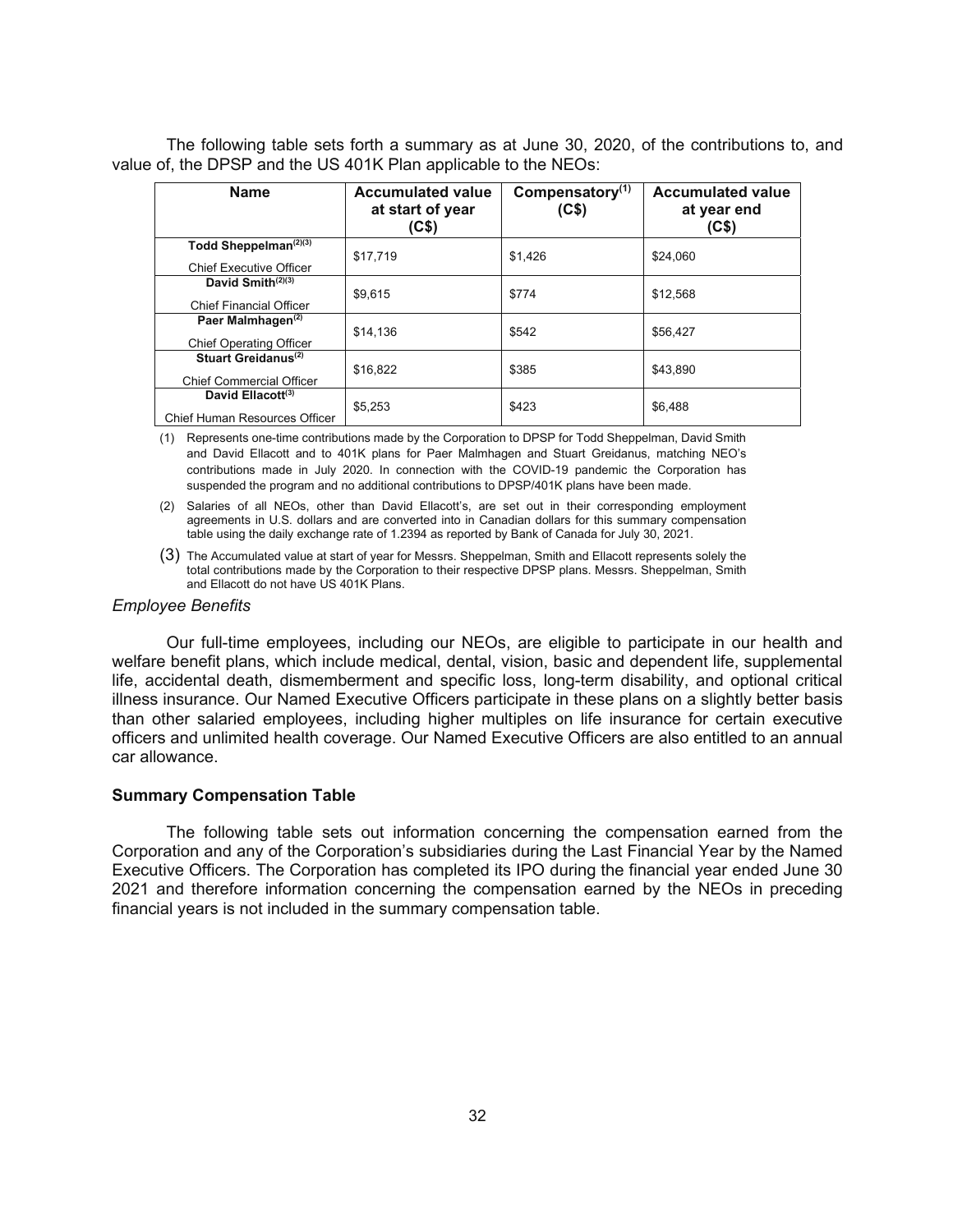The following table sets forth a summary as at June 30, 2020, of the contributions to, and value of, the DPSP and the US 401K Plan applicable to the NEOs:

| <b>Name</b>                                                           | <b>Accumulated value</b><br>at start of year<br>(C\$) | Compensatory <sup>(1)</sup><br>(C\$) | <b>Accumulated value</b><br>at year end<br>(C\$) |
|-----------------------------------------------------------------------|-------------------------------------------------------|--------------------------------------|--------------------------------------------------|
| Todd Sheppelman <sup>(2)(3)</sup><br><b>Chief Executive Officer</b>   | \$17,719                                              | \$1,426                              | \$24,060                                         |
| David Smith $(2)(3)$<br><b>Chief Financial Officer</b>                | \$9.615                                               | \$774                                | \$12.568                                         |
| Paer Malmhagen <sup>(2)</sup><br><b>Chief Operating Officer</b>       | \$14,136                                              | \$542                                | \$56,427                                         |
| Stuart Greidanus <sup>(2)</sup><br><b>Chief Commercial Officer</b>    | \$16.822                                              | \$385                                | \$43.890                                         |
| David Ellacott <sup>(3)</sup><br><b>Chief Human Resources Officer</b> | \$5.253                                               | \$423                                | \$6,488                                          |

(1) Represents one-time contributions made by the Corporation to DPSP for Todd Sheppelman, David Smith and David Ellacott and to 401K plans for Paer Malmhagen and Stuart Greidanus, matching NEO's contributions made in July 2020. In connection with the COVID-19 pandemic the Corporation has suspended the program and no additional contributions to DPSP/401K plans have been made.

(2) Salaries of all NEOs, other than David Ellacott's, are set out in their corresponding employment agreements in U.S. dollars and are converted into in Canadian dollars for this summary compensation table using the daily exchange rate of 1.2394 as reported by Bank of Canada for July 30, 2021.

(3) The Accumulated value at start of year for Messrs. Sheppelman, Smith and Ellacott represents solely the total contributions made by the Corporation to their respective DPSP plans. Messrs. Sheppelman, Smith and Ellacott do not have US 401K Plans.

#### *Employee Benefits*

Our full-time employees, including our NEOs, are eligible to participate in our health and welfare benefit plans, which include medical, dental, vision, basic and dependent life, supplemental life, accidental death, dismemberment and specific loss, long-term disability, and optional critical illness insurance. Our Named Executive Officers participate in these plans on a slightly better basis than other salaried employees, including higher multiples on life insurance for certain executive officers and unlimited health coverage. Our Named Executive Officers are also entitled to an annual car allowance.

#### **Summary Compensation Table**

The following table sets out information concerning the compensation earned from the Corporation and any of the Corporation's subsidiaries during the Last Financial Year by the Named Executive Officers. The Corporation has completed its IPO during the financial year ended June 30 2021 and therefore information concerning the compensation earned by the NEOs in preceding financial years is not included in the summary compensation table.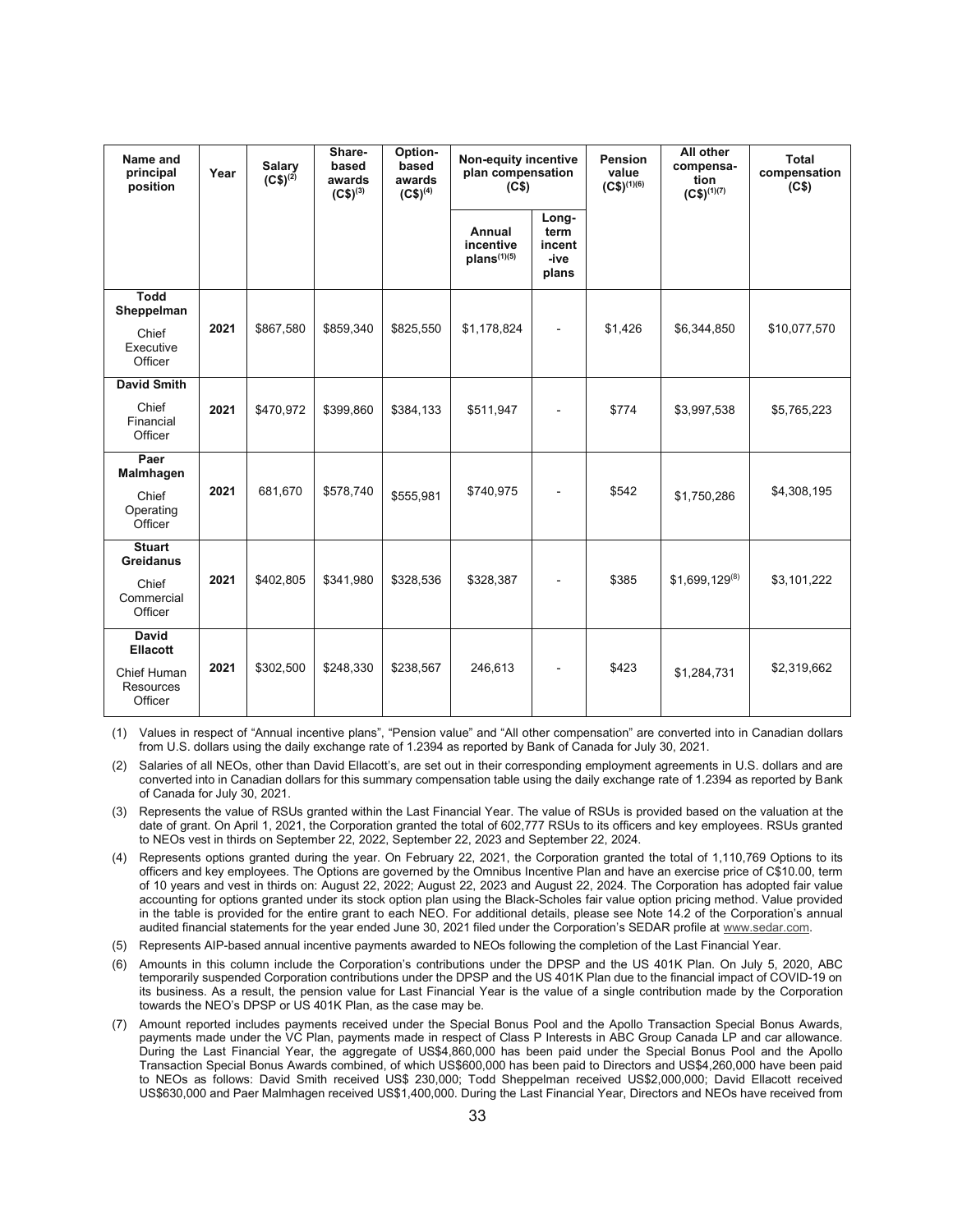| Name and<br>principal<br>position                                      | Year | <b>Salary</b><br>$(C$)^{(2)}$ | Share-<br>based<br>awards<br>$(C$)^{(3)}$ | Option-<br>based<br>awards<br>$(C$)^{(4)}$ | Non-equity incentive<br>plan compensation<br>(C\$) |                                          | Pension<br>value<br>$(C$)^{(1)(6)}$ | All other<br>compensa-<br>tion<br>$(C$)^{(1)(7)}$ | Total<br>compensation<br>(C\$) |
|------------------------------------------------------------------------|------|-------------------------------|-------------------------------------------|--------------------------------------------|----------------------------------------------------|------------------------------------------|-------------------------------------|---------------------------------------------------|--------------------------------|
|                                                                        |      |                               |                                           |                                            | Annual<br>incentive<br>$plans^{(1)(5)}$            | Long-<br>term<br>incent<br>-ive<br>plans |                                     |                                                   |                                |
| Todd<br>Sheppelman<br>Chief<br>Executive<br>Officer                    | 2021 | \$867,580                     | \$859,340                                 | \$825,550                                  | \$1,178,824                                        | ÷                                        | \$1,426                             | \$6,344,850                                       | \$10,077,570                   |
| <b>David Smith</b><br>Chief<br>Financial<br>Officer                    | 2021 | \$470,972                     | \$399,860                                 | \$384,133                                  | \$511,947                                          | $\overline{a}$                           | \$774                               | \$3,997,538                                       | \$5,765,223                    |
| Paer<br>Malmhagen<br>Chief<br>Operating<br>Officer                     | 2021 | 681,670                       | \$578,740                                 | \$555,981                                  | \$740,975                                          |                                          | \$542                               | \$1,750,286                                       | \$4,308,195                    |
| <b>Stuart</b><br>Greidanus<br>Chief<br>Commercial<br>Officer           | 2021 | \$402,805                     | \$341,980                                 | \$328,536                                  | \$328,387                                          |                                          | \$385                               | $$1,699,129^{(8)}$                                | \$3,101,222                    |
| David<br><b>Ellacott</b><br>Chief Human<br><b>Resources</b><br>Officer | 2021 | \$302,500                     | \$248,330                                 | \$238,567                                  | 246,613                                            | ٠                                        | \$423                               | \$1,284,731                                       | \$2,319,662                    |

(1) Values in respect of "Annual incentive plans", "Pension value" and "All other compensation" are converted into in Canadian dollars from U.S. dollars using the daily exchange rate of 1.2394 as reported by Bank of Canada for July 30, 2021.

- (2) Salaries of all NEOs, other than David Ellacott's, are set out in their corresponding employment agreements in U.S. dollars and are converted into in Canadian dollars for this summary compensation table using the daily exchange rate of 1.2394 as reported by Bank of Canada for July 30, 2021.
- (3) Represents the value of RSUs granted within the Last Financial Year. The value of RSUs is provided based on the valuation at the date of grant. On April 1, 2021, the Corporation granted the total of 602,777 RSUs to its officers and key employees. RSUs granted to NEOs vest in thirds on September 22, 2022, September 22, 2023 and September 22, 2024.
- (4) Represents options granted during the year. On February 22, 2021, the Corporation granted the total of 1,110,769 Options to its officers and key employees. The Options are governed by the Omnibus Incentive Plan and have an exercise price of C\$10.00, term of 10 years and vest in thirds on: August 22, 2022; August 22, 2023 and August 22, 2024. The Corporation has adopted fair value accounting for options granted under its stock option plan using the Black-Scholes fair value option pricing method. Value provided in the table is provided for the entire grant to each NEO. For additional details, please see Note 14.2 of the Corporation's annual audited financial statements for the year ended June 30, 2021 filed under the Corporation's SEDAR profile at www.sedar.com.
- (5) Represents AIP-based annual incentive payments awarded to NEOs following the completion of the Last Financial Year.
- (6) Amounts in this column include the Corporation's contributions under the DPSP and the US 401K Plan. On July 5, 2020, ABC temporarily suspended Corporation contributions under the DPSP and the US 401K Plan due to the financial impact of COVID-19 on its business. As a result, the pension value for Last Financial Year is the value of a single contribution made by the Corporation towards the NEO's DPSP or US 401K Plan, as the case may be.
- (7) Amount reported includes payments received under the Special Bonus Pool and the Apollo Transaction Special Bonus Awards, payments made under the VC Plan, payments made in respect of Class P Interests in ABC Group Canada LP and car allowance. During the Last Financial Year, the aggregate of US\$4,860,000 has been paid under the Special Bonus Pool and the Apollo Transaction Special Bonus Awards combined, of which US\$600,000 has been paid to Directors and US\$4,260,000 have been paid to NEOs as follows: David Smith received US\$ 230,000; Todd Sheppelman received US\$2,000,000; David Ellacott received US\$630,000 and Paer Malmhagen received US\$1,400,000. During the Last Financial Year, Directors and NEOs have received from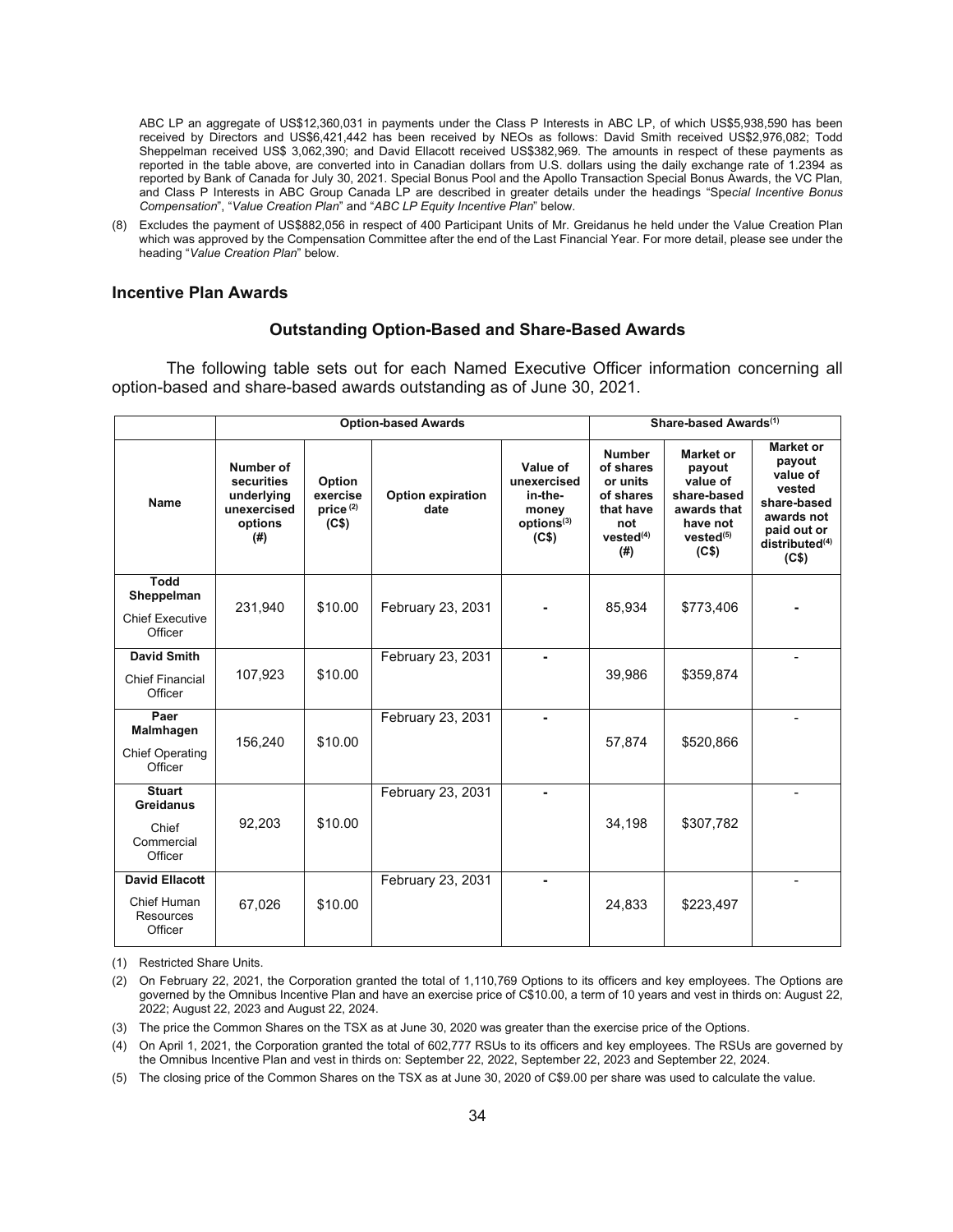ABC LP an aggregate of US\$12,360,031 in payments under the Class P Interests in ABC LP, of which US\$5,938,590 has been received by Directors and US\$6,421,442 has been received by NEOs as follows: David Smith received US\$2,976,082; Todd Sheppelman received US\$ 3,062,390; and David Ellacott received US\$382,969. The amounts in respect of these payments as reported in the table above, are converted into in Canadian dollars from U.S. dollars using the daily exchange rate of 1.2394 as reported by Bank of Canada for July 30, 2021. Special Bonus Pool and the Apollo Transaction Special Bonus Awards, the VC Plan, and Class P Interests in ABC Group Canada LP are described in greater details under the headings "Spe*cial Incentive Bonus Compensation*", "*Value Creation Plan*" and "*ABC LP Equity Incentive Plan*" below.

(8) Excludes the payment of US\$882,056 in respect of 400 Participant Units of Mr. Greidanus he held under the Value Creation Plan which was approved by the Compensation Committee after the end of the Last Financial Year. For more detail, please see under the heading "*Value Creation Plan*" below.

#### **Incentive Plan Awards**

#### **Outstanding Option-Based and Share-Based Awards**

The following table sets out for each Named Executive Officer information concerning all option-based and share-based awards outstanding as of June 30, 2021.

|                                                                     |                                                                           |                                                                 | <b>Option-based Awards</b>       |                                                                                            | Share-based Awards <sup>(1)</sup>                                                                       |                                                                                                             |                                                                                                                                     |
|---------------------------------------------------------------------|---------------------------------------------------------------------------|-----------------------------------------------------------------|----------------------------------|--------------------------------------------------------------------------------------------|---------------------------------------------------------------------------------------------------------|-------------------------------------------------------------------------------------------------------------|-------------------------------------------------------------------------------------------------------------------------------------|
| <b>Name</b>                                                         | Number of<br>securities<br>underlying<br>unexercised<br>options<br>$($ #) | Option<br>exercise<br>price <sup>(2)</sup><br>(C <sub>5</sub> ) | <b>Option expiration</b><br>date | Value of<br>unexercised<br>in-the-<br>money<br>options <sup>(3)</sup><br>(C <sub>5</sub> ) | <b>Number</b><br>of shares<br>or units<br>of shares<br>that have<br>not<br>vested <sup>(4)</sup><br>(#) | Market or<br>payout<br>value of<br>share-based<br>awards that<br>have not<br>vested <sup>(5)</sup><br>(C\$) | <b>Market or</b><br>payout<br>value of<br>vested<br>share-based<br>awards not<br>paid out or<br>distributed <sup>(4)</sup><br>(C\$) |
| <b>Todd</b><br>Sheppelman<br><b>Chief Executive</b><br>Officer      | 231,940                                                                   | \$10.00                                                         | February 23, 2031                |                                                                                            | 85,934                                                                                                  | \$773,406                                                                                                   |                                                                                                                                     |
| <b>David Smith</b><br><b>Chief Financial</b><br>Officer             | 107,923                                                                   | \$10.00                                                         | February 23, 2031                | $\blacksquare$                                                                             | 39,986                                                                                                  | \$359,874                                                                                                   |                                                                                                                                     |
| Paer<br>Malmhagen<br><b>Chief Operating</b><br>Officer              | 156,240                                                                   | \$10.00                                                         | February 23, 2031                | $\blacksquare$                                                                             | 57,874                                                                                                  | \$520,866                                                                                                   |                                                                                                                                     |
| <b>Stuart</b><br><b>Greidanus</b><br>Chief<br>Commercial<br>Officer | 92,203                                                                    | \$10.00                                                         | February 23, 2031                |                                                                                            | 34,198                                                                                                  | \$307,782                                                                                                   |                                                                                                                                     |
| <b>David Ellacott</b><br>Chief Human<br><b>Resources</b><br>Officer | 67,026                                                                    | \$10.00                                                         | February 23, 2031                | $\overline{a}$                                                                             | 24,833                                                                                                  | \$223,497                                                                                                   |                                                                                                                                     |

(1) Restricted Share Units.

(3) The price the Common Shares on the TSX as at June 30, 2020 was greater than the exercise price of the Options.

(4) On April 1, 2021, the Corporation granted the total of 602,777 RSUs to its officers and key employees. The RSUs are governed by the Omnibus Incentive Plan and vest in thirds on: September 22, 2022, September 22, 2023 and September 22, 2024.

(5) The closing price of the Common Shares on the TSX as at June 30, 2020 of C\$9.00 per share was used to calculate the value.

<sup>(2)</sup> On February 22, 2021, the Corporation granted the total of 1,110,769 Options to its officers and key employees. The Options are governed by the Omnibus Incentive Plan and have an exercise price of C\$10.00, a term of 10 years and vest in thirds on: August 22, 2022; August 22, 2023 and August 22, 2024.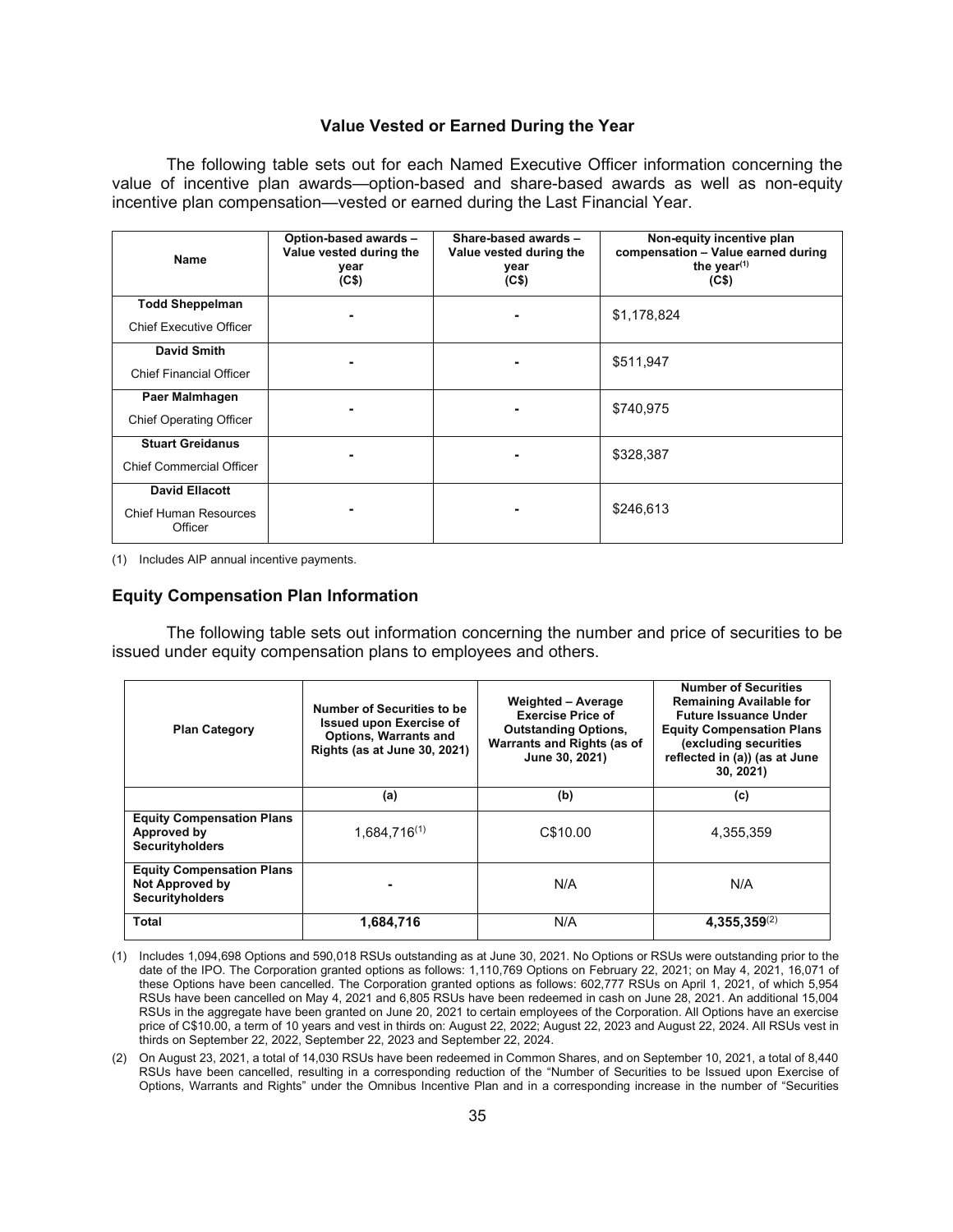# **Value Vested or Earned During the Year**

The following table sets out for each Named Executive Officer information concerning the value of incentive plan awards—option-based and share-based awards as well as non-equity incentive plan compensation—vested or earned during the Last Financial Year.

| Name                                                             | Option-based awards -<br>Value vested during the<br>year<br>(C <sup>5</sup> ) | Share-based awards -<br>Value vested during the<br>year<br>(C <sub>5</sub> ) | Non-equity incentive plan<br>compensation - Value earned during<br>the year $(1)$<br>(C <sup>5</sup> ) |
|------------------------------------------------------------------|-------------------------------------------------------------------------------|------------------------------------------------------------------------------|--------------------------------------------------------------------------------------------------------|
| <b>Todd Sheppelman</b><br><b>Chief Executive Officer</b>         | $\blacksquare$                                                                | $\blacksquare$                                                               | \$1,178,824                                                                                            |
| <b>David Smith</b><br><b>Chief Financial Officer</b>             |                                                                               |                                                                              | \$511,947                                                                                              |
| Paer Malmhagen<br><b>Chief Operating Officer</b>                 |                                                                               | $\blacksquare$                                                               | \$740,975                                                                                              |
| <b>Stuart Greidanus</b><br><b>Chief Commercial Officer</b>       |                                                                               |                                                                              | \$328,387                                                                                              |
| <b>David Ellacott</b><br><b>Chief Human Resources</b><br>Officer |                                                                               |                                                                              | \$246,613                                                                                              |

(1) Includes AIP annual incentive payments.

## **Equity Compensation Plan Information**

The following table sets out information concerning the number and price of securities to be issued under equity compensation plans to employees and others.

| <b>Plan Category</b>                                                                 | Number of Securities to be<br><b>Issued upon Exercise of</b><br><b>Options, Warrants and</b><br>Rights (as at June 30, 2021) | <b>Weighted - Average</b><br><b>Exercise Price of</b><br><b>Outstanding Options,</b><br>Warrants and Rights (as of<br>June 30, 2021) | <b>Number of Securities</b><br><b>Remaining Available for</b><br><b>Future Issuance Under</b><br><b>Equity Compensation Plans</b><br>(excluding securities<br>reflected in (a)) (as at June<br>30, 2021 |
|--------------------------------------------------------------------------------------|------------------------------------------------------------------------------------------------------------------------------|--------------------------------------------------------------------------------------------------------------------------------------|---------------------------------------------------------------------------------------------------------------------------------------------------------------------------------------------------------|
|                                                                                      | (a)                                                                                                                          | (b)                                                                                                                                  | (c)                                                                                                                                                                                                     |
| <b>Equity Compensation Plans</b><br>Approved by<br><b>Securityholders</b>            | $1.684.716^{(1)}$                                                                                                            | C\$10.00                                                                                                                             | 4.355.359                                                                                                                                                                                               |
| <b>Equity Compensation Plans</b><br><b>Not Approved by</b><br><b>Securityholders</b> |                                                                                                                              | N/A                                                                                                                                  | N/A                                                                                                                                                                                                     |
| Total                                                                                | 1,684,716                                                                                                                    | N/A                                                                                                                                  | $4,355,359^{(2)}$                                                                                                                                                                                       |

<sup>(1)</sup> Includes 1,094,698 Options and 590,018 RSUs outstanding as at June 30, 2021. No Options or RSUs were outstanding prior to the date of the IPO. The Corporation granted options as follows: 1,110,769 Options on February 22, 2021; on May 4, 2021, 16,071 of these Options have been cancelled. The Corporation granted options as follows: 602,777 RSUs on April 1, 2021, of which 5,954 RSUs have been cancelled on May 4, 2021 and 6,805 RSUs have been redeemed in cash on June 28, 2021. An additional 15,004 RSUs in the aggregate have been granted on June 20, 2021 to certain employees of the Corporation. All Options have an exercise price of C\$10.00, a term of 10 years and vest in thirds on: August 22, 2022; August 22, 2023 and August 22, 2024. All RSUs vest in thirds on September 22, 2022, September 22, 2023 and September 22, 2024.

<sup>(2)</sup> On August 23, 2021, a total of 14,030 RSUs have been redeemed in Common Shares, and on September 10, 2021, a total of 8,440 RSUs have been cancelled, resulting in a corresponding reduction of the "Number of Securities to be Issued upon Exercise of Options, Warrants and Rights" under the Omnibus Incentive Plan and in a corresponding increase in the number of "Securities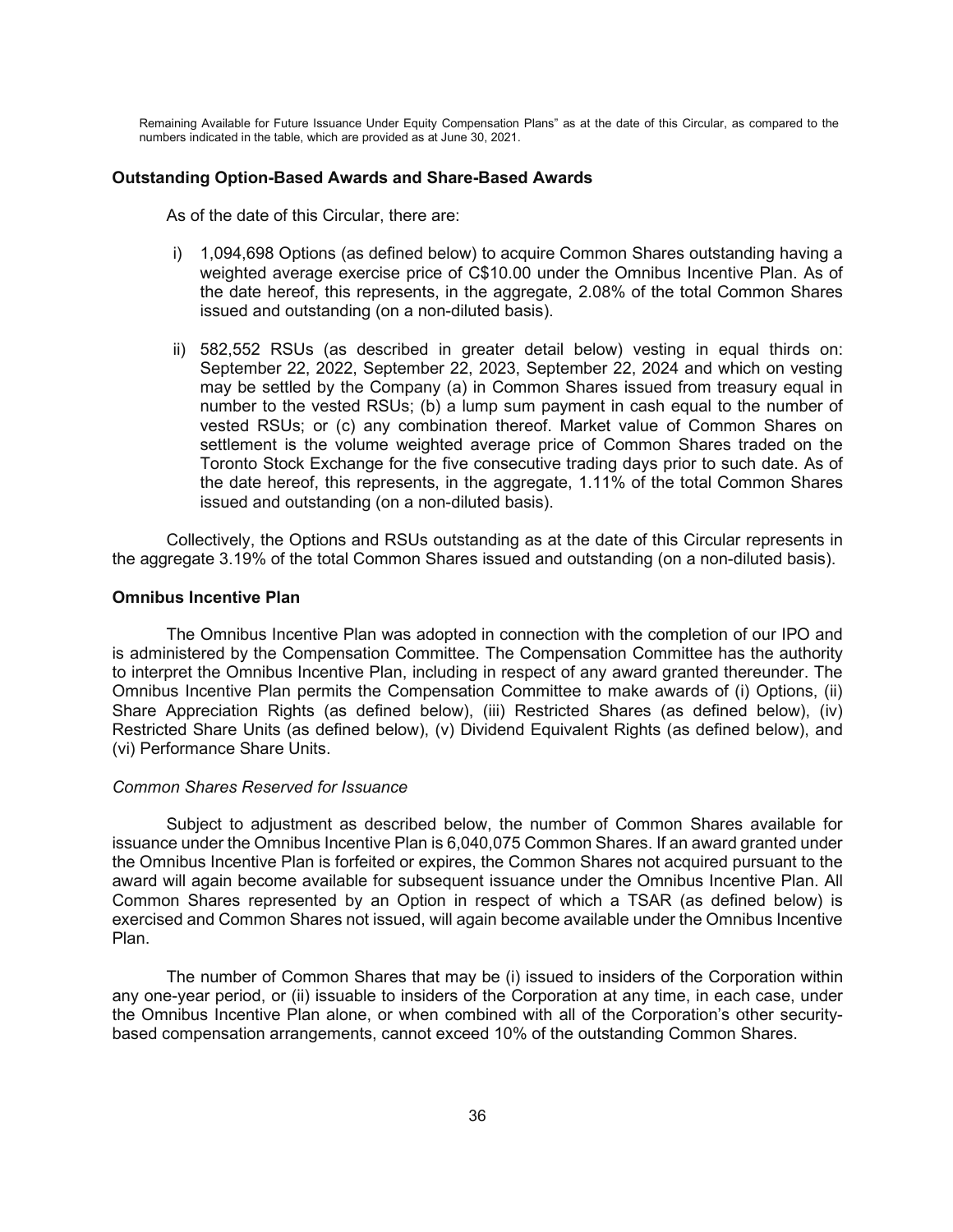Remaining Available for Future Issuance Under Equity Compensation Plans" as at the date of this Circular, as compared to the numbers indicated in the table, which are provided as at June 30, 2021.

#### **Outstanding Option-Based Awards and Share-Based Awards**

As of the date of this Circular, there are:

- i) 1,094,698 Options (as defined below) to acquire Common Shares outstanding having a weighted average exercise price of C\$10.00 under the Omnibus Incentive Plan. As of the date hereof, this represents, in the aggregate, 2.08% of the total Common Shares issued and outstanding (on a non-diluted basis).
- ii) 582,552 RSUs (as described in greater detail below) vesting in equal thirds on: September 22, 2022, September 22, 2023, September 22, 2024 and which on vesting may be settled by the Company (a) in Common Shares issued from treasury equal in number to the vested RSUs; (b) a lump sum payment in cash equal to the number of vested RSUs; or (c) any combination thereof. Market value of Common Shares on settlement is the volume weighted average price of Common Shares traded on the Toronto Stock Exchange for the five consecutive trading days prior to such date. As of the date hereof, this represents, in the aggregate, 1.11% of the total Common Shares issued and outstanding (on a non-diluted basis).

Collectively, the Options and RSUs outstanding as at the date of this Circular represents in the aggregate 3.19% of the total Common Shares issued and outstanding (on a non-diluted basis).

# **Omnibus Incentive Plan**

The Omnibus Incentive Plan was adopted in connection with the completion of our IPO and is administered by the Compensation Committee. The Compensation Committee has the authority to interpret the Omnibus Incentive Plan, including in respect of any award granted thereunder. The Omnibus Incentive Plan permits the Compensation Committee to make awards of (i) Options, (ii) Share Appreciation Rights (as defined below), (iii) Restricted Shares (as defined below), (iv) Restricted Share Units (as defined below), (v) Dividend Equivalent Rights (as defined below), and (vi) Performance Share Units.

#### *Common Shares Reserved for Issuance*

Subject to adjustment as described below, the number of Common Shares available for issuance under the Omnibus Incentive Plan is 6,040,075 Common Shares. If an award granted under the Omnibus Incentive Plan is forfeited or expires, the Common Shares not acquired pursuant to the award will again become available for subsequent issuance under the Omnibus Incentive Plan. All Common Shares represented by an Option in respect of which a TSAR (as defined below) is exercised and Common Shares not issued, will again become available under the Omnibus Incentive Plan.

The number of Common Shares that may be (i) issued to insiders of the Corporation within any one-year period, or (ii) issuable to insiders of the Corporation at any time, in each case, under the Omnibus Incentive Plan alone, or when combined with all of the Corporation's other securitybased compensation arrangements, cannot exceed 10% of the outstanding Common Shares.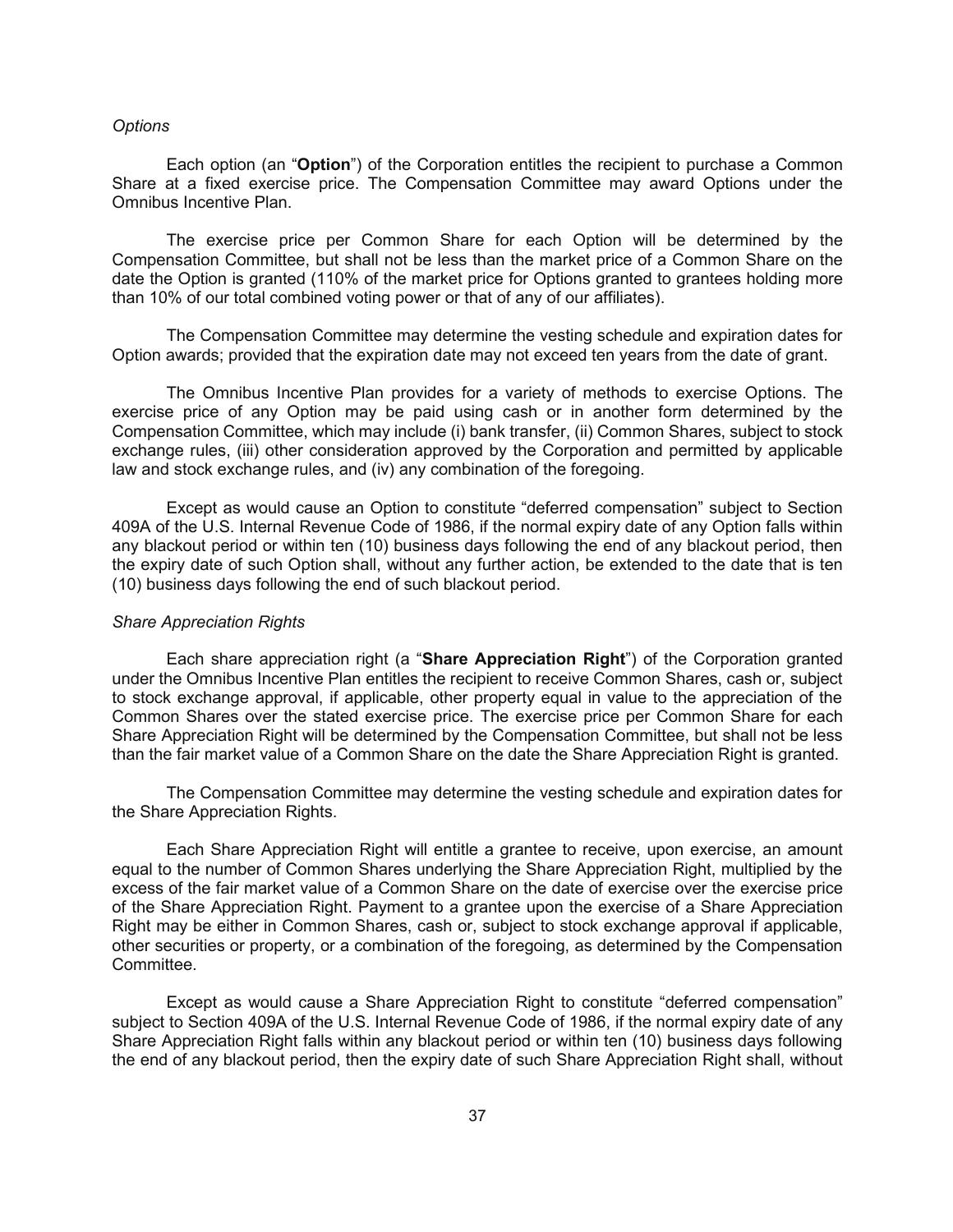#### *Options*

Each option (an "**Option**") of the Corporation entitles the recipient to purchase a Common Share at a fixed exercise price. The Compensation Committee may award Options under the Omnibus Incentive Plan.

The exercise price per Common Share for each Option will be determined by the Compensation Committee, but shall not be less than the market price of a Common Share on the date the Option is granted (110% of the market price for Options granted to grantees holding more than 10% of our total combined voting power or that of any of our affiliates).

The Compensation Committee may determine the vesting schedule and expiration dates for Option awards; provided that the expiration date may not exceed ten years from the date of grant.

The Omnibus Incentive Plan provides for a variety of methods to exercise Options. The exercise price of any Option may be paid using cash or in another form determined by the Compensation Committee, which may include (i) bank transfer, (ii) Common Shares, subject to stock exchange rules, (iii) other consideration approved by the Corporation and permitted by applicable law and stock exchange rules, and (iv) any combination of the foregoing.

Except as would cause an Option to constitute "deferred compensation" subject to Section 409A of the U.S. Internal Revenue Code of 1986, if the normal expiry date of any Option falls within any blackout period or within ten (10) business days following the end of any blackout period, then the expiry date of such Option shall, without any further action, be extended to the date that is ten (10) business days following the end of such blackout period.

#### *Share Appreciation Rights*

Each share appreciation right (a "**Share Appreciation Right**") of the Corporation granted under the Omnibus Incentive Plan entitles the recipient to receive Common Shares, cash or, subject to stock exchange approval, if applicable, other property equal in value to the appreciation of the Common Shares over the stated exercise price. The exercise price per Common Share for each Share Appreciation Right will be determined by the Compensation Committee, but shall not be less than the fair market value of a Common Share on the date the Share Appreciation Right is granted.

The Compensation Committee may determine the vesting schedule and expiration dates for the Share Appreciation Rights.

Each Share Appreciation Right will entitle a grantee to receive, upon exercise, an amount equal to the number of Common Shares underlying the Share Appreciation Right, multiplied by the excess of the fair market value of a Common Share on the date of exercise over the exercise price of the Share Appreciation Right. Payment to a grantee upon the exercise of a Share Appreciation Right may be either in Common Shares, cash or, subject to stock exchange approval if applicable, other securities or property, or a combination of the foregoing, as determined by the Compensation Committee.

Except as would cause a Share Appreciation Right to constitute "deferred compensation" subject to Section 409A of the U.S. Internal Revenue Code of 1986, if the normal expiry date of any Share Appreciation Right falls within any blackout period or within ten (10) business days following the end of any blackout period, then the expiry date of such Share Appreciation Right shall, without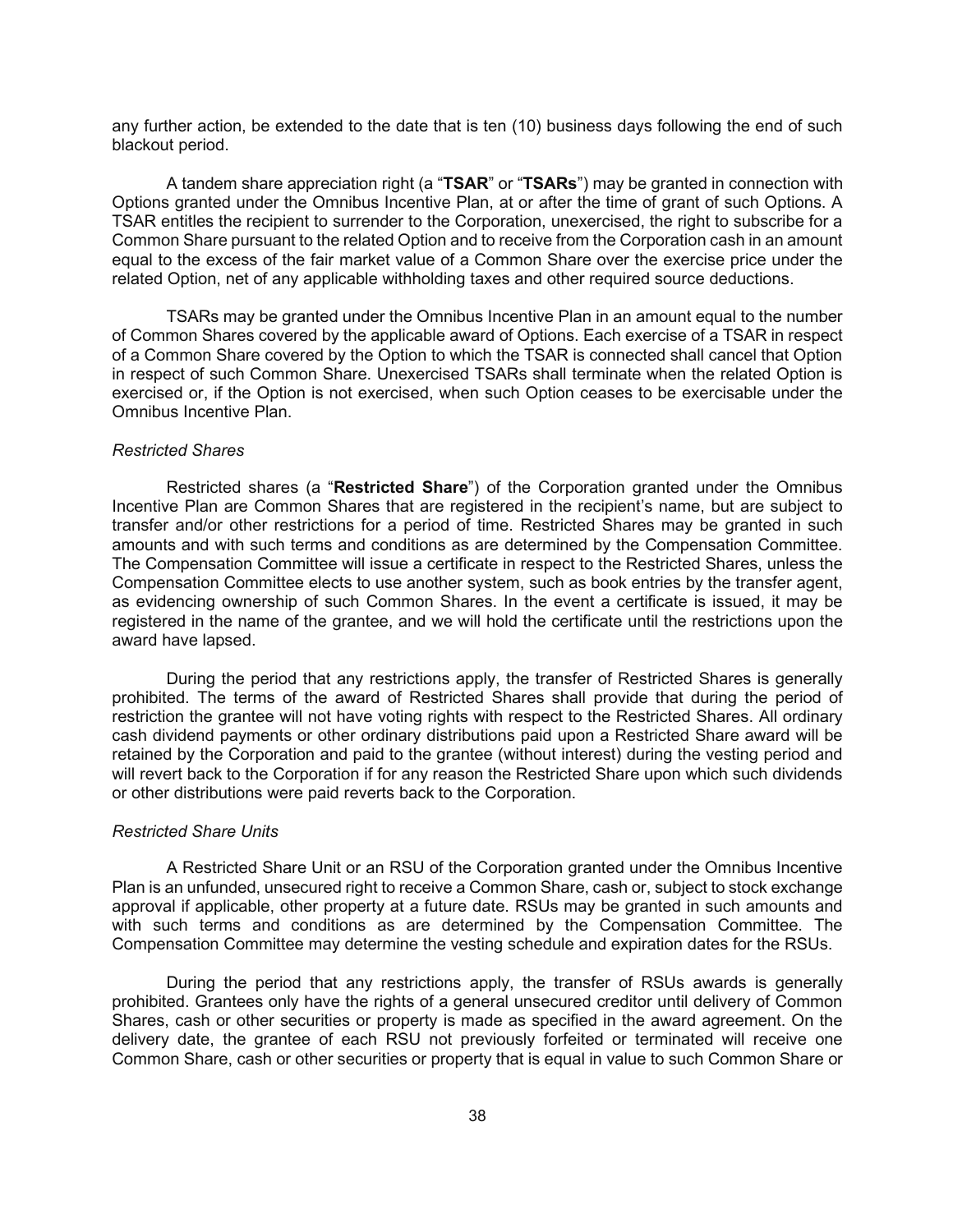any further action, be extended to the date that is ten (10) business days following the end of such blackout period.

A tandem share appreciation right (a "**TSAR**" or "**TSARs**") may be granted in connection with Options granted under the Omnibus Incentive Plan, at or after the time of grant of such Options. A TSAR entitles the recipient to surrender to the Corporation, unexercised, the right to subscribe for a Common Share pursuant to the related Option and to receive from the Corporation cash in an amount equal to the excess of the fair market value of a Common Share over the exercise price under the related Option, net of any applicable withholding taxes and other required source deductions.

TSARs may be granted under the Omnibus Incentive Plan in an amount equal to the number of Common Shares covered by the applicable award of Options. Each exercise of a TSAR in respect of a Common Share covered by the Option to which the TSAR is connected shall cancel that Option in respect of such Common Share. Unexercised TSARs shall terminate when the related Option is exercised or, if the Option is not exercised, when such Option ceases to be exercisable under the Omnibus Incentive Plan.

### *Restricted Shares*

Restricted shares (a "**Restricted Share**") of the Corporation granted under the Omnibus Incentive Plan are Common Shares that are registered in the recipient's name, but are subject to transfer and/or other restrictions for a period of time. Restricted Shares may be granted in such amounts and with such terms and conditions as are determined by the Compensation Committee. The Compensation Committee will issue a certificate in respect to the Restricted Shares, unless the Compensation Committee elects to use another system, such as book entries by the transfer agent, as evidencing ownership of such Common Shares. In the event a certificate is issued, it may be registered in the name of the grantee, and we will hold the certificate until the restrictions upon the award have lapsed.

During the period that any restrictions apply, the transfer of Restricted Shares is generally prohibited. The terms of the award of Restricted Shares shall provide that during the period of restriction the grantee will not have voting rights with respect to the Restricted Shares. All ordinary cash dividend payments or other ordinary distributions paid upon a Restricted Share award will be retained by the Corporation and paid to the grantee (without interest) during the vesting period and will revert back to the Corporation if for any reason the Restricted Share upon which such dividends or other distributions were paid reverts back to the Corporation.

## *Restricted Share Units*

A Restricted Share Unit or an RSU of the Corporation granted under the Omnibus Incentive Plan is an unfunded, unsecured right to receive a Common Share, cash or, subject to stock exchange approval if applicable, other property at a future date. RSUs may be granted in such amounts and with such terms and conditions as are determined by the Compensation Committee. The Compensation Committee may determine the vesting schedule and expiration dates for the RSUs.

During the period that any restrictions apply, the transfer of RSUs awards is generally prohibited. Grantees only have the rights of a general unsecured creditor until delivery of Common Shares, cash or other securities or property is made as specified in the award agreement. On the delivery date, the grantee of each RSU not previously forfeited or terminated will receive one Common Share, cash or other securities or property that is equal in value to such Common Share or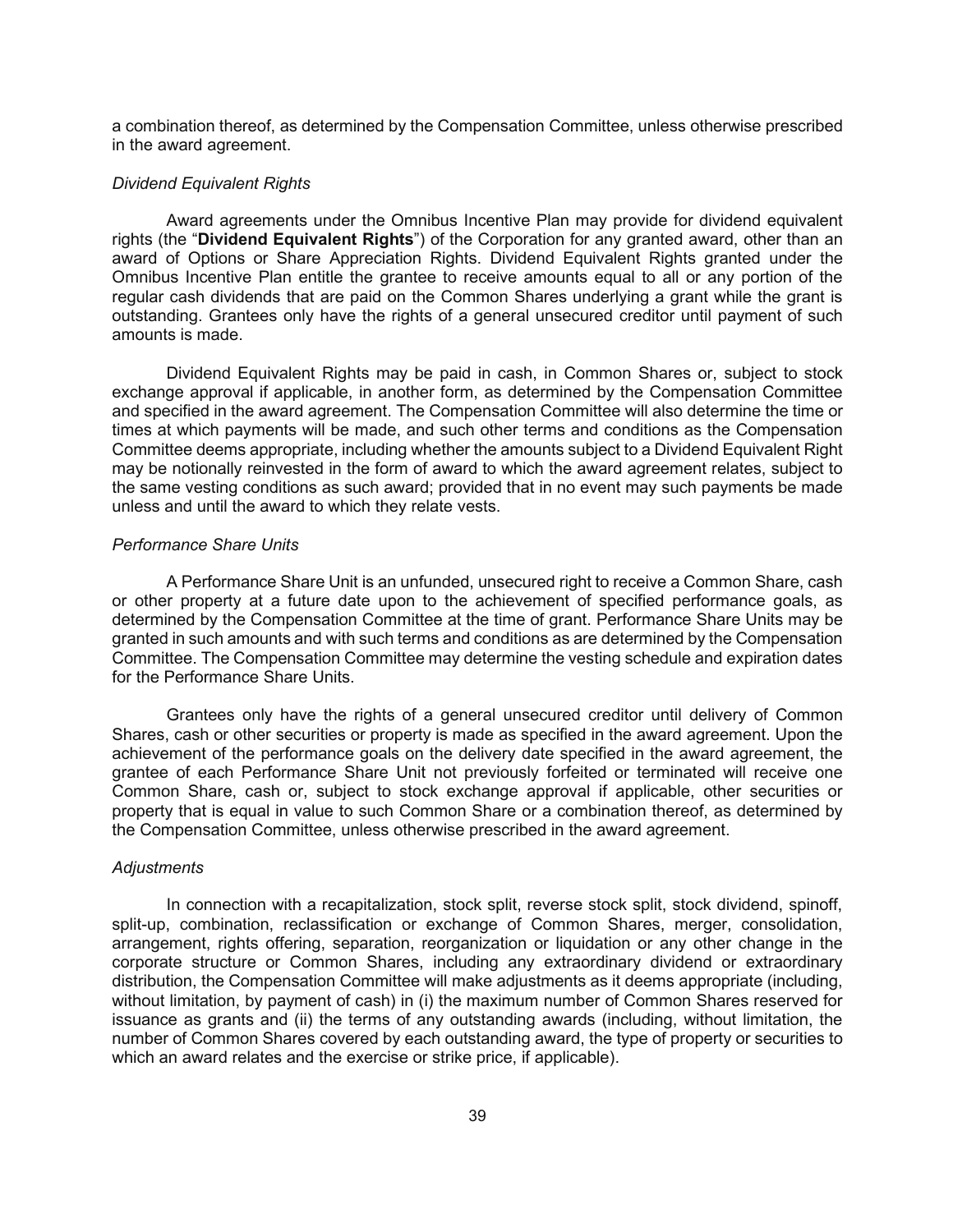a combination thereof, as determined by the Compensation Committee, unless otherwise prescribed in the award agreement.

#### *Dividend Equivalent Rights*

Award agreements under the Omnibus Incentive Plan may provide for dividend equivalent rights (the "**Dividend Equivalent Rights**") of the Corporation for any granted award, other than an award of Options or Share Appreciation Rights. Dividend Equivalent Rights granted under the Omnibus Incentive Plan entitle the grantee to receive amounts equal to all or any portion of the regular cash dividends that are paid on the Common Shares underlying a grant while the grant is outstanding. Grantees only have the rights of a general unsecured creditor until payment of such amounts is made.

Dividend Equivalent Rights may be paid in cash, in Common Shares or, subject to stock exchange approval if applicable, in another form, as determined by the Compensation Committee and specified in the award agreement. The Compensation Committee will also determine the time or times at which payments will be made, and such other terms and conditions as the Compensation Committee deems appropriate, including whether the amounts subject to a Dividend Equivalent Right may be notionally reinvested in the form of award to which the award agreement relates, subject to the same vesting conditions as such award; provided that in no event may such payments be made unless and until the award to which they relate vests.

### *Performance Share Units*

A Performance Share Unit is an unfunded, unsecured right to receive a Common Share, cash or other property at a future date upon to the achievement of specified performance goals, as determined by the Compensation Committee at the time of grant. Performance Share Units may be granted in such amounts and with such terms and conditions as are determined by the Compensation Committee. The Compensation Committee may determine the vesting schedule and expiration dates for the Performance Share Units.

Grantees only have the rights of a general unsecured creditor until delivery of Common Shares, cash or other securities or property is made as specified in the award agreement. Upon the achievement of the performance goals on the delivery date specified in the award agreement, the grantee of each Performance Share Unit not previously forfeited or terminated will receive one Common Share, cash or, subject to stock exchange approval if applicable, other securities or property that is equal in value to such Common Share or a combination thereof, as determined by the Compensation Committee, unless otherwise prescribed in the award agreement.

### *Adjustments*

In connection with a recapitalization, stock split, reverse stock split, stock dividend, spinoff, split-up, combination, reclassification or exchange of Common Shares, merger, consolidation, arrangement, rights offering, separation, reorganization or liquidation or any other change in the corporate structure or Common Shares, including any extraordinary dividend or extraordinary distribution, the Compensation Committee will make adjustments as it deems appropriate (including, without limitation, by payment of cash) in (i) the maximum number of Common Shares reserved for issuance as grants and (ii) the terms of any outstanding awards (including, without limitation, the number of Common Shares covered by each outstanding award, the type of property or securities to which an award relates and the exercise or strike price, if applicable).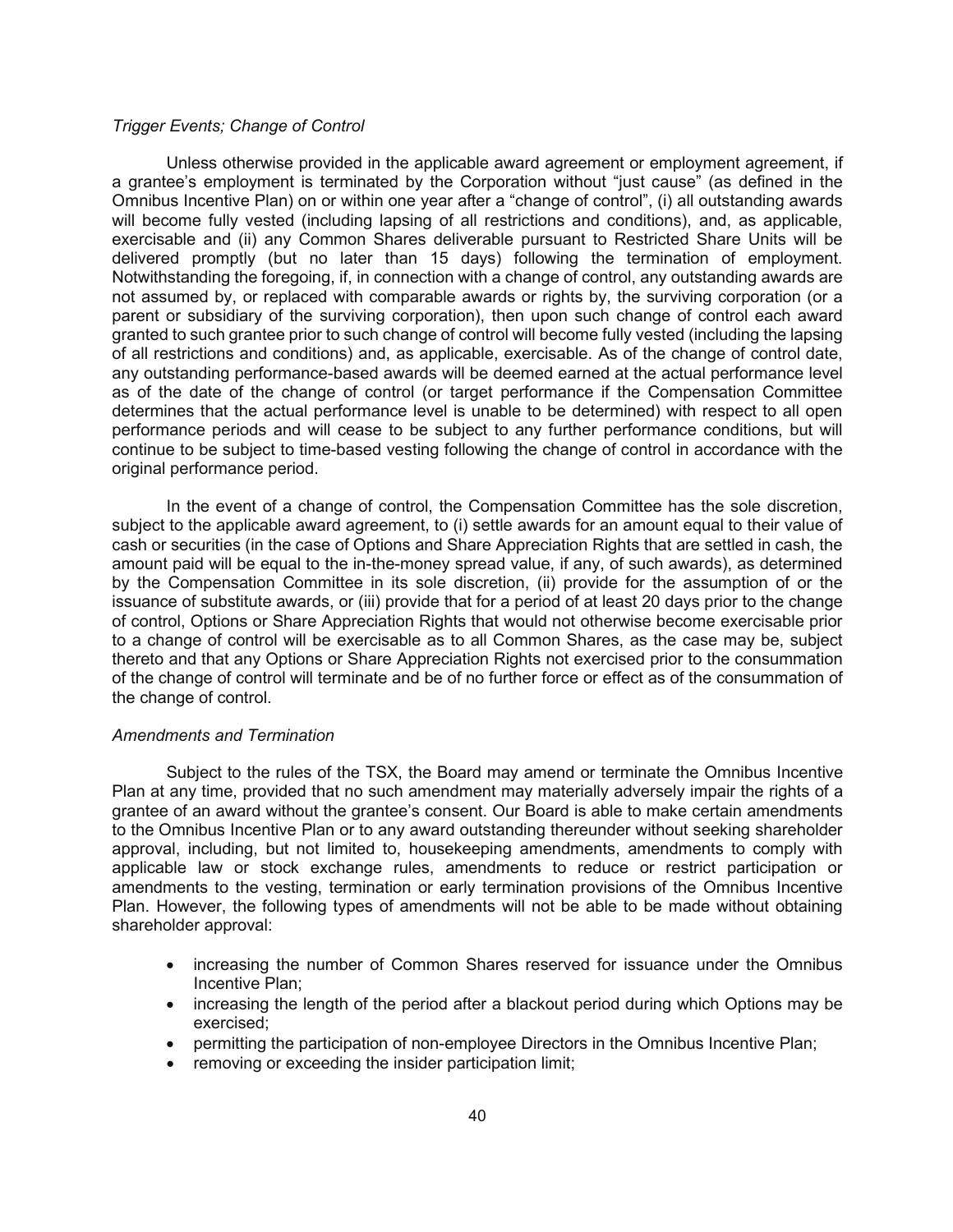#### *Trigger Events; Change of Control*

Unless otherwise provided in the applicable award agreement or employment agreement, if a grantee's employment is terminated by the Corporation without "just cause" (as defined in the Omnibus Incentive Plan) on or within one year after a "change of control", (i) all outstanding awards will become fully vested (including lapsing of all restrictions and conditions), and, as applicable, exercisable and (ii) any Common Shares deliverable pursuant to Restricted Share Units will be delivered promptly (but no later than 15 days) following the termination of employment. Notwithstanding the foregoing, if, in connection with a change of control, any outstanding awards are not assumed by, or replaced with comparable awards or rights by, the surviving corporation (or a parent or subsidiary of the surviving corporation), then upon such change of control each award granted to such grantee prior to such change of control will become fully vested (including the lapsing of all restrictions and conditions) and, as applicable, exercisable. As of the change of control date, any outstanding performance-based awards will be deemed earned at the actual performance level as of the date of the change of control (or target performance if the Compensation Committee determines that the actual performance level is unable to be determined) with respect to all open performance periods and will cease to be subject to any further performance conditions, but will continue to be subject to time-based vesting following the change of control in accordance with the original performance period.

In the event of a change of control, the Compensation Committee has the sole discretion, subject to the applicable award agreement, to (i) settle awards for an amount equal to their value of cash or securities (in the case of Options and Share Appreciation Rights that are settled in cash, the amount paid will be equal to the in-the-money spread value, if any, of such awards), as determined by the Compensation Committee in its sole discretion, (ii) provide for the assumption of or the issuance of substitute awards, or (iii) provide that for a period of at least 20 days prior to the change of control, Options or Share Appreciation Rights that would not otherwise become exercisable prior to a change of control will be exercisable as to all Common Shares, as the case may be, subject thereto and that any Options or Share Appreciation Rights not exercised prior to the consummation of the change of control will terminate and be of no further force or effect as of the consummation of the change of control.

## *Amendments and Termination*

Subject to the rules of the TSX, the Board may amend or terminate the Omnibus Incentive Plan at any time, provided that no such amendment may materially adversely impair the rights of a grantee of an award without the grantee's consent. Our Board is able to make certain amendments to the Omnibus Incentive Plan or to any award outstanding thereunder without seeking shareholder approval, including, but not limited to, housekeeping amendments, amendments to comply with applicable law or stock exchange rules, amendments to reduce or restrict participation or amendments to the vesting, termination or early termination provisions of the Omnibus Incentive Plan. However, the following types of amendments will not be able to be made without obtaining shareholder approval:

- increasing the number of Common Shares reserved for issuance under the Omnibus Incentive Plan;
- increasing the length of the period after a blackout period during which Options may be exercised;
- permitting the participation of non-employee Directors in the Omnibus Incentive Plan;
- removing or exceeding the insider participation limit: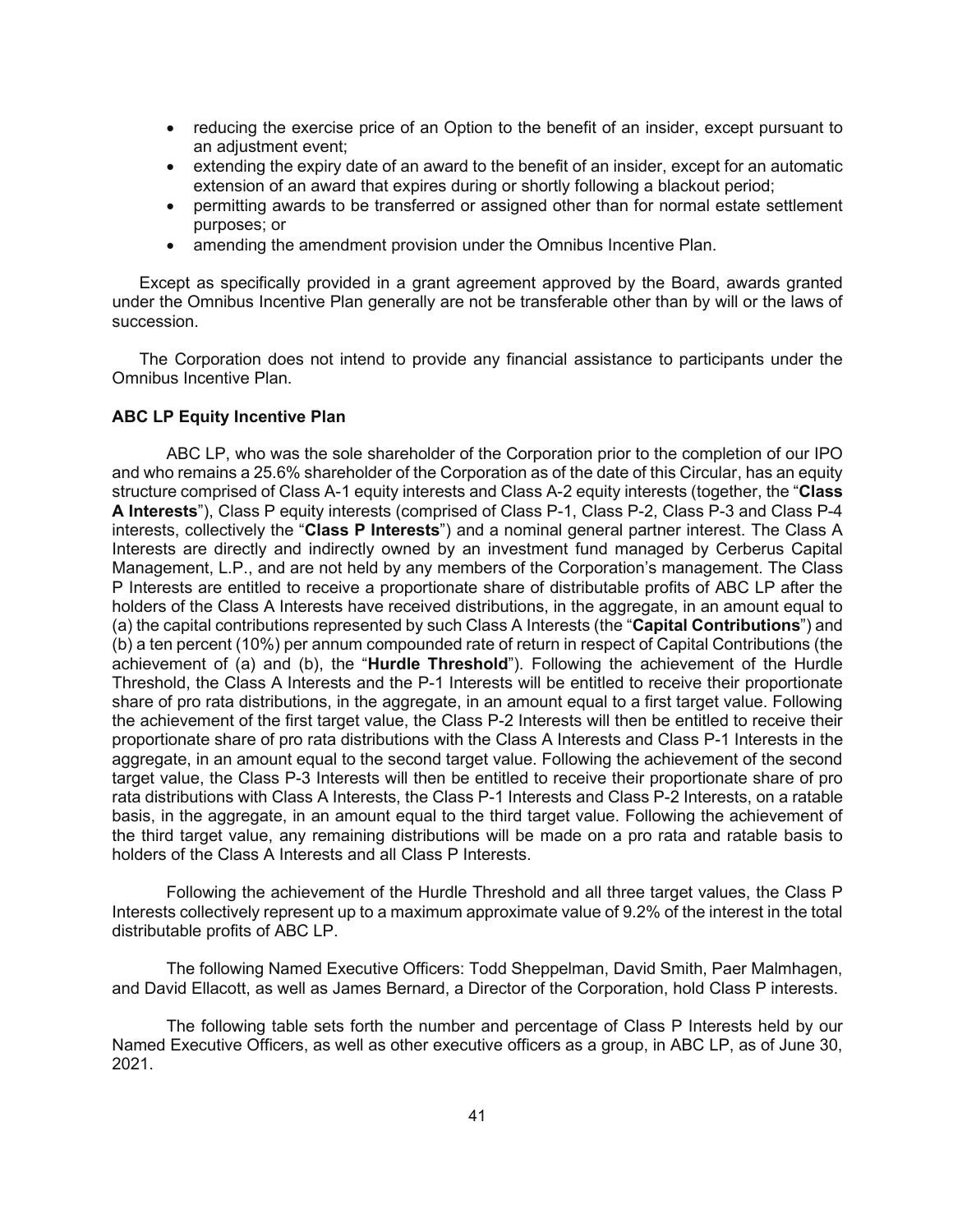- reducing the exercise price of an Option to the benefit of an insider, except pursuant to an adjustment event;
- extending the expiry date of an award to the benefit of an insider, except for an automatic extension of an award that expires during or shortly following a blackout period;
- permitting awards to be transferred or assigned other than for normal estate settlement purposes; or
- amending the amendment provision under the Omnibus Incentive Plan.

Except as specifically provided in a grant agreement approved by the Board, awards granted under the Omnibus Incentive Plan generally are not be transferable other than by will or the laws of succession.

The Corporation does not intend to provide any financial assistance to participants under the Omnibus Incentive Plan.

### **ABC LP Equity Incentive Plan**

ABC LP, who was the sole shareholder of the Corporation prior to the completion of our IPO and who remains a 25.6% shareholder of the Corporation as of the date of this Circular, has an equity structure comprised of Class A-1 equity interests and Class A-2 equity interests (together, the "**Class A Interests**"), Class P equity interests (comprised of Class P-1, Class P-2, Class P-3 and Class P-4 interests, collectively the "**Class P Interests**") and a nominal general partner interest. The Class A Interests are directly and indirectly owned by an investment fund managed by Cerberus Capital Management, L.P., and are not held by any members of the Corporation's management. The Class P Interests are entitled to receive a proportionate share of distributable profits of ABC LP after the holders of the Class A Interests have received distributions, in the aggregate, in an amount equal to (a) the capital contributions represented by such Class A Interests (the "**Capital Contributions**") and (b) a ten percent (10%) per annum compounded rate of return in respect of Capital Contributions (the achievement of (a) and (b), the "**Hurdle Threshold**"). Following the achievement of the Hurdle Threshold, the Class A Interests and the P-1 Interests will be entitled to receive their proportionate share of pro rata distributions, in the aggregate, in an amount equal to a first target value. Following the achievement of the first target value, the Class P-2 Interests will then be entitled to receive their proportionate share of pro rata distributions with the Class A Interests and Class P-1 Interests in the aggregate, in an amount equal to the second target value. Following the achievement of the second target value, the Class P-3 Interests will then be entitled to receive their proportionate share of pro rata distributions with Class A Interests, the Class P-1 Interests and Class P-2 Interests, on a ratable basis, in the aggregate, in an amount equal to the third target value. Following the achievement of the third target value, any remaining distributions will be made on a pro rata and ratable basis to holders of the Class A Interests and all Class P Interests.

Following the achievement of the Hurdle Threshold and all three target values, the Class P Interests collectively represent up to a maximum approximate value of 9.2% of the interest in the total distributable profits of ABC LP.

The following Named Executive Officers: Todd Sheppelman, David Smith, Paer Malmhagen, and David Ellacott, as well as James Bernard, a Director of the Corporation, hold Class P interests.

The following table sets forth the number and percentage of Class P Interests held by our Named Executive Officers, as well as other executive officers as a group, in ABC LP, as of June 30, 2021.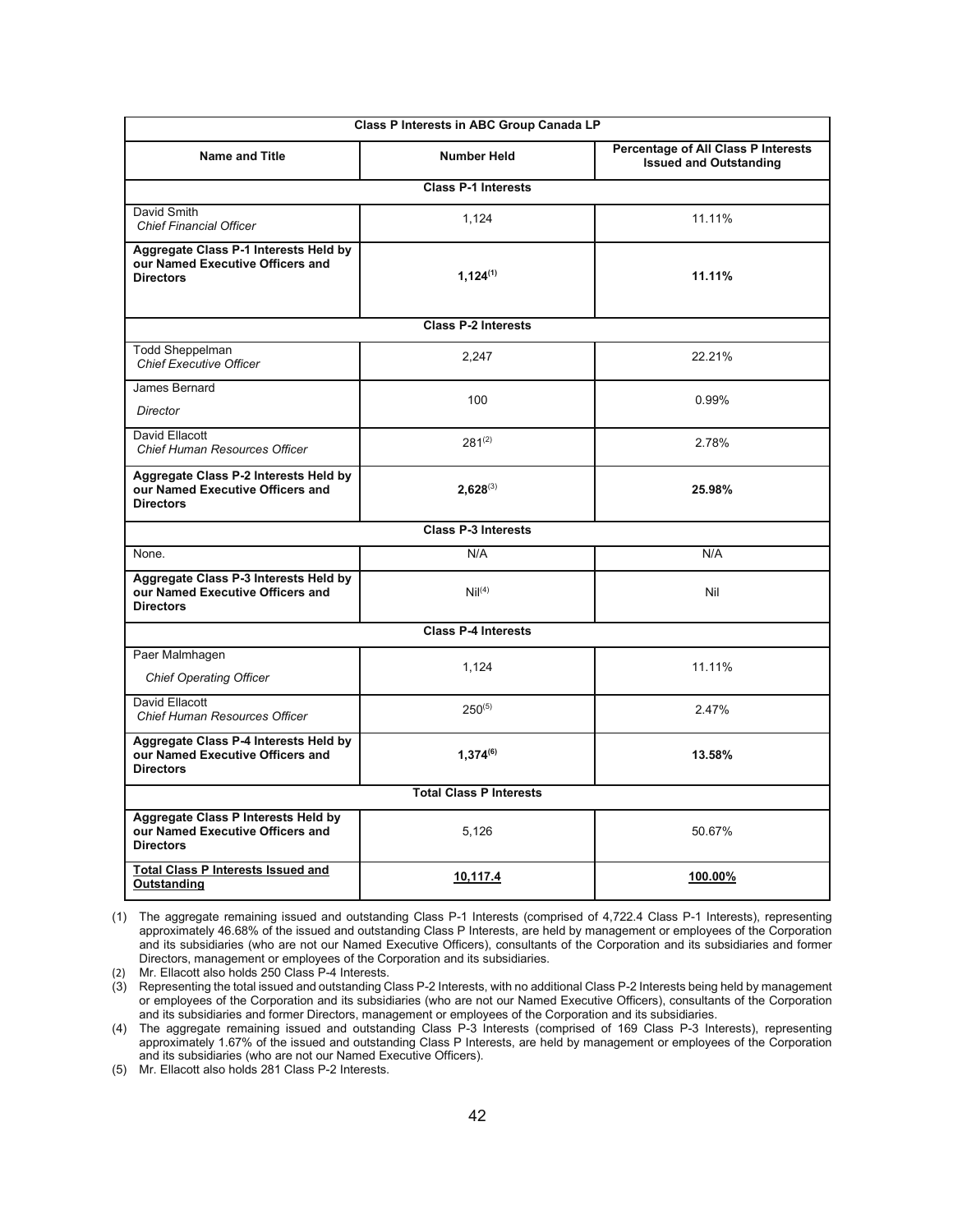| Class P Interests in ABC Group Canada LP                                                      |                            |                                                                             |  |  |  |
|-----------------------------------------------------------------------------------------------|----------------------------|-----------------------------------------------------------------------------|--|--|--|
| <b>Name and Title</b>                                                                         | <b>Number Held</b>         | <b>Percentage of All Class P Interests</b><br><b>Issued and Outstanding</b> |  |  |  |
|                                                                                               | <b>Class P-1 Interests</b> |                                                                             |  |  |  |
| David Smith<br><b>Chief Financial Officer</b>                                                 | 1,124                      | 11.11%                                                                      |  |  |  |
| Aggregate Class P-1 Interests Held by<br>our Named Executive Officers and<br><b>Directors</b> | $1,124^{(1)}$              | 11.11%                                                                      |  |  |  |
|                                                                                               | <b>Class P-2 Interests</b> |                                                                             |  |  |  |
| <b>Todd Sheppelman</b><br><b>Chief Executive Officer</b>                                      | 2,247                      | 22.21%                                                                      |  |  |  |
| James Bernard<br><b>Director</b>                                                              | 100                        | 0.99%                                                                       |  |  |  |
| David Ellacott<br>Chief Human Resources Officer                                               | $281^{(2)}$                | 2.78%                                                                       |  |  |  |
| Aggregate Class P-2 Interests Held by<br>our Named Executive Officers and<br><b>Directors</b> | $2,628^{(3)}$              | 25.98%                                                                      |  |  |  |
|                                                                                               | <b>Class P-3 Interests</b> |                                                                             |  |  |  |
| None.                                                                                         | N/A                        | N/A                                                                         |  |  |  |
| Aggregate Class P-3 Interests Held by<br>our Named Executive Officers and<br><b>Directors</b> | Nil <sup>(4)</sup>         | Nil                                                                         |  |  |  |
|                                                                                               | <b>Class P-4 Interests</b> |                                                                             |  |  |  |
| Paer Malmhagen<br><b>Chief Operating Officer</b>                                              | 1,124                      | 11.11%                                                                      |  |  |  |
| David Ellacott<br>Chief Human Resources Officer                                               | $250^{(5)}$                | 2.47%                                                                       |  |  |  |
| Aggregate Class P-4 Interests Held by<br>our Named Executive Officers and<br><b>Directors</b> | $1,374^{(6)}$              | 13.58%                                                                      |  |  |  |
| <b>Total Class P Interests</b>                                                                |                            |                                                                             |  |  |  |
| Aggregate Class P Interests Held by<br>our Named Executive Officers and<br><b>Directors</b>   | 5,126                      | 50.67%                                                                      |  |  |  |
| <b>Total Class P Interests Issued and</b><br>Outstanding                                      | 10,117.4                   | 100.00%                                                                     |  |  |  |

(1) The aggregate remaining issued and outstanding Class P-1 Interests (comprised of 4,722.4 Class P-1 Interests), representing approximately 46.68% of the issued and outstanding Class P Interests, are held by management or employees of the Corporation and its subsidiaries (who are not our Named Executive Officers), consultants of the Corporation and its subsidiaries and former Directors, management or employees of the Corporation and its subsidiaries.

(2) Mr. Ellacott also holds 250 Class P-4 Interests.

(3) Representing the total issued and outstanding Class P-2 Interests, with no additional Class P-2 Interests being held by management or employees of the Corporation and its subsidiaries (who are not our Named Executive Officers), consultants of the Corporation and its subsidiaries and former Directors, management or employees of the Corporation and its subsidiaries.

(4) The aggregate remaining issued and outstanding Class P-3 Interests (comprised of 169 Class P-3 Interests), representing approximately 1.67% of the issued and outstanding Class P Interests, are held by management or employees of the Corporation and its subsidiaries (who are not our Named Executive Officers).

(5) Mr. Ellacott also holds 281 Class P-2 Interests.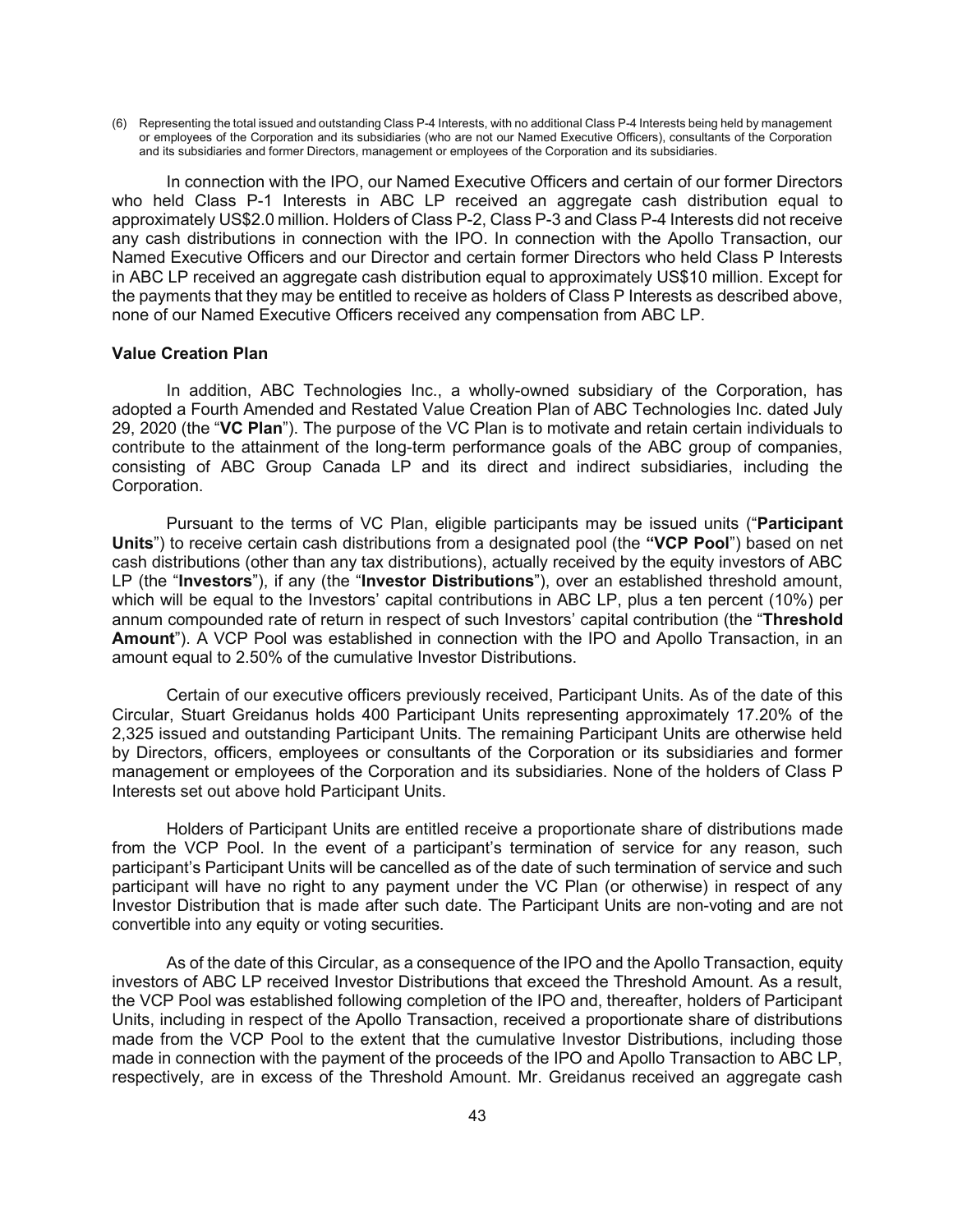(6) Representing the total issued and outstanding Class P-4 Interests, with no additional Class P-4 Interests being held by management or employees of the Corporation and its subsidiaries (who are not our Named Executive Officers), consultants of the Corporation and its subsidiaries and former Directors, management or employees of the Corporation and its subsidiaries.

In connection with the IPO, our Named Executive Officers and certain of our former Directors who held Class P-1 Interests in ABC LP received an aggregate cash distribution equal to approximately US\$2.0 million. Holders of Class P-2, Class P-3 and Class P-4 Interests did not receive any cash distributions in connection with the IPO. In connection with the Apollo Transaction, our Named Executive Officers and our Director and certain former Directors who held Class P Interests in ABC LP received an aggregate cash distribution equal to approximately US\$10 million. Except for the payments that they may be entitled to receive as holders of Class P Interests as described above, none of our Named Executive Officers received any compensation from ABC LP.

#### **Value Creation Plan**

In addition, ABC Technologies Inc., a wholly-owned subsidiary of the Corporation, has adopted a Fourth Amended and Restated Value Creation Plan of ABC Technologies Inc. dated July 29, 2020 (the "**VC Plan**"). The purpose of the VC Plan is to motivate and retain certain individuals to contribute to the attainment of the long-term performance goals of the ABC group of companies, consisting of ABC Group Canada LP and its direct and indirect subsidiaries, including the Corporation.

Pursuant to the terms of VC Plan, eligible participants may be issued units ("**Participant Units**") to receive certain cash distributions from a designated pool (the **"VCP Pool**") based on net cash distributions (other than any tax distributions), actually received by the equity investors of ABC LP (the "**Investors**"), if any (the "**Investor Distributions**"), over an established threshold amount, which will be equal to the Investors' capital contributions in ABC LP, plus a ten percent (10%) per annum compounded rate of return in respect of such Investors' capital contribution (the "**Threshold Amount**"). A VCP Pool was established in connection with the IPO and Apollo Transaction, in an amount equal to 2.50% of the cumulative Investor Distributions.

Certain of our executive officers previously received, Participant Units. As of the date of this Circular, Stuart Greidanus holds 400 Participant Units representing approximately 17.20% of the 2,325 issued and outstanding Participant Units. The remaining Participant Units are otherwise held by Directors, officers, employees or consultants of the Corporation or its subsidiaries and former management or employees of the Corporation and its subsidiaries. None of the holders of Class P Interests set out above hold Participant Units.

Holders of Participant Units are entitled receive a proportionate share of distributions made from the VCP Pool. In the event of a participant's termination of service for any reason, such participant's Participant Units will be cancelled as of the date of such termination of service and such participant will have no right to any payment under the VC Plan (or otherwise) in respect of any Investor Distribution that is made after such date. The Participant Units are non-voting and are not convertible into any equity or voting securities.

As of the date of this Circular, as a consequence of the IPO and the Apollo Transaction, equity investors of ABC LP received Investor Distributions that exceed the Threshold Amount. As a result, the VCP Pool was established following completion of the IPO and, thereafter, holders of Participant Units, including in respect of the Apollo Transaction, received a proportionate share of distributions made from the VCP Pool to the extent that the cumulative Investor Distributions, including those made in connection with the payment of the proceeds of the IPO and Apollo Transaction to ABC LP, respectively, are in excess of the Threshold Amount. Mr. Greidanus received an aggregate cash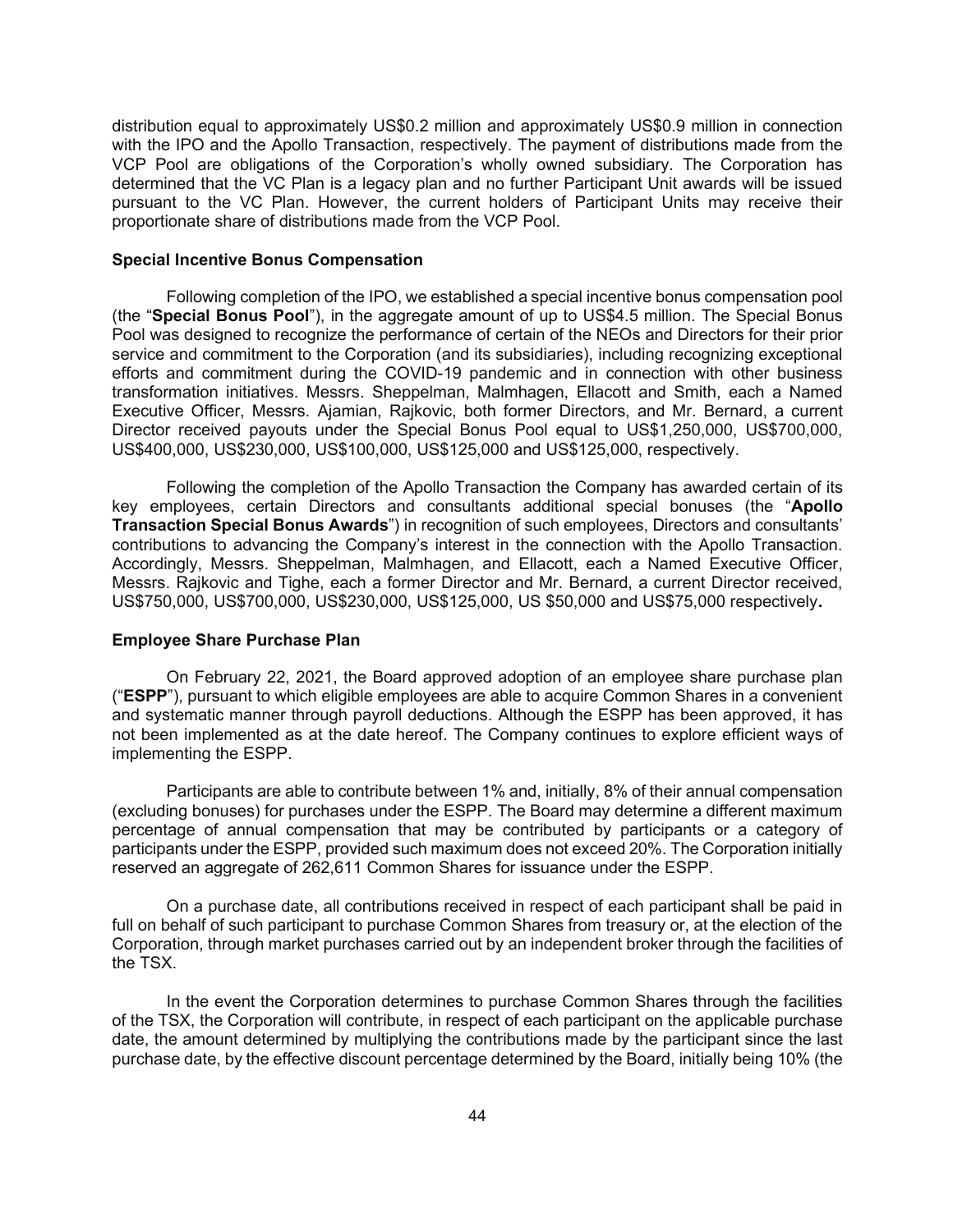distribution equal to approximately US\$0.2 million and approximately US\$0.9 million in connection with the IPO and the Apollo Transaction, respectively. The payment of distributions made from the VCP Pool are obligations of the Corporation's wholly owned subsidiary. The Corporation has determined that the VC Plan is a legacy plan and no further Participant Unit awards will be issued pursuant to the VC Plan. However, the current holders of Participant Units may receive their proportionate share of distributions made from the VCP Pool.

#### **Special Incentive Bonus Compensation**

Following completion of the IPO, we established a special incentive bonus compensation pool (the "**Special Bonus Pool**"), in the aggregate amount of up to US\$4.5 million. The Special Bonus Pool was designed to recognize the performance of certain of the NEOs and Directors for their prior service and commitment to the Corporation (and its subsidiaries), including recognizing exceptional efforts and commitment during the COVID-19 pandemic and in connection with other business transformation initiatives. Messrs. Sheppelman, Malmhagen, Ellacott and Smith, each a Named Executive Officer, Messrs. Ajamian, Rajkovic, both former Directors, and Mr. Bernard, a current Director received payouts under the Special Bonus Pool equal to US\$1,250,000, US\$700,000, US\$400,000, US\$230,000, US\$100,000, US\$125,000 and US\$125,000, respectively.

Following the completion of the Apollo Transaction the Company has awarded certain of its key employees, certain Directors and consultants additional special bonuses (the "**Apollo Transaction Special Bonus Awards**") in recognition of such employees, Directors and consultants' contributions to advancing the Company's interest in the connection with the Apollo Transaction. Accordingly, Messrs. Sheppelman, Malmhagen, and Ellacott, each a Named Executive Officer, Messrs. Rajkovic and Tighe, each a former Director and Mr. Bernard, a current Director received, US\$750,000, US\$700,000, US\$230,000, US\$125,000, US \$50,000 and US\$75,000 respectively**.**

### **Employee Share Purchase Plan**

On February 22, 2021, the Board approved adoption of an employee share purchase plan ("**ESPP**"), pursuant to which eligible employees are able to acquire Common Shares in a convenient and systematic manner through payroll deductions. Although the ESPP has been approved, it has not been implemented as at the date hereof. The Company continues to explore efficient ways of implementing the ESPP.

Participants are able to contribute between 1% and, initially, 8% of their annual compensation (excluding bonuses) for purchases under the ESPP. The Board may determine a different maximum percentage of annual compensation that may be contributed by participants or a category of participants under the ESPP, provided such maximum does not exceed 20%. The Corporation initially reserved an aggregate of 262,611 Common Shares for issuance under the ESPP.

On a purchase date, all contributions received in respect of each participant shall be paid in full on behalf of such participant to purchase Common Shares from treasury or, at the election of the Corporation, through market purchases carried out by an independent broker through the facilities of the TSX.

In the event the Corporation determines to purchase Common Shares through the facilities of the TSX, the Corporation will contribute, in respect of each participant on the applicable purchase date, the amount determined by multiplying the contributions made by the participant since the last purchase date, by the effective discount percentage determined by the Board, initially being 10% (the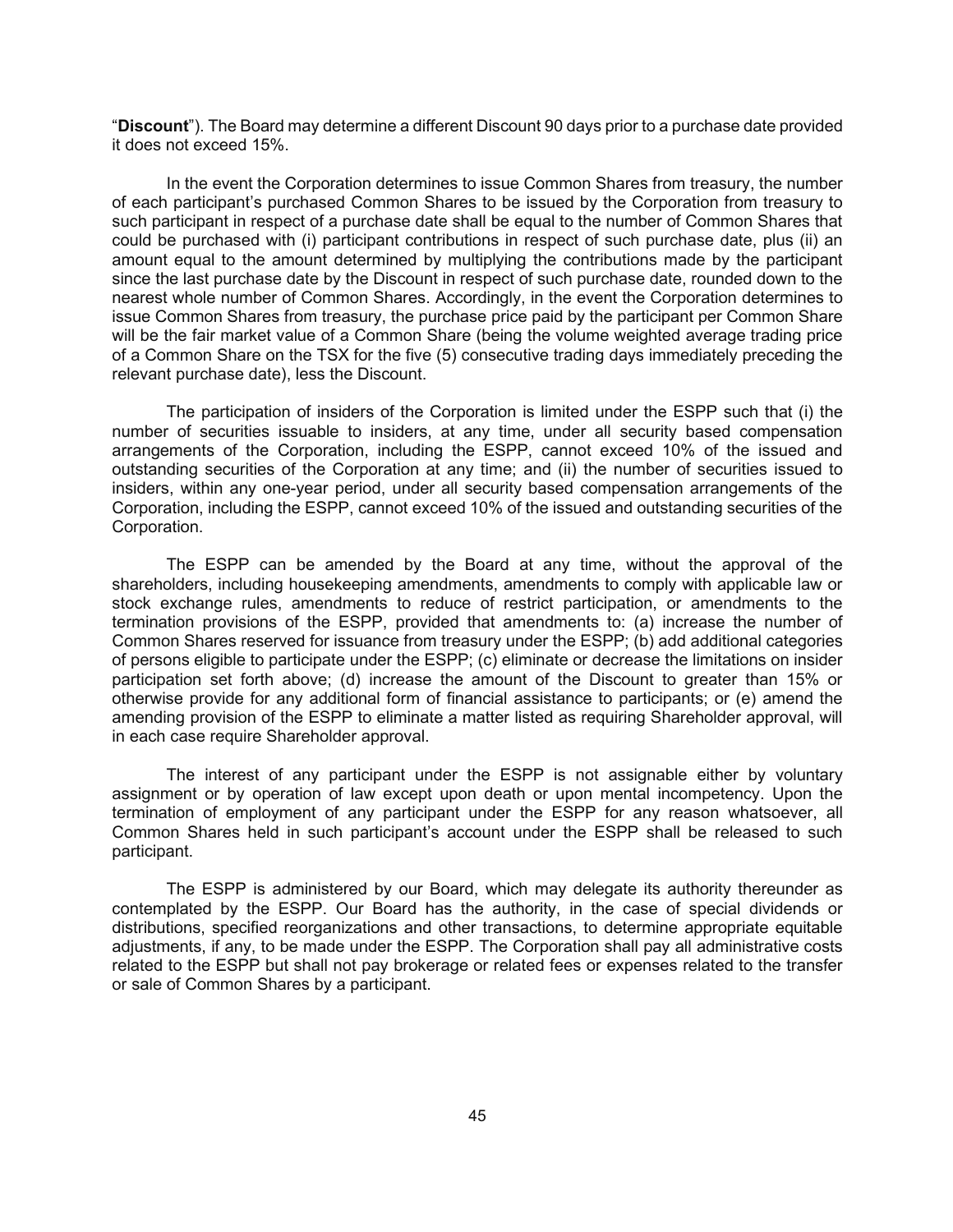"**Discount**"). The Board may determine a different Discount 90 days prior to a purchase date provided it does not exceed 15%.

In the event the Corporation determines to issue Common Shares from treasury, the number of each participant's purchased Common Shares to be issued by the Corporation from treasury to such participant in respect of a purchase date shall be equal to the number of Common Shares that could be purchased with (i) participant contributions in respect of such purchase date, plus (ii) an amount equal to the amount determined by multiplying the contributions made by the participant since the last purchase date by the Discount in respect of such purchase date, rounded down to the nearest whole number of Common Shares. Accordingly, in the event the Corporation determines to issue Common Shares from treasury, the purchase price paid by the participant per Common Share will be the fair market value of a Common Share (being the volume weighted average trading price of a Common Share on the TSX for the five (5) consecutive trading days immediately preceding the relevant purchase date), less the Discount.

The participation of insiders of the Corporation is limited under the ESPP such that (i) the number of securities issuable to insiders, at any time, under all security based compensation arrangements of the Corporation, including the ESPP, cannot exceed 10% of the issued and outstanding securities of the Corporation at any time; and (ii) the number of securities issued to insiders, within any one-year period, under all security based compensation arrangements of the Corporation, including the ESPP, cannot exceed 10% of the issued and outstanding securities of the Corporation.

The ESPP can be amended by the Board at any time, without the approval of the shareholders, including housekeeping amendments, amendments to comply with applicable law or stock exchange rules, amendments to reduce of restrict participation, or amendments to the termination provisions of the ESPP, provided that amendments to: (a) increase the number of Common Shares reserved for issuance from treasury under the ESPP; (b) add additional categories of persons eligible to participate under the ESPP; (c) eliminate or decrease the limitations on insider participation set forth above; (d) increase the amount of the Discount to greater than 15% or otherwise provide for any additional form of financial assistance to participants; or (e) amend the amending provision of the ESPP to eliminate a matter listed as requiring Shareholder approval, will in each case require Shareholder approval.

The interest of any participant under the ESPP is not assignable either by voluntary assignment or by operation of law except upon death or upon mental incompetency. Upon the termination of employment of any participant under the ESPP for any reason whatsoever, all Common Shares held in such participant's account under the ESPP shall be released to such participant.

The ESPP is administered by our Board, which may delegate its authority thereunder as contemplated by the ESPP. Our Board has the authority, in the case of special dividends or distributions, specified reorganizations and other transactions, to determine appropriate equitable adjustments, if any, to be made under the ESPP. The Corporation shall pay all administrative costs related to the ESPP but shall not pay brokerage or related fees or expenses related to the transfer or sale of Common Shares by a participant.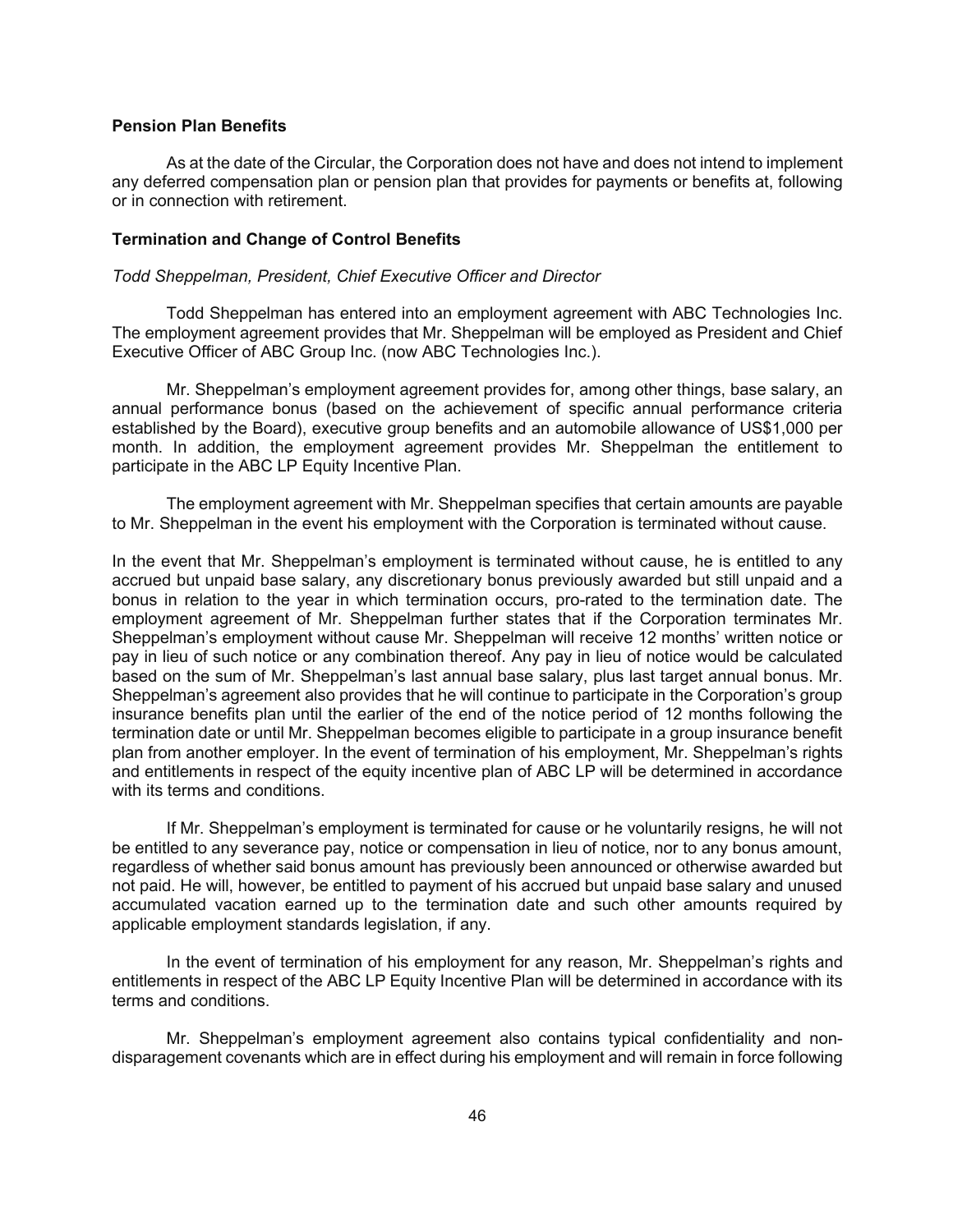#### **Pension Plan Benefits**

As at the date of the Circular, the Corporation does not have and does not intend to implement any deferred compensation plan or pension plan that provides for payments or benefits at, following or in connection with retirement.

### **Termination and Change of Control Benefits**

### *Todd Sheppelman, President, Chief Executive Officer and Director*

Todd Sheppelman has entered into an employment agreement with ABC Technologies Inc. The employment agreement provides that Mr. Sheppelman will be employed as President and Chief Executive Officer of ABC Group Inc. (now ABC Technologies Inc.).

Mr. Sheppelman's employment agreement provides for, among other things, base salary, an annual performance bonus (based on the achievement of specific annual performance criteria established by the Board), executive group benefits and an automobile allowance of US\$1,000 per month. In addition, the employment agreement provides Mr. Sheppelman the entitlement to participate in the ABC LP Equity Incentive Plan.

The employment agreement with Mr. Sheppelman specifies that certain amounts are payable to Mr. Sheppelman in the event his employment with the Corporation is terminated without cause.

In the event that Mr. Sheppelman's employment is terminated without cause, he is entitled to any accrued but unpaid base salary, any discretionary bonus previously awarded but still unpaid and a bonus in relation to the year in which termination occurs, pro-rated to the termination date. The employment agreement of Mr. Sheppelman further states that if the Corporation terminates Mr. Sheppelman's employment without cause Mr. Sheppelman will receive 12 months' written notice or pay in lieu of such notice or any combination thereof. Any pay in lieu of notice would be calculated based on the sum of Mr. Sheppelman's last annual base salary, plus last target annual bonus. Mr. Sheppelman's agreement also provides that he will continue to participate in the Corporation's group insurance benefits plan until the earlier of the end of the notice period of 12 months following the termination date or until Mr. Sheppelman becomes eligible to participate in a group insurance benefit plan from another employer. In the event of termination of his employment, Mr. Sheppelman's rights and entitlements in respect of the equity incentive plan of ABC LP will be determined in accordance with its terms and conditions.

If Mr. Sheppelman's employment is terminated for cause or he voluntarily resigns, he will not be entitled to any severance pay, notice or compensation in lieu of notice, nor to any bonus amount, regardless of whether said bonus amount has previously been announced or otherwise awarded but not paid. He will, however, be entitled to payment of his accrued but unpaid base salary and unused accumulated vacation earned up to the termination date and such other amounts required by applicable employment standards legislation, if any.

In the event of termination of his employment for any reason, Mr. Sheppelman's rights and entitlements in respect of the ABC LP Equity Incentive Plan will be determined in accordance with its terms and conditions.

Mr. Sheppelman's employment agreement also contains typical confidentiality and nondisparagement covenants which are in effect during his employment and will remain in force following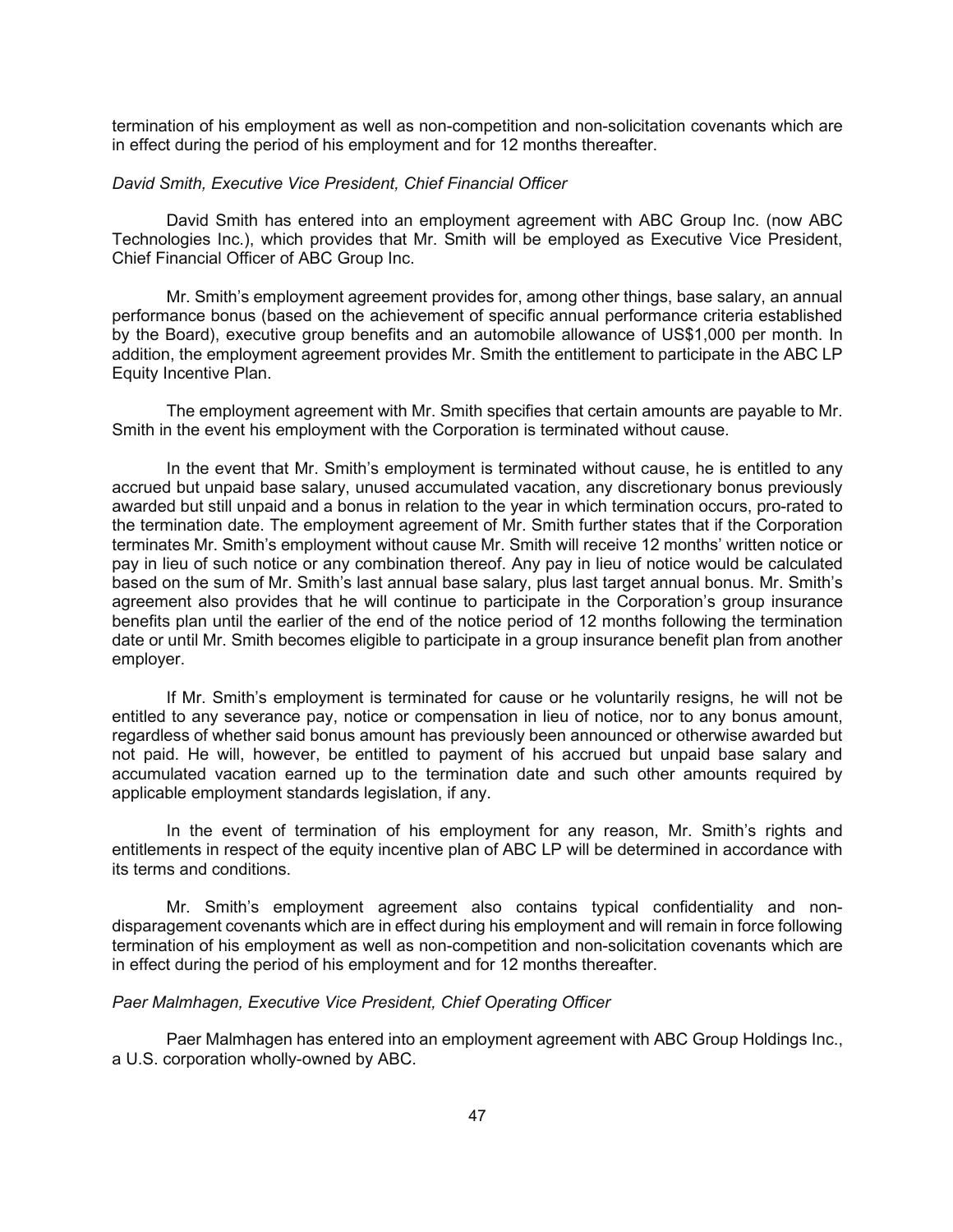termination of his employment as well as non-competition and non-solicitation covenants which are in effect during the period of his employment and for 12 months thereafter.

#### *David Smith, Executive Vice President, Chief Financial Officer*

David Smith has entered into an employment agreement with ABC Group Inc. (now ABC Technologies Inc.), which provides that Mr. Smith will be employed as Executive Vice President, Chief Financial Officer of ABC Group Inc.

Mr. Smith's employment agreement provides for, among other things, base salary, an annual performance bonus (based on the achievement of specific annual performance criteria established by the Board), executive group benefits and an automobile allowance of US\$1,000 per month. In addition, the employment agreement provides Mr. Smith the entitlement to participate in the ABC LP Equity Incentive Plan.

The employment agreement with Mr. Smith specifies that certain amounts are payable to Mr. Smith in the event his employment with the Corporation is terminated without cause.

In the event that Mr. Smith's employment is terminated without cause, he is entitled to any accrued but unpaid base salary, unused accumulated vacation, any discretionary bonus previously awarded but still unpaid and a bonus in relation to the year in which termination occurs, pro-rated to the termination date. The employment agreement of Mr. Smith further states that if the Corporation terminates Mr. Smith's employment without cause Mr. Smith will receive 12 months' written notice or pay in lieu of such notice or any combination thereof. Any pay in lieu of notice would be calculated based on the sum of Mr. Smith's last annual base salary, plus last target annual bonus. Mr. Smith's agreement also provides that he will continue to participate in the Corporation's group insurance benefits plan until the earlier of the end of the notice period of 12 months following the termination date or until Mr. Smith becomes eligible to participate in a group insurance benefit plan from another employer.

If Mr. Smith's employment is terminated for cause or he voluntarily resigns, he will not be entitled to any severance pay, notice or compensation in lieu of notice, nor to any bonus amount, regardless of whether said bonus amount has previously been announced or otherwise awarded but not paid. He will, however, be entitled to payment of his accrued but unpaid base salary and accumulated vacation earned up to the termination date and such other amounts required by applicable employment standards legislation, if any.

In the event of termination of his employment for any reason, Mr. Smith's rights and entitlements in respect of the equity incentive plan of ABC LP will be determined in accordance with its terms and conditions.

Mr. Smith's employment agreement also contains typical confidentiality and nondisparagement covenants which are in effect during his employment and will remain in force following termination of his employment as well as non-competition and non-solicitation covenants which are in effect during the period of his employment and for 12 months thereafter.

#### *Paer Malmhagen, Executive Vice President, Chief Operating Officer*

Paer Malmhagen has entered into an employment agreement with ABC Group Holdings Inc., a U.S. corporation wholly-owned by ABC.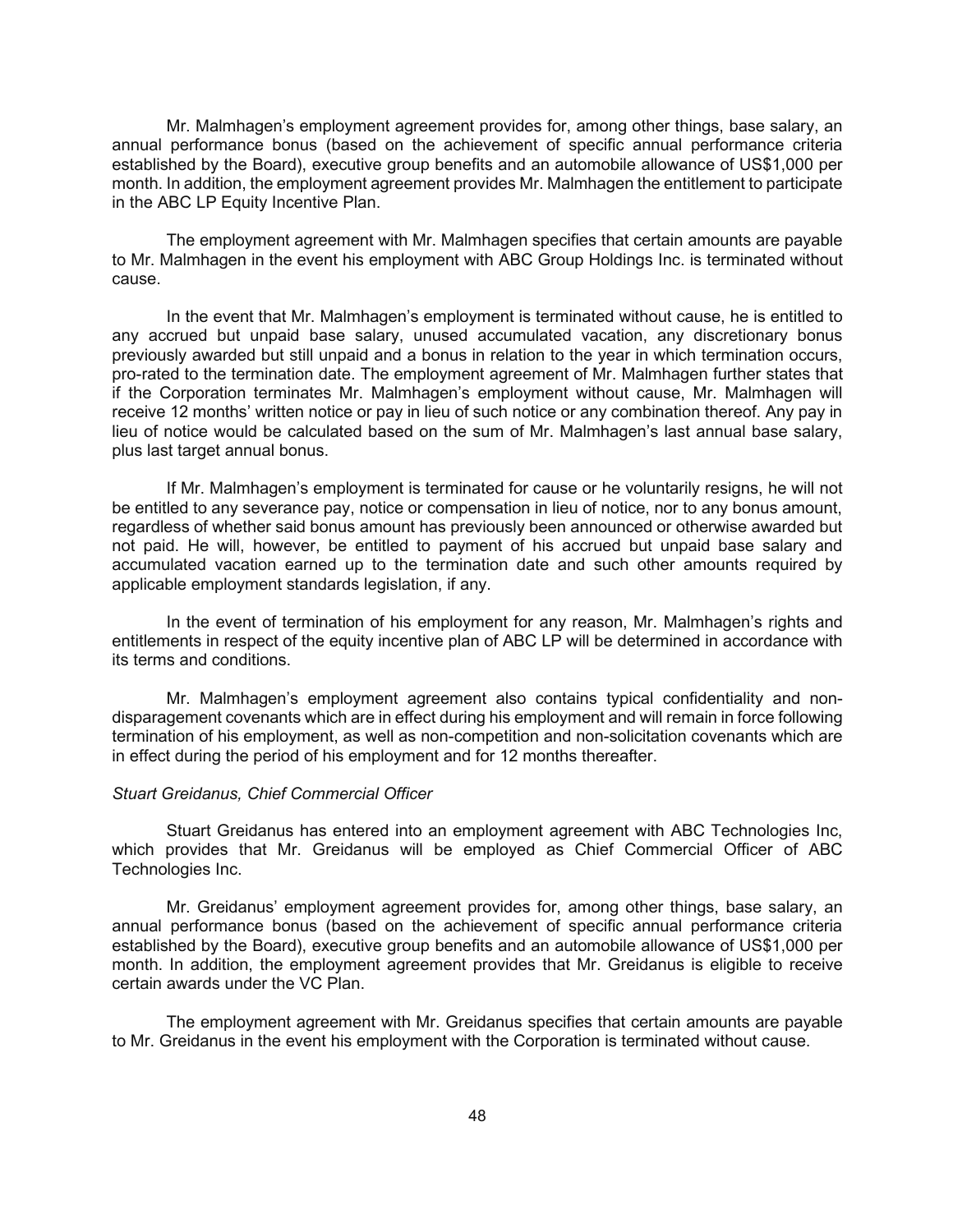Mr. Malmhagen's employment agreement provides for, among other things, base salary, an annual performance bonus (based on the achievement of specific annual performance criteria established by the Board), executive group benefits and an automobile allowance of US\$1,000 per month. In addition, the employment agreement provides Mr. Malmhagen the entitlement to participate in the ABC LP Equity Incentive Plan.

The employment agreement with Mr. Malmhagen specifies that certain amounts are payable to Mr. Malmhagen in the event his employment with ABC Group Holdings Inc. is terminated without cause.

In the event that Mr. Malmhagen's employment is terminated without cause, he is entitled to any accrued but unpaid base salary, unused accumulated vacation, any discretionary bonus previously awarded but still unpaid and a bonus in relation to the year in which termination occurs, pro-rated to the termination date. The employment agreement of Mr. Malmhagen further states that if the Corporation terminates Mr. Malmhagen's employment without cause, Mr. Malmhagen will receive 12 months' written notice or pay in lieu of such notice or any combination thereof. Any pay in lieu of notice would be calculated based on the sum of Mr. Malmhagen's last annual base salary, plus last target annual bonus.

If Mr. Malmhagen's employment is terminated for cause or he voluntarily resigns, he will not be entitled to any severance pay, notice or compensation in lieu of notice, nor to any bonus amount, regardless of whether said bonus amount has previously been announced or otherwise awarded but not paid. He will, however, be entitled to payment of his accrued but unpaid base salary and accumulated vacation earned up to the termination date and such other amounts required by applicable employment standards legislation, if any.

In the event of termination of his employment for any reason, Mr. Malmhagen's rights and entitlements in respect of the equity incentive plan of ABC LP will be determined in accordance with its terms and conditions.

Mr. Malmhagen's employment agreement also contains typical confidentiality and nondisparagement covenants which are in effect during his employment and will remain in force following termination of his employment, as well as non-competition and non-solicitation covenants which are in effect during the period of his employment and for 12 months thereafter.

### *Stuart Greidanus, Chief Commercial Officer*

Stuart Greidanus has entered into an employment agreement with ABC Technologies Inc, which provides that Mr. Greidanus will be employed as Chief Commercial Officer of ABC Technologies Inc.

Mr. Greidanus' employment agreement provides for, among other things, base salary, an annual performance bonus (based on the achievement of specific annual performance criteria established by the Board), executive group benefits and an automobile allowance of US\$1,000 per month. In addition, the employment agreement provides that Mr. Greidanus is eligible to receive certain awards under the VC Plan.

The employment agreement with Mr. Greidanus specifies that certain amounts are payable to Mr. Greidanus in the event his employment with the Corporation is terminated without cause.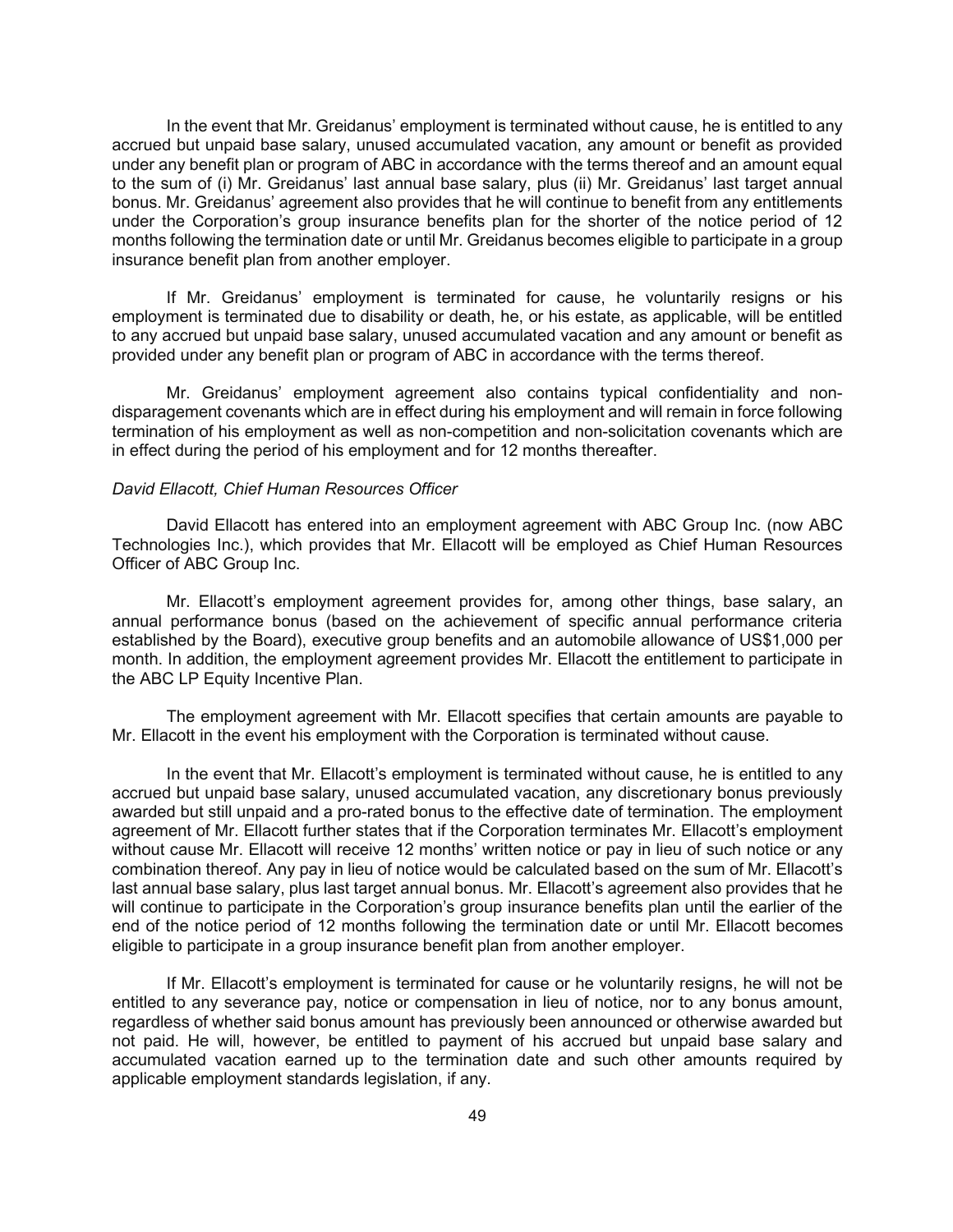In the event that Mr. Greidanus' employment is terminated without cause, he is entitled to any accrued but unpaid base salary, unused accumulated vacation, any amount or benefit as provided under any benefit plan or program of ABC in accordance with the terms thereof and an amount equal to the sum of (i) Mr. Greidanus' last annual base salary, plus (ii) Mr. Greidanus' last target annual bonus. Mr. Greidanus' agreement also provides that he will continue to benefit from any entitlements under the Corporation's group insurance benefits plan for the shorter of the notice period of 12 months following the termination date or until Mr. Greidanus becomes eligible to participate in a group insurance benefit plan from another employer.

If Mr. Greidanus' employment is terminated for cause, he voluntarily resigns or his employment is terminated due to disability or death, he, or his estate, as applicable, will be entitled to any accrued but unpaid base salary, unused accumulated vacation and any amount or benefit as provided under any benefit plan or program of ABC in accordance with the terms thereof.

Mr. Greidanus' employment agreement also contains typical confidentiality and nondisparagement covenants which are in effect during his employment and will remain in force following termination of his employment as well as non-competition and non-solicitation covenants which are in effect during the period of his employment and for 12 months thereafter.

#### *David Ellacott, Chief Human Resources Officer*

David Ellacott has entered into an employment agreement with ABC Group Inc. (now ABC Technologies Inc.), which provides that Mr. Ellacott will be employed as Chief Human Resources Officer of ABC Group Inc.

Mr. Ellacott's employment agreement provides for, among other things, base salary, an annual performance bonus (based on the achievement of specific annual performance criteria established by the Board), executive group benefits and an automobile allowance of US\$1,000 per month. In addition, the employment agreement provides Mr. Ellacott the entitlement to participate in the ABC LP Equity Incentive Plan.

The employment agreement with Mr. Ellacott specifies that certain amounts are payable to Mr. Ellacott in the event his employment with the Corporation is terminated without cause.

In the event that Mr. Ellacott's employment is terminated without cause, he is entitled to any accrued but unpaid base salary, unused accumulated vacation, any discretionary bonus previously awarded but still unpaid and a pro-rated bonus to the effective date of termination. The employment agreement of Mr. Ellacott further states that if the Corporation terminates Mr. Ellacott's employment without cause Mr. Ellacott will receive 12 months' written notice or pay in lieu of such notice or any combination thereof. Any pay in lieu of notice would be calculated based on the sum of Mr. Ellacott's last annual base salary, plus last target annual bonus. Mr. Ellacott's agreement also provides that he will continue to participate in the Corporation's group insurance benefits plan until the earlier of the end of the notice period of 12 months following the termination date or until Mr. Ellacott becomes eligible to participate in a group insurance benefit plan from another employer.

If Mr. Ellacott's employment is terminated for cause or he voluntarily resigns, he will not be entitled to any severance pay, notice or compensation in lieu of notice, nor to any bonus amount, regardless of whether said bonus amount has previously been announced or otherwise awarded but not paid. He will, however, be entitled to payment of his accrued but unpaid base salary and accumulated vacation earned up to the termination date and such other amounts required by applicable employment standards legislation, if any.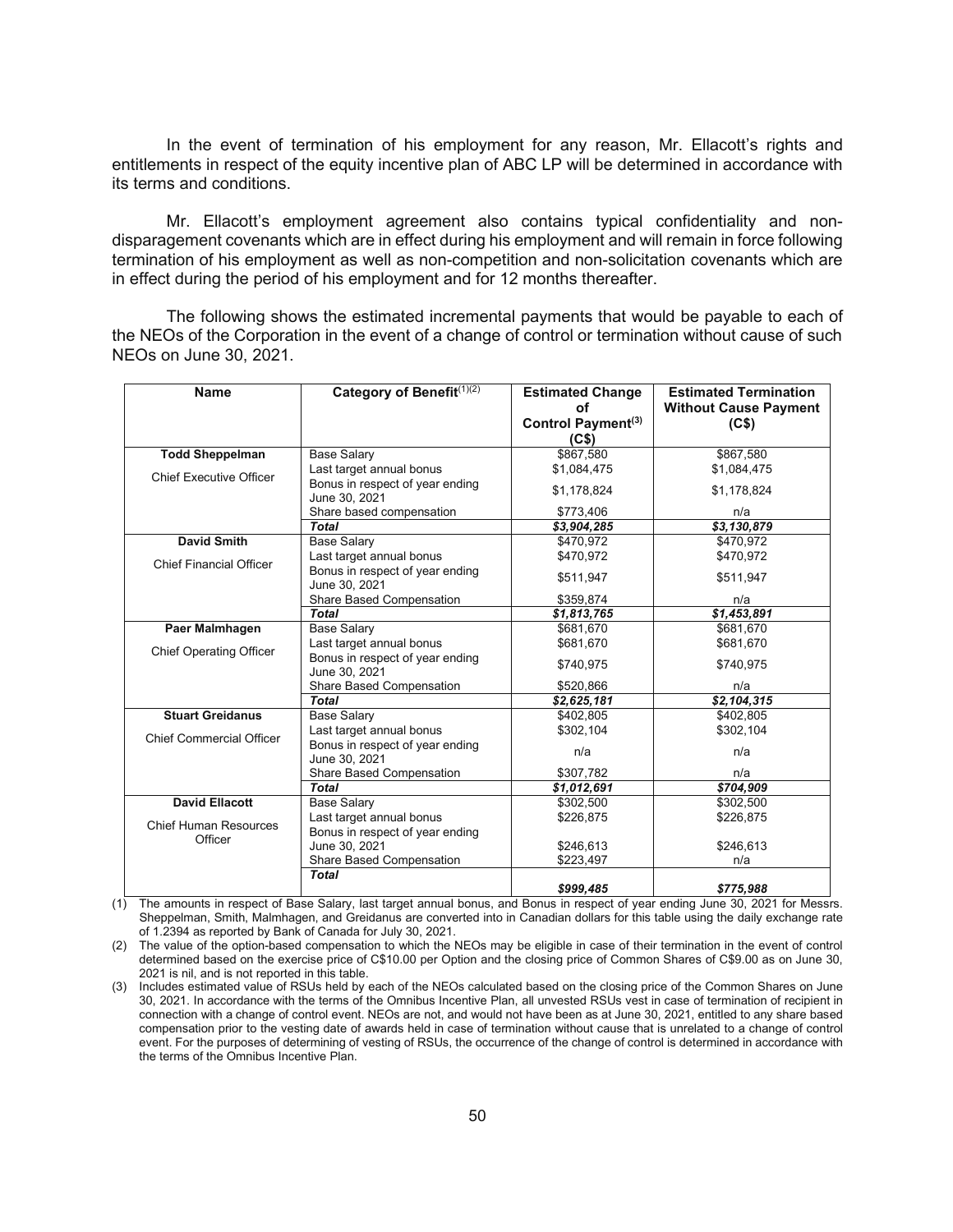In the event of termination of his employment for any reason, Mr. Ellacott's rights and entitlements in respect of the equity incentive plan of ABC LP will be determined in accordance with its terms and conditions.

Mr. Ellacott's employment agreement also contains typical confidentiality and nondisparagement covenants which are in effect during his employment and will remain in force following termination of his employment as well as non-competition and non-solicitation covenants which are in effect during the period of his employment and for 12 months thereafter.

The following shows the estimated incremental payments that would be payable to each of the NEOs of the Corporation in the event of a change of control or termination without cause of such NEOs on June 30, 2021.

| Category of Benefit(1)(2)<br><b>Name</b> |                                                  | <b>Estimated Change</b>        | <b>Estimated Termination</b> |
|------------------------------------------|--------------------------------------------------|--------------------------------|------------------------------|
|                                          |                                                  | οf                             | <b>Without Cause Payment</b> |
|                                          |                                                  | Control Payment <sup>(3)</sup> | (C <sub>5</sub> )            |
|                                          |                                                  | (C <sub>5</sub> )              |                              |
| <b>Todd Sheppelman</b>                   | <b>Base Salary</b>                               | \$867,580                      | \$867,580                    |
| <b>Chief Executive Officer</b>           | Last target annual bonus                         | \$1,084,475                    | \$1,084,475                  |
|                                          | Bonus in respect of year ending<br>June 30, 2021 | \$1,178,824                    | \$1,178,824                  |
|                                          | Share based compensation                         | \$773,406                      | n/a                          |
|                                          | <b>Total</b>                                     | \$3,904,285                    | \$3,130,879                  |
| <b>David Smith</b>                       | <b>Base Salary</b>                               | \$470.972                      | \$470.972                    |
| <b>Chief Financial Officer</b>           | Last target annual bonus                         | \$470.972                      | \$470.972                    |
|                                          | Bonus in respect of year ending<br>June 30, 2021 | \$511,947                      | \$511,947                    |
|                                          | Share Based Compensation                         | \$359,874                      | n/a                          |
|                                          | <b>Total</b>                                     | \$1,813,765                    | \$1,453,891                  |
| Paer Malmhagen                           | <b>Base Salary</b>                               | \$681,670                      | \$681,670                    |
|                                          | Last target annual bonus                         | \$681.670                      | \$681,670                    |
| <b>Chief Operating Officer</b>           | Bonus in respect of year ending<br>June 30, 2021 | \$740,975                      | \$740,975                    |
|                                          | Share Based Compensation                         | \$520,866                      | n/a                          |
|                                          | <b>Total</b>                                     | \$2,625,181                    | \$2,104,315                  |
| <b>Stuart Greidanus</b>                  | <b>Base Salary</b>                               | \$402,805                      | \$402,805                    |
|                                          | Last target annual bonus                         | \$302,104                      | \$302,104                    |
| <b>Chief Commercial Officer</b>          | Bonus in respect of year ending<br>June 30, 2021 | n/a                            | n/a                          |
|                                          | Share Based Compensation                         | \$307,782                      | n/a                          |
|                                          | <b>Total</b>                                     | \$1,012,691                    | \$704,909                    |
| <b>David Ellacott</b>                    | <b>Base Salary</b>                               | \$302,500                      | \$302,500                    |
|                                          | Last target annual bonus                         | \$226,875                      | \$226,875                    |
| <b>Chief Human Resources</b>             | Bonus in respect of year ending                  |                                |                              |
| Officer                                  | June 30, 2021                                    | \$246,613                      | \$246,613                    |
|                                          | Share Based Compensation                         | \$223,497                      | n/a                          |
|                                          | <b>Total</b>                                     |                                |                              |
|                                          |                                                  | \$999.485                      | \$775,988                    |

(1) The amounts in respect of Base Salary, last target annual bonus, and Bonus in respect of year ending June 30, 2021 for Messrs. Sheppelman, Smith, Malmhagen, and Greidanus are converted into in Canadian dollars for this table using the daily exchange rate of 1.2394 as reported by Bank of Canada for July 30, 2021.

(2) The value of the option-based compensation to which the NEOs may be eligible in case of their termination in the event of control determined based on the exercise price of C\$10.00 per Option and the closing price of Common Shares of C\$9.00 as on June 30, 2021 is nil, and is not reported in this table.

(3) Includes estimated value of RSUs held by each of the NEOs calculated based on the closing price of the Common Shares on June 30, 2021. In accordance with the terms of the Omnibus Incentive Plan, all unvested RSUs vest in case of termination of recipient in connection with a change of control event. NEOs are not, and would not have been as at June 30, 2021, entitled to any share based compensation prior to the vesting date of awards held in case of termination without cause that is unrelated to a change of control event. For the purposes of determining of vesting of RSUs, the occurrence of the change of control is determined in accordance with the terms of the Omnibus Incentive Plan.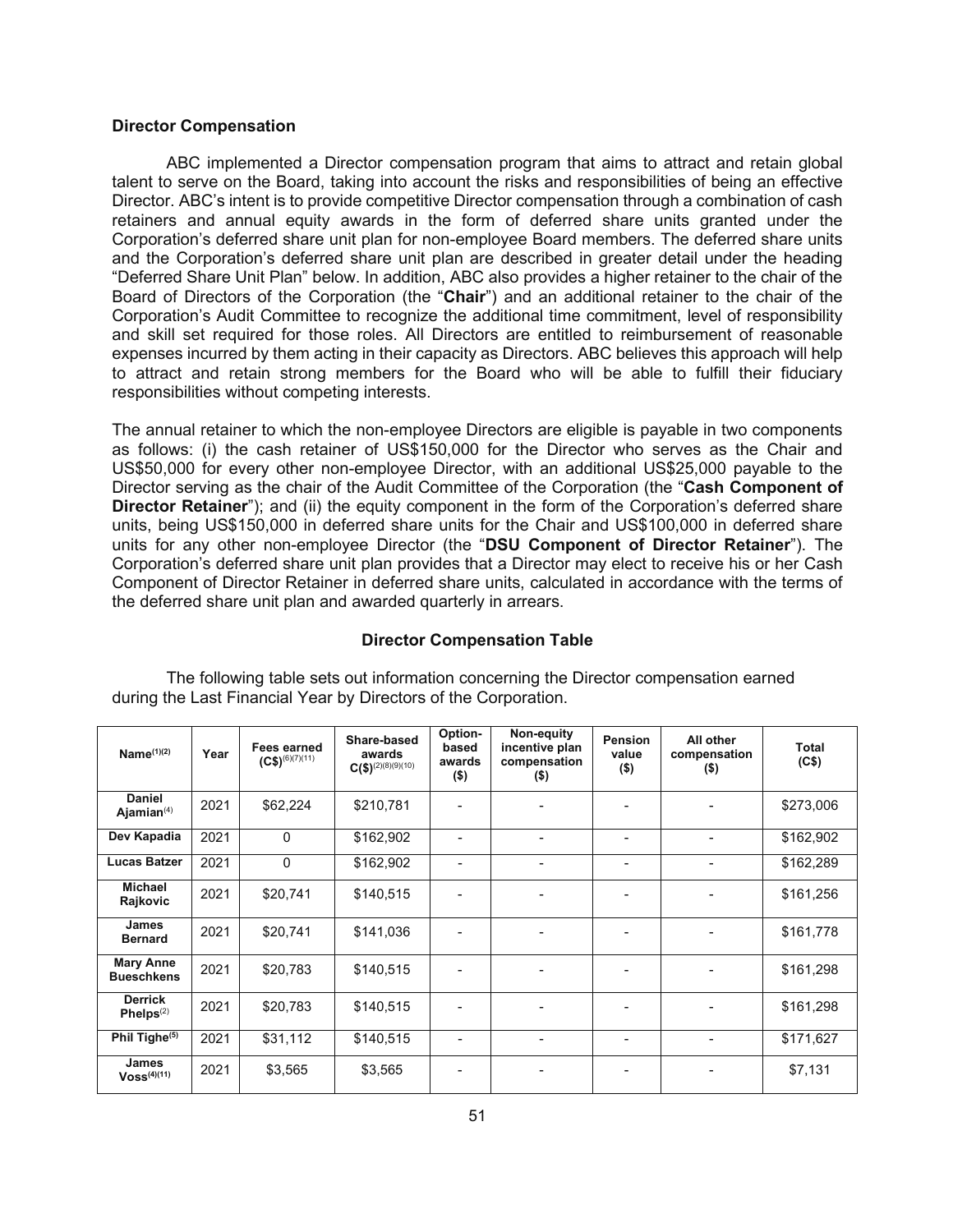#### **Director Compensation**

ABC implemented a Director compensation program that aims to attract and retain global talent to serve on the Board, taking into account the risks and responsibilities of being an effective Director. ABC's intent is to provide competitive Director compensation through a combination of cash retainers and annual equity awards in the form of deferred share units granted under the Corporation's deferred share unit plan for non-employee Board members. The deferred share units and the Corporation's deferred share unit plan are described in greater detail under the heading "Deferred Share Unit Plan" below. In addition, ABC also provides a higher retainer to the chair of the Board of Directors of the Corporation (the "**Chair**") and an additional retainer to the chair of the Corporation's Audit Committee to recognize the additional time commitment, level of responsibility and skill set required for those roles. All Directors are entitled to reimbursement of reasonable expenses incurred by them acting in their capacity as Directors. ABC believes this approach will help to attract and retain strong members for the Board who will be able to fulfill their fiduciary responsibilities without competing interests.

The annual retainer to which the non-employee Directors are eligible is payable in two components as follows: (i) the cash retainer of US\$150,000 for the Director who serves as the Chair and US\$50,000 for every other non-employee Director, with an additional US\$25,000 payable to the Director serving as the chair of the Audit Committee of the Corporation (the "**Cash Component of Director Retainer**"); and (ii) the equity component in the form of the Corporation's deferred share units, being US\$150,000 in deferred share units for the Chair and US\$100,000 in deferred share units for any other non-employee Director (the "**DSU Component of Director Retainer**"). The Corporation's deferred share unit plan provides that a Director may elect to receive his or her Cash Component of Director Retainer in deferred share units, calculated in accordance with the terms of the deferred share unit plan and awarded quarterly in arrears.

### **Director Compensation Table**

| Name $(1)(2)$                         | Year | <b>Fees earned</b><br>$(C$)^{(6)(7)(11)}$ | Share-based<br>awards<br>$C(\$)^{(2)(8)(9)(10)}$ | Option-<br>based<br>awards<br>$($ \$) | Non-equity<br>incentive plan<br>compensation<br>$($ \$) | <b>Pension</b><br>value<br>$($ \$) | All other<br>compensation<br>$($ \$) | Total<br>(C\$) |
|---------------------------------------|------|-------------------------------------------|--------------------------------------------------|---------------------------------------|---------------------------------------------------------|------------------------------------|--------------------------------------|----------------|
| Daniel<br>Ajamian $(4)$               | 2021 | \$62,224                                  | \$210,781                                        |                                       |                                                         |                                    |                                      | \$273,006      |
| Dev Kapadia                           | 2021 | $\Omega$                                  | \$162,902                                        |                                       |                                                         |                                    |                                      | \$162,902      |
| Lucas Batzer                          | 2021 | $\mathbf 0$                               | \$162,902                                        |                                       |                                                         |                                    |                                      | \$162,289      |
| <b>Michael</b><br>Rajkovic            | 2021 | \$20,741                                  | \$140,515                                        |                                       |                                                         |                                    |                                      | \$161,256      |
| <b>James</b><br><b>Bernard</b>        | 2021 | \$20,741                                  | \$141,036                                        |                                       |                                                         |                                    |                                      | \$161,778      |
| <b>Mary Anne</b><br><b>Bueschkens</b> | 2021 | \$20,783                                  | \$140,515                                        |                                       |                                                         |                                    |                                      | \$161,298      |
| <b>Derrick</b><br>Phelps $(2)$        | 2021 | \$20,783                                  | \$140,515                                        |                                       |                                                         |                                    |                                      | \$161,298      |
| Phil Tighe <sup>(5)</sup>             | 2021 | \$31,112                                  | \$140,515                                        | $\blacksquare$                        | $\blacksquare$                                          |                                    | ٠                                    | \$171,627      |
| <b>James</b><br>$V$ oss $^{(4)(11)}$  | 2021 | \$3,565                                   | \$3,565                                          |                                       |                                                         |                                    |                                      | \$7,131        |

The following table sets out information concerning the Director compensation earned during the Last Financial Year by Directors of the Corporation.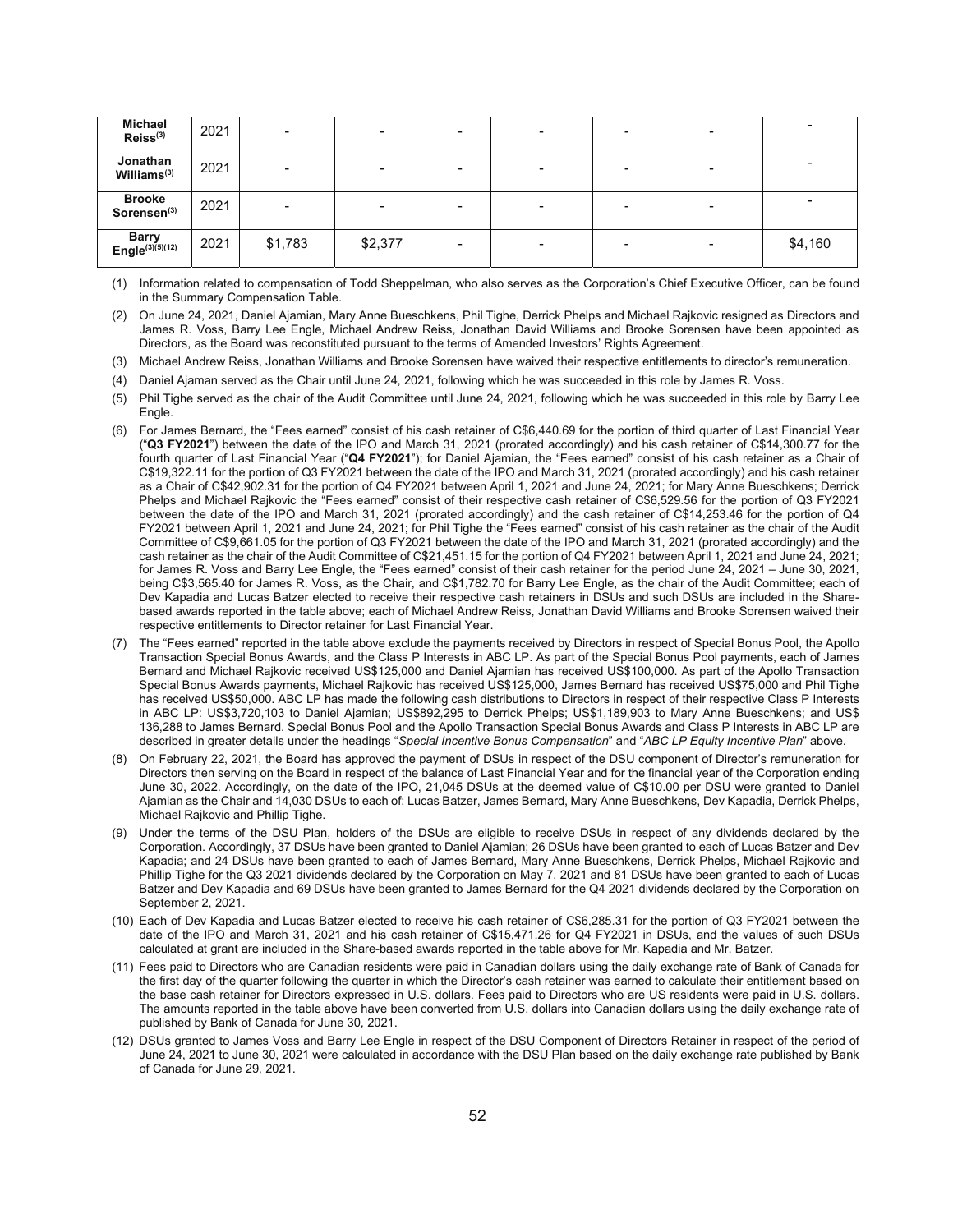| <b>Michael</b><br>Reiss <sup>(3)</sup>   | 2021 | $\overline{\phantom{a}}$ |         |  | $\overline{\phantom{a}}$ |         |
|------------------------------------------|------|--------------------------|---------|--|--------------------------|---------|
| Jonathan<br>Williams <sup>(3)</sup>      | 2021 | -                        |         |  | $\overline{\phantom{0}}$ |         |
| <b>Brooke</b><br>Sorensen <sup>(3)</sup> | 2021 |                          |         |  |                          |         |
| Barry<br>Engle(3)(5)(12)                 | 2021 | \$1,783                  | \$2,377 |  | $\overline{\phantom{0}}$ | \$4,160 |

(1) Information related to compensation of Todd Sheppelman, who also serves as the Corporation's Chief Executive Officer, can be found in the Summary Compensation Table.

- (2) On June 24, 2021, Daniel Ajamian, Mary Anne Bueschkens, Phil Tighe, Derrick Phelps and Michael Rajkovic resigned as Directors and James R. Voss, Barry Lee Engle, Michael Andrew Reiss, Jonathan David Williams and Brooke Sorensen have been appointed as Directors, as the Board was reconstituted pursuant to the terms of Amended Investors' Rights Agreement.
- (3) Michael Andrew Reiss, Jonathan Williams and Brooke Sorensen have waived their respective entitlements to director's remuneration.
- (4) Daniel Ajaman served as the Chair until June 24, 2021, following which he was succeeded in this role by James R. Voss.
- (5) Phil Tighe served as the chair of the Audit Committee until June 24, 2021, following which he was succeeded in this role by Barry Lee Engle.
- (6) For James Bernard, the "Fees earned" consist of his cash retainer of C\$6,440.69 for the portion of third quarter of Last Financial Year ("**Q3 FY2021**") between the date of the IPO and March 31, 2021 (prorated accordingly) and his cash retainer of C\$14,300.77 for the fourth quarter of Last Financial Year ("**Q4 FY2021**"); for Daniel Ajamian, the "Fees earned" consist of his cash retainer as a Chair of C\$19,322.11 for the portion of Q3 FY2021 between the date of the IPO and March 31, 2021 (prorated accordingly) and his cash retainer as a Chair of C\$42,902.31 for the portion of Q4 FY2021 between April 1, 2021 and June 24, 2021; for Mary Anne Bueschkens; Derrick Phelps and Michael Rajkovic the "Fees earned" consist of their respective cash retainer of C\$6,529.56 for the portion of Q3 FY2021 between the date of the IPO and March 31, 2021 (prorated accordingly) and the cash retainer of C\$14,253.46 for the portion of Q4 FY2021 between April 1, 2021 and June 24, 2021; for Phil Tighe the "Fees earned" consist of his cash retainer as the chair of the Audit Committee of C\$9,661.05 for the portion of Q3 FY2021 between the date of the IPO and March 31, 2021 (prorated accordingly) and the cash retainer as the chair of the Audit Committee of C\$21,451.15 for the portion of Q4 FY2021 between April 1, 2021 and June 24, 2021; for James R. Voss and Barry Lee Engle, the "Fees earned" consist of their cash retainer for the period June 24, 2021 – June 30, 2021, being C\$3,565.40 for James R. Voss, as the Chair, and C\$1,782.70 for Barry Lee Engle, as the chair of the Audit Committee; each of Dev Kapadia and Lucas Batzer elected to receive their respective cash retainers in DSUs and such DSUs are included in the Sharebased awards reported in the table above; each of Michael Andrew Reiss, Jonathan David Williams and Brooke Sorensen waived their respective entitlements to Director retainer for Last Financial Year.
- (7) The "Fees earned" reported in the table above exclude the payments received by Directors in respect of Special Bonus Pool, the Apollo Transaction Special Bonus Awards, and the Class P Interests in ABC LP. As part of the Special Bonus Pool payments, each of James Bernard and Michael Rajkovic received US\$125,000 and Daniel Ajamian has received US\$100,000. As part of the Apollo Transaction Special Bonus Awards payments, Michael Rajkovic has received US\$125,000, James Bernard has received US\$75,000 and Phil Tighe has received US\$50,000. ABC LP has made the following cash distributions to Directors in respect of their respective Class P Interests in ABC LP: US\$3,720,103 to Daniel Ajamian; US\$892,295 to Derrick Phelps; US\$1,189,903 to Mary Anne Bueschkens; and US\$ 136,288 to James Bernard. Special Bonus Pool and the Apollo Transaction Special Bonus Awards and Class P Interests in ABC LP are described in greater details under the headings "*Special Incentive Bonus Compensation*" and "*ABC LP Equity Incentive Plan*" above.
- (8) On February 22, 2021, the Board has approved the payment of DSUs in respect of the DSU component of Director's remuneration for Directors then serving on the Board in respect of the balance of Last Financial Year and for the financial year of the Corporation ending June 30, 2022. Accordingly, on the date of the IPO, 21,045 DSUs at the deemed value of C\$10.00 per DSU were granted to Daniel Ajamian as the Chair and 14,030 DSUs to each of: Lucas Batzer, James Bernard, Mary Anne Bueschkens, Dev Kapadia, Derrick Phelps, Michael Rajkovic and Phillip Tighe.
- (9) Under the terms of the DSU Plan, holders of the DSUs are eligible to receive DSUs in respect of any dividends declared by the Corporation. Accordingly, 37 DSUs have been granted to Daniel Ajamian; 26 DSUs have been granted to each of Lucas Batzer and Dev Kapadia; and 24 DSUs have been granted to each of James Bernard, Mary Anne Bueschkens, Derrick Phelps, Michael Rajkovic and Phillip Tighe for the Q3 2021 dividends declared by the Corporation on May 7, 2021 and 81 DSUs have been granted to each of Lucas Batzer and Dev Kapadia and 69 DSUs have been granted to James Bernard for the Q4 2021 dividends declared by the Corporation on September 2, 2021.
- (10) Each of Dev Kapadia and Lucas Batzer elected to receive his cash retainer of C\$6,285.31 for the portion of Q3 FY2021 between the date of the IPO and March 31, 2021 and his cash retainer of C\$15,471.26 for Q4 FY2021 in DSUs, and the values of such DSUs calculated at grant are included in the Share-based awards reported in the table above for Mr. Kapadia and Mr. Batzer.
- (11) Fees paid to Directors who are Canadian residents were paid in Canadian dollars using the daily exchange rate of Bank of Canada for the first day of the quarter following the quarter in which the Director's cash retainer was earned to calculate their entitlement based on the base cash retainer for Directors expressed in U.S. dollars. Fees paid to Directors who are US residents were paid in U.S. dollars. The amounts reported in the table above have been converted from U.S. dollars into Canadian dollars using the daily exchange rate of published by Bank of Canada for June 30, 2021.
- (12) DSUs granted to James Voss and Barry Lee Engle in respect of the DSU Component of Directors Retainer in respect of the period of June 24, 2021 to June 30, 2021 were calculated in accordance with the DSU Plan based on the daily exchange rate published by Bank of Canada for June 29, 2021.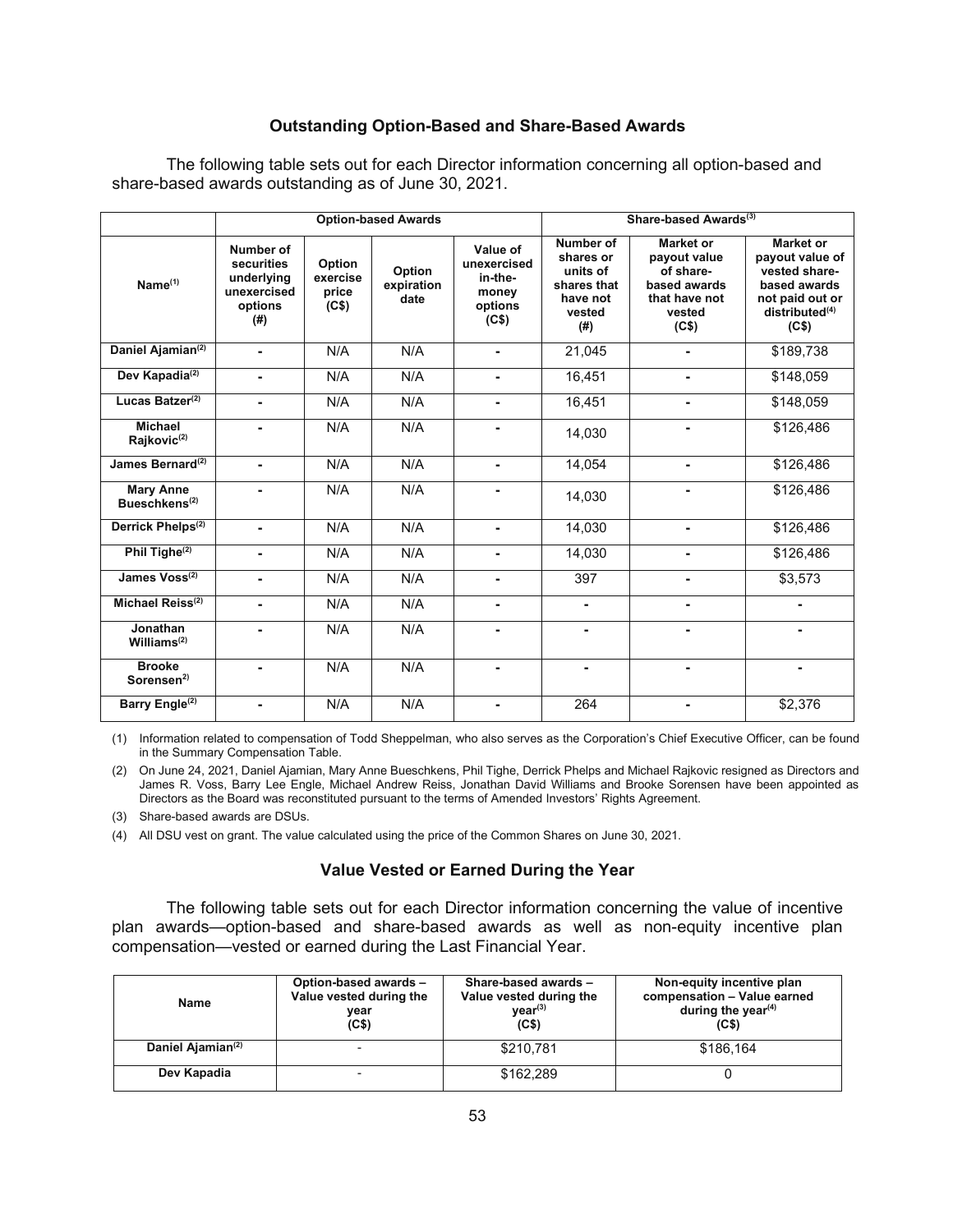## **Outstanding Option-Based and Share-Based Awards**

The following table sets out for each Director information concerning all option-based and share-based awards outstanding as of June 30, 2021.

|                                               |                                                                           |                                      | <b>Option-based Awards</b>   |                                                                 | Share-based Awards <sup>(3)</sup>                                              |                                                                                            |                                                                                                                         |
|-----------------------------------------------|---------------------------------------------------------------------------|--------------------------------------|------------------------------|-----------------------------------------------------------------|--------------------------------------------------------------------------------|--------------------------------------------------------------------------------------------|-------------------------------------------------------------------------------------------------------------------------|
| Name <sup>(1)</sup>                           | Number of<br>securities<br>underlying<br>unexercised<br>options<br>$($ #) | Option<br>exercise<br>price<br>(C\$) | Option<br>expiration<br>date | Value of<br>unexercised<br>in-the-<br>money<br>options<br>(C\$) | Number of<br>shares or<br>units of<br>shares that<br>have not<br>vested<br>(#) | Market or<br>payout value<br>of share-<br>based awards<br>that have not<br>vested<br>(C\$) | Market or<br>payout value of<br>vested share-<br>based awards<br>not paid out or<br>distributed <sup>(4)</sup><br>(C\$) |
| Daniel Ajamian <sup>(2)</sup>                 | $\blacksquare$                                                            | N/A                                  | N/A                          | $\blacksquare$                                                  | 21,045                                                                         | $\blacksquare$                                                                             | \$189,738                                                                                                               |
| Dev Kapadia <sup>(2)</sup>                    | -                                                                         | N/A                                  | N/A                          | $\blacksquare$                                                  | 16,451                                                                         | $\blacksquare$                                                                             | \$148,059                                                                                                               |
| Lucas Batzer <sup>(2)</sup>                   | $\blacksquare$                                                            | N/A                                  | N/A                          | $\blacksquare$                                                  | 16,451                                                                         | $\blacksquare$                                                                             | \$148,059                                                                                                               |
| <b>Michael</b><br>Rajkovic <sup>(2)</sup>     |                                                                           | N/A                                  | N/A                          |                                                                 | 14.030                                                                         |                                                                                            | \$126,486                                                                                                               |
| James Bernard <sup>(2)</sup>                  | ٠.                                                                        | N/A                                  | N/A                          | $\blacksquare$                                                  | 14,054                                                                         |                                                                                            | \$126,486                                                                                                               |
| <b>Mary Anne</b><br>Bueschkens <sup>(2)</sup> |                                                                           | N/A                                  | N/A                          | $\blacksquare$                                                  | 14,030                                                                         | -                                                                                          | \$126,486                                                                                                               |
| Derrick Phelps <sup>(2)</sup>                 | $\blacksquare$                                                            | N/A                                  | N/A                          | $\blacksquare$                                                  | 14,030                                                                         | $\blacksquare$                                                                             | \$126,486                                                                                                               |
| Phil Tighe <sup>(2)</sup>                     | -                                                                         | N/A                                  | N/A                          | $\blacksquare$                                                  | 14,030                                                                         | -                                                                                          | \$126,486                                                                                                               |
| James Voss <sup>(2)</sup>                     | ٠                                                                         | N/A                                  | N/A                          | $\blacksquare$                                                  | 397                                                                            |                                                                                            | \$3,573                                                                                                                 |
| Michael Reiss <sup>(2)</sup>                  |                                                                           | N/A                                  | N/A                          | $\blacksquare$                                                  | $\blacksquare$                                                                 | -                                                                                          |                                                                                                                         |
| Jonathan<br>Williams $(2)$                    |                                                                           | N/A                                  | N/A                          | $\overline{a}$                                                  |                                                                                | $\overline{a}$                                                                             |                                                                                                                         |
| <b>Brooke</b><br>Sorensen $2$                 |                                                                           | N/A                                  | N/A                          | $\blacksquare$                                                  | $\blacksquare$                                                                 |                                                                                            | -                                                                                                                       |
| Barry Engle <sup>(2)</sup>                    |                                                                           | N/A                                  | N/A                          | $\blacksquare$                                                  | 264                                                                            |                                                                                            | \$2,376                                                                                                                 |

(1) Information related to compensation of Todd Sheppelman, who also serves as the Corporation's Chief Executive Officer, can be found in the Summary Compensation Table.

(2) On June 24, 2021, Daniel Ajamian, Mary Anne Bueschkens, Phil Tighe, Derrick Phelps and Michael Rajkovic resigned as Directors and James R. Voss, Barry Lee Engle, Michael Andrew Reiss, Jonathan David Williams and Brooke Sorensen have been appointed as Directors as the Board was reconstituted pursuant to the terms of Amended Investors' Rights Agreement.

(3) Share-based awards are DSUs.

(4) All DSU vest on grant. The value calculated using the price of the Common Shares on June 30, 2021.

## **Value Vested or Earned During the Year**

The following table sets out for each Director information concerning the value of incentive plan awards—option-based and share-based awards as well as non-equity incentive plan compensation—vested or earned during the Last Financial Year.

| Name                          | Option-based awards -<br>Value vested during the<br>vear<br>(C\$) | Share-based awards -<br>Value vested during the<br>$\mathsf{year}^{(3)}$<br>(C <sub>5</sub> ) | Non-equity incentive plan<br>compensation - Value earned<br>during the year $(4)$<br>(C\$) |
|-------------------------------|-------------------------------------------------------------------|-----------------------------------------------------------------------------------------------|--------------------------------------------------------------------------------------------|
| Daniel Ajamian <sup>(2)</sup> | $\overline{\phantom{0}}$                                          | \$210.781                                                                                     | \$186.164                                                                                  |
| Dev Kapadia                   | $\overline{\phantom{0}}$                                          | \$162.289                                                                                     |                                                                                            |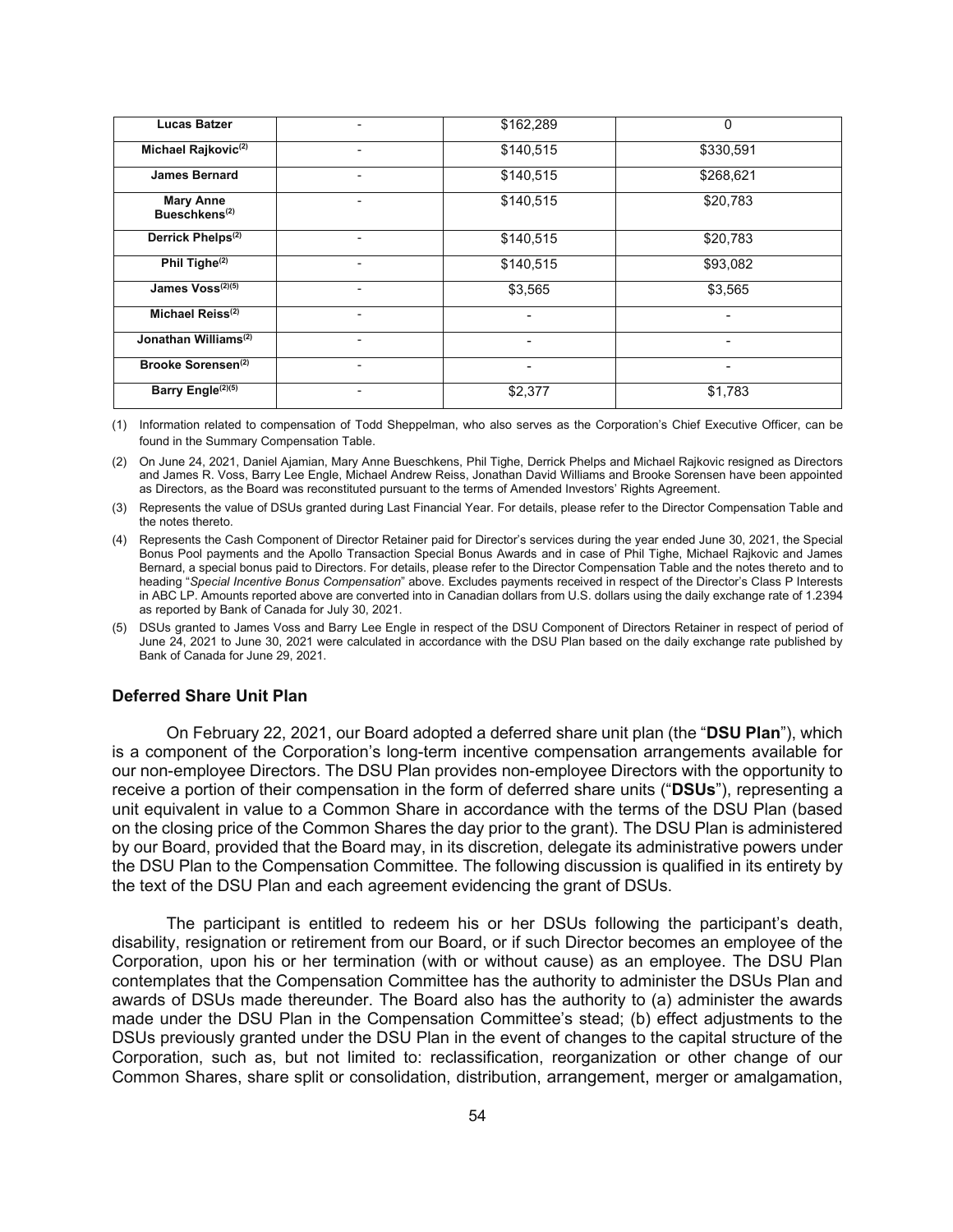| <b>Lucas Batzer</b>                           | $\overline{\phantom{a}}$ | \$162,289 | 0         |
|-----------------------------------------------|--------------------------|-----------|-----------|
| Michael Rajkovic <sup>(2)</sup>               | ٠                        | \$140,515 | \$330,591 |
| <b>James Bernard</b>                          | $\overline{\phantom{0}}$ | \$140,515 | \$268,621 |
| <b>Mary Anne</b><br>Bueschkens <sup>(2)</sup> | ۰                        | \$140,515 | \$20,783  |
| Derrick Phelps <sup>(2)</sup>                 | ٠                        | \$140,515 | \$20,783  |
| Phil Tighe <sup>(2)</sup>                     | $\overline{\phantom{a}}$ | \$140,515 | \$93,082  |
| James Voss <sup>(2)(5)</sup>                  | ٠                        | \$3,565   | \$3,565   |
| Michael Reiss <sup>(2)</sup>                  | ٠                        |           |           |
| Jonathan Williams <sup>(2)</sup>              | $\overline{\phantom{a}}$ | ٠         | -         |
| Brooke Sorensen <sup>(2)</sup>                | $\overline{\phantom{a}}$ |           |           |
| Barry Engle <sup>(2)(5)</sup>                 |                          | \$2,377   | \$1,783   |

(1) Information related to compensation of Todd Sheppelman, who also serves as the Corporation's Chief Executive Officer, can be found in the Summary Compensation Table.

(2) On June 24, 2021, Daniel Ajamian, Mary Anne Bueschkens, Phil Tighe, Derrick Phelps and Michael Rajkovic resigned as Directors and James R. Voss, Barry Lee Engle, Michael Andrew Reiss, Jonathan David Williams and Brooke Sorensen have been appointed as Directors, as the Board was reconstituted pursuant to the terms of Amended Investors' Rights Agreement.

(3) Represents the value of DSUs granted during Last Financial Year. For details, please refer to the Director Compensation Table and the notes thereto.

- (4) Represents the Cash Component of Director Retainer paid for Director's services during the year ended June 30, 2021, the Special Bonus Pool payments and the Apollo Transaction Special Bonus Awards and in case of Phil Tighe, Michael Rajkovic and James Bernard, a special bonus paid to Directors. For details, please refer to the Director Compensation Table and the notes thereto and to heading "*Special Incentive Bonus Compensation*" above. Excludes payments received in respect of the Director's Class P Interests in ABC LP. Amounts reported above are converted into in Canadian dollars from U.S. dollars using the daily exchange rate of 1.2394 as reported by Bank of Canada for July 30, 2021.
- (5) DSUs granted to James Voss and Barry Lee Engle in respect of the DSU Component of Directors Retainer in respect of period of June 24, 2021 to June 30, 2021 were calculated in accordance with the DSU Plan based on the daily exchange rate published by Bank of Canada for June 29, 2021.

## **Deferred Share Unit Plan**

On February 22, 2021, our Board adopted a deferred share unit plan (the "**DSU Plan**"), which is a component of the Corporation's long-term incentive compensation arrangements available for our non-employee Directors. The DSU Plan provides non-employee Directors with the opportunity to receive a portion of their compensation in the form of deferred share units ("**DSUs**"), representing a unit equivalent in value to a Common Share in accordance with the terms of the DSU Plan (based on the closing price of the Common Shares the day prior to the grant). The DSU Plan is administered by our Board, provided that the Board may, in its discretion, delegate its administrative powers under the DSU Plan to the Compensation Committee. The following discussion is qualified in its entirety by the text of the DSU Plan and each agreement evidencing the grant of DSUs.

The participant is entitled to redeem his or her DSUs following the participant's death, disability, resignation or retirement from our Board, or if such Director becomes an employee of the Corporation, upon his or her termination (with or without cause) as an employee. The DSU Plan contemplates that the Compensation Committee has the authority to administer the DSUs Plan and awards of DSUs made thereunder. The Board also has the authority to (a) administer the awards made under the DSU Plan in the Compensation Committee's stead; (b) effect adjustments to the DSUs previously granted under the DSU Plan in the event of changes to the capital structure of the Corporation, such as, but not limited to: reclassification, reorganization or other change of our Common Shares, share split or consolidation, distribution, arrangement, merger or amalgamation,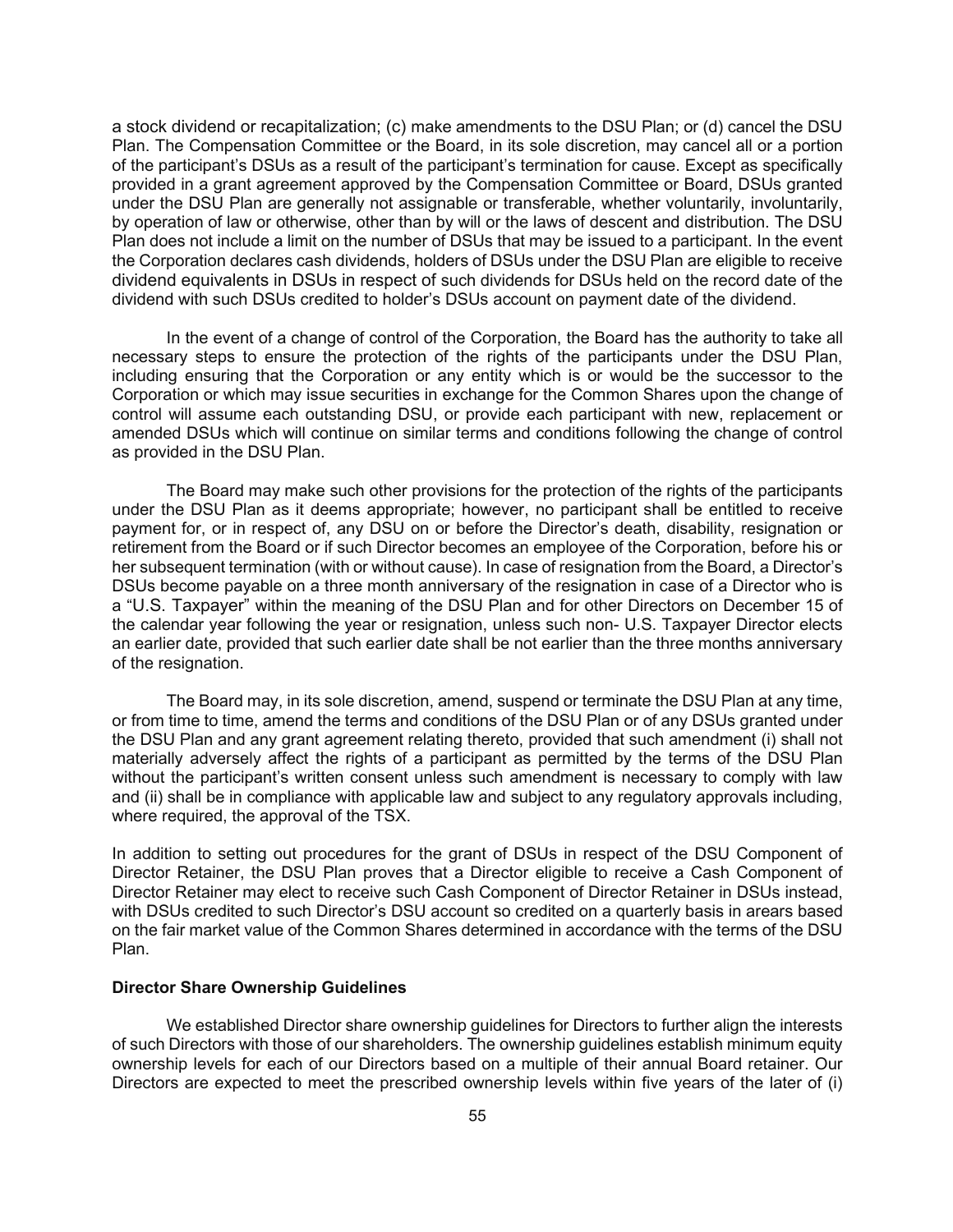a stock dividend or recapitalization; (c) make amendments to the DSU Plan; or (d) cancel the DSU Plan. The Compensation Committee or the Board, in its sole discretion, may cancel all or a portion of the participant's DSUs as a result of the participant's termination for cause. Except as specifically provided in a grant agreement approved by the Compensation Committee or Board, DSUs granted under the DSU Plan are generally not assignable or transferable, whether voluntarily, involuntarily, by operation of law or otherwise, other than by will or the laws of descent and distribution. The DSU Plan does not include a limit on the number of DSUs that may be issued to a participant. In the event the Corporation declares cash dividends, holders of DSUs under the DSU Plan are eligible to receive dividend equivalents in DSUs in respect of such dividends for DSUs held on the record date of the dividend with such DSUs credited to holder's DSUs account on payment date of the dividend.

In the event of a change of control of the Corporation, the Board has the authority to take all necessary steps to ensure the protection of the rights of the participants under the DSU Plan, including ensuring that the Corporation or any entity which is or would be the successor to the Corporation or which may issue securities in exchange for the Common Shares upon the change of control will assume each outstanding DSU, or provide each participant with new, replacement or amended DSUs which will continue on similar terms and conditions following the change of control as provided in the DSU Plan.

The Board may make such other provisions for the protection of the rights of the participants under the DSU Plan as it deems appropriate; however, no participant shall be entitled to receive payment for, or in respect of, any DSU on or before the Director's death, disability, resignation or retirement from the Board or if such Director becomes an employee of the Corporation, before his or her subsequent termination (with or without cause). In case of resignation from the Board, a Director's DSUs become payable on a three month anniversary of the resignation in case of a Director who is a "U.S. Taxpayer" within the meaning of the DSU Plan and for other Directors on December 15 of the calendar year following the year or resignation, unless such non- U.S. Taxpayer Director elects an earlier date, provided that such earlier date shall be not earlier than the three months anniversary of the resignation.

The Board may, in its sole discretion, amend, suspend or terminate the DSU Plan at any time, or from time to time, amend the terms and conditions of the DSU Plan or of any DSUs granted under the DSU Plan and any grant agreement relating thereto, provided that such amendment (i) shall not materially adversely affect the rights of a participant as permitted by the terms of the DSU Plan without the participant's written consent unless such amendment is necessary to comply with law and (ii) shall be in compliance with applicable law and subject to any regulatory approvals including, where required, the approval of the TSX.

In addition to setting out procedures for the grant of DSUs in respect of the DSU Component of Director Retainer, the DSU Plan proves that a Director eligible to receive a Cash Component of Director Retainer may elect to receive such Cash Component of Director Retainer in DSUs instead, with DSUs credited to such Director's DSU account so credited on a quarterly basis in arears based on the fair market value of the Common Shares determined in accordance with the terms of the DSU Plan.

## **Director Share Ownership Guidelines**

We established Director share ownership guidelines for Directors to further align the interests of such Directors with those of our shareholders. The ownership guidelines establish minimum equity ownership levels for each of our Directors based on a multiple of their annual Board retainer. Our Directors are expected to meet the prescribed ownership levels within five years of the later of (i)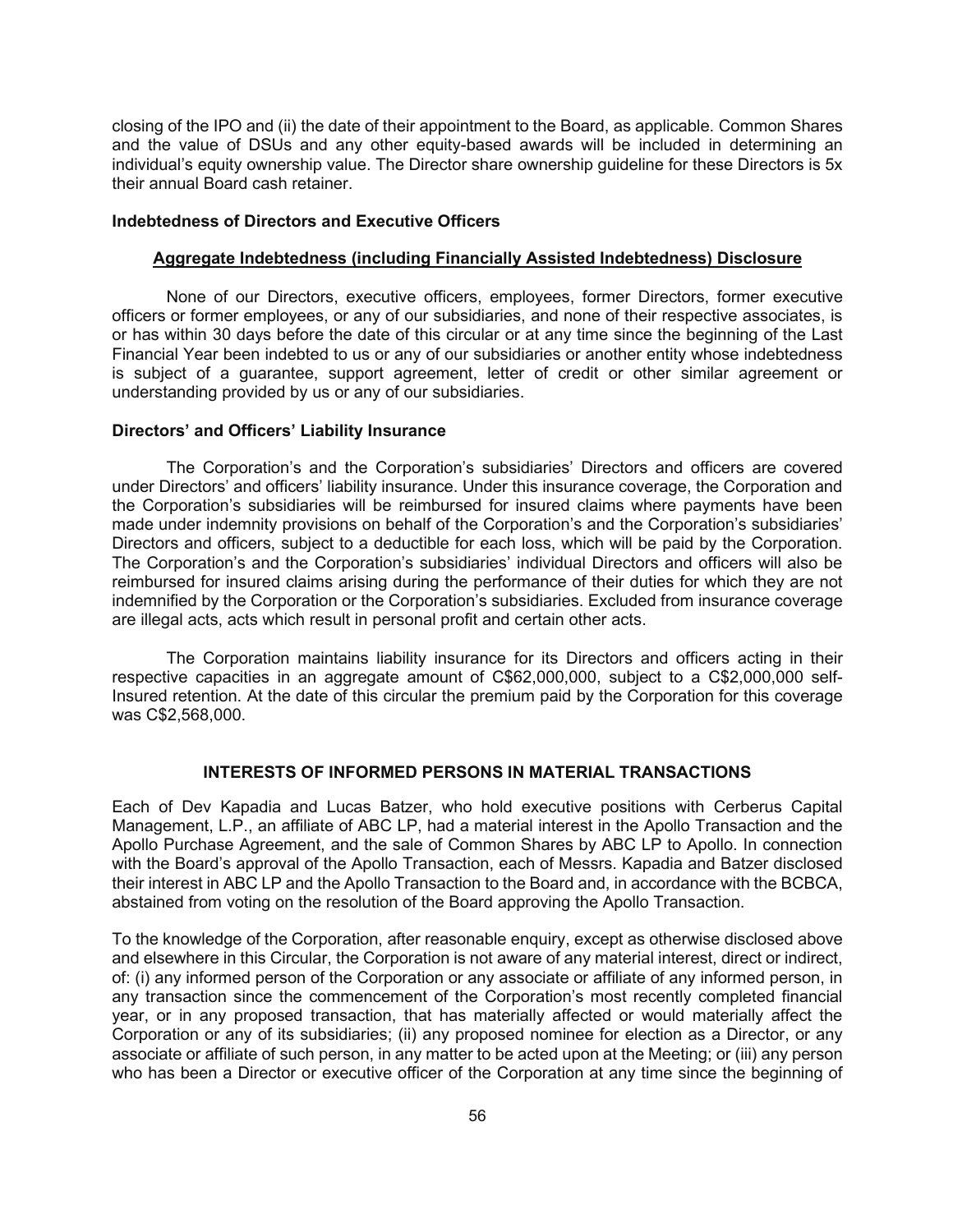closing of the IPO and (ii) the date of their appointment to the Board, as applicable. Common Shares and the value of DSUs and any other equity-based awards will be included in determining an individual's equity ownership value. The Director share ownership guideline for these Directors is 5x their annual Board cash retainer.

### **Indebtedness of Directors and Executive Officers**

#### **Aggregate Indebtedness (including Financially Assisted Indebtedness) Disclosure**

None of our Directors, executive officers, employees, former Directors, former executive officers or former employees, or any of our subsidiaries, and none of their respective associates, is or has within 30 days before the date of this circular or at any time since the beginning of the Last Financial Year been indebted to us or any of our subsidiaries or another entity whose indebtedness is subject of a guarantee, support agreement, letter of credit or other similar agreement or understanding provided by us or any of our subsidiaries.

## **Directors' and Officers' Liability Insurance**

The Corporation's and the Corporation's subsidiaries' Directors and officers are covered under Directors' and officers' liability insurance. Under this insurance coverage, the Corporation and the Corporation's subsidiaries will be reimbursed for insured claims where payments have been made under indemnity provisions on behalf of the Corporation's and the Corporation's subsidiaries' Directors and officers, subject to a deductible for each loss, which will be paid by the Corporation. The Corporation's and the Corporation's subsidiaries' individual Directors and officers will also be reimbursed for insured claims arising during the performance of their duties for which they are not indemnified by the Corporation or the Corporation's subsidiaries. Excluded from insurance coverage are illegal acts, acts which result in personal profit and certain other acts.

The Corporation maintains liability insurance for its Directors and officers acting in their respective capacities in an aggregate amount of C\$62,000,000, subject to a C\$2,000,000 self-Insured retention. At the date of this circular the premium paid by the Corporation for this coverage was C\$2,568,000.

### **INTERESTS OF INFORMED PERSONS IN MATERIAL TRANSACTIONS**

Each of Dev Kapadia and Lucas Batzer, who hold executive positions with Cerberus Capital Management, L.P., an affiliate of ABC LP, had a material interest in the Apollo Transaction and the Apollo Purchase Agreement, and the sale of Common Shares by ABC LP to Apollo. In connection with the Board's approval of the Apollo Transaction, each of Messrs. Kapadia and Batzer disclosed their interest in ABC LP and the Apollo Transaction to the Board and, in accordance with the BCBCA, abstained from voting on the resolution of the Board approving the Apollo Transaction.

To the knowledge of the Corporation, after reasonable enquiry, except as otherwise disclosed above and elsewhere in this Circular, the Corporation is not aware of any material interest, direct or indirect, of: (i) any informed person of the Corporation or any associate or affiliate of any informed person, in any transaction since the commencement of the Corporation's most recently completed financial year, or in any proposed transaction, that has materially affected or would materially affect the Corporation or any of its subsidiaries; (ii) any proposed nominee for election as a Director, or any associate or affiliate of such person, in any matter to be acted upon at the Meeting; or (iii) any person who has been a Director or executive officer of the Corporation at any time since the beginning of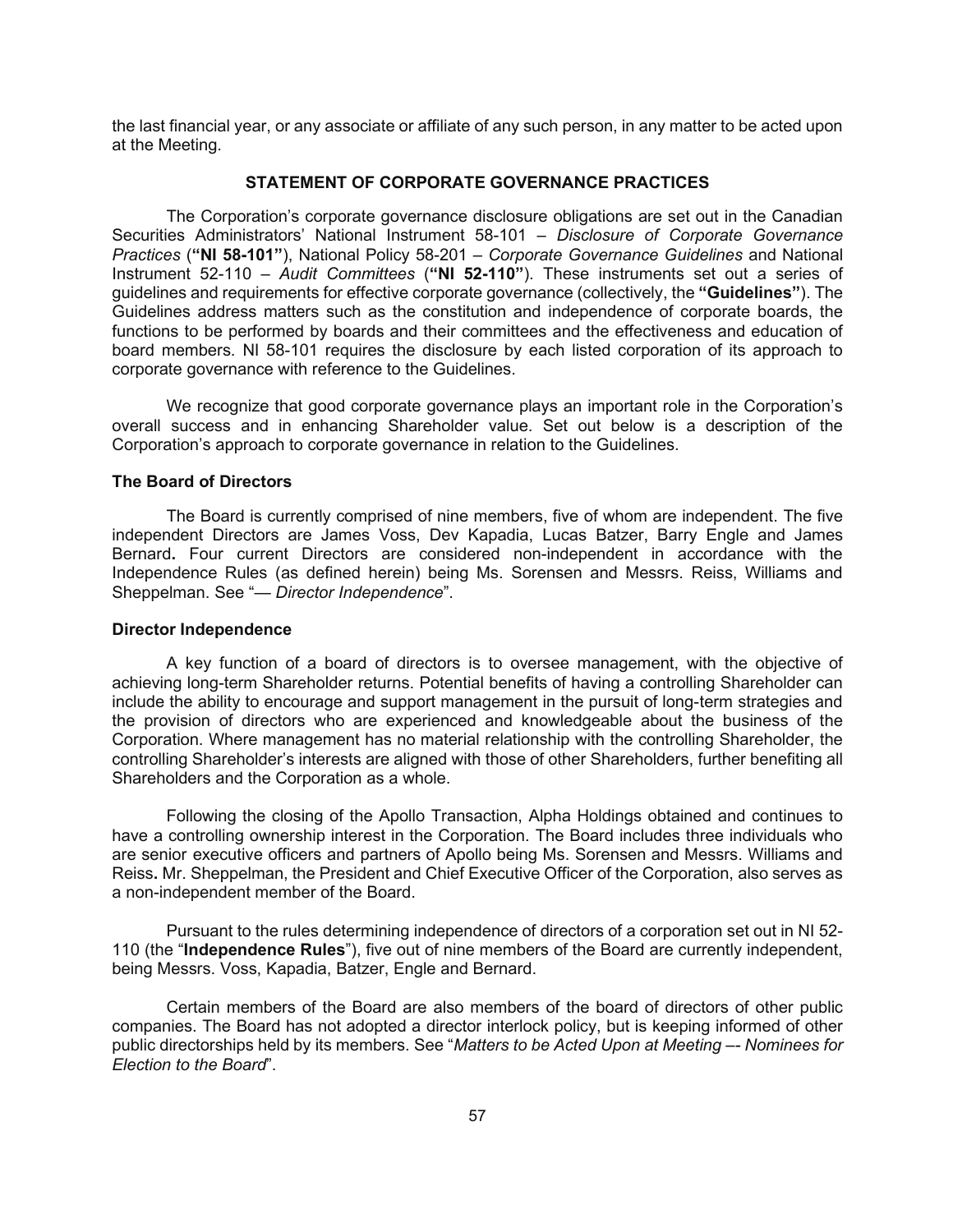the last financial year, or any associate or affiliate of any such person, in any matter to be acted upon at the Meeting.

### **STATEMENT OF CORPORATE GOVERNANCE PRACTICES**

The Corporation's corporate governance disclosure obligations are set out in the Canadian Securities Administrators' National Instrument 58-101 – *Disclosure of Corporate Governance Practices* (**"NI 58-101"**), National Policy 58-201 – *Corporate Governance Guidelines* and National Instrument 52-110 – *Audit Committees* (**"NI 52-110"**). These instruments set out a series of guidelines and requirements for effective corporate governance (collectively, the **"Guidelines"**). The Guidelines address matters such as the constitution and independence of corporate boards, the functions to be performed by boards and their committees and the effectiveness and education of board members. NI 58-101 requires the disclosure by each listed corporation of its approach to corporate governance with reference to the Guidelines.

We recognize that good corporate governance plays an important role in the Corporation's overall success and in enhancing Shareholder value. Set out below is a description of the Corporation's approach to corporate governance in relation to the Guidelines.

### **The Board of Directors**

The Board is currently comprised of nine members, five of whom are independent. The five independent Directors are James Voss, Dev Kapadia, Lucas Batzer, Barry Engle and James Bernard**.** Four current Directors are considered non-independent in accordance with the Independence Rules (as defined herein) being Ms. Sorensen and Messrs. Reiss, Williams and Sheppelman. See "— *Director Independence*".

#### **Director Independence**

A key function of a board of directors is to oversee management, with the objective of achieving long-term Shareholder returns. Potential benefits of having a controlling Shareholder can include the ability to encourage and support management in the pursuit of long-term strategies and the provision of directors who are experienced and knowledgeable about the business of the Corporation. Where management has no material relationship with the controlling Shareholder, the controlling Shareholder's interests are aligned with those of other Shareholders, further benefiting all Shareholders and the Corporation as a whole.

Following the closing of the Apollo Transaction, Alpha Holdings obtained and continues to have a controlling ownership interest in the Corporation. The Board includes three individuals who are senior executive officers and partners of Apollo being Ms. Sorensen and Messrs. Williams and Reiss**.** Mr. Sheppelman, the President and Chief Executive Officer of the Corporation, also serves as a non-independent member of the Board.

Pursuant to the rules determining independence of directors of a corporation set out in NI 52- 110 (the "**Independence Rules**"), five out of nine members of the Board are currently independent, being Messrs. Voss, Kapadia, Batzer, Engle and Bernard.

Certain members of the Board are also members of the board of directors of other public companies. The Board has not adopted a director interlock policy, but is keeping informed of other public directorships held by its members. See "*Matters to be Acted Upon at Meeting –- Nominees for Election to the Board*".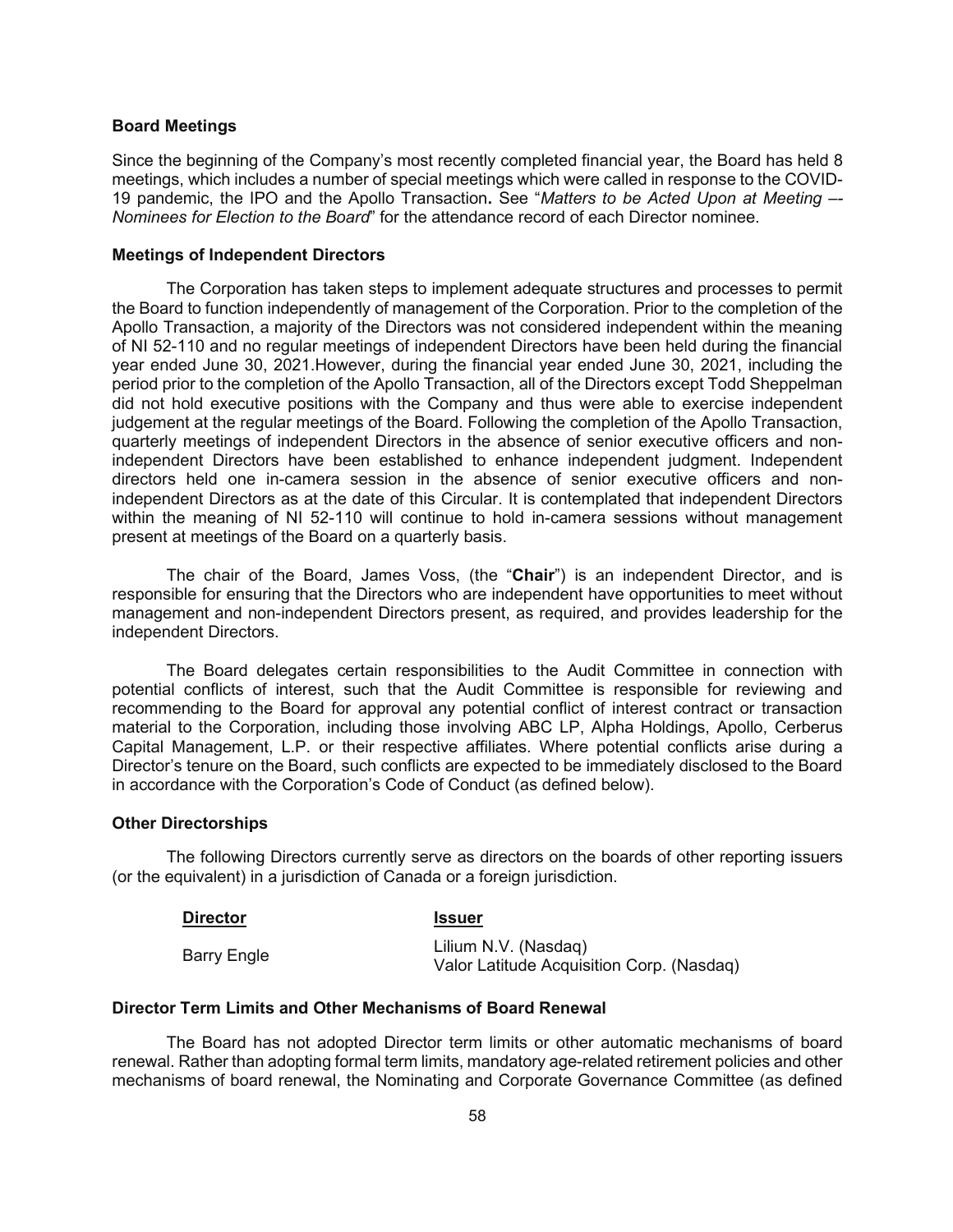#### **Board Meetings**

Since the beginning of the Company's most recently completed financial year, the Board has held 8 meetings, which includes a number of special meetings which were called in response to the COVID-19 pandemic, the IPO and the Apollo Transaction**.** See "*Matters to be Acted Upon at Meeting –- Nominees for Election to the Board*" for the attendance record of each Director nominee.

#### **Meetings of Independent Directors**

The Corporation has taken steps to implement adequate structures and processes to permit the Board to function independently of management of the Corporation. Prior to the completion of the Apollo Transaction, a majority of the Directors was not considered independent within the meaning of NI 52-110 and no regular meetings of independent Directors have been held during the financial year ended June 30, 2021.However, during the financial year ended June 30, 2021, including the period prior to the completion of the Apollo Transaction, all of the Directors except Todd Sheppelman did not hold executive positions with the Company and thus were able to exercise independent judgement at the regular meetings of the Board. Following the completion of the Apollo Transaction, quarterly meetings of independent Directors in the absence of senior executive officers and nonindependent Directors have been established to enhance independent judgment. Independent directors held one in-camera session in the absence of senior executive officers and nonindependent Directors as at the date of this Circular. It is contemplated that independent Directors within the meaning of NI 52-110 will continue to hold in-camera sessions without management present at meetings of the Board on a quarterly basis.

The chair of the Board, James Voss, (the "**Chair**") is an independent Director, and is responsible for ensuring that the Directors who are independent have opportunities to meet without management and non-independent Directors present, as required, and provides leadership for the independent Directors.

The Board delegates certain responsibilities to the Audit Committee in connection with potential conflicts of interest, such that the Audit Committee is responsible for reviewing and recommending to the Board for approval any potential conflict of interest contract or transaction material to the Corporation, including those involving ABC LP, Alpha Holdings, Apollo, Cerberus Capital Management, L.P. or their respective affiliates. Where potential conflicts arise during a Director's tenure on the Board, such conflicts are expected to be immediately disclosed to the Board in accordance with the Corporation's Code of Conduct (as defined below).

#### **Other Directorships**

The following Directors currently serve as directors on the boards of other reporting issuers (or the equivalent) in a jurisdiction of Canada or a foreign jurisdiction.

| <b>Director</b>    | <b>Issuer</b>                                                     |
|--------------------|-------------------------------------------------------------------|
| <b>Barry Engle</b> | Lilium N.V. (Nasdag)<br>Valor Latitude Acquisition Corp. (Nasdaq) |

#### **Director Term Limits and Other Mechanisms of Board Renewal**

The Board has not adopted Director term limits or other automatic mechanisms of board renewal. Rather than adopting formal term limits, mandatory age-related retirement policies and other mechanisms of board renewal, the Nominating and Corporate Governance Committee (as defined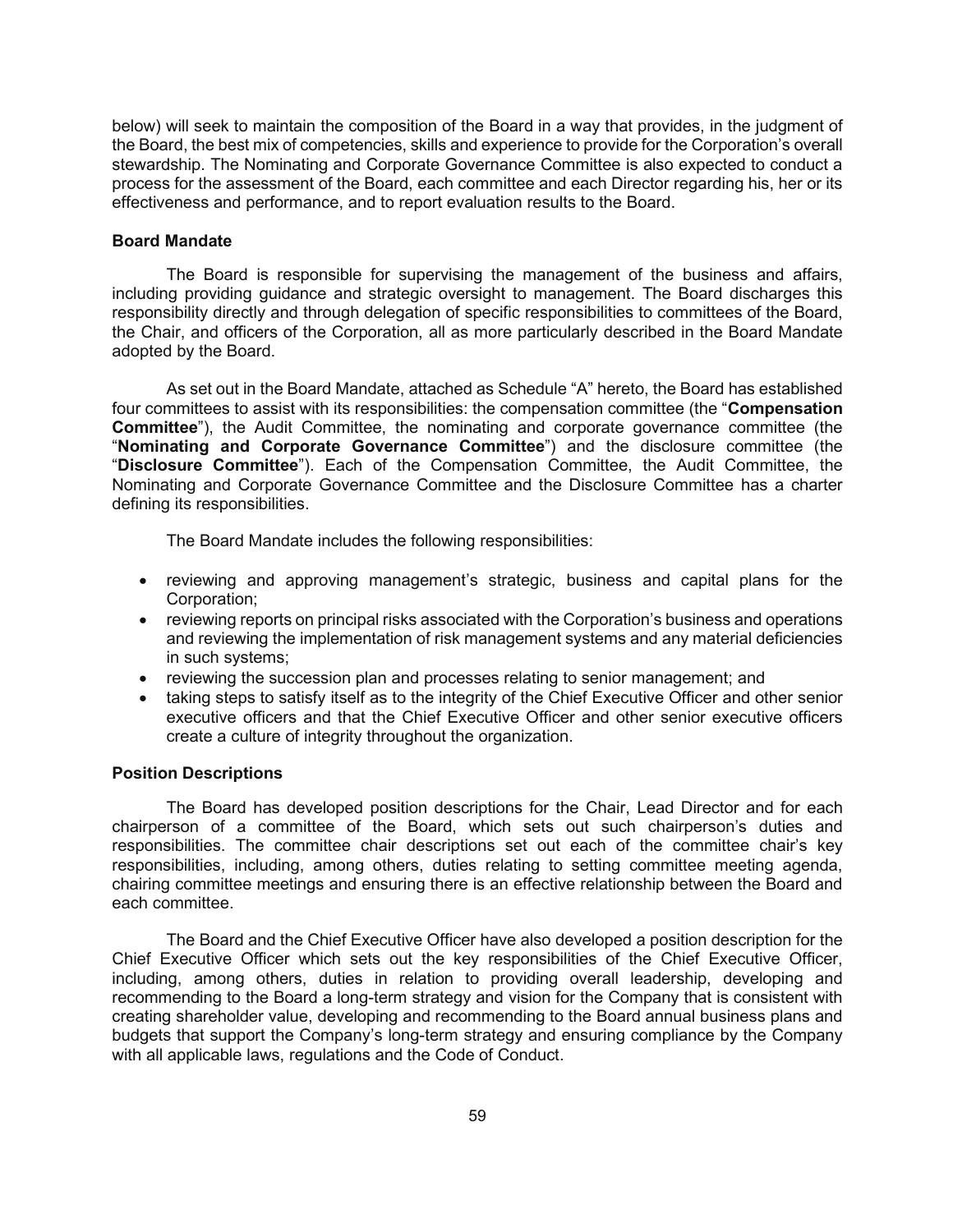below) will seek to maintain the composition of the Board in a way that provides, in the judgment of the Board, the best mix of competencies, skills and experience to provide for the Corporation's overall stewardship. The Nominating and Corporate Governance Committee is also expected to conduct a process for the assessment of the Board, each committee and each Director regarding his, her or its effectiveness and performance, and to report evaluation results to the Board.

### **Board Mandate**

The Board is responsible for supervising the management of the business and affairs, including providing guidance and strategic oversight to management. The Board discharges this responsibility directly and through delegation of specific responsibilities to committees of the Board, the Chair, and officers of the Corporation, all as more particularly described in the Board Mandate adopted by the Board.

As set out in the Board Mandate, attached as Schedule "A" hereto, the Board has established four committees to assist with its responsibilities: the compensation committee (the "**Compensation Committee**"), the Audit Committee, the nominating and corporate governance committee (the "**Nominating and Corporate Governance Committee**") and the disclosure committee (the "**Disclosure Committee**"). Each of the Compensation Committee, the Audit Committee, the Nominating and Corporate Governance Committee and the Disclosure Committee has a charter defining its responsibilities.

The Board Mandate includes the following responsibilities:

- reviewing and approving management's strategic, business and capital plans for the Corporation;
- reviewing reports on principal risks associated with the Corporation's business and operations and reviewing the implementation of risk management systems and any material deficiencies in such systems;
- reviewing the succession plan and processes relating to senior management; and
- taking steps to satisfy itself as to the integrity of the Chief Executive Officer and other senior executive officers and that the Chief Executive Officer and other senior executive officers create a culture of integrity throughout the organization.

### **Position Descriptions**

The Board has developed position descriptions for the Chair, Lead Director and for each chairperson of a committee of the Board, which sets out such chairperson's duties and responsibilities. The committee chair descriptions set out each of the committee chair's key responsibilities, including, among others, duties relating to setting committee meeting agenda, chairing committee meetings and ensuring there is an effective relationship between the Board and each committee.

The Board and the Chief Executive Officer have also developed a position description for the Chief Executive Officer which sets out the key responsibilities of the Chief Executive Officer, including, among others, duties in relation to providing overall leadership, developing and recommending to the Board a long-term strategy and vision for the Company that is consistent with creating shareholder value, developing and recommending to the Board annual business plans and budgets that support the Company's long-term strategy and ensuring compliance by the Company with all applicable laws, regulations and the Code of Conduct.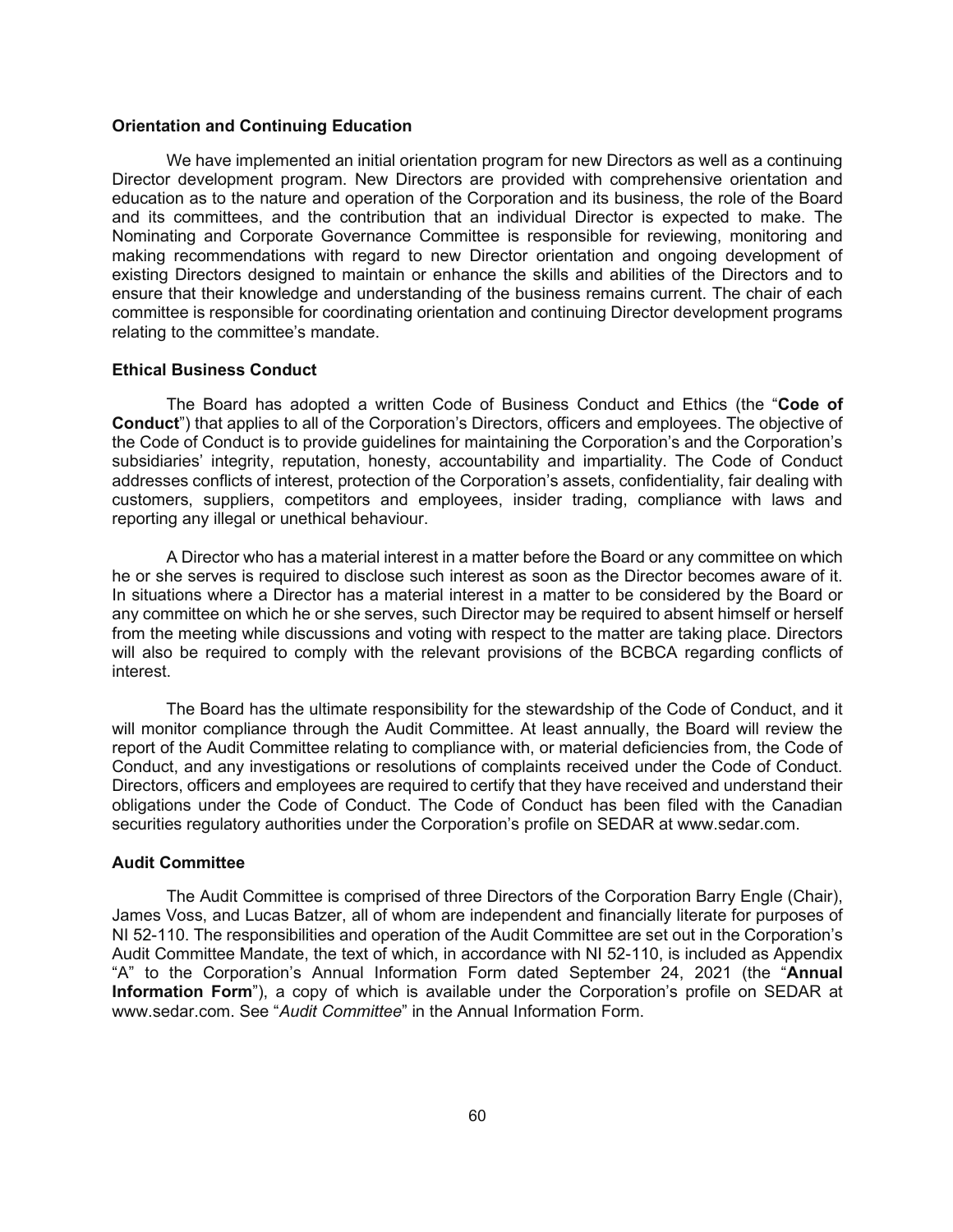## **Orientation and Continuing Education**

We have implemented an initial orientation program for new Directors as well as a continuing Director development program. New Directors are provided with comprehensive orientation and education as to the nature and operation of the Corporation and its business, the role of the Board and its committees, and the contribution that an individual Director is expected to make. The Nominating and Corporate Governance Committee is responsible for reviewing, monitoring and making recommendations with regard to new Director orientation and ongoing development of existing Directors designed to maintain or enhance the skills and abilities of the Directors and to ensure that their knowledge and understanding of the business remains current. The chair of each committee is responsible for coordinating orientation and continuing Director development programs relating to the committee's mandate.

#### **Ethical Business Conduct**

The Board has adopted a written Code of Business Conduct and Ethics (the "**Code of Conduct**") that applies to all of the Corporation's Directors, officers and employees. The objective of the Code of Conduct is to provide guidelines for maintaining the Corporation's and the Corporation's subsidiaries' integrity, reputation, honesty, accountability and impartiality. The Code of Conduct addresses conflicts of interest, protection of the Corporation's assets, confidentiality, fair dealing with customers, suppliers, competitors and employees, insider trading, compliance with laws and reporting any illegal or unethical behaviour.

A Director who has a material interest in a matter before the Board or any committee on which he or she serves is required to disclose such interest as soon as the Director becomes aware of it. In situations where a Director has a material interest in a matter to be considered by the Board or any committee on which he or she serves, such Director may be required to absent himself or herself from the meeting while discussions and voting with respect to the matter are taking place. Directors will also be required to comply with the relevant provisions of the BCBCA regarding conflicts of interest.

The Board has the ultimate responsibility for the stewardship of the Code of Conduct, and it will monitor compliance through the Audit Committee. At least annually, the Board will review the report of the Audit Committee relating to compliance with, or material deficiencies from, the Code of Conduct, and any investigations or resolutions of complaints received under the Code of Conduct. Directors, officers and employees are required to certify that they have received and understand their obligations under the Code of Conduct. The Code of Conduct has been filed with the Canadian securities regulatory authorities under the Corporation's profile on SEDAR at www.sedar.com.

#### **Audit Committee**

The Audit Committee is comprised of three Directors of the Corporation Barry Engle (Chair), James Voss, and Lucas Batzer, all of whom are independent and financially literate for purposes of NI 52-110. The responsibilities and operation of the Audit Committee are set out in the Corporation's Audit Committee Mandate, the text of which, in accordance with NI 52-110, is included as Appendix "A" to the Corporation's Annual Information Form dated September 24, 2021 (the "**Annual Information Form**"), a copy of which is available under the Corporation's profile on SEDAR at www.sedar.com. See "*Audit Committee*" in the Annual Information Form.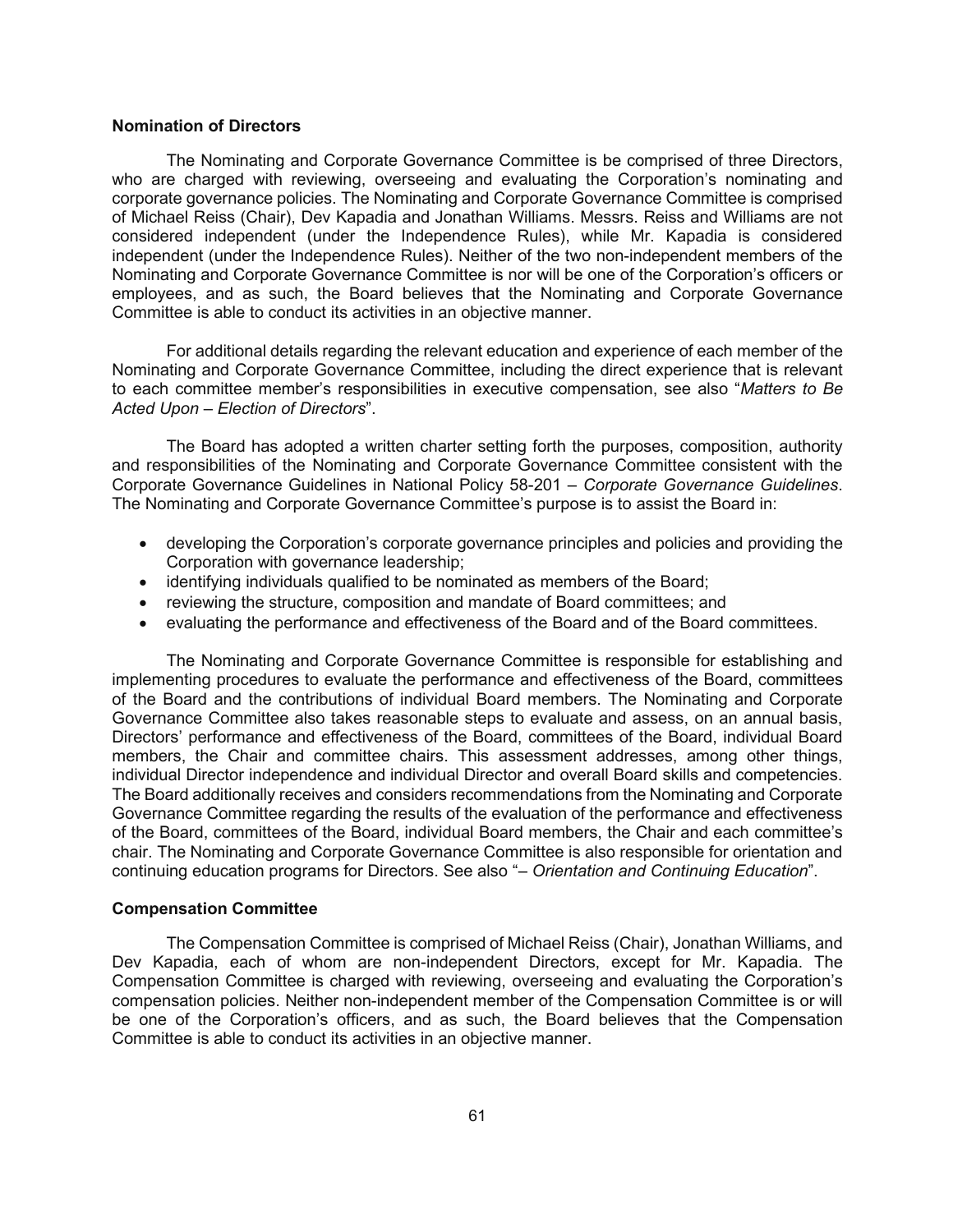#### **Nomination of Directors**

The Nominating and Corporate Governance Committee is be comprised of three Directors, who are charged with reviewing, overseeing and evaluating the Corporation's nominating and corporate governance policies. The Nominating and Corporate Governance Committee is comprised of Michael Reiss (Chair), Dev Kapadia and Jonathan Williams. Messrs. Reiss and Williams are not considered independent (under the Independence Rules), while Mr. Kapadia is considered independent (under the Independence Rules). Neither of the two non-independent members of the Nominating and Corporate Governance Committee is nor will be one of the Corporation's officers or employees, and as such, the Board believes that the Nominating and Corporate Governance Committee is able to conduct its activities in an objective manner.

For additional details regarding the relevant education and experience of each member of the Nominating and Corporate Governance Committee, including the direct experience that is relevant to each committee member's responsibilities in executive compensation, see also "*Matters to Be Acted Upon – Election of Directors*".

The Board has adopted a written charter setting forth the purposes, composition, authority and responsibilities of the Nominating and Corporate Governance Committee consistent with the Corporate Governance Guidelines in National Policy 58-201 – *Corporate Governance Guidelines*. The Nominating and Corporate Governance Committee's purpose is to assist the Board in:

- developing the Corporation's corporate governance principles and policies and providing the Corporation with governance leadership;
- identifying individuals qualified to be nominated as members of the Board;
- reviewing the structure, composition and mandate of Board committees; and
- evaluating the performance and effectiveness of the Board and of the Board committees.

The Nominating and Corporate Governance Committee is responsible for establishing and implementing procedures to evaluate the performance and effectiveness of the Board, committees of the Board and the contributions of individual Board members. The Nominating and Corporate Governance Committee also takes reasonable steps to evaluate and assess, on an annual basis, Directors' performance and effectiveness of the Board, committees of the Board, individual Board members, the Chair and committee chairs. This assessment addresses, among other things, individual Director independence and individual Director and overall Board skills and competencies. The Board additionally receives and considers recommendations from the Nominating and Corporate Governance Committee regarding the results of the evaluation of the performance and effectiveness of the Board, committees of the Board, individual Board members, the Chair and each committee's chair. The Nominating and Corporate Governance Committee is also responsible for orientation and continuing education programs for Directors. See also "*– Orientation and Continuing Education*".

#### **Compensation Committee**

The Compensation Committee is comprised of Michael Reiss (Chair), Jonathan Williams, and Dev Kapadia, each of whom are non-independent Directors, except for Mr. Kapadia. The Compensation Committee is charged with reviewing, overseeing and evaluating the Corporation's compensation policies. Neither non-independent member of the Compensation Committee is or will be one of the Corporation's officers, and as such, the Board believes that the Compensation Committee is able to conduct its activities in an objective manner.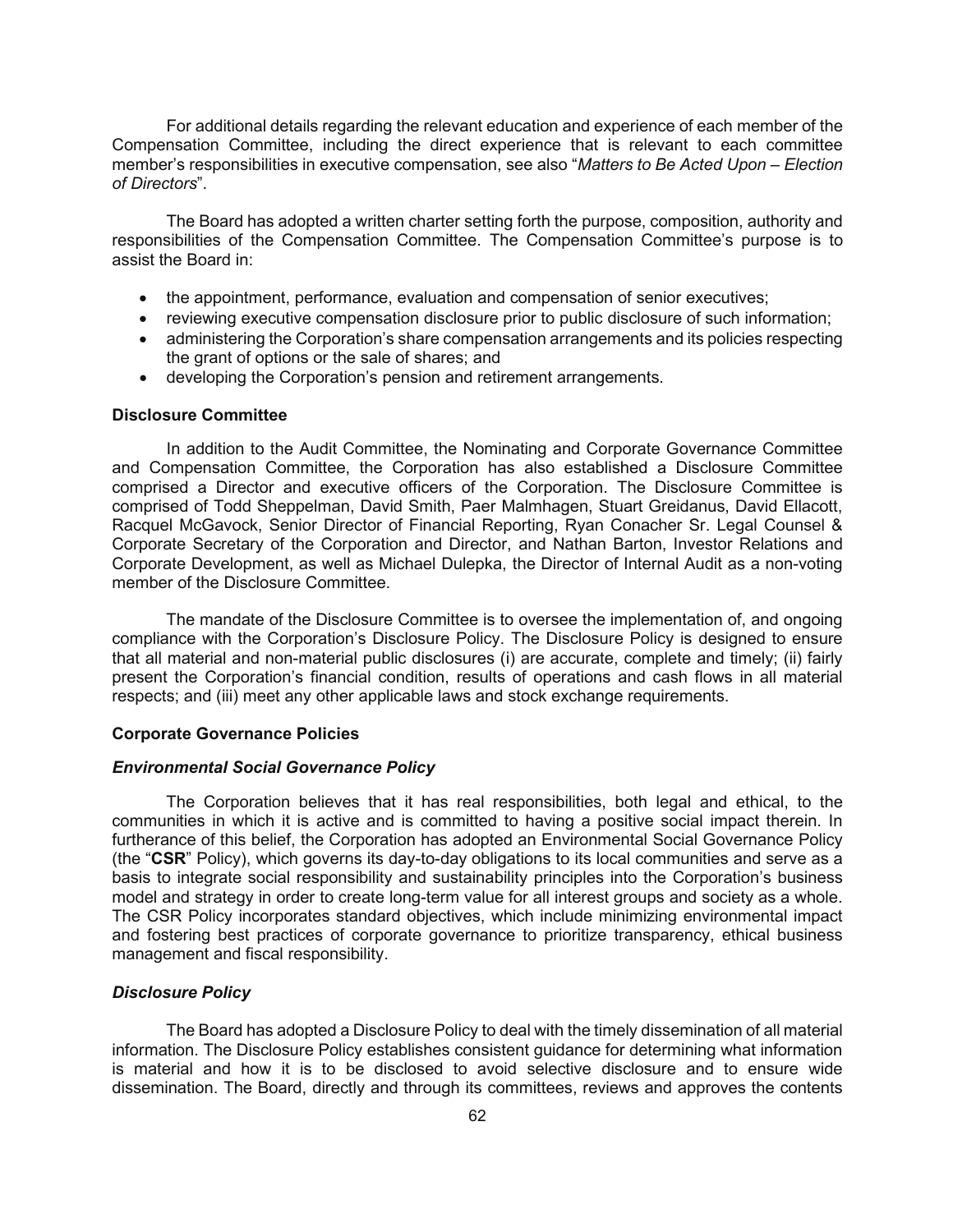For additional details regarding the relevant education and experience of each member of the Compensation Committee, including the direct experience that is relevant to each committee member's responsibilities in executive compensation, see also "*Matters to Be Acted Upon – Election of Directors*".

The Board has adopted a written charter setting forth the purpose, composition, authority and responsibilities of the Compensation Committee. The Compensation Committee's purpose is to assist the Board in:

- the appointment, performance, evaluation and compensation of senior executives;
- reviewing executive compensation disclosure prior to public disclosure of such information;
- administering the Corporation's share compensation arrangements and its policies respecting the grant of options or the sale of shares; and
- developing the Corporation's pension and retirement arrangements.

#### **Disclosure Committee**

In addition to the Audit Committee, the Nominating and Corporate Governance Committee and Compensation Committee, the Corporation has also established a Disclosure Committee comprised a Director and executive officers of the Corporation. The Disclosure Committee is comprised of Todd Sheppelman, David Smith, Paer Malmhagen, Stuart Greidanus, David Ellacott, Racquel McGavock, Senior Director of Financial Reporting, Ryan Conacher Sr. Legal Counsel & Corporate Secretary of the Corporation and Director, and Nathan Barton, Investor Relations and Corporate Development, as well as Michael Dulepka, the Director of Internal Audit as a non-voting member of the Disclosure Committee.

The mandate of the Disclosure Committee is to oversee the implementation of, and ongoing compliance with the Corporation's Disclosure Policy. The Disclosure Policy is designed to ensure that all material and non-material public disclosures (i) are accurate, complete and timely; (ii) fairly present the Corporation's financial condition, results of operations and cash flows in all material respects; and (iii) meet any other applicable laws and stock exchange requirements.

#### **Corporate Governance Policies**

#### *Environmental Social Governance Policy*

The Corporation believes that it has real responsibilities, both legal and ethical, to the communities in which it is active and is committed to having a positive social impact therein. In furtherance of this belief, the Corporation has adopted an Environmental Social Governance Policy (the "**CSR**" Policy), which governs its day-to-day obligations to its local communities and serve as a basis to integrate social responsibility and sustainability principles into the Corporation's business model and strategy in order to create long-term value for all interest groups and society as a whole. The CSR Policy incorporates standard objectives, which include minimizing environmental impact and fostering best practices of corporate governance to prioritize transparency, ethical business management and fiscal responsibility.

#### *Disclosure Policy*

The Board has adopted a Disclosure Policy to deal with the timely dissemination of all material information. The Disclosure Policy establishes consistent guidance for determining what information is material and how it is to be disclosed to avoid selective disclosure and to ensure wide dissemination. The Board, directly and through its committees, reviews and approves the contents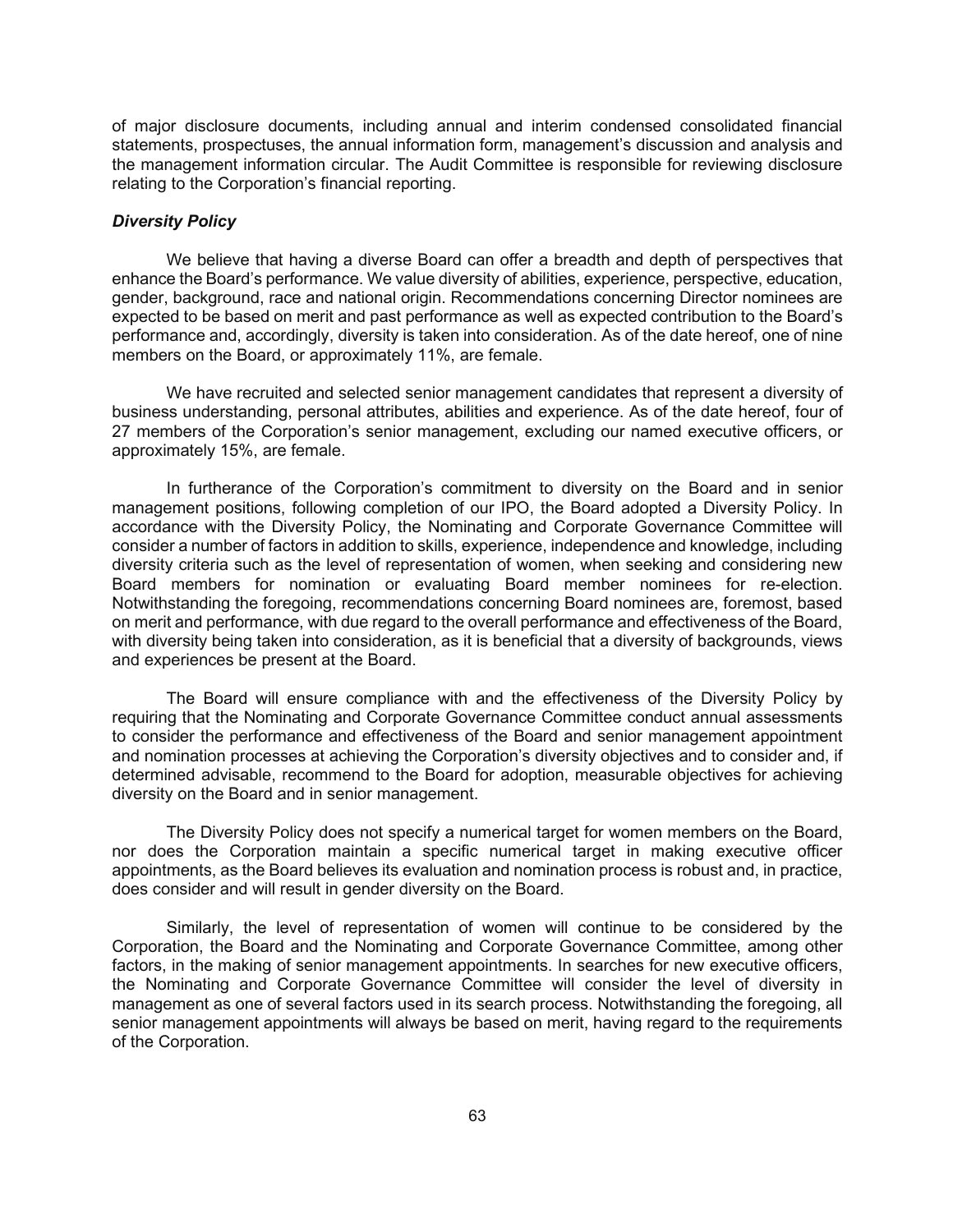of major disclosure documents, including annual and interim condensed consolidated financial statements, prospectuses, the annual information form, management's discussion and analysis and the management information circular. The Audit Committee is responsible for reviewing disclosure relating to the Corporation's financial reporting.

## *Diversity Policy*

We believe that having a diverse Board can offer a breadth and depth of perspectives that enhance the Board's performance. We value diversity of abilities, experience, perspective, education, gender, background, race and national origin. Recommendations concerning Director nominees are expected to be based on merit and past performance as well as expected contribution to the Board's performance and, accordingly, diversity is taken into consideration. As of the date hereof, one of nine members on the Board, or approximately 11%, are female.

We have recruited and selected senior management candidates that represent a diversity of business understanding, personal attributes, abilities and experience. As of the date hereof, four of 27 members of the Corporation's senior management, excluding our named executive officers, or approximately 15%, are female.

In furtherance of the Corporation's commitment to diversity on the Board and in senior management positions, following completion of our IPO, the Board adopted a Diversity Policy. In accordance with the Diversity Policy, the Nominating and Corporate Governance Committee will consider a number of factors in addition to skills, experience, independence and knowledge, including diversity criteria such as the level of representation of women, when seeking and considering new Board members for nomination or evaluating Board member nominees for re-election. Notwithstanding the foregoing, recommendations concerning Board nominees are, foremost, based on merit and performance, with due regard to the overall performance and effectiveness of the Board, with diversity being taken into consideration, as it is beneficial that a diversity of backgrounds, views and experiences be present at the Board.

The Board will ensure compliance with and the effectiveness of the Diversity Policy by requiring that the Nominating and Corporate Governance Committee conduct annual assessments to consider the performance and effectiveness of the Board and senior management appointment and nomination processes at achieving the Corporation's diversity objectives and to consider and, if determined advisable, recommend to the Board for adoption, measurable objectives for achieving diversity on the Board and in senior management.

The Diversity Policy does not specify a numerical target for women members on the Board, nor does the Corporation maintain a specific numerical target in making executive officer appointments, as the Board believes its evaluation and nomination process is robust and, in practice, does consider and will result in gender diversity on the Board.

Similarly, the level of representation of women will continue to be considered by the Corporation, the Board and the Nominating and Corporate Governance Committee, among other factors, in the making of senior management appointments. In searches for new executive officers, the Nominating and Corporate Governance Committee will consider the level of diversity in management as one of several factors used in its search process. Notwithstanding the foregoing, all senior management appointments will always be based on merit, having regard to the requirements of the Corporation.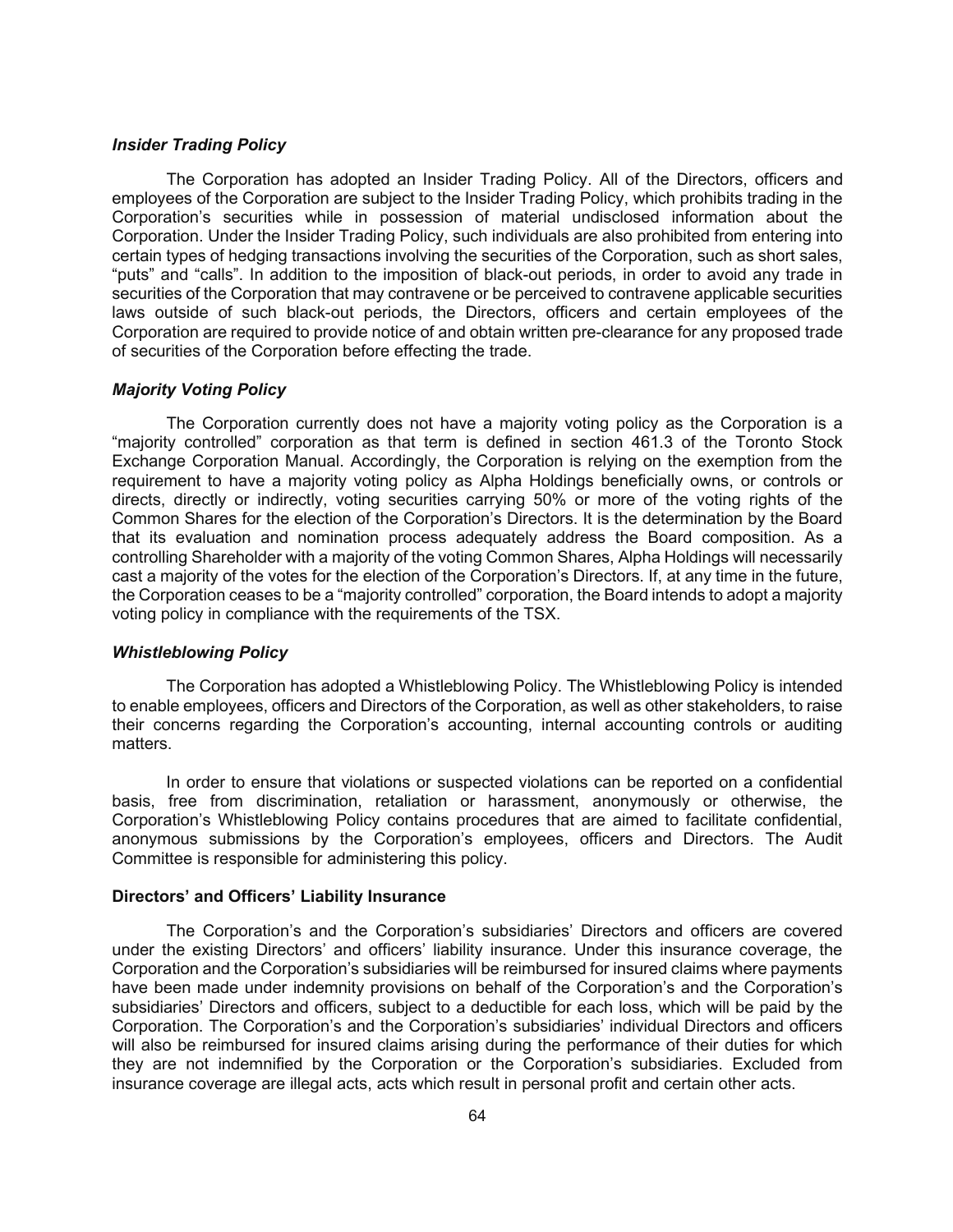## *Insider Trading Policy*

The Corporation has adopted an Insider Trading Policy. All of the Directors, officers and employees of the Corporation are subject to the Insider Trading Policy, which prohibits trading in the Corporation's securities while in possession of material undisclosed information about the Corporation. Under the Insider Trading Policy, such individuals are also prohibited from entering into certain types of hedging transactions involving the securities of the Corporation, such as short sales, "puts" and "calls". In addition to the imposition of black-out periods, in order to avoid any trade in securities of the Corporation that may contravene or be perceived to contravene applicable securities laws outside of such black-out periods, the Directors, officers and certain employees of the Corporation are required to provide notice of and obtain written pre-clearance for any proposed trade of securities of the Corporation before effecting the trade.

#### *Majority Voting Policy*

The Corporation currently does not have a majority voting policy as the Corporation is a "majority controlled" corporation as that term is defined in section 461.3 of the Toronto Stock Exchange Corporation Manual. Accordingly, the Corporation is relying on the exemption from the requirement to have a majority voting policy as Alpha Holdings beneficially owns, or controls or directs, directly or indirectly, voting securities carrying 50% or more of the voting rights of the Common Shares for the election of the Corporation's Directors. It is the determination by the Board that its evaluation and nomination process adequately address the Board composition. As a controlling Shareholder with a majority of the voting Common Shares, Alpha Holdings will necessarily cast a majority of the votes for the election of the Corporation's Directors. If, at any time in the future, the Corporation ceases to be a "majority controlled" corporation, the Board intends to adopt a majority voting policy in compliance with the requirements of the TSX.

#### *Whistleblowing Policy*

The Corporation has adopted a Whistleblowing Policy. The Whistleblowing Policy is intended to enable employees, officers and Directors of the Corporation, as well as other stakeholders, to raise their concerns regarding the Corporation's accounting, internal accounting controls or auditing matters.

In order to ensure that violations or suspected violations can be reported on a confidential basis, free from discrimination, retaliation or harassment, anonymously or otherwise, the Corporation's Whistleblowing Policy contains procedures that are aimed to facilitate confidential, anonymous submissions by the Corporation's employees, officers and Directors. The Audit Committee is responsible for administering this policy.

#### **Directors' and Officers' Liability Insurance**

The Corporation's and the Corporation's subsidiaries' Directors and officers are covered under the existing Directors' and officers' liability insurance. Under this insurance coverage, the Corporation and the Corporation's subsidiaries will be reimbursed for insured claims where payments have been made under indemnity provisions on behalf of the Corporation's and the Corporation's subsidiaries' Directors and officers, subject to a deductible for each loss, which will be paid by the Corporation. The Corporation's and the Corporation's subsidiaries' individual Directors and officers will also be reimbursed for insured claims arising during the performance of their duties for which they are not indemnified by the Corporation or the Corporation's subsidiaries. Excluded from insurance coverage are illegal acts, acts which result in personal profit and certain other acts.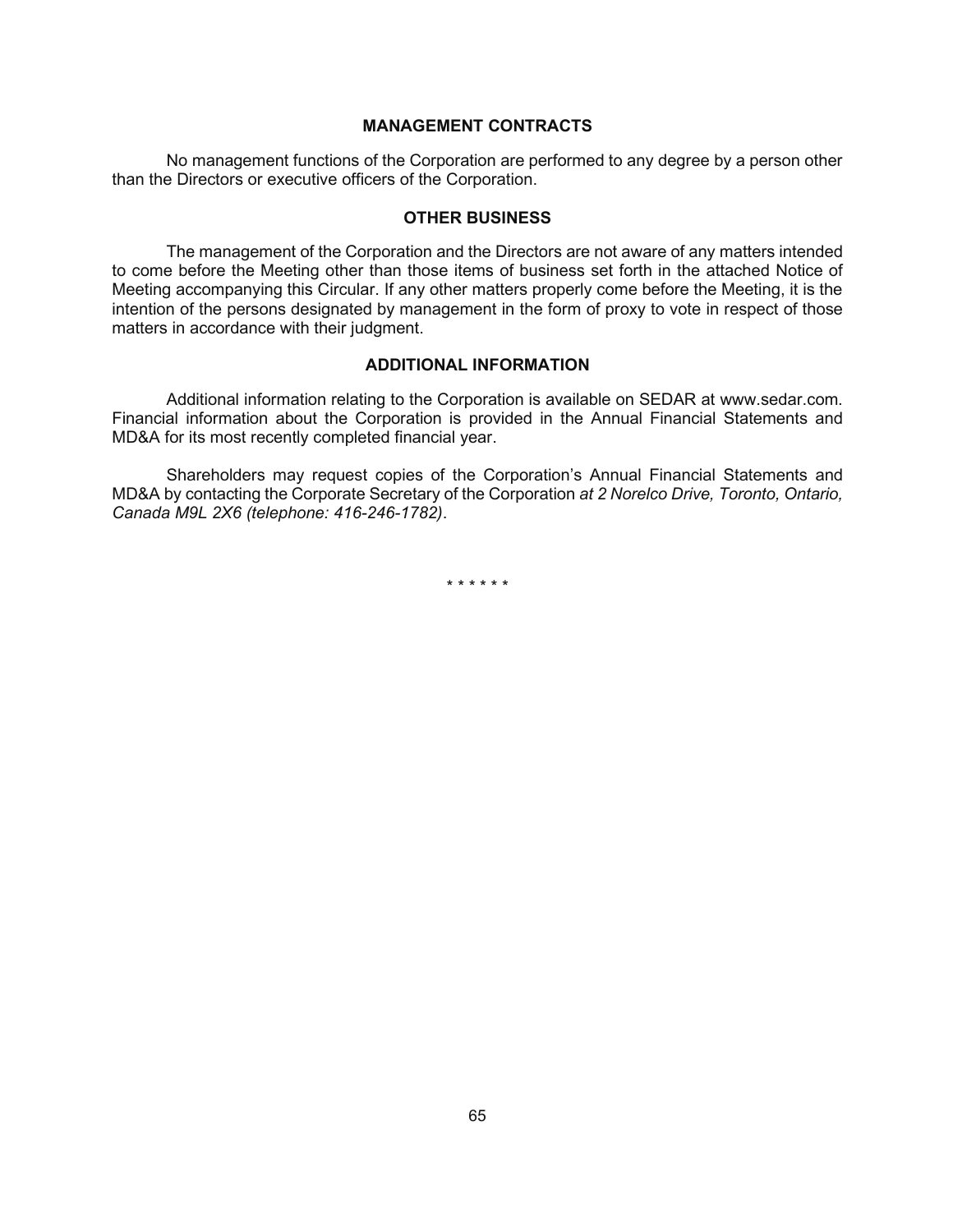### **MANAGEMENT CONTRACTS**

No management functions of the Corporation are performed to any degree by a person other than the Directors or executive officers of the Corporation.

### **OTHER BUSINESS**

The management of the Corporation and the Directors are not aware of any matters intended to come before the Meeting other than those items of business set forth in the attached Notice of Meeting accompanying this Circular. If any other matters properly come before the Meeting, it is the intention of the persons designated by management in the form of proxy to vote in respect of those matters in accordance with their judgment.

### **ADDITIONAL INFORMATION**

Additional information relating to the Corporation is available on SEDAR at www.sedar.com. Financial information about the Corporation is provided in the Annual Financial Statements and MD&A for its most recently completed financial year.

Shareholders may request copies of the Corporation's Annual Financial Statements and MD&A by contacting the Corporate Secretary of the Corporation *at 2 Norelco Drive, Toronto, Ontario, Canada M9L 2X6 (telephone: 416-246-1782)*.

\* \* \* \* \* \*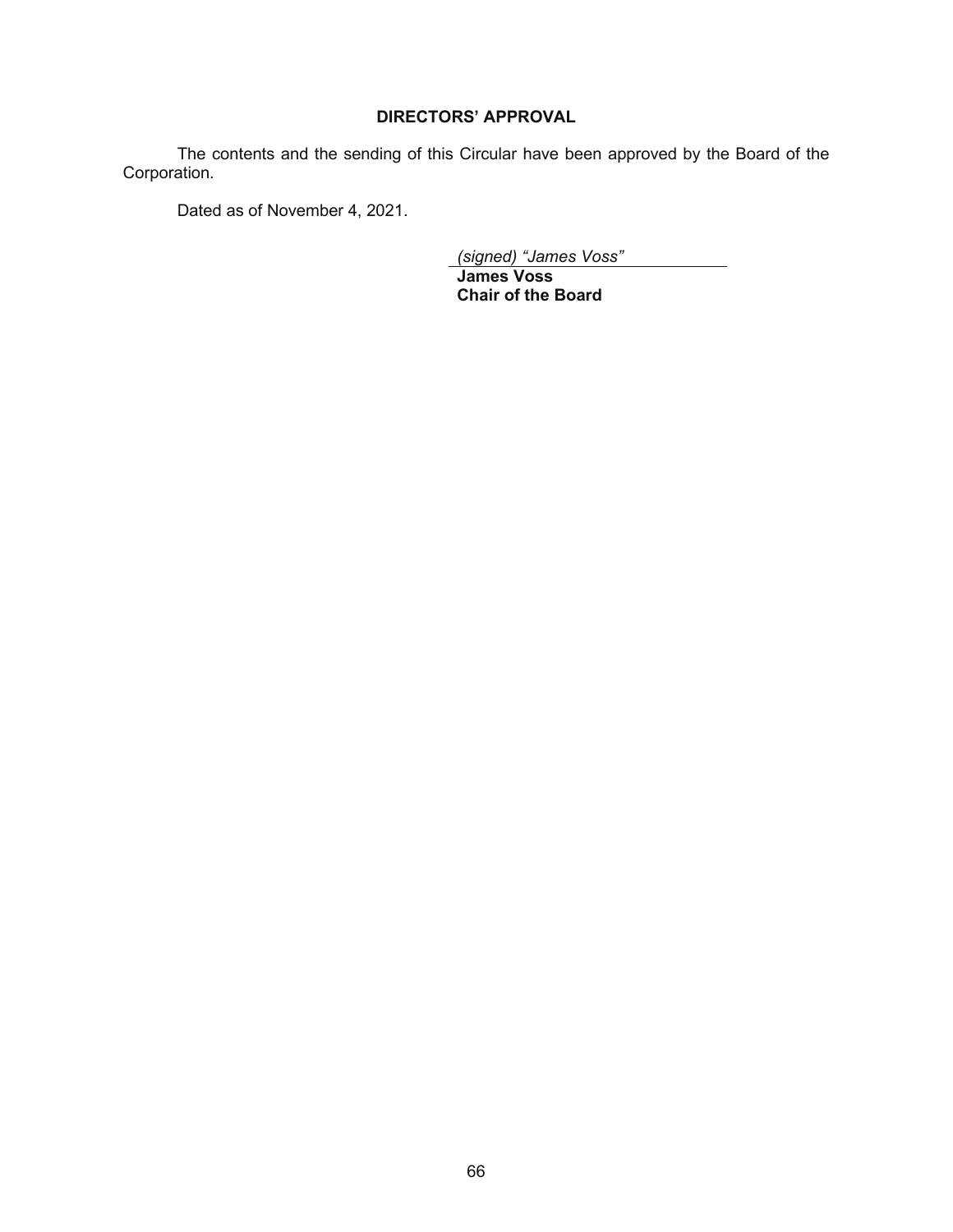## **DIRECTORS' APPROVAL**

The contents and the sending of this Circular have been approved by the Board of the Corporation.

Dated as of November 4, 2021.

*(signed) "James Voss"*

**James Voss Chair of the Board**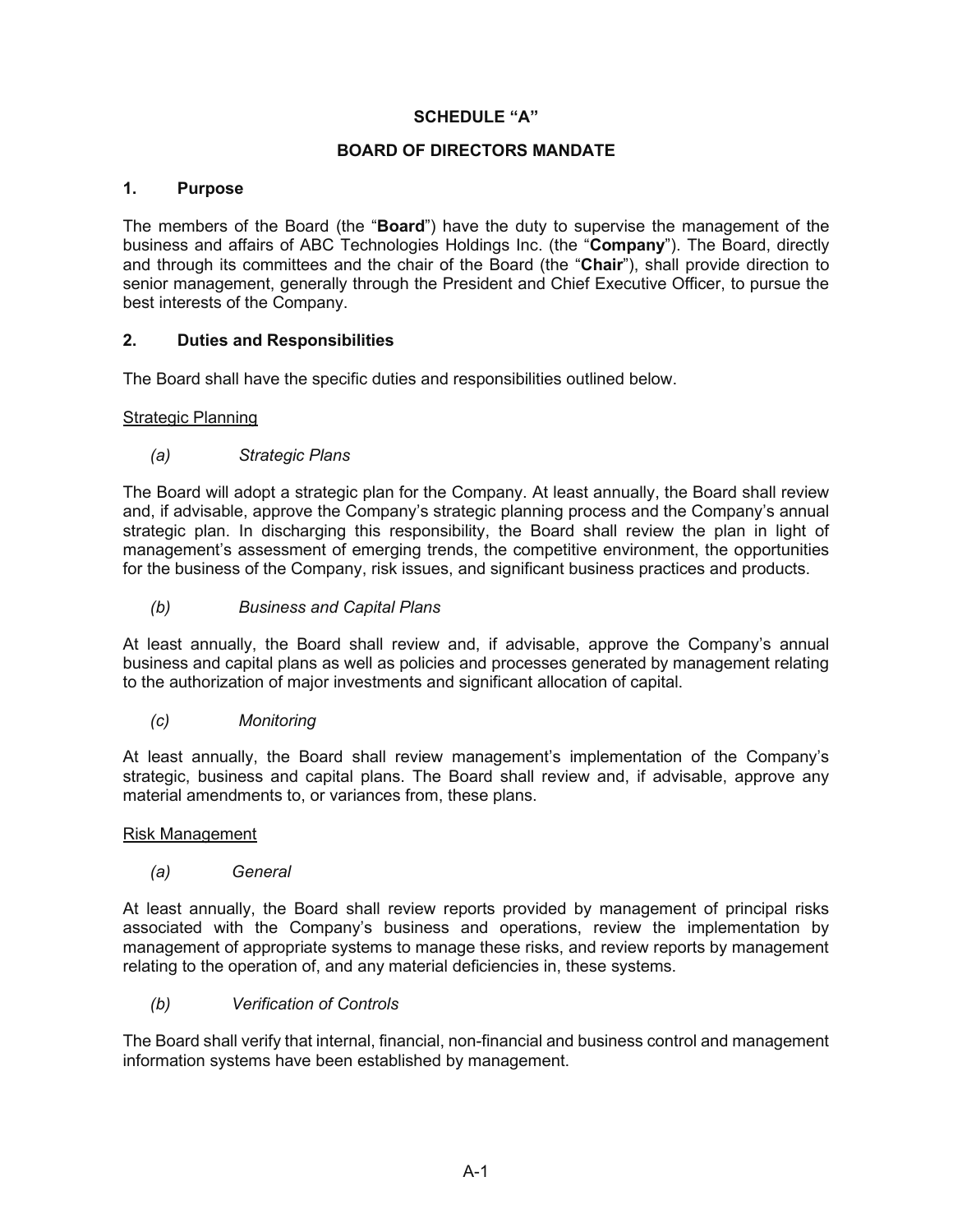## **SCHEDULE "A"**

## **BOARD OF DIRECTORS MANDATE**

## **1. Purpose**

The members of the Board (the "**Board**") have the duty to supervise the management of the business and affairs of ABC Technologies Holdings Inc. (the "**Company**"). The Board, directly and through its committees and the chair of the Board (the "**Chair**"), shall provide direction to senior management, generally through the President and Chief Executive Officer, to pursue the best interests of the Company.

# **2. Duties and Responsibilities**

The Board shall have the specific duties and responsibilities outlined below.

## Strategic Planning

# *(a) Strategic Plans*

The Board will adopt a strategic plan for the Company. At least annually, the Board shall review and, if advisable, approve the Company's strategic planning process and the Company's annual strategic plan. In discharging this responsibility, the Board shall review the plan in light of management's assessment of emerging trends, the competitive environment, the opportunities for the business of the Company, risk issues, and significant business practices and products.

*(b) Business and Capital Plans* 

At least annually, the Board shall review and, if advisable, approve the Company's annual business and capital plans as well as policies and processes generated by management relating to the authorization of major investments and significant allocation of capital.

## *(c) Monitoring*

At least annually, the Board shall review management's implementation of the Company's strategic, business and capital plans. The Board shall review and, if advisable, approve any material amendments to, or variances from, these plans.

## Risk Management

*(a) General* 

At least annually, the Board shall review reports provided by management of principal risks associated with the Company's business and operations, review the implementation by management of appropriate systems to manage these risks, and review reports by management relating to the operation of, and any material deficiencies in, these systems.

## *(b) Verification of Controls*

The Board shall verify that internal, financial, non-financial and business control and management information systems have been established by management.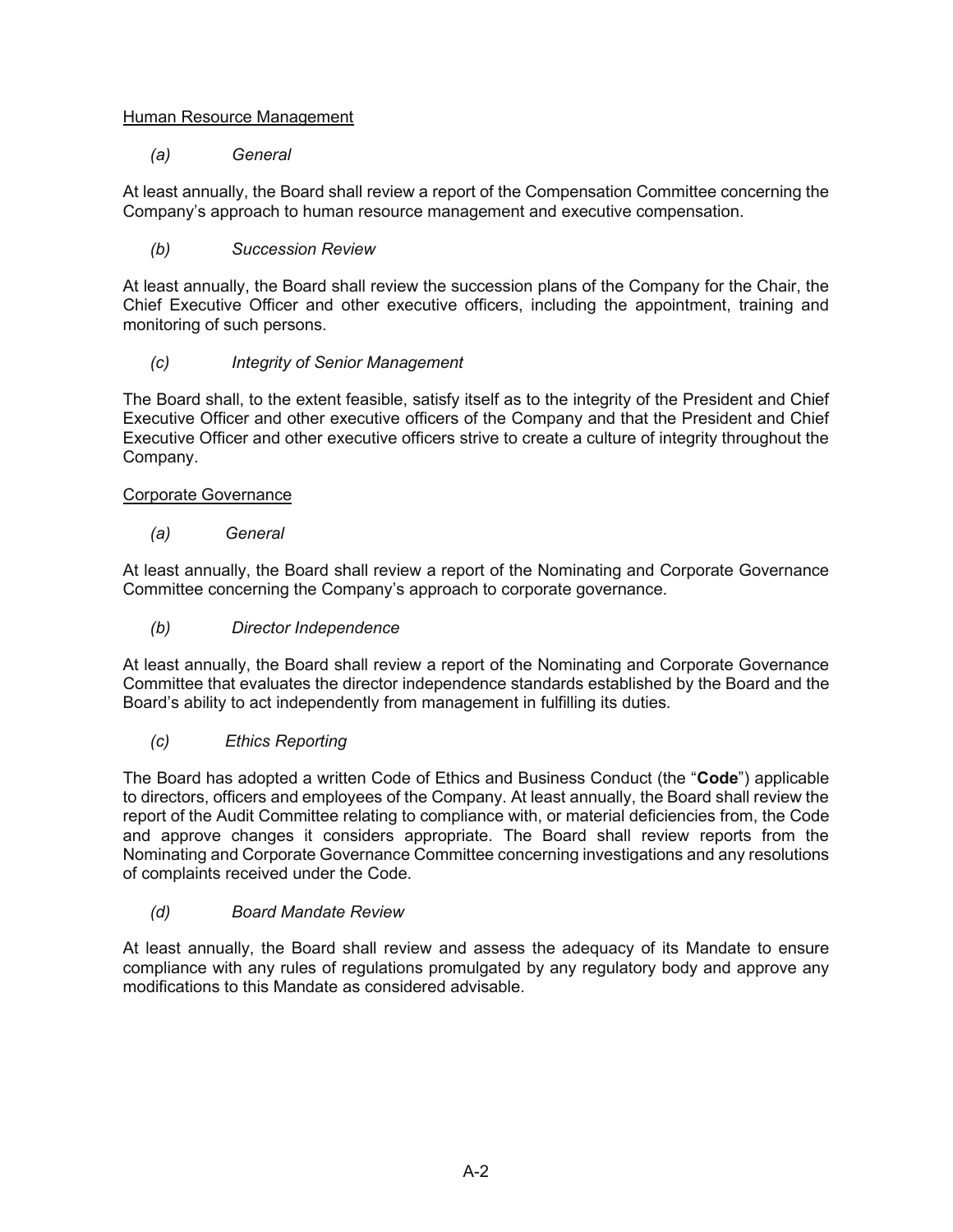# Human Resource Management

# *(a) General*

At least annually, the Board shall review a report of the Compensation Committee concerning the Company's approach to human resource management and executive compensation.

# *(b) Succession Review*

At least annually, the Board shall review the succession plans of the Company for the Chair, the Chief Executive Officer and other executive officers, including the appointment, training and monitoring of such persons.

# *(c) Integrity of Senior Management*

The Board shall, to the extent feasible, satisfy itself as to the integrity of the President and Chief Executive Officer and other executive officers of the Company and that the President and Chief Executive Officer and other executive officers strive to create a culture of integrity throughout the Company.

# Corporate Governance

# *(a) General*

At least annually, the Board shall review a report of the Nominating and Corporate Governance Committee concerning the Company's approach to corporate governance.

# *(b) Director Independence*

At least annually, the Board shall review a report of the Nominating and Corporate Governance Committee that evaluates the director independence standards established by the Board and the Board's ability to act independently from management in fulfilling its duties.

# *(c) Ethics Reporting*

The Board has adopted a written Code of Ethics and Business Conduct (the "**Code**") applicable to directors, officers and employees of the Company. At least annually, the Board shall review the report of the Audit Committee relating to compliance with, or material deficiencies from, the Code and approve changes it considers appropriate. The Board shall review reports from the Nominating and Corporate Governance Committee concerning investigations and any resolutions of complaints received under the Code.

# *(d) Board Mandate Review*

At least annually, the Board shall review and assess the adequacy of its Mandate to ensure compliance with any rules of regulations promulgated by any regulatory body and approve any modifications to this Mandate as considered advisable.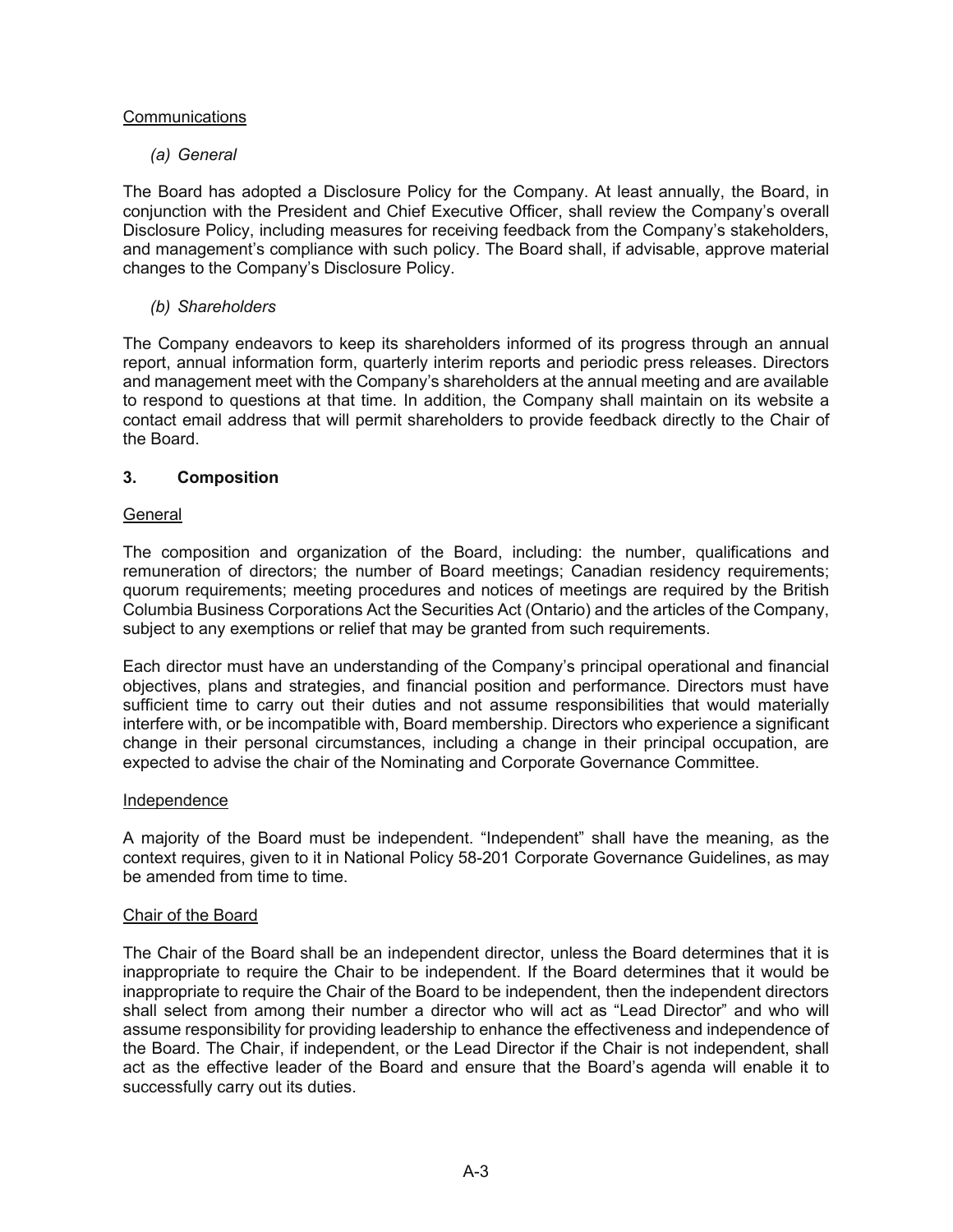# **Communications**

# *(a) General*

The Board has adopted a Disclosure Policy for the Company. At least annually, the Board, in conjunction with the President and Chief Executive Officer, shall review the Company's overall Disclosure Policy, including measures for receiving feedback from the Company's stakeholders, and management's compliance with such policy. The Board shall, if advisable, approve material changes to the Company's Disclosure Policy.

# *(b) Shareholders*

The Company endeavors to keep its shareholders informed of its progress through an annual report, annual information form, quarterly interim reports and periodic press releases. Directors and management meet with the Company's shareholders at the annual meeting and are available to respond to questions at that time. In addition, the Company shall maintain on its website a contact email address that will permit shareholders to provide feedback directly to the Chair of the Board.

# **3. Composition**

## General

The composition and organization of the Board, including: the number, qualifications and remuneration of directors; the number of Board meetings; Canadian residency requirements; quorum requirements; meeting procedures and notices of meetings are required by the British Columbia Business Corporations Act the Securities Act (Ontario) and the articles of the Company, subject to any exemptions or relief that may be granted from such requirements.

Each director must have an understanding of the Company's principal operational and financial objectives, plans and strategies, and financial position and performance. Directors must have sufficient time to carry out their duties and not assume responsibilities that would materially interfere with, or be incompatible with, Board membership. Directors who experience a significant change in their personal circumstances, including a change in their principal occupation, are expected to advise the chair of the Nominating and Corporate Governance Committee.

## Independence

A majority of the Board must be independent. "Independent" shall have the meaning, as the context requires, given to it in National Policy 58-201 Corporate Governance Guidelines, as may be amended from time to time.

## Chair of the Board

The Chair of the Board shall be an independent director, unless the Board determines that it is inappropriate to require the Chair to be independent. If the Board determines that it would be inappropriate to require the Chair of the Board to be independent, then the independent directors shall select from among their number a director who will act as "Lead Director" and who will assume responsibility for providing leadership to enhance the effectiveness and independence of the Board. The Chair, if independent, or the Lead Director if the Chair is not independent, shall act as the effective leader of the Board and ensure that the Board's agenda will enable it to successfully carry out its duties.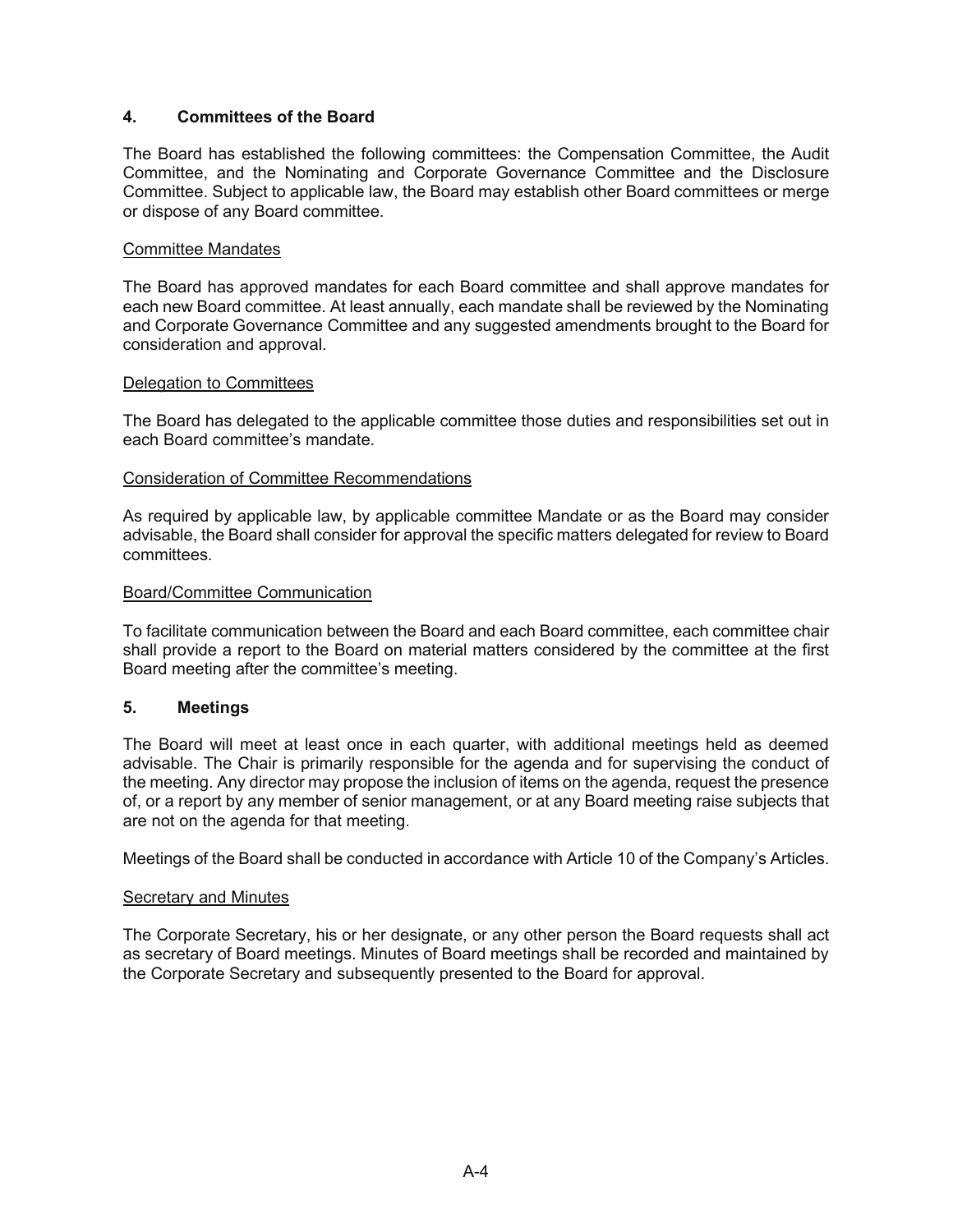# **4. Committees of the Board**

The Board has established the following committees: the Compensation Committee, the Audit Committee, and the Nominating and Corporate Governance Committee and the Disclosure Committee. Subject to applicable law, the Board may establish other Board committees or merge or dispose of any Board committee.

## Committee Mandates

The Board has approved mandates for each Board committee and shall approve mandates for each new Board committee. At least annually, each mandate shall be reviewed by the Nominating and Corporate Governance Committee and any suggested amendments brought to the Board for consideration and approval.

## Delegation to Committees

The Board has delegated to the applicable committee those duties and responsibilities set out in each Board committee's mandate.

## Consideration of Committee Recommendations

As required by applicable law, by applicable committee Mandate or as the Board may consider advisable, the Board shall consider for approval the specific matters delegated for review to Board committees.

## Board/Committee Communication

To facilitate communication between the Board and each Board committee, each committee chair shall provide a report to the Board on material matters considered by the committee at the first Board meeting after the committee's meeting.

## **5. Meetings**

The Board will meet at least once in each quarter, with additional meetings held as deemed advisable. The Chair is primarily responsible for the agenda and for supervising the conduct of the meeting. Any director may propose the inclusion of items on the agenda, request the presence of, or a report by any member of senior management, or at any Board meeting raise subjects that are not on the agenda for that meeting.

Meetings of the Board shall be conducted in accordance with Article 10 of the Company's Articles.

### Secretary and Minutes

The Corporate Secretary, his or her designate, or any other person the Board requests shall act as secretary of Board meetings. Minutes of Board meetings shall be recorded and maintained by the Corporate Secretary and subsequently presented to the Board for approval.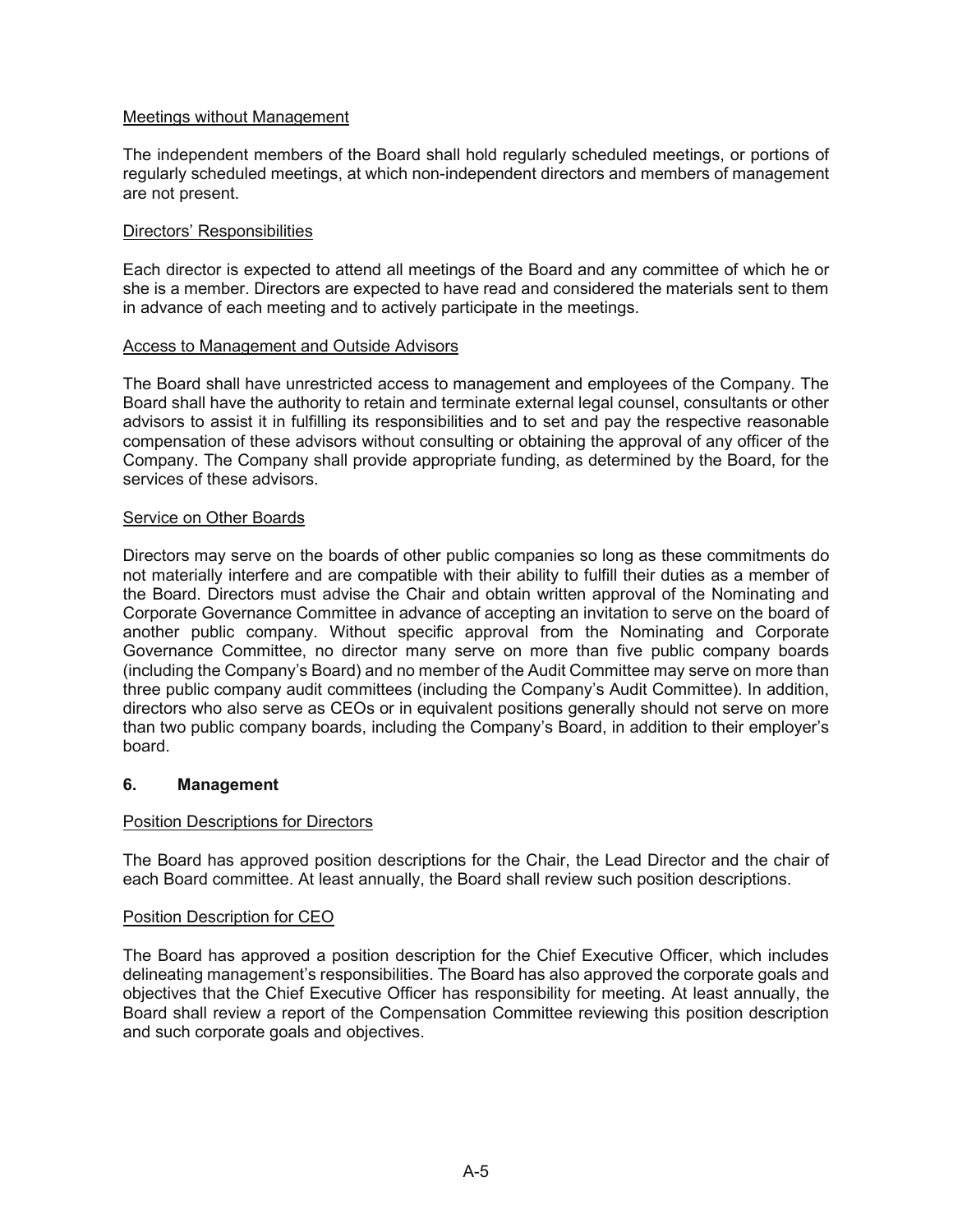# Meetings without Management

The independent members of the Board shall hold regularly scheduled meetings, or portions of regularly scheduled meetings, at which non-independent directors and members of management are not present.

# Directors' Responsibilities

Each director is expected to attend all meetings of the Board and any committee of which he or she is a member. Directors are expected to have read and considered the materials sent to them in advance of each meeting and to actively participate in the meetings.

## Access to Management and Outside Advisors

The Board shall have unrestricted access to management and employees of the Company. The Board shall have the authority to retain and terminate external legal counsel, consultants or other advisors to assist it in fulfilling its responsibilities and to set and pay the respective reasonable compensation of these advisors without consulting or obtaining the approval of any officer of the Company. The Company shall provide appropriate funding, as determined by the Board, for the services of these advisors.

# Service on Other Boards

Directors may serve on the boards of other public companies so long as these commitments do not materially interfere and are compatible with their ability to fulfill their duties as a member of the Board. Directors must advise the Chair and obtain written approval of the Nominating and Corporate Governance Committee in advance of accepting an invitation to serve on the board of another public company. Without specific approval from the Nominating and Corporate Governance Committee, no director many serve on more than five public company boards (including the Company's Board) and no member of the Audit Committee may serve on more than three public company audit committees (including the Company's Audit Committee). In addition, directors who also serve as CEOs or in equivalent positions generally should not serve on more than two public company boards, including the Company's Board, in addition to their employer's board.

## **6. Management**

# Position Descriptions for Directors

The Board has approved position descriptions for the Chair, the Lead Director and the chair of each Board committee. At least annually, the Board shall review such position descriptions.

## Position Description for CEO

The Board has approved a position description for the Chief Executive Officer, which includes delineating management's responsibilities. The Board has also approved the corporate goals and objectives that the Chief Executive Officer has responsibility for meeting. At least annually, the Board shall review a report of the Compensation Committee reviewing this position description and such corporate goals and objectives.